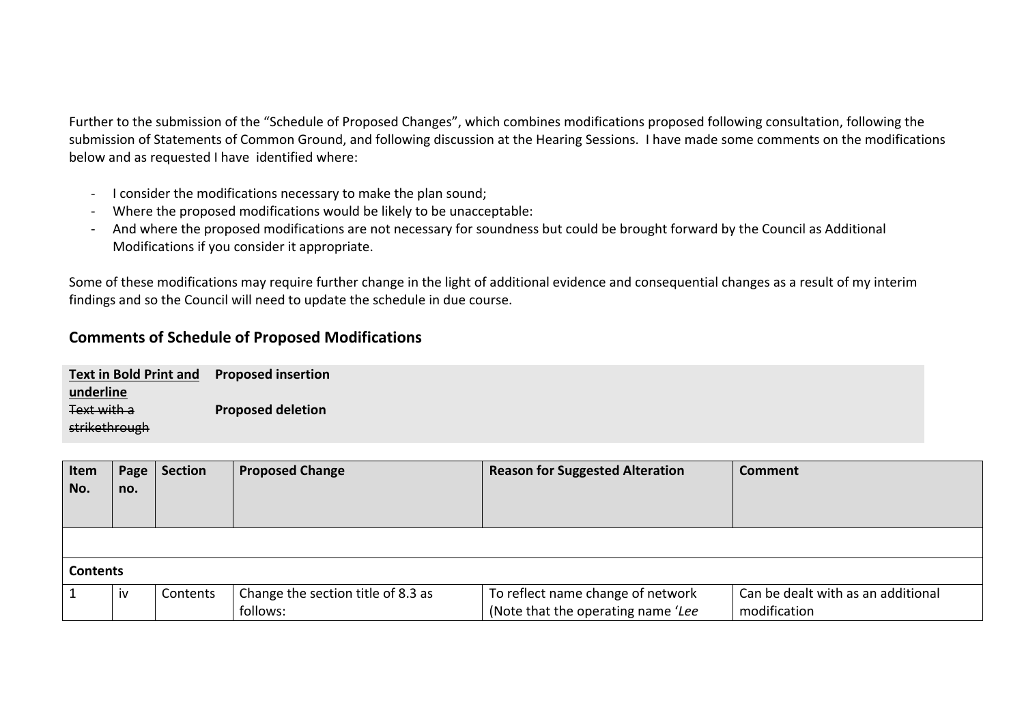Further to the submission of the "Schedule of Proposed Changes", which combines modifications proposed following consultation, following the submission of Statements of Common Ground, and following discussion at the Hearing Sessions. I have made some comments on the modifications below and as requested I have identified where:

- I consider the modifications necessary to make the plan sound;
- Where the proposed modifications would be likely to be unacceptable:
- And where the proposed modifications are not necessary for soundness but could be brought forward by the Council as Additional Modifications if you consider it appropriate.

Some of these modifications may require further change in the light of additional evidence and consequential changes as a result of my interim findings and so the Council will need to update the schedule in due course.

## **Comments of Schedule of Proposed Modifications**

| <b>Text in Bold Print and</b> | <b>Proposed insertion</b> |
|-------------------------------|---------------------------|
| underline                     |                           |
| <b>Text with a</b>            | <b>Proposed deletion</b>  |
| strikethrough                 |                           |

| Item<br>No.     | Page<br>no. | <b>Section</b> | <b>Proposed Change</b>             | <b>Reason for Suggested Alteration</b> | <b>Comment</b>                     |  |
|-----------------|-------------|----------------|------------------------------------|----------------------------------------|------------------------------------|--|
|                 |             |                |                                    |                                        |                                    |  |
| <b>Contents</b> |             |                |                                    |                                        |                                    |  |
|                 | iv          | Contents       | Change the section title of 8.3 as | To reflect name change of network      | Can be dealt with as an additional |  |
|                 |             |                | follows:                           | (Note that the operating name 'Lee     | modification                       |  |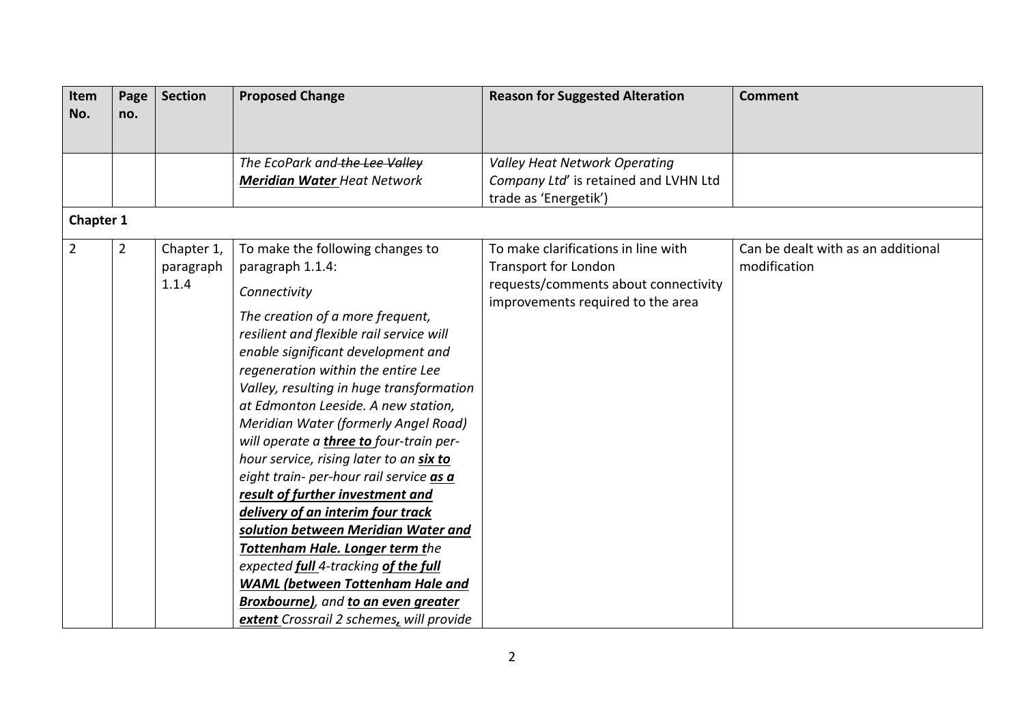| Item<br>No.    | Page<br>no.    | <b>Section</b>                   | <b>Proposed Change</b>                                                                                                                                                                                                                                                                                                                                                                                                                                                                                                                                                                                                                                                                                                                                                                                                        | <b>Reason for Suggested Alteration</b>                                                                                                   | <b>Comment</b>                                     |
|----------------|----------------|----------------------------------|-------------------------------------------------------------------------------------------------------------------------------------------------------------------------------------------------------------------------------------------------------------------------------------------------------------------------------------------------------------------------------------------------------------------------------------------------------------------------------------------------------------------------------------------------------------------------------------------------------------------------------------------------------------------------------------------------------------------------------------------------------------------------------------------------------------------------------|------------------------------------------------------------------------------------------------------------------------------------------|----------------------------------------------------|
|                |                |                                  |                                                                                                                                                                                                                                                                                                                                                                                                                                                                                                                                                                                                                                                                                                                                                                                                                               |                                                                                                                                          |                                                    |
|                |                |                                  | The EcoPark and the Lee Valley                                                                                                                                                                                                                                                                                                                                                                                                                                                                                                                                                                                                                                                                                                                                                                                                | <b>Valley Heat Network Operating</b>                                                                                                     |                                                    |
|                |                |                                  | <b>Meridian Water Heat Network</b>                                                                                                                                                                                                                                                                                                                                                                                                                                                                                                                                                                                                                                                                                                                                                                                            | Company Ltd' is retained and LVHN Ltd<br>trade as 'Energetik')                                                                           |                                                    |
| Chapter 1      |                |                                  |                                                                                                                                                                                                                                                                                                                                                                                                                                                                                                                                                                                                                                                                                                                                                                                                                               |                                                                                                                                          |                                                    |
| $\overline{2}$ | $\overline{2}$ | Chapter 1,<br>paragraph<br>1.1.4 | To make the following changes to<br>paragraph 1.1.4:<br>Connectivity<br>The creation of a more frequent,<br>resilient and flexible rail service will<br>enable significant development and<br>regeneration within the entire Lee<br>Valley, resulting in huge transformation<br>at Edmonton Leeside. A new station,<br>Meridian Water (formerly Angel Road)<br>will operate a three to four-train per-<br>hour service, rising later to an six to<br>eight train- per-hour rail service as a<br>result of further investment and<br>delivery of an interim four track<br>solution between Meridian Water and<br>Tottenham Hale. Longer term the<br>expected full 4-tracking of the full<br><b>WAML</b> (between Tottenham Hale and<br><b>Broxbourne)</b> , and to an even greater<br>extent Crossrail 2 schemes, will provide | To make clarifications in line with<br>Transport for London<br>requests/comments about connectivity<br>improvements required to the area | Can be dealt with as an additional<br>modification |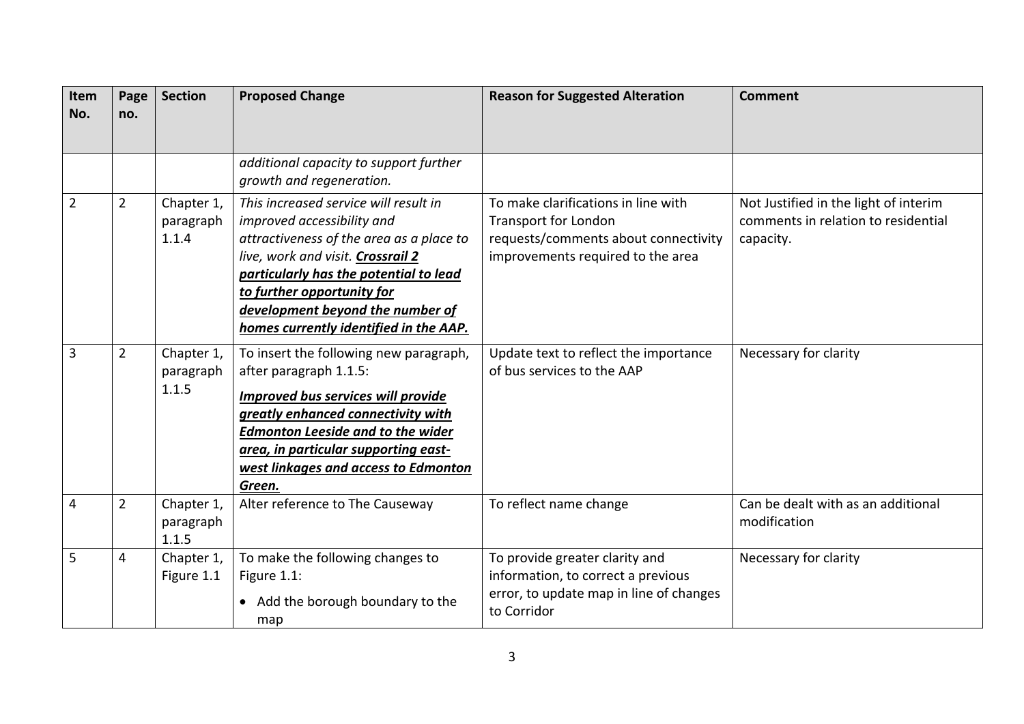| Item<br>No.    | Page<br>no.    | <b>Section</b>                   | <b>Proposed Change</b>                                                                                                                                                                                                                                                                                     | <b>Reason for Suggested Alteration</b>                                                                                                          | <b>Comment</b>                                                                            |
|----------------|----------------|----------------------------------|------------------------------------------------------------------------------------------------------------------------------------------------------------------------------------------------------------------------------------------------------------------------------------------------------------|-------------------------------------------------------------------------------------------------------------------------------------------------|-------------------------------------------------------------------------------------------|
|                |                |                                  | additional capacity to support further<br>growth and regeneration.                                                                                                                                                                                                                                         |                                                                                                                                                 |                                                                                           |
| $\overline{2}$ | $\overline{2}$ | Chapter 1,<br>paragraph<br>1.1.4 | This increased service will result in<br>improved accessibility and<br>attractiveness of the area as a place to<br>live, work and visit. Crossrail 2<br>particularly has the potential to lead<br>to further opportunity for<br>development beyond the number of<br>homes currently identified in the AAP. | To make clarifications in line with<br><b>Transport for London</b><br>requests/comments about connectivity<br>improvements required to the area | Not Justified in the light of interim<br>comments in relation to residential<br>capacity. |
| $\overline{3}$ | $\overline{2}$ | Chapter 1,<br>paragraph<br>1.1.5 | To insert the following new paragraph,<br>after paragraph 1.1.5:<br><b>Improved bus services will provide</b><br>greatly enhanced connectivity with<br><b>Edmonton Leeside and to the wider</b><br>area, in particular supporting east-<br>west linkages and access to Edmonton<br>Green.                  | Update text to reflect the importance<br>of bus services to the AAP                                                                             | Necessary for clarity                                                                     |
| $\overline{4}$ | $\overline{2}$ | Chapter 1,<br>paragraph<br>1.1.5 | Alter reference to The Causeway                                                                                                                                                                                                                                                                            | To reflect name change                                                                                                                          | Can be dealt with as an additional<br>modification                                        |
| 5              | 4              | Chapter 1,<br>Figure 1.1         | To make the following changes to<br>Figure 1.1:<br>• Add the borough boundary to the<br>map                                                                                                                                                                                                                | To provide greater clarity and<br>information, to correct a previous<br>error, to update map in line of changes<br>to Corridor                  | Necessary for clarity                                                                     |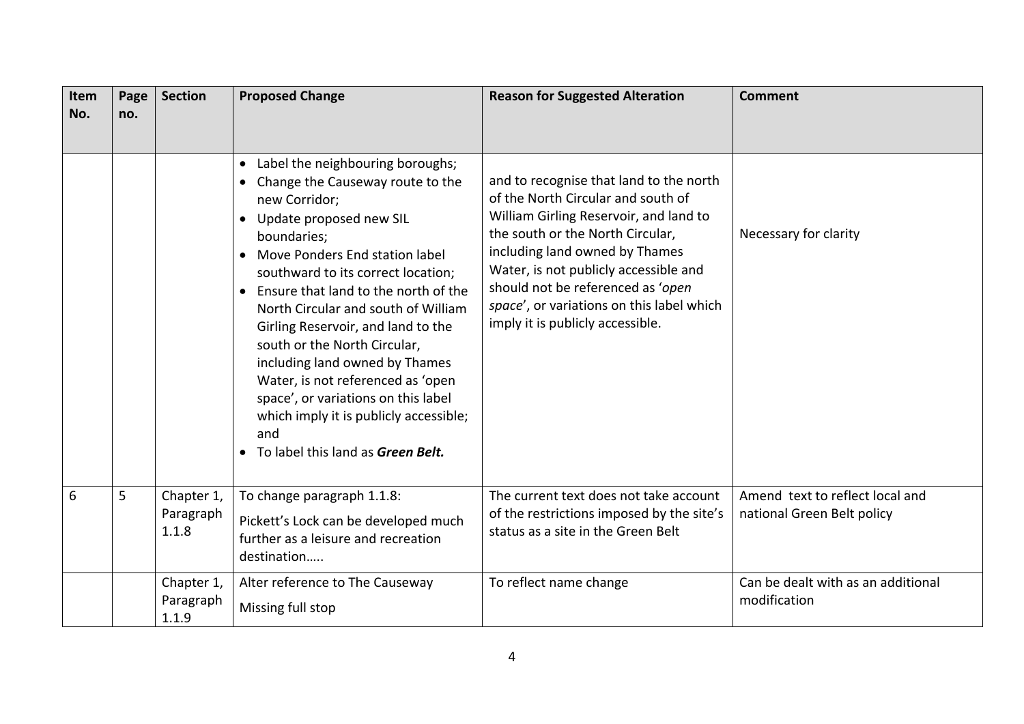| Item<br>No. | Page<br>no. | <b>Section</b>                   | <b>Proposed Change</b>                                                                                                                                                                                                                                                                                                                                                                                                                                                                                                                                                                     | <b>Reason for Suggested Alteration</b>                                                                                                                                                                                                                                                                                                                       | <b>Comment</b>                                                |
|-------------|-------------|----------------------------------|--------------------------------------------------------------------------------------------------------------------------------------------------------------------------------------------------------------------------------------------------------------------------------------------------------------------------------------------------------------------------------------------------------------------------------------------------------------------------------------------------------------------------------------------------------------------------------------------|--------------------------------------------------------------------------------------------------------------------------------------------------------------------------------------------------------------------------------------------------------------------------------------------------------------------------------------------------------------|---------------------------------------------------------------|
|             |             |                                  | Label the neighbouring boroughs;<br>$\bullet$<br>Change the Causeway route to the<br>new Corridor;<br>Update proposed new SIL<br>boundaries;<br>Move Ponders End station label<br>$\bullet$<br>southward to its correct location;<br>Ensure that land to the north of the<br>North Circular and south of William<br>Girling Reservoir, and land to the<br>south or the North Circular,<br>including land owned by Thames<br>Water, is not referenced as 'open<br>space', or variations on this label<br>which imply it is publicly accessible;<br>and<br>To label this land as Green Belt. | and to recognise that land to the north<br>of the North Circular and south of<br>William Girling Reservoir, and land to<br>the south or the North Circular,<br>including land owned by Thames<br>Water, is not publicly accessible and<br>should not be referenced as 'open<br>space', or variations on this label which<br>imply it is publicly accessible. | Necessary for clarity                                         |
| 6           | 5           | Chapter 1,<br>Paragraph<br>1.1.8 | To change paragraph 1.1.8:<br>Pickett's Lock can be developed much<br>further as a leisure and recreation<br>destination                                                                                                                                                                                                                                                                                                                                                                                                                                                                   | The current text does not take account<br>of the restrictions imposed by the site's<br>status as a site in the Green Belt                                                                                                                                                                                                                                    | Amend text to reflect local and<br>national Green Belt policy |
|             |             | Chapter 1,<br>Paragraph<br>1.1.9 | Alter reference to The Causeway<br>Missing full stop                                                                                                                                                                                                                                                                                                                                                                                                                                                                                                                                       | To reflect name change                                                                                                                                                                                                                                                                                                                                       | Can be dealt with as an additional<br>modification            |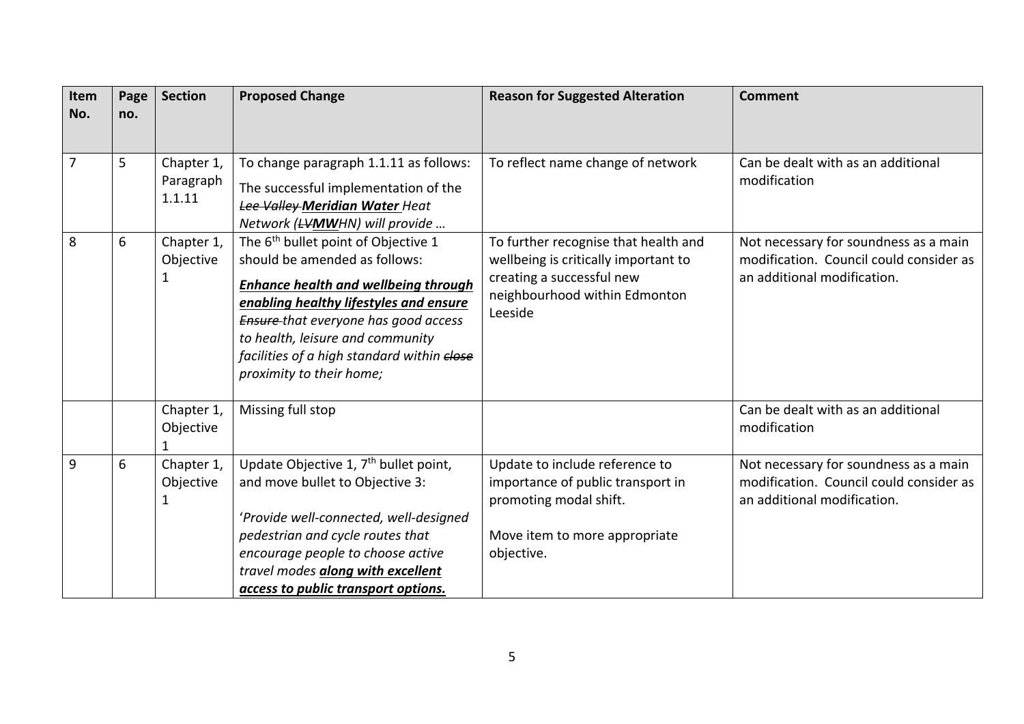| Item<br>No. | Page<br>no. | <b>Section</b>                    | <b>Proposed Change</b>                                                                                                                                                                                                                                                                                                                 | <b>Reason for Suggested Alteration</b>                                                                                                                | <b>Comment</b>                                                                                                  |
|-------------|-------------|-----------------------------------|----------------------------------------------------------------------------------------------------------------------------------------------------------------------------------------------------------------------------------------------------------------------------------------------------------------------------------------|-------------------------------------------------------------------------------------------------------------------------------------------------------|-----------------------------------------------------------------------------------------------------------------|
|             |             |                                   |                                                                                                                                                                                                                                                                                                                                        |                                                                                                                                                       |                                                                                                                 |
| 7           | 5           | Chapter 1,<br>Paragraph<br>1.1.11 | To change paragraph 1.1.11 as follows:<br>The successful implementation of the<br>Lee Valley-Meridian Water Heat<br>Network ( <del>LV</del> MWHN) will provide                                                                                                                                                                         | To reflect name change of network                                                                                                                     | Can be dealt with as an additional<br>modification                                                              |
| 8           | 6           | Chapter 1,<br>Objective<br>1      | The 6 <sup>th</sup> bullet point of Objective 1<br>should be amended as follows:<br><b>Enhance health and wellbeing through</b><br>enabling healthy lifestyles and ensure<br><b>Ensure-that everyone has good access</b><br>to health, leisure and community<br>facilities of a high standard within elose<br>proximity to their home; | To further recognise that health and<br>wellbeing is critically important to<br>creating a successful new<br>neighbourhood within Edmonton<br>Leeside | Not necessary for soundness as a main<br>modification. Council could consider as<br>an additional modification. |
|             |             | Chapter 1,<br>Objective<br>1      | Missing full stop                                                                                                                                                                                                                                                                                                                      |                                                                                                                                                       | Can be dealt with as an additional<br>modification                                                              |
| 9           | 6           | Chapter 1,<br>Objective<br>1      | Update Objective 1, 7 <sup>th</sup> bullet point,<br>and move bullet to Objective 3:<br>'Provide well-connected, well-designed<br>pedestrian and cycle routes that<br>encourage people to choose active<br>travel modes <i>along with excellent</i><br>access to public transport options.                                             | Update to include reference to<br>importance of public transport in<br>promoting modal shift.<br>Move item to more appropriate<br>objective.          | Not necessary for soundness as a main<br>modification. Council could consider as<br>an additional modification. |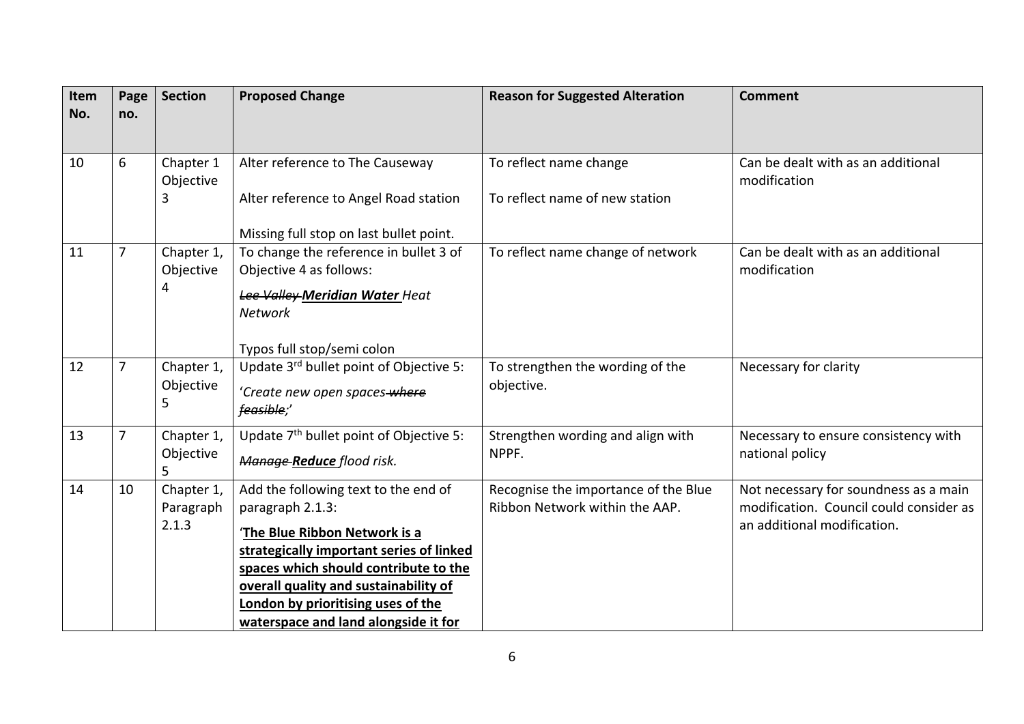| Item<br>No. | Page<br>no. | <b>Section</b>                   | <b>Proposed Change</b>                                                                                                                                                                                                                                                                                | <b>Reason for Suggested Alteration</b>                                 | <b>Comment</b>                                                                                                  |
|-------------|-------------|----------------------------------|-------------------------------------------------------------------------------------------------------------------------------------------------------------------------------------------------------------------------------------------------------------------------------------------------------|------------------------------------------------------------------------|-----------------------------------------------------------------------------------------------------------------|
| 10          | 6           | Chapter 1<br>Objective<br>3      | Alter reference to The Causeway<br>Alter reference to Angel Road station<br>Missing full stop on last bullet point.                                                                                                                                                                                   | To reflect name change<br>To reflect name of new station               | Can be dealt with as an additional<br>modification                                                              |
| 11          | 7           | Chapter 1,<br>Objective<br>4     | To change the reference in bullet 3 of<br>Objective 4 as follows:<br>Lee Valley-Meridian Water Heat<br><b>Network</b><br>Typos full stop/semi colon                                                                                                                                                   | To reflect name change of network                                      | Can be dealt with as an additional<br>modification                                                              |
| 12          | 7           | Chapter 1,<br>Objective<br>5     | Update 3rd bullet point of Objective 5:<br>'Create new open spaces-where<br>feasible;'                                                                                                                                                                                                                | To strengthen the wording of the<br>objective.                         | Necessary for clarity                                                                                           |
| 13          | 7           | Chapter 1,<br>Objective<br>5     | Update 7 <sup>th</sup> bullet point of Objective 5:<br>Manage-Reduce flood risk.                                                                                                                                                                                                                      | Strengthen wording and align with<br>NPPF.                             | Necessary to ensure consistency with<br>national policy                                                         |
| 14          | 10          | Chapter 1,<br>Paragraph<br>2.1.3 | Add the following text to the end of<br>paragraph 2.1.3:<br>'The Blue Ribbon Network is a<br>strategically important series of linked<br>spaces which should contribute to the<br>overall quality and sustainability of<br>London by prioritising uses of the<br>waterspace and land alongside it for | Recognise the importance of the Blue<br>Ribbon Network within the AAP. | Not necessary for soundness as a main<br>modification. Council could consider as<br>an additional modification. |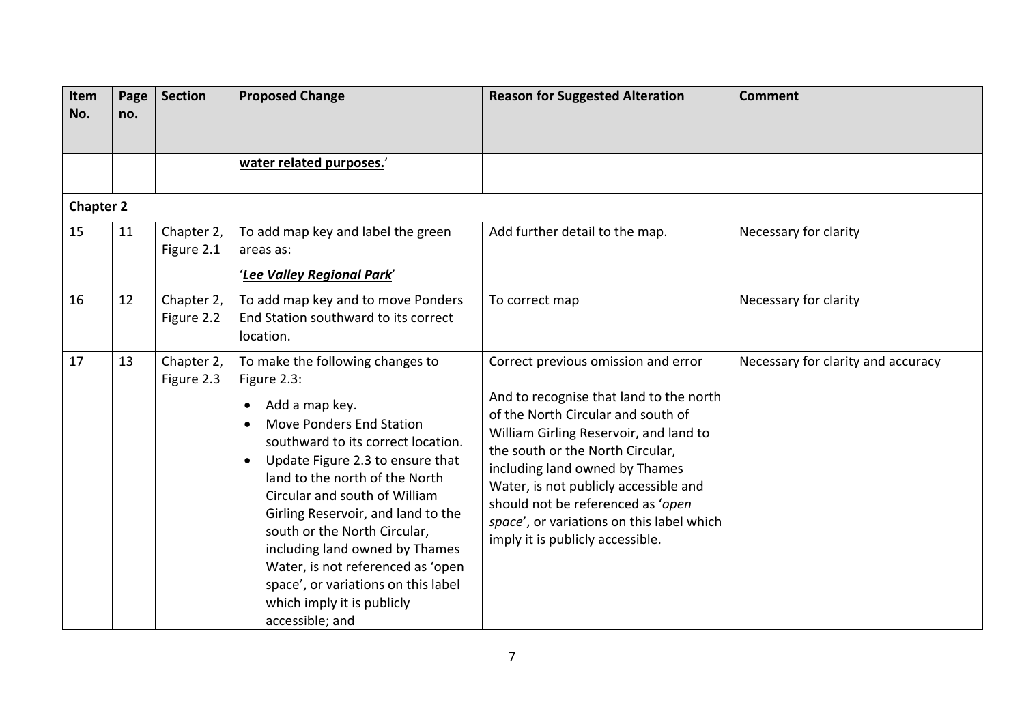| Item<br>No.      | Page<br>no. | <b>Section</b>           | <b>Proposed Change</b>                                                                                                                                                                                                                                                                                                                                                                                                                                                                                                        | <b>Reason for Suggested Alteration</b>                                                                                                                                                                                                                                                                                                                                                              | <b>Comment</b>                     |
|------------------|-------------|--------------------------|-------------------------------------------------------------------------------------------------------------------------------------------------------------------------------------------------------------------------------------------------------------------------------------------------------------------------------------------------------------------------------------------------------------------------------------------------------------------------------------------------------------------------------|-----------------------------------------------------------------------------------------------------------------------------------------------------------------------------------------------------------------------------------------------------------------------------------------------------------------------------------------------------------------------------------------------------|------------------------------------|
|                  |             |                          | water related purposes.'                                                                                                                                                                                                                                                                                                                                                                                                                                                                                                      |                                                                                                                                                                                                                                                                                                                                                                                                     |                                    |
| <b>Chapter 2</b> |             |                          |                                                                                                                                                                                                                                                                                                                                                                                                                                                                                                                               |                                                                                                                                                                                                                                                                                                                                                                                                     |                                    |
| 15               | 11          | Chapter 2,<br>Figure 2.1 | To add map key and label the green<br>areas as:<br>'Lee Valley Regional Park'                                                                                                                                                                                                                                                                                                                                                                                                                                                 | Add further detail to the map.                                                                                                                                                                                                                                                                                                                                                                      | Necessary for clarity              |
| 16               | 12          | Chapter 2,<br>Figure 2.2 | To add map key and to move Ponders<br>End Station southward to its correct<br>location.                                                                                                                                                                                                                                                                                                                                                                                                                                       | To correct map                                                                                                                                                                                                                                                                                                                                                                                      | Necessary for clarity              |
| 17               | 13          | Chapter 2,<br>Figure 2.3 | To make the following changes to<br>Figure 2.3:<br>Add a map key.<br>$\bullet$<br><b>Move Ponders End Station</b><br>$\bullet$<br>southward to its correct location.<br>Update Figure 2.3 to ensure that<br>$\bullet$<br>land to the north of the North<br>Circular and south of William<br>Girling Reservoir, and land to the<br>south or the North Circular,<br>including land owned by Thames<br>Water, is not referenced as 'open<br>space', or variations on this label<br>which imply it is publicly<br>accessible; and | Correct previous omission and error<br>And to recognise that land to the north<br>of the North Circular and south of<br>William Girling Reservoir, and land to<br>the south or the North Circular,<br>including land owned by Thames<br>Water, is not publicly accessible and<br>should not be referenced as 'open<br>space', or variations on this label which<br>imply it is publicly accessible. | Necessary for clarity and accuracy |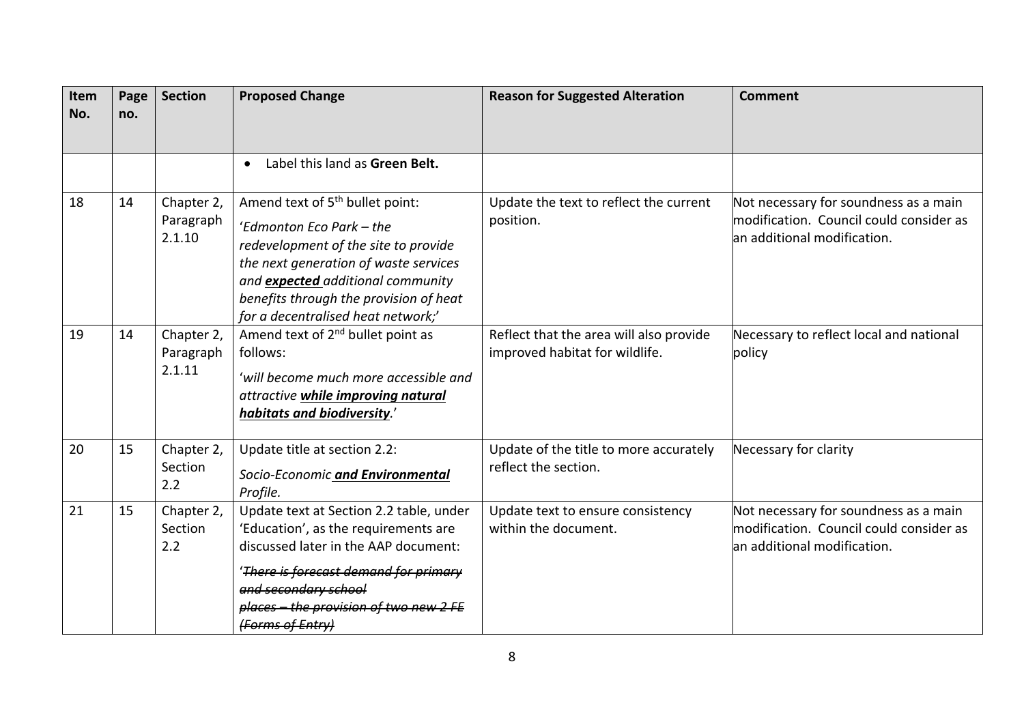| Item<br>No. | Page<br>no. | <b>Section</b>                    | <b>Proposed Change</b>                                                                                                                                                                                                                                                        | <b>Reason for Suggested Alteration</b>                                    | <b>Comment</b>                                                                                                   |
|-------------|-------------|-----------------------------------|-------------------------------------------------------------------------------------------------------------------------------------------------------------------------------------------------------------------------------------------------------------------------------|---------------------------------------------------------------------------|------------------------------------------------------------------------------------------------------------------|
|             |             |                                   | Label this land as Green Belt.<br>$\bullet$                                                                                                                                                                                                                                   |                                                                           |                                                                                                                  |
| 18          | 14          | Chapter 2,<br>Paragraph<br>2.1.10 | Amend text of 5 <sup>th</sup> bullet point:<br>'Edmonton Eco Park - the<br>redevelopment of the site to provide<br>the next generation of waste services<br>and expected additional community<br>benefits through the provision of heat<br>for a decentralised heat network;' | Update the text to reflect the current<br>position.                       | Not necessary for soundness as a main<br>modification. Council could consider as<br>lan additional modification. |
| 19          | 14          | Chapter 2,<br>Paragraph<br>2.1.11 | Amend text of 2 <sup>nd</sup> bullet point as<br>follows:<br>'will become much more accessible and<br>attractive while improving natural<br>habitats and biodiversity.'                                                                                                       | Reflect that the area will also provide<br>improved habitat for wildlife. | Necessary to reflect local and national<br>policy                                                                |
| 20          | 15          | Chapter 2,<br>Section<br>2.2      | Update title at section 2.2:<br>Socio-Economic and Environmental<br>Profile.                                                                                                                                                                                                  | Update of the title to more accurately<br>reflect the section.            | Necessary for clarity                                                                                            |
| 21          | 15          | Chapter 2,<br>Section<br>2.2      | Update text at Section 2.2 table, under<br>'Education', as the requirements are<br>discussed later in the AAP document:<br>'There is forecast demand for primary<br>and secondary school<br>places - the provision of two new 2 FE<br>(Forms of Entry)                        | Update text to ensure consistency<br>within the document.                 | Not necessary for soundness as a main<br>modification. Council could consider as<br>lan additional modification. |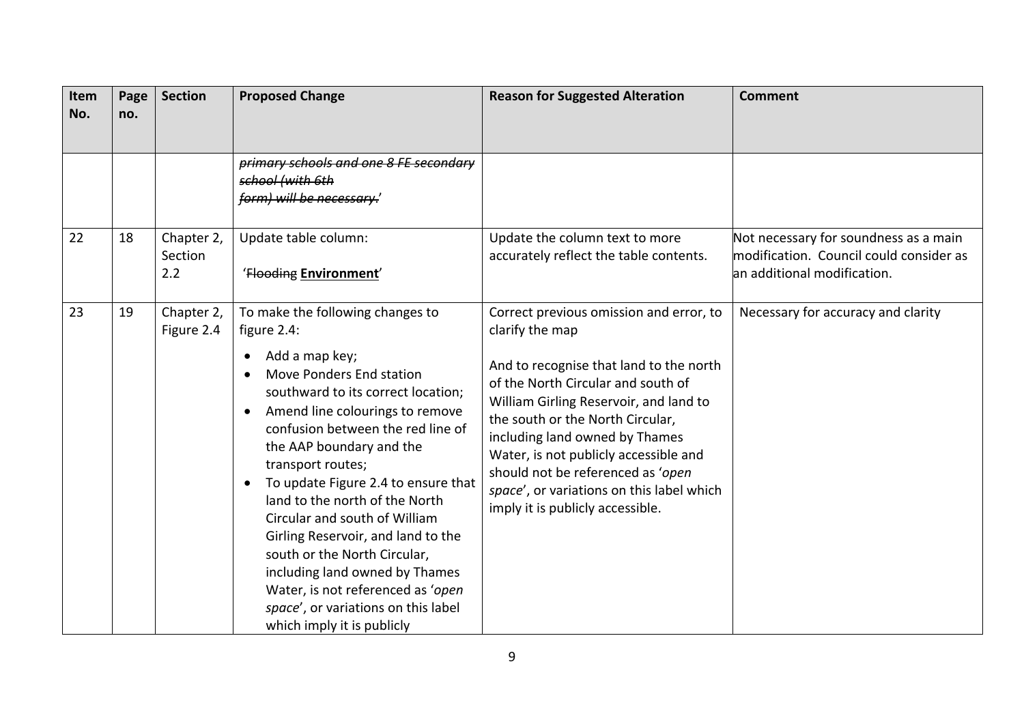| Item<br>No. | Page<br>no. | <b>Section</b>               | <b>Proposed Change</b>                                                                                                                                                                                                                                                                                                                                                                                                                                                                                                                                                                                                          | <b>Reason for Suggested Alteration</b>                                                                                                                                                                                                                                                                                                                                                                                     | <b>Comment</b>                                                                                                  |
|-------------|-------------|------------------------------|---------------------------------------------------------------------------------------------------------------------------------------------------------------------------------------------------------------------------------------------------------------------------------------------------------------------------------------------------------------------------------------------------------------------------------------------------------------------------------------------------------------------------------------------------------------------------------------------------------------------------------|----------------------------------------------------------------------------------------------------------------------------------------------------------------------------------------------------------------------------------------------------------------------------------------------------------------------------------------------------------------------------------------------------------------------------|-----------------------------------------------------------------------------------------------------------------|
|             |             |                              | primary schools and one 8 FE secondary<br>school (with 6th<br>form) will be necessary.                                                                                                                                                                                                                                                                                                                                                                                                                                                                                                                                          |                                                                                                                                                                                                                                                                                                                                                                                                                            |                                                                                                                 |
| 22          | 18          | Chapter 2,<br>Section<br>2.2 | Update table column:<br>'Flooding Environment'                                                                                                                                                                                                                                                                                                                                                                                                                                                                                                                                                                                  | Update the column text to more<br>accurately reflect the table contents.                                                                                                                                                                                                                                                                                                                                                   | Not necessary for soundness as a main<br>modification. Council could consider as<br>an additional modification. |
| 23          | 19          | Chapter 2,<br>Figure 2.4     | To make the following changes to<br>figure 2.4:<br>Add a map key;<br>$\bullet$<br>Move Ponders End station<br>southward to its correct location;<br>Amend line colourings to remove<br>$\bullet$<br>confusion between the red line of<br>the AAP boundary and the<br>transport routes;<br>To update Figure 2.4 to ensure that<br>$\bullet$<br>land to the north of the North<br>Circular and south of William<br>Girling Reservoir, and land to the<br>south or the North Circular,<br>including land owned by Thames<br>Water, is not referenced as 'open<br>space', or variations on this label<br>which imply it is publicly | Correct previous omission and error, to<br>clarify the map<br>And to recognise that land to the north<br>of the North Circular and south of<br>William Girling Reservoir, and land to<br>the south or the North Circular,<br>including land owned by Thames<br>Water, is not publicly accessible and<br>should not be referenced as 'open<br>space', or variations on this label which<br>imply it is publicly accessible. | Necessary for accuracy and clarity                                                                              |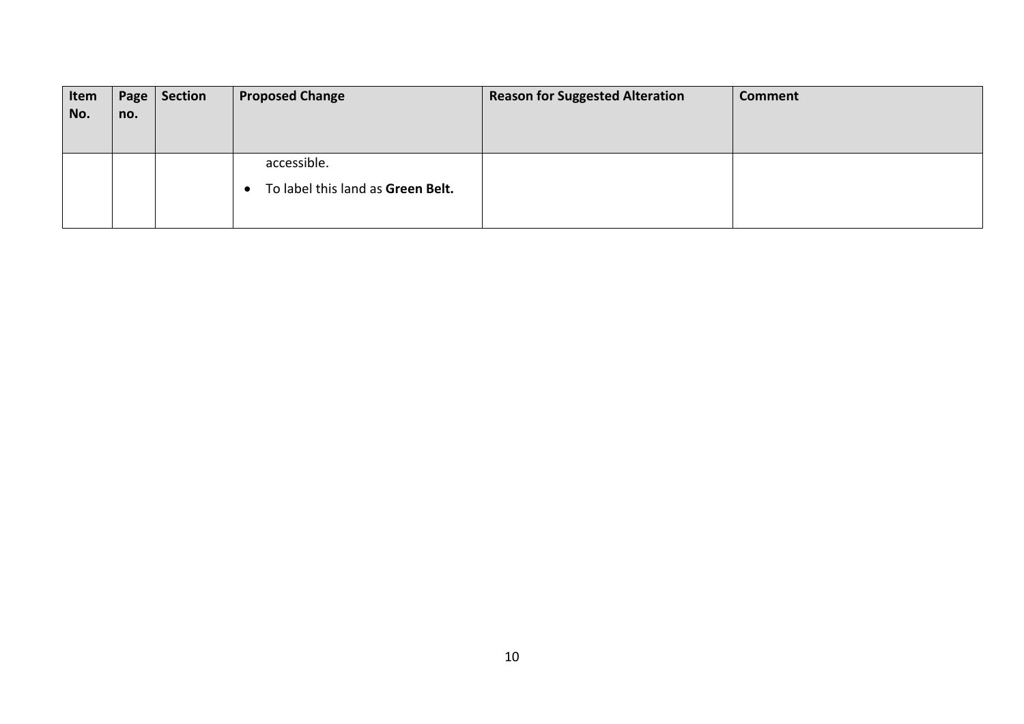| Item | Page | Section | <b>Proposed Change</b>            | <b>Reason for Suggested Alteration</b> | <b>Comment</b> |
|------|------|---------|-----------------------------------|----------------------------------------|----------------|
| No.  | no.  |         |                                   |                                        |                |
|      |      |         |                                   |                                        |                |
|      |      |         |                                   |                                        |                |
|      |      |         | accessible.                       |                                        |                |
|      |      |         | To label this land as Green Belt. |                                        |                |
|      |      |         |                                   |                                        |                |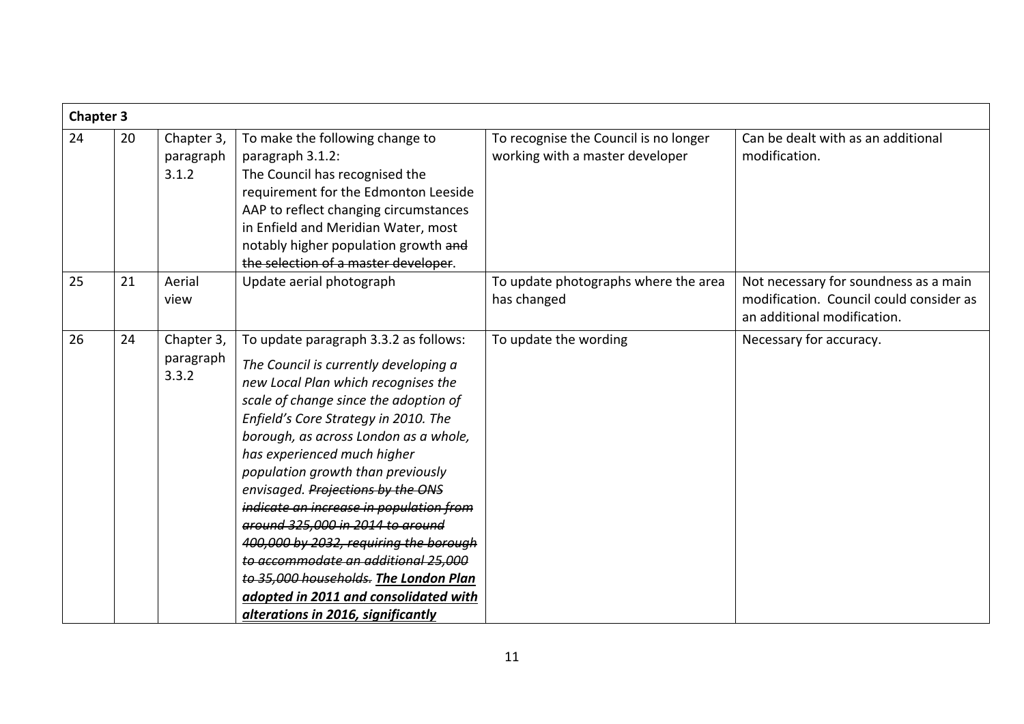|    | <b>Chapter 3</b> |                                  |                                                                                                                                                                                                                                                                                                                                                                                                                                                                                                                                                                                                                                                  |                                                                          |                                                                                                                 |  |
|----|------------------|----------------------------------|--------------------------------------------------------------------------------------------------------------------------------------------------------------------------------------------------------------------------------------------------------------------------------------------------------------------------------------------------------------------------------------------------------------------------------------------------------------------------------------------------------------------------------------------------------------------------------------------------------------------------------------------------|--------------------------------------------------------------------------|-----------------------------------------------------------------------------------------------------------------|--|
| 24 | 20               | Chapter 3,<br>paragraph<br>3.1.2 | To make the following change to<br>paragraph 3.1.2:<br>The Council has recognised the<br>requirement for the Edmonton Leeside<br>AAP to reflect changing circumstances<br>in Enfield and Meridian Water, most<br>notably higher population growth and<br>the selection of a master developer.                                                                                                                                                                                                                                                                                                                                                    | To recognise the Council is no longer<br>working with a master developer | Can be dealt with as an additional<br>modification.                                                             |  |
| 25 | 21               | Aerial<br>view                   | Update aerial photograph                                                                                                                                                                                                                                                                                                                                                                                                                                                                                                                                                                                                                         | To update photographs where the area<br>has changed                      | Not necessary for soundness as a main<br>modification. Council could consider as<br>an additional modification. |  |
| 26 | 24               | Chapter 3,<br>paragraph<br>3.3.2 | To update paragraph 3.3.2 as follows:<br>The Council is currently developing a<br>new Local Plan which recognises the<br>scale of change since the adoption of<br>Enfield's Core Strategy in 2010. The<br>borough, as across London as a whole,<br>has experienced much higher<br>population growth than previously<br>envisaged. Projections by the ONS<br>indicate an increase in population from<br>around 325,000 in 2014 to around<br>400,000 by 2032, requiring the borough<br>to accommodate an additional 25,000<br>to 35,000 households. The London Plan<br>adopted in 2011 and consolidated with<br>alterations in 2016, significantly | To update the wording                                                    | Necessary for accuracy.                                                                                         |  |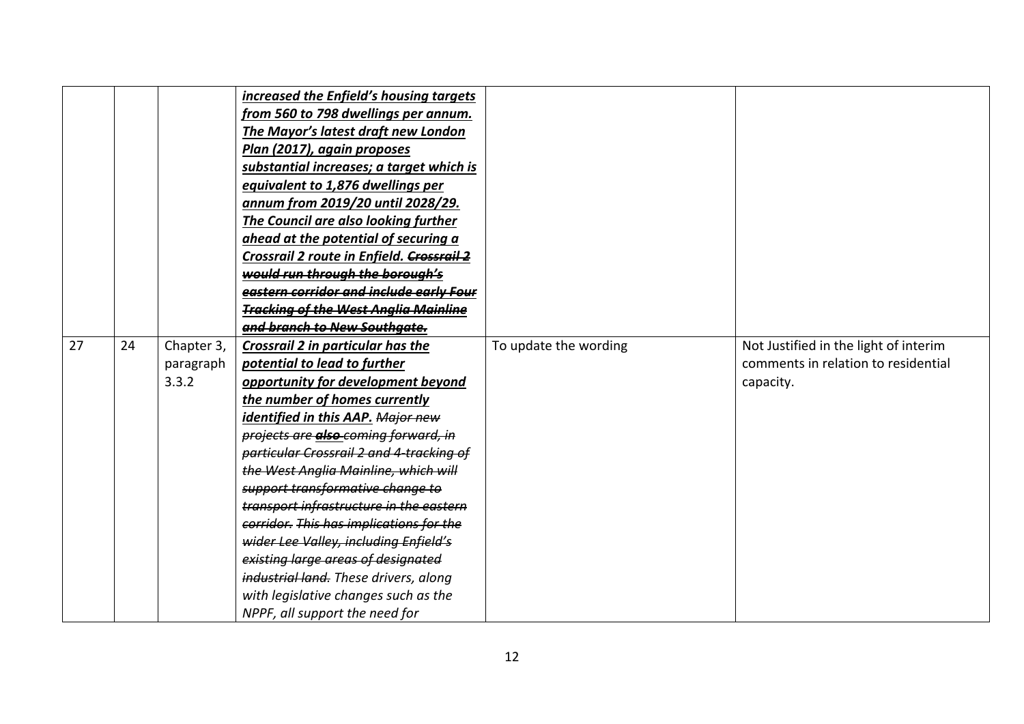| 27 | 24 | Chapter 3,<br>paragraph<br>3.3.2 | increased the Enfield's housing targets<br>from 560 to 798 dwellings per annum.<br>The Mayor's latest draft new London<br>Plan (2017), again proposes<br>substantial increases; a target which is<br>equivalent to 1,876 dwellings per<br>annum from 2019/20 until 2028/29.<br>The Council are also looking further<br>ahead at the potential of securing a<br>Crossrail 2 route in Enfield. Crossrail 2<br>would run through the borough's<br>eastern corridor and include early Four<br><b>Tracking of the West Anglia Mainline</b><br>and branch to New Southaate.<br>Crossrail 2 in particular has the<br>potential to lead to further<br>opportunity for development beyond<br>the number of homes currently<br>identified in this AAP. <del>Major new</del><br>projects are also coming forward, in | To update the wording | Not Justified in the light of interim<br>comments in relation to residential<br>capacity. |
|----|----|----------------------------------|-----------------------------------------------------------------------------------------------------------------------------------------------------------------------------------------------------------------------------------------------------------------------------------------------------------------------------------------------------------------------------------------------------------------------------------------------------------------------------------------------------------------------------------------------------------------------------------------------------------------------------------------------------------------------------------------------------------------------------------------------------------------------------------------------------------|-----------------------|-------------------------------------------------------------------------------------------|
|    |    |                                  |                                                                                                                                                                                                                                                                                                                                                                                                                                                                                                                                                                                                                                                                                                                                                                                                           |                       |                                                                                           |
|    |    |                                  | particular Crossrail 2 and 4 tracking of                                                                                                                                                                                                                                                                                                                                                                                                                                                                                                                                                                                                                                                                                                                                                                  |                       |                                                                                           |
|    |    |                                  | the West Anglia Mainline, which will                                                                                                                                                                                                                                                                                                                                                                                                                                                                                                                                                                                                                                                                                                                                                                      |                       |                                                                                           |
|    |    |                                  | support transformative change to                                                                                                                                                                                                                                                                                                                                                                                                                                                                                                                                                                                                                                                                                                                                                                          |                       |                                                                                           |
|    |    |                                  | transport infrastructure in the eastern                                                                                                                                                                                                                                                                                                                                                                                                                                                                                                                                                                                                                                                                                                                                                                   |                       |                                                                                           |
|    |    |                                  | corridor. This has implications for the                                                                                                                                                                                                                                                                                                                                                                                                                                                                                                                                                                                                                                                                                                                                                                   |                       |                                                                                           |
|    |    |                                  | wider Lee Valley, including Enfield's                                                                                                                                                                                                                                                                                                                                                                                                                                                                                                                                                                                                                                                                                                                                                                     |                       |                                                                                           |
|    |    |                                  | existing large areas of designated                                                                                                                                                                                                                                                                                                                                                                                                                                                                                                                                                                                                                                                                                                                                                                        |                       |                                                                                           |
|    |    |                                  | industrial land. These drivers, along                                                                                                                                                                                                                                                                                                                                                                                                                                                                                                                                                                                                                                                                                                                                                                     |                       |                                                                                           |
|    |    |                                  | with legislative changes such as the                                                                                                                                                                                                                                                                                                                                                                                                                                                                                                                                                                                                                                                                                                                                                                      |                       |                                                                                           |
|    |    |                                  | NPPF, all support the need for                                                                                                                                                                                                                                                                                                                                                                                                                                                                                                                                                                                                                                                                                                                                                                            |                       |                                                                                           |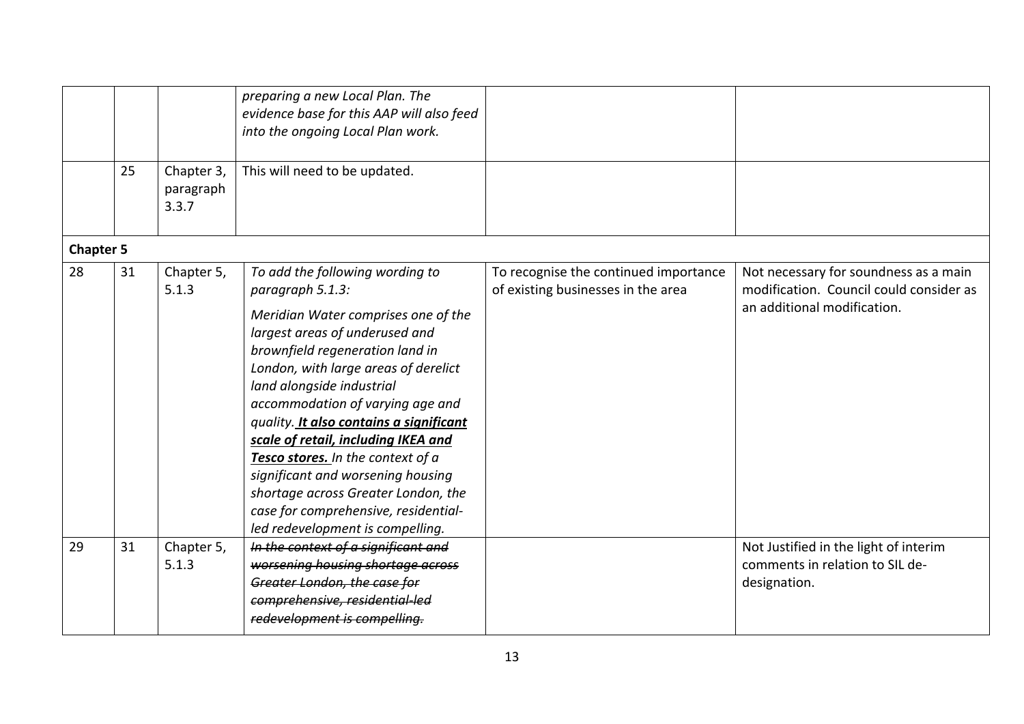|                  | 25 | Chapter 3,<br>paragraph<br>3.3.7 | preparing a new Local Plan. The<br>evidence base for this AAP will also feed<br>into the ongoing Local Plan work.<br>This will need to be updated.                                                                                                                                                                                                                                                                                                                                                                                                      |                                                                             |                                                                                                                 |
|------------------|----|----------------------------------|---------------------------------------------------------------------------------------------------------------------------------------------------------------------------------------------------------------------------------------------------------------------------------------------------------------------------------------------------------------------------------------------------------------------------------------------------------------------------------------------------------------------------------------------------------|-----------------------------------------------------------------------------|-----------------------------------------------------------------------------------------------------------------|
| <b>Chapter 5</b> |    |                                  |                                                                                                                                                                                                                                                                                                                                                                                                                                                                                                                                                         |                                                                             |                                                                                                                 |
| 28               | 31 | Chapter 5,<br>5.1.3              | To add the following wording to<br>paragraph 5.1.3:<br>Meridian Water comprises one of the<br>largest areas of underused and<br>brownfield regeneration land in<br>London, with large areas of derelict<br>land alongside industrial<br>accommodation of varying age and<br>quality. It also contains a significant<br>scale of retail, including IKEA and<br>Tesco stores. In the context of a<br>significant and worsening housing<br>shortage across Greater London, the<br>case for comprehensive, residential-<br>led redevelopment is compelling. | To recognise the continued importance<br>of existing businesses in the area | Not necessary for soundness as a main<br>modification. Council could consider as<br>an additional modification. |
| 29               | 31 | Chapter 5,<br>5.1.3              | In the context of a significant and<br>worsening housing shortage across<br>Greater London, the case for<br>comprehensive, residential led<br>redevelopment is compelling.                                                                                                                                                                                                                                                                                                                                                                              |                                                                             | Not Justified in the light of interim<br>comments in relation to SIL de-<br>designation.                        |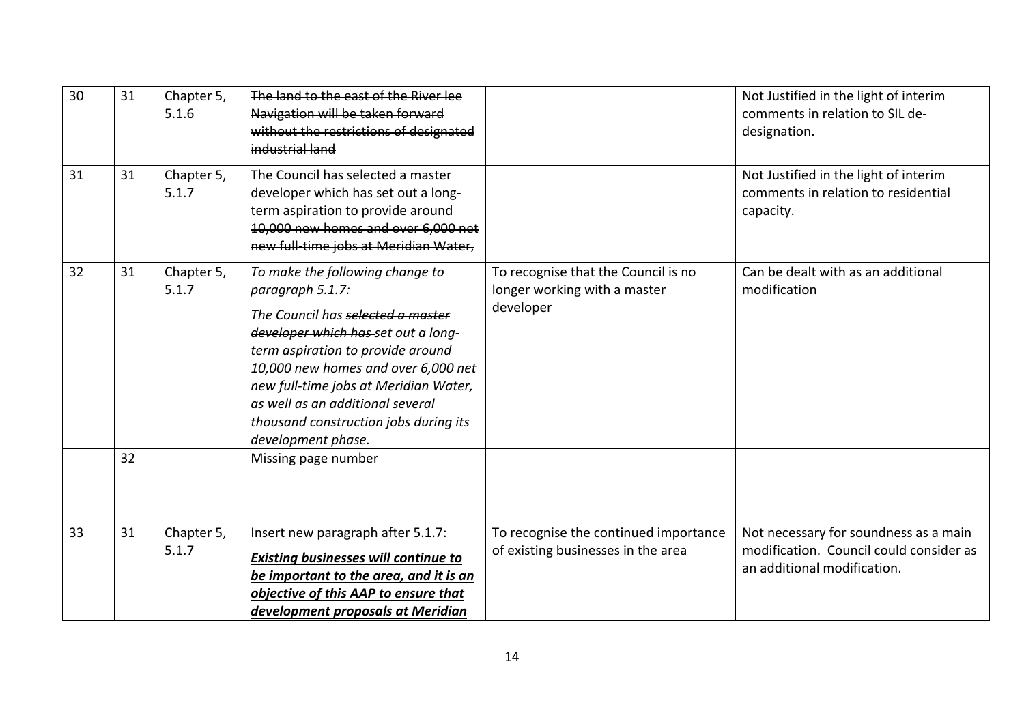| 30 | 31 | Chapter 5,<br>5.1.6 | The land to the east of the River lee<br>Navigation will be taken forward<br>without the restrictions of designated<br>industrial land                                                                                                                                                                                                                  |                                                                                  | Not Justified in the light of interim<br>comments in relation to SIL de-<br>designation.                        |
|----|----|---------------------|---------------------------------------------------------------------------------------------------------------------------------------------------------------------------------------------------------------------------------------------------------------------------------------------------------------------------------------------------------|----------------------------------------------------------------------------------|-----------------------------------------------------------------------------------------------------------------|
| 31 | 31 | Chapter 5,<br>5.1.7 | The Council has selected a master<br>developer which has set out a long-<br>term aspiration to provide around<br>10,000 new homes and over 6,000 net<br>new full time jobs at Meridian Water,                                                                                                                                                           |                                                                                  | Not Justified in the light of interim<br>comments in relation to residential<br>capacity.                       |
| 32 | 31 | Chapter 5,<br>5.1.7 | To make the following change to<br>paragraph 5.1.7:<br>The Council has selected a master<br>developer which has set out a long-<br>term aspiration to provide around<br>10,000 new homes and over 6,000 net<br>new full-time jobs at Meridian Water,<br>as well as an additional several<br>thousand construction jobs during its<br>development phase. | To recognise that the Council is no<br>longer working with a master<br>developer | Can be dealt with as an additional<br>modification                                                              |
|    | 32 |                     | Missing page number                                                                                                                                                                                                                                                                                                                                     |                                                                                  |                                                                                                                 |
| 33 | 31 | Chapter 5,<br>5.1.7 | Insert new paragraph after 5.1.7:<br><b>Existing businesses will continue to</b><br>be important to the area, and it is an<br>objective of this AAP to ensure that<br>development proposals at Meridian                                                                                                                                                 | To recognise the continued importance<br>of existing businesses in the area      | Not necessary for soundness as a main<br>modification. Council could consider as<br>an additional modification. |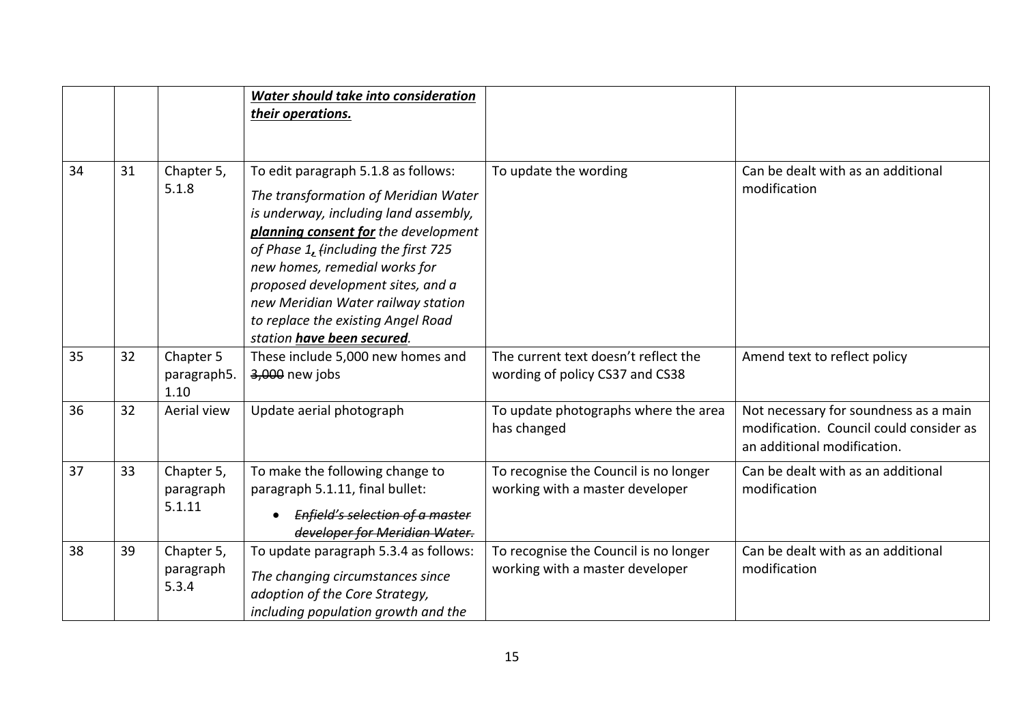|    |    |                                   | Water should take into consideration<br>their operations.                                                                                                                                                                                                                                                                                                                            |                                                                          |                                                                                                                 |
|----|----|-----------------------------------|--------------------------------------------------------------------------------------------------------------------------------------------------------------------------------------------------------------------------------------------------------------------------------------------------------------------------------------------------------------------------------------|--------------------------------------------------------------------------|-----------------------------------------------------------------------------------------------------------------|
| 34 | 31 | Chapter 5,<br>5.1.8               | To edit paragraph 5.1.8 as follows:<br>The transformation of Meridian Water<br>is underway, including land assembly,<br>planning consent for the development<br>of Phase 1, (including the first 725<br>new homes, remedial works for<br>proposed development sites, and a<br>new Meridian Water railway station<br>to replace the existing Angel Road<br>station have been secured. | To update the wording                                                    | Can be dealt with as an additional<br>modification                                                              |
| 35 | 32 | Chapter 5<br>paragraph5.<br>1.10  | These include 5,000 new homes and<br>3,000 new jobs                                                                                                                                                                                                                                                                                                                                  | The current text doesn't reflect the<br>wording of policy CS37 and CS38  | Amend text to reflect policy                                                                                    |
| 36 | 32 | Aerial view                       | Update aerial photograph                                                                                                                                                                                                                                                                                                                                                             | To update photographs where the area<br>has changed                      | Not necessary for soundness as a main<br>modification. Council could consider as<br>an additional modification. |
| 37 | 33 | Chapter 5,<br>paragraph<br>5.1.11 | To make the following change to<br>paragraph 5.1.11, final bullet:<br>Enfield's selection of a master<br>developer for Meridian Water.                                                                                                                                                                                                                                               | To recognise the Council is no longer<br>working with a master developer | Can be dealt with as an additional<br>modification                                                              |
| 38 | 39 | Chapter 5,<br>paragraph<br>5.3.4  | To update paragraph 5.3.4 as follows:<br>The changing circumstances since<br>adoption of the Core Strategy,<br>including population growth and the                                                                                                                                                                                                                                   | To recognise the Council is no longer<br>working with a master developer | Can be dealt with as an additional<br>modification                                                              |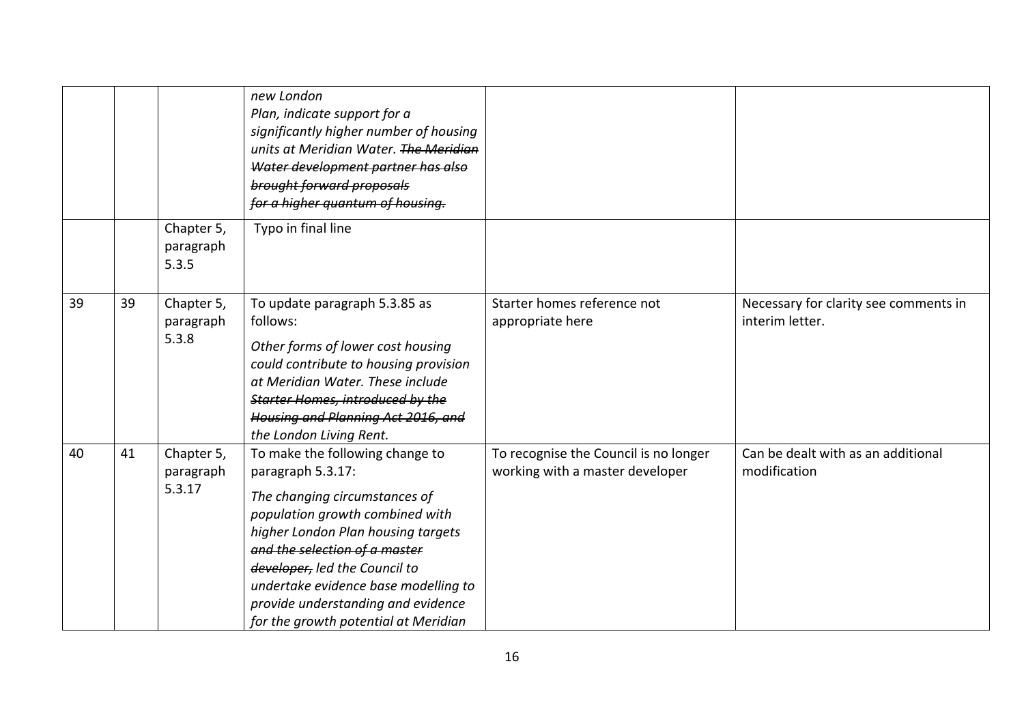|    |    |                                   | new London<br>Plan, indicate support for a<br>significantly higher number of housing<br>units at Meridian Water. The Meridian<br>Water development partner has also<br>brought forward proposals<br>for a higher quantum of housing.                                                                                                                   |                                                                          |                                                          |
|----|----|-----------------------------------|--------------------------------------------------------------------------------------------------------------------------------------------------------------------------------------------------------------------------------------------------------------------------------------------------------------------------------------------------------|--------------------------------------------------------------------------|----------------------------------------------------------|
|    |    | Chapter 5,<br>paragraph<br>5.3.5  | Typo in final line                                                                                                                                                                                                                                                                                                                                     |                                                                          |                                                          |
| 39 | 39 | Chapter 5,<br>paragraph<br>5.3.8  | To update paragraph 5.3.85 as<br>follows:<br>Other forms of lower cost housing<br>could contribute to housing provision<br>at Meridian Water. These include<br>Starter Homes, introduced by the<br>Housing and Planning Act 2016, and<br>the London Living Rent.                                                                                       | Starter homes reference not<br>appropriate here                          | Necessary for clarity see comments in<br>interim letter. |
| 40 | 41 | Chapter 5,<br>paragraph<br>5.3.17 | To make the following change to<br>paragraph 5.3.17:<br>The changing circumstances of<br>population growth combined with<br>higher London Plan housing targets<br>and the selection of a master<br>developer, led the Council to<br>undertake evidence base modelling to<br>provide understanding and evidence<br>for the growth potential at Meridian | To recognise the Council is no longer<br>working with a master developer | Can be dealt with as an additional<br>modification       |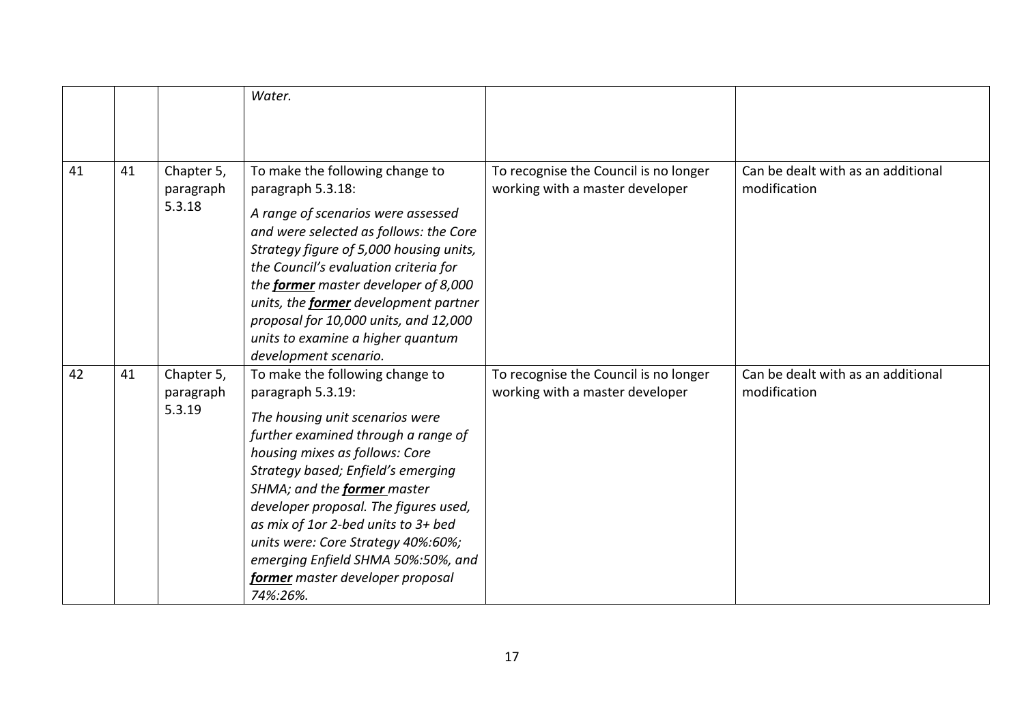|    |    |                                   | Water.                                                                                                                                                                                                                                                                                                                                                                                                                                            |                                                                          |                                                    |
|----|----|-----------------------------------|---------------------------------------------------------------------------------------------------------------------------------------------------------------------------------------------------------------------------------------------------------------------------------------------------------------------------------------------------------------------------------------------------------------------------------------------------|--------------------------------------------------------------------------|----------------------------------------------------|
|    |    |                                   |                                                                                                                                                                                                                                                                                                                                                                                                                                                   |                                                                          |                                                    |
| 41 | 41 | Chapter 5,<br>paragraph<br>5.3.18 | To make the following change to<br>paragraph 5.3.18:<br>A range of scenarios were assessed                                                                                                                                                                                                                                                                                                                                                        | To recognise the Council is no longer<br>working with a master developer | Can be dealt with as an additional<br>modification |
|    |    |                                   | and were selected as follows: the Core<br>Strategy figure of 5,000 housing units,<br>the Council's evaluation criteria for<br>the former master developer of 8,000<br>units, the <b>former</b> development partner<br>proposal for 10,000 units, and 12,000<br>units to examine a higher quantum<br>development scenario.                                                                                                                         |                                                                          |                                                    |
| 42 | 41 | Chapter 5,<br>paragraph<br>5.3.19 | To make the following change to<br>paragraph 5.3.19:<br>The housing unit scenarios were<br>further examined through a range of<br>housing mixes as follows: Core<br>Strategy based; Enfield's emerging<br>SHMA; and the former master<br>developer proposal. The figures used,<br>as mix of 1or 2-bed units to 3+ bed<br>units were: Core Strategy 40%:60%;<br>emerging Enfield SHMA 50%:50%, and<br>former master developer proposal<br>74%:26%. | To recognise the Council is no longer<br>working with a master developer | Can be dealt with as an additional<br>modification |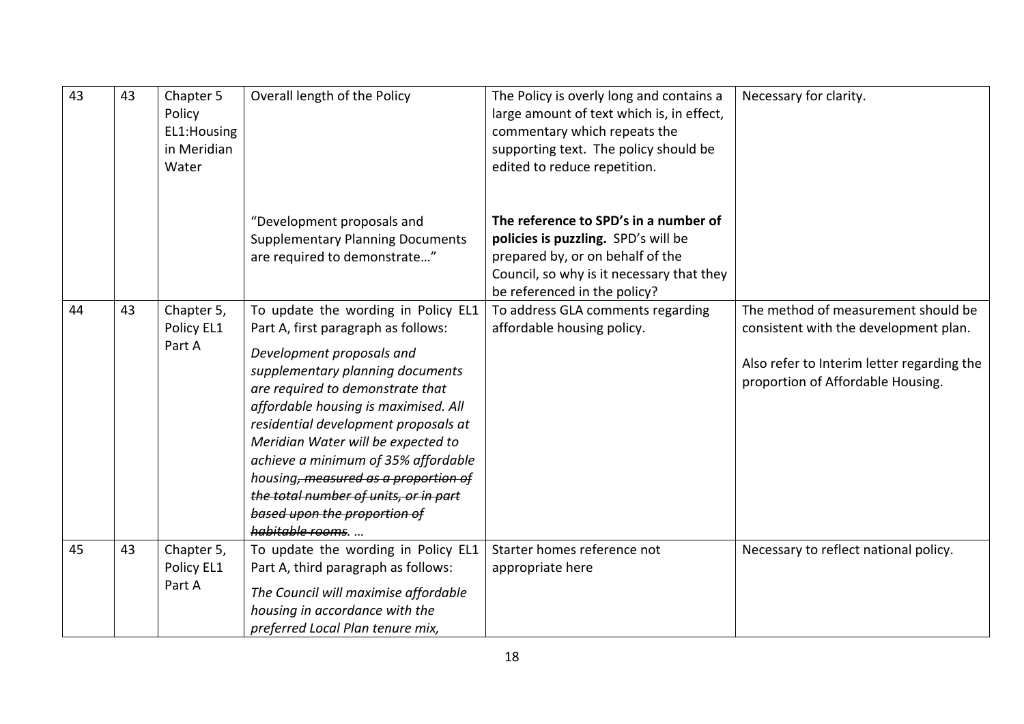| 43 | 43 | Chapter 5<br>Policy<br>EL1: Housing<br>in Meridian<br>Water | Overall length of the Policy                                                                                                                                                                                                                                                                                                                                                                                                                                                     | The Policy is overly long and contains a<br>large amount of text which is, in effect,<br>commentary which repeats the<br>supporting text. The policy should be<br>edited to reduce repetition. | Necessary for clarity.                                                                                                                                          |
|----|----|-------------------------------------------------------------|----------------------------------------------------------------------------------------------------------------------------------------------------------------------------------------------------------------------------------------------------------------------------------------------------------------------------------------------------------------------------------------------------------------------------------------------------------------------------------|------------------------------------------------------------------------------------------------------------------------------------------------------------------------------------------------|-----------------------------------------------------------------------------------------------------------------------------------------------------------------|
|    |    |                                                             | "Development proposals and<br><b>Supplementary Planning Documents</b><br>are required to demonstrate"                                                                                                                                                                                                                                                                                                                                                                            | The reference to SPD's in a number of<br>policies is puzzling. SPD's will be<br>prepared by, or on behalf of the<br>Council, so why is it necessary that they<br>be referenced in the policy?  |                                                                                                                                                                 |
| 44 | 43 | Chapter 5,<br>Policy EL1<br>Part A                          | To update the wording in Policy EL1<br>Part A, first paragraph as follows:<br>Development proposals and<br>supplementary planning documents<br>are required to demonstrate that<br>affordable housing is maximised. All<br>residential development proposals at<br>Meridian Water will be expected to<br>achieve a minimum of 35% affordable<br>housing, measured as a proportion of<br>the total number of units, or in part<br>based upon the proportion of<br>habitable rooms | To address GLA comments regarding<br>affordable housing policy.                                                                                                                                | The method of measurement should be<br>consistent with the development plan.<br>Also refer to Interim letter regarding the<br>proportion of Affordable Housing. |
| 45 | 43 | Chapter 5,<br>Policy EL1<br>Part A                          | To update the wording in Policy EL1<br>Part A, third paragraph as follows:<br>The Council will maximise affordable<br>housing in accordance with the<br>preferred Local Plan tenure mix,                                                                                                                                                                                                                                                                                         | Starter homes reference not<br>appropriate here                                                                                                                                                | Necessary to reflect national policy.                                                                                                                           |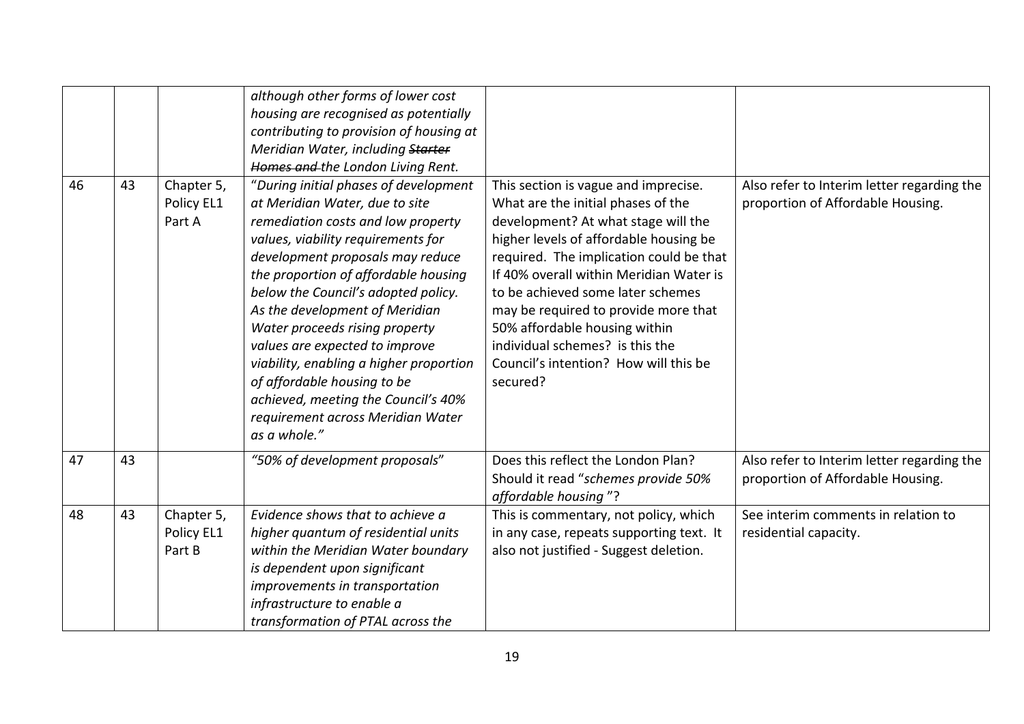| 46 | 43 | Chapter 5,<br>Policy EL1<br>Part A | although other forms of lower cost<br>housing are recognised as potentially<br>contributing to provision of housing at<br>Meridian Water, including Starter<br>Homes and the London Living Rent.<br>"During initial phases of development<br>at Meridian Water, due to site<br>remediation costs and low property<br>values, viability requirements for<br>development proposals may reduce<br>the proportion of affordable housing<br>below the Council's adopted policy.<br>As the development of Meridian<br>Water proceeds rising property<br>values are expected to improve<br>viability, enabling a higher proportion<br>of affordable housing to be<br>achieved, meeting the Council's 40%<br>requirement across Meridian Water<br>as a whole." | This section is vague and imprecise.<br>What are the initial phases of the<br>development? At what stage will the<br>higher levels of affordable housing be<br>required. The implication could be that<br>If 40% overall within Meridian Water is<br>to be achieved some later schemes<br>may be required to provide more that<br>50% affordable housing within<br>individual schemes? is this the<br>Council's intention? How will this be<br>secured? | Also refer to Interim letter regarding the<br>proportion of Affordable Housing. |
|----|----|------------------------------------|--------------------------------------------------------------------------------------------------------------------------------------------------------------------------------------------------------------------------------------------------------------------------------------------------------------------------------------------------------------------------------------------------------------------------------------------------------------------------------------------------------------------------------------------------------------------------------------------------------------------------------------------------------------------------------------------------------------------------------------------------------|---------------------------------------------------------------------------------------------------------------------------------------------------------------------------------------------------------------------------------------------------------------------------------------------------------------------------------------------------------------------------------------------------------------------------------------------------------|---------------------------------------------------------------------------------|
| 47 | 43 |                                    | "50% of development proposals"                                                                                                                                                                                                                                                                                                                                                                                                                                                                                                                                                                                                                                                                                                                         | Does this reflect the London Plan?<br>Should it read "schemes provide 50%<br>affordable housing"?                                                                                                                                                                                                                                                                                                                                                       | Also refer to Interim letter regarding the<br>proportion of Affordable Housing. |
| 48 | 43 | Chapter 5,<br>Policy EL1<br>Part B | Evidence shows that to achieve a<br>higher quantum of residential units<br>within the Meridian Water boundary<br>is dependent upon significant<br>improvements in transportation<br>infrastructure to enable a<br>transformation of PTAL across the                                                                                                                                                                                                                                                                                                                                                                                                                                                                                                    | This is commentary, not policy, which<br>in any case, repeats supporting text. It<br>also not justified - Suggest deletion.                                                                                                                                                                                                                                                                                                                             | See interim comments in relation to<br>residential capacity.                    |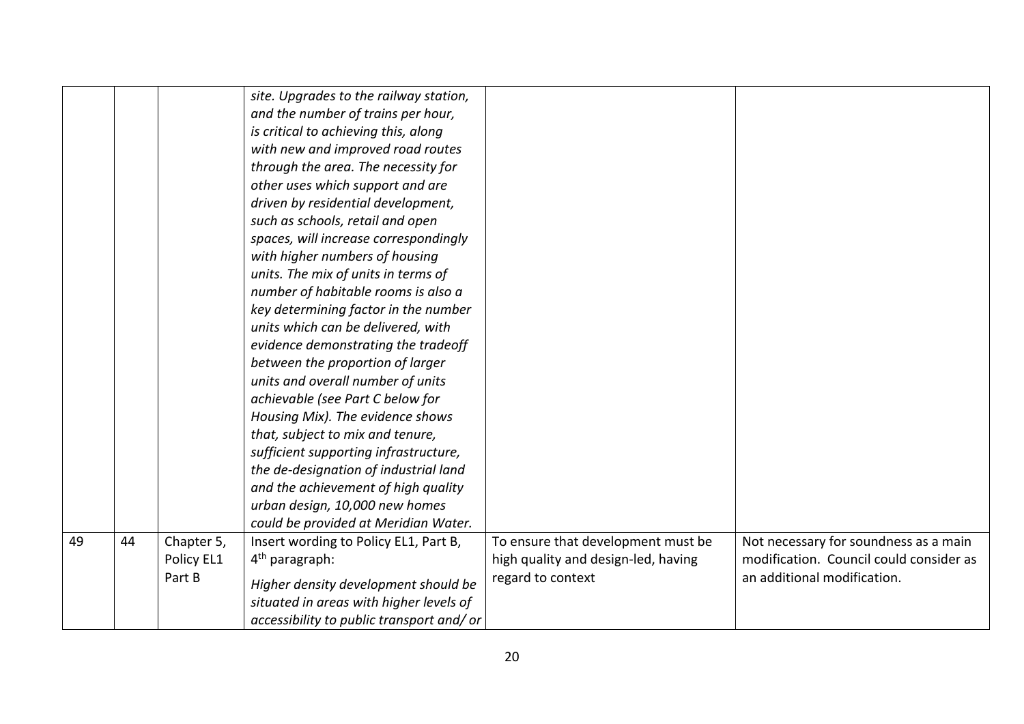|    |    |            | site. Upgrades to the railway station,   |                                     |                                         |
|----|----|------------|------------------------------------------|-------------------------------------|-----------------------------------------|
|    |    |            | and the number of trains per hour,       |                                     |                                         |
|    |    |            | is critical to achieving this, along     |                                     |                                         |
|    |    |            |                                          |                                     |                                         |
|    |    |            | with new and improved road routes        |                                     |                                         |
|    |    |            | through the area. The necessity for      |                                     |                                         |
|    |    |            | other uses which support and are         |                                     |                                         |
|    |    |            | driven by residential development,       |                                     |                                         |
|    |    |            | such as schools, retail and open         |                                     |                                         |
|    |    |            | spaces, will increase correspondingly    |                                     |                                         |
|    |    |            | with higher numbers of housing           |                                     |                                         |
|    |    |            | units. The mix of units in terms of      |                                     |                                         |
|    |    |            | number of habitable rooms is also a      |                                     |                                         |
|    |    |            | key determining factor in the number     |                                     |                                         |
|    |    |            | units which can be delivered, with       |                                     |                                         |
|    |    |            | evidence demonstrating the tradeoff      |                                     |                                         |
|    |    |            | between the proportion of larger         |                                     |                                         |
|    |    |            | units and overall number of units        |                                     |                                         |
|    |    |            | achievable (see Part C below for         |                                     |                                         |
|    |    |            | Housing Mix). The evidence shows         |                                     |                                         |
|    |    |            | that, subject to mix and tenure,         |                                     |                                         |
|    |    |            | sufficient supporting infrastructure,    |                                     |                                         |
|    |    |            | the de-designation of industrial land    |                                     |                                         |
|    |    |            | and the achievement of high quality      |                                     |                                         |
|    |    |            | urban design, 10,000 new homes           |                                     |                                         |
|    |    |            | could be provided at Meridian Water.     |                                     |                                         |
| 49 | 44 | Chapter 5, | Insert wording to Policy EL1, Part B,    | To ensure that development must be  | Not necessary for soundness as a main   |
|    |    | Policy EL1 | $4th$ paragraph:                         | high quality and design-led, having | modification. Council could consider as |
|    |    | Part B     |                                          | regard to context                   | an additional modification.             |
|    |    |            | Higher density development should be     |                                     |                                         |
|    |    |            | situated in areas with higher levels of  |                                     |                                         |
|    |    |            | accessibility to public transport and/or |                                     |                                         |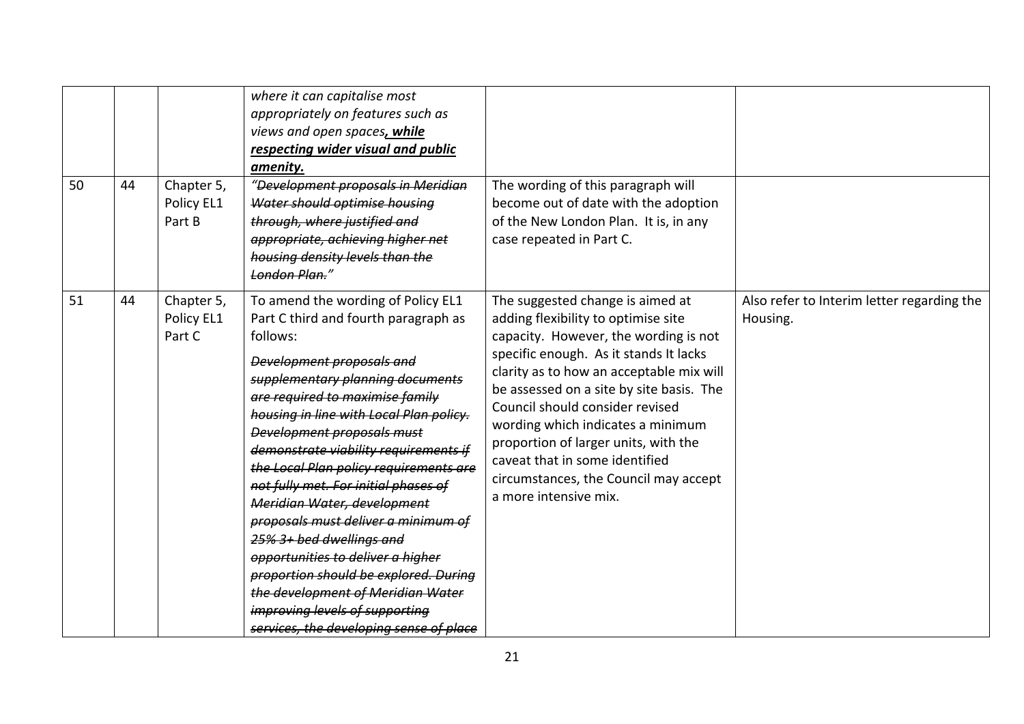| 50 | 44 | Chapter 5,<br>Policy EL1<br>Part B | where it can capitalise most<br>appropriately on features such as<br>views and open spaces, while<br>respecting wider visual and public<br>amenity.<br>"Development proposals in Meridian<br>Water should optimise housing<br>through, where justified and<br>appropriate, achieving higher net<br>housing density levels than the<br>London Plan."                                                                                                                                                                                                                                                                                                                                                            | The wording of this paragraph will<br>become out of date with the adoption<br>of the New London Plan. It is, in any<br>case repeated in Part C.                                                                                                                                                                                                                                                                                                                        |                                                        |
|----|----|------------------------------------|----------------------------------------------------------------------------------------------------------------------------------------------------------------------------------------------------------------------------------------------------------------------------------------------------------------------------------------------------------------------------------------------------------------------------------------------------------------------------------------------------------------------------------------------------------------------------------------------------------------------------------------------------------------------------------------------------------------|------------------------------------------------------------------------------------------------------------------------------------------------------------------------------------------------------------------------------------------------------------------------------------------------------------------------------------------------------------------------------------------------------------------------------------------------------------------------|--------------------------------------------------------|
| 51 | 44 | Chapter 5,<br>Policy EL1<br>Part C | To amend the wording of Policy EL1<br>Part C third and fourth paragraph as<br>follows:<br><b>Development proposals and</b><br>supplementary planning documents<br>are required to maximise family<br>housing in line with Local Plan policy.<br><b>Development proposals must</b><br>demonstrate viability requirements if<br>the Local Plan policy requirements are<br>not fully met. For initial phases of<br>Meridian Water, development<br>proposals must deliver a minimum of<br>25% 3+ bed dwellings and<br>opportunities to deliver a higher<br>proportion should be explored. During<br>the development of Meridian Water<br>improving levels of supporting<br>services, the developing sense of place | The suggested change is aimed at<br>adding flexibility to optimise site<br>capacity. However, the wording is not<br>specific enough. As it stands It lacks<br>clarity as to how an acceptable mix will<br>be assessed on a site by site basis. The<br>Council should consider revised<br>wording which indicates a minimum<br>proportion of larger units, with the<br>caveat that in some identified<br>circumstances, the Council may accept<br>a more intensive mix. | Also refer to Interim letter regarding the<br>Housing. |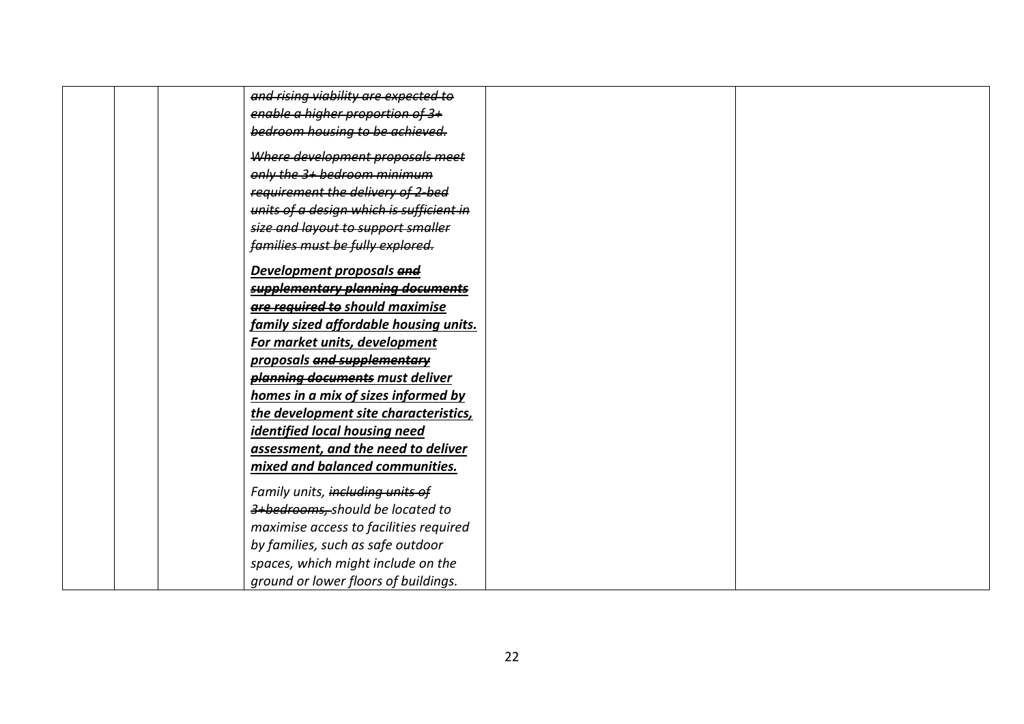| and rising viability are expected to     |
|------------------------------------------|
| enable a higher proportion of 3+         |
| bedroom housing to be achieved.          |
| Where development proposals meet         |
| only the 3+ bedroom minimum              |
| requirement the delivery of 2-bed        |
| units of a design which is sufficient in |
| size and layout to support smaller       |
| families must be fully explored.         |
| Development proposals and                |
| supplementary planning documents         |
| are required to should maximise          |
| family sized affordable housing units.   |
| For market units, development            |
| proposals and supplementary              |
| planning documents must deliver          |
| homes in a mix of sizes informed by      |
| the development site characteristics,    |
| identified local housing need            |
| assessment, and the need to deliver      |
| mixed and balanced communities.          |
| Family units, including units of         |
| 3+bedrooms, should be located to         |
| maximise access to facilities required   |
| by families, such as safe outdoor        |
| spaces, which might include on the       |
| ground or lower floors of buildings.     |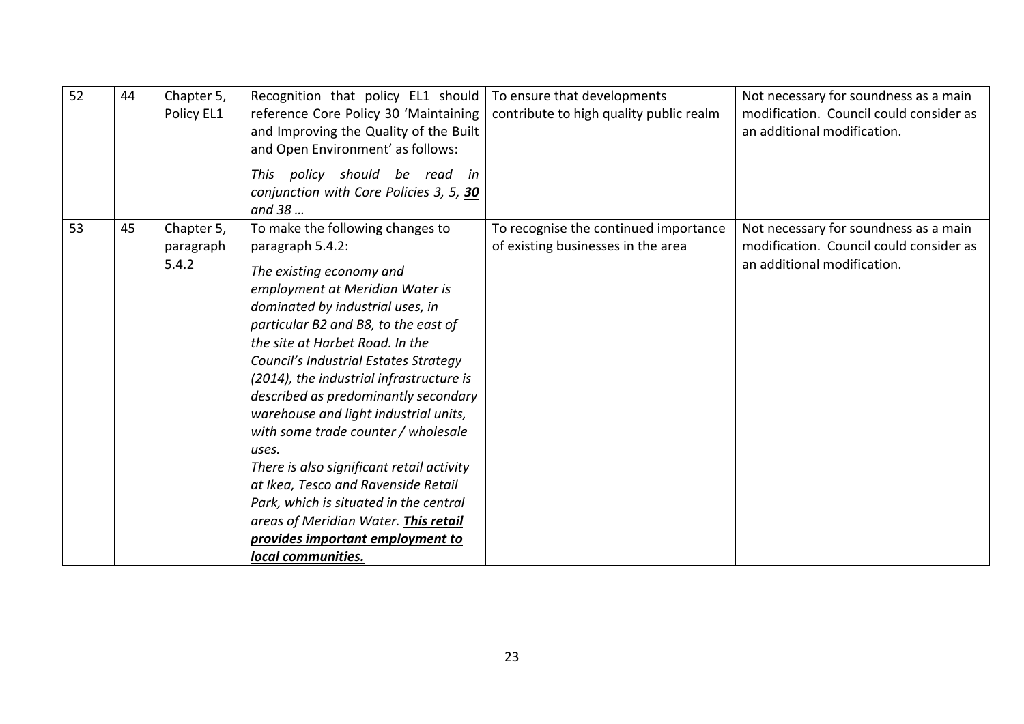| 52 | 44 | Chapter 5,<br>Policy EL1         | Recognition that policy EL1 should<br>reference Core Policy 30 'Maintaining<br>and Improving the Quality of the Built<br>and Open Environment' as follows:<br>This policy should be read in<br>conjunction with Core Policies 3, 5, 30<br>and 38                                                                                                                                                                                                                                                                                                                                                                                                                                         | To ensure that developments<br>contribute to high quality public realm      | Not necessary for soundness as a main<br>modification. Council could consider as<br>an additional modification. |
|----|----|----------------------------------|------------------------------------------------------------------------------------------------------------------------------------------------------------------------------------------------------------------------------------------------------------------------------------------------------------------------------------------------------------------------------------------------------------------------------------------------------------------------------------------------------------------------------------------------------------------------------------------------------------------------------------------------------------------------------------------|-----------------------------------------------------------------------------|-----------------------------------------------------------------------------------------------------------------|
| 53 | 45 | Chapter 5,<br>paragraph<br>5.4.2 | To make the following changes to<br>paragraph 5.4.2:<br>The existing economy and<br>employment at Meridian Water is<br>dominated by industrial uses, in<br>particular B2 and B8, to the east of<br>the site at Harbet Road. In the<br>Council's Industrial Estates Strategy<br>(2014), the industrial infrastructure is<br>described as predominantly secondary<br>warehouse and light industrial units,<br>with some trade counter / wholesale<br>uses.<br>There is also significant retail activity<br>at Ikea, Tesco and Ravenside Retail<br>Park, which is situated in the central<br>areas of Meridian Water. This retail<br>provides important employment to<br>local communities. | To recognise the continued importance<br>of existing businesses in the area | Not necessary for soundness as a main<br>modification. Council could consider as<br>an additional modification. |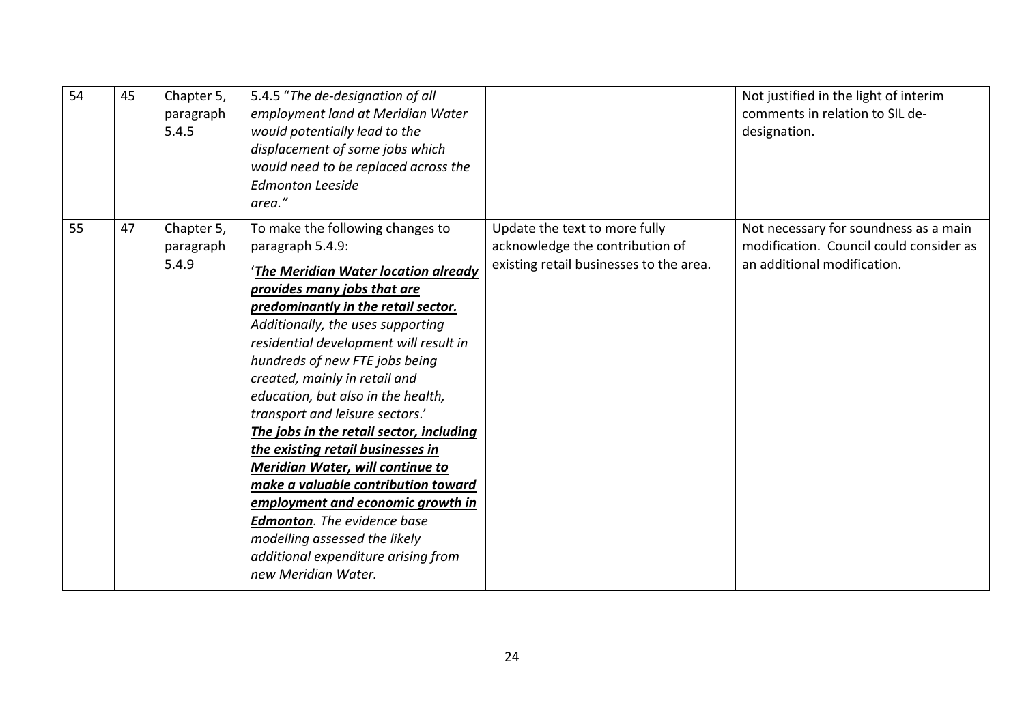| 54 | 45 | Chapter 5,<br>paragraph<br>5.4.5 | 5.4.5 "The de-designation of all<br>employment land at Meridian Water<br>would potentially lead to the<br>displacement of some jobs which<br>would need to be replaced across the<br><b>Edmonton Leeside</b><br>area."                                                                                                                                                                                                                                                                                                                                                                                                                                                                                                              |                                                                                                             | Not justified in the light of interim<br>comments in relation to SIL de-<br>designation.                        |
|----|----|----------------------------------|-------------------------------------------------------------------------------------------------------------------------------------------------------------------------------------------------------------------------------------------------------------------------------------------------------------------------------------------------------------------------------------------------------------------------------------------------------------------------------------------------------------------------------------------------------------------------------------------------------------------------------------------------------------------------------------------------------------------------------------|-------------------------------------------------------------------------------------------------------------|-----------------------------------------------------------------------------------------------------------------|
| 55 | 47 | Chapter 5,<br>paragraph<br>5.4.9 | To make the following changes to<br>paragraph 5.4.9:<br>'The Meridian Water location already<br>provides many jobs that are<br>predominantly in the retail sector.<br>Additionally, the uses supporting<br>residential development will result in<br>hundreds of new FTE jobs being<br>created, mainly in retail and<br>education, but also in the health,<br>transport and leisure sectors.'<br>The jobs in the retail sector, including<br>the existing retail businesses in<br>Meridian Water, will continue to<br>make a valuable contribution toward<br>employment and economic growth in<br><b>Edmonton.</b> The evidence base<br>modelling assessed the likely<br>additional expenditure arising from<br>new Meridian Water. | Update the text to more fully<br>acknowledge the contribution of<br>existing retail businesses to the area. | Not necessary for soundness as a main<br>modification. Council could consider as<br>an additional modification. |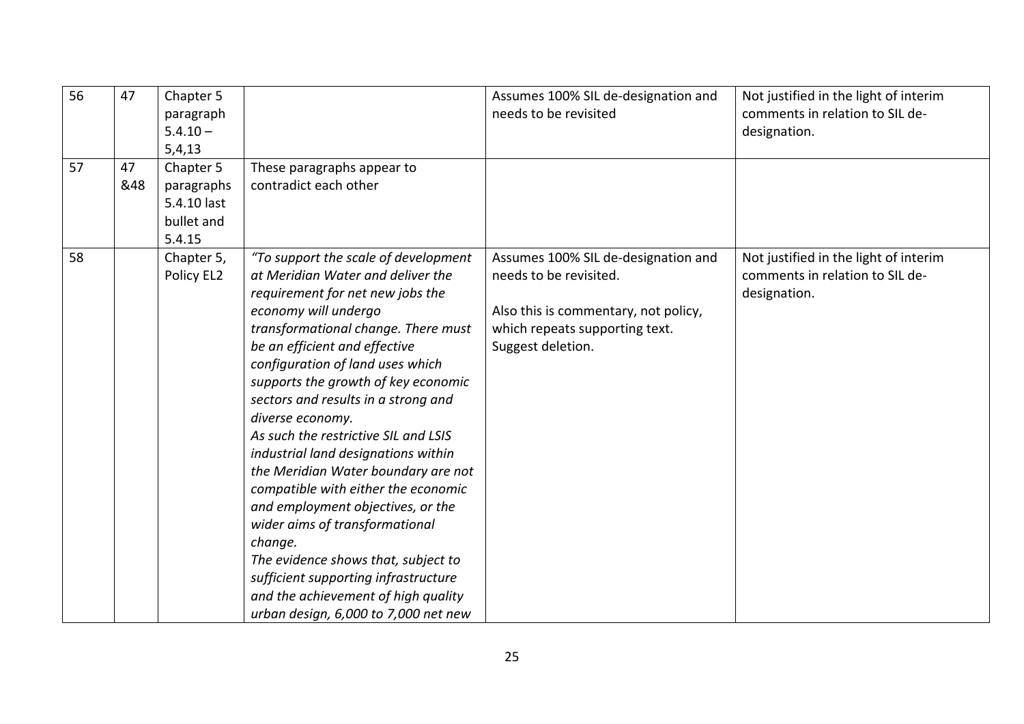| 56 | 47        | Chapter 5<br>paragraph<br>$5.4.10 -$<br>5,4,13                 |                                                                                                                                                                                                                                                                                                                                                                                                                                                                                                                                                                                                                                                                                                                                                                  | Assumes 100% SIL de-designation and<br>needs to be revisited                                                                                                 | Not justified in the light of interim<br>comments in relation to SIL de-<br>designation. |
|----|-----------|----------------------------------------------------------------|------------------------------------------------------------------------------------------------------------------------------------------------------------------------------------------------------------------------------------------------------------------------------------------------------------------------------------------------------------------------------------------------------------------------------------------------------------------------------------------------------------------------------------------------------------------------------------------------------------------------------------------------------------------------------------------------------------------------------------------------------------------|--------------------------------------------------------------------------------------------------------------------------------------------------------------|------------------------------------------------------------------------------------------|
| 57 | 47<br>&48 | Chapter 5<br>paragraphs<br>5.4.10 last<br>bullet and<br>5.4.15 | These paragraphs appear to<br>contradict each other                                                                                                                                                                                                                                                                                                                                                                                                                                                                                                                                                                                                                                                                                                              |                                                                                                                                                              |                                                                                          |
| 58 |           | Chapter 5,<br>Policy EL2                                       | "To support the scale of development<br>at Meridian Water and deliver the<br>requirement for net new jobs the<br>economy will undergo<br>transformational change. There must<br>be an efficient and effective<br>configuration of land uses which<br>supports the growth of key economic<br>sectors and results in a strong and<br>diverse economy.<br>As such the restrictive SIL and LSIS<br>industrial land designations within<br>the Meridian Water boundary are not<br>compatible with either the economic<br>and employment objectives, or the<br>wider aims of transformational<br>change.<br>The evidence shows that, subject to<br>sufficient supporting infrastructure<br>and the achievement of high quality<br>urban design, 6,000 to 7,000 net new | Assumes 100% SIL de-designation and<br>needs to be revisited.<br>Also this is commentary, not policy,<br>which repeats supporting text.<br>Suggest deletion. | Not justified in the light of interim<br>comments in relation to SIL de-<br>designation. |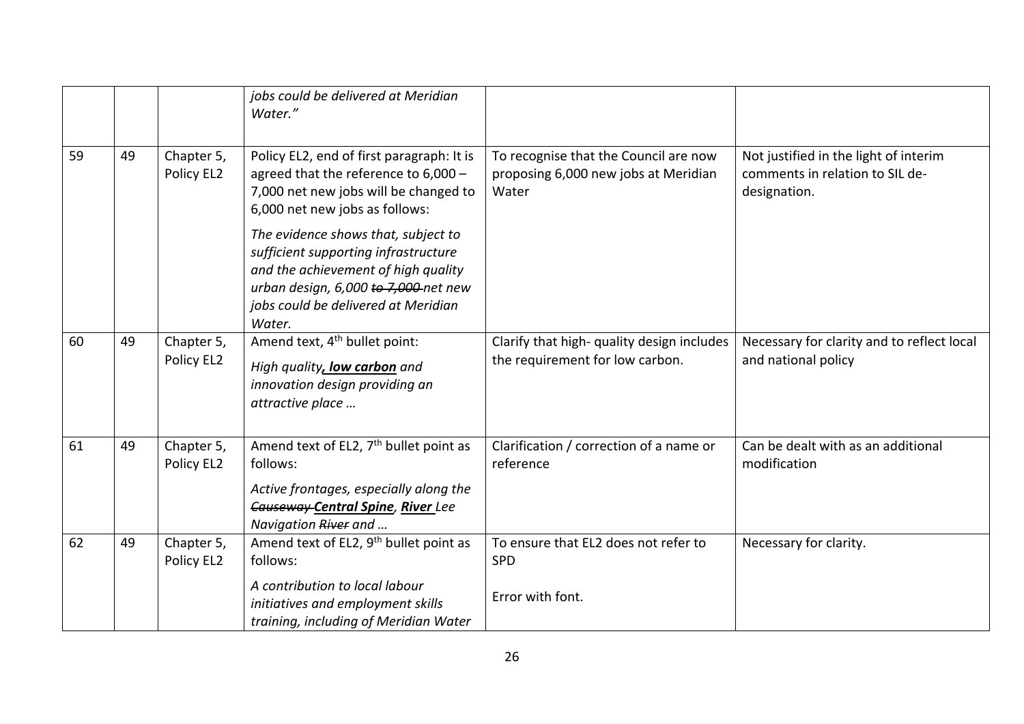|    |    |                          | jobs could be delivered at Meridian<br>Water."                                                                                                                                                              |                                                                                        |                                                                                          |
|----|----|--------------------------|-------------------------------------------------------------------------------------------------------------------------------------------------------------------------------------------------------------|----------------------------------------------------------------------------------------|------------------------------------------------------------------------------------------|
| 59 | 49 | Chapter 5,<br>Policy EL2 | Policy EL2, end of first paragraph: It is<br>agreed that the reference to 6,000 -<br>7,000 net new jobs will be changed to<br>6,000 net new jobs as follows:                                                | To recognise that the Council are now<br>proposing 6,000 new jobs at Meridian<br>Water | Not justified in the light of interim<br>comments in relation to SIL de-<br>designation. |
|    |    |                          | The evidence shows that, subject to<br>sufficient supporting infrastructure<br>and the achievement of high quality<br>urban design, 6,000 to 7,000-net new<br>jobs could be delivered at Meridian<br>Water. |                                                                                        |                                                                                          |
| 60 | 49 | Chapter 5,<br>Policy EL2 | Amend text, 4 <sup>th</sup> bullet point:<br>High quality, low carbon and<br>innovation design providing an<br>attractive place                                                                             | Clarify that high- quality design includes<br>the requirement for low carbon.          | Necessary for clarity and to reflect local<br>and national policy                        |
| 61 | 49 | Chapter 5,<br>Policy EL2 | Amend text of EL2, 7 <sup>th</sup> bullet point as<br>follows:<br>Active frontages, especially along the<br>Causeway Central Spine, River Lee<br>Navigation River and                                       | Clarification / correction of a name or<br>reference                                   | Can be dealt with as an additional<br>modification                                       |
| 62 | 49 | Chapter 5,<br>Policy EL2 | Amend text of EL2, 9 <sup>th</sup> bullet point as<br>follows:<br>A contribution to local labour                                                                                                            | To ensure that EL2 does not refer to<br><b>SPD</b>                                     | Necessary for clarity.                                                                   |
|    |    |                          | initiatives and employment skills<br>training, including of Meridian Water                                                                                                                                  | Error with font.                                                                       |                                                                                          |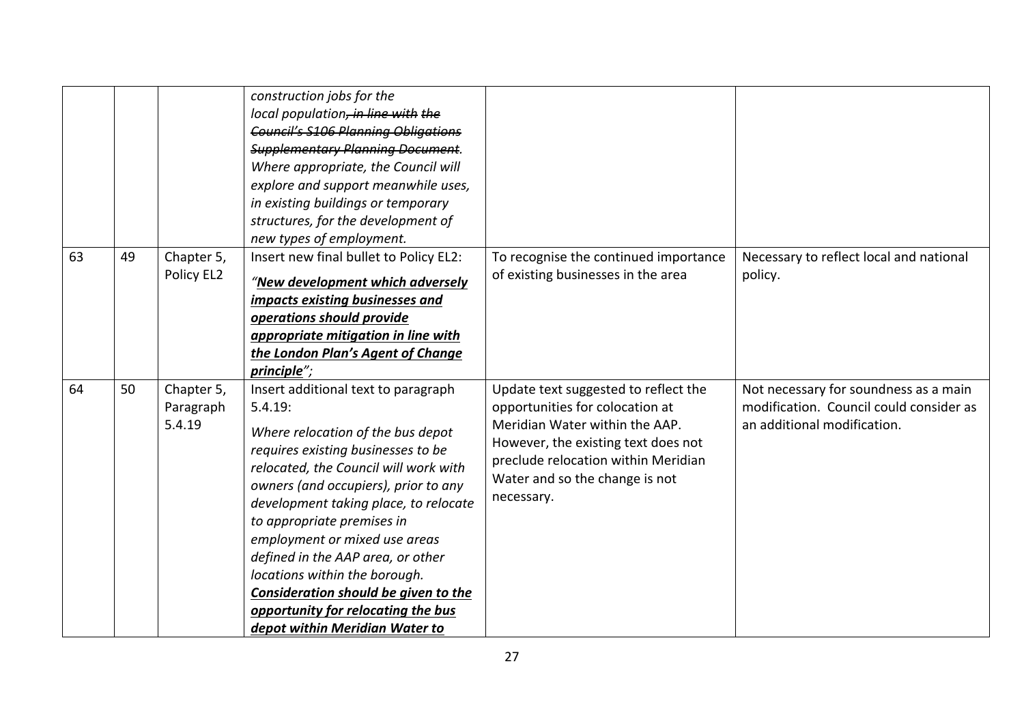|    |    |                                   | construction jobs for the<br>local population, in line with the<br><b>Council's S106 Planning Obligations</b><br><b>Supplementary Planning Document.</b><br>Where appropriate, the Council will<br>explore and support meanwhile uses,<br>in existing buildings or temporary<br>structures, for the development of<br>new types of employment.                                                                                                                                                           |                                                                                                                                                                                                                                         |                                                                                                                 |
|----|----|-----------------------------------|----------------------------------------------------------------------------------------------------------------------------------------------------------------------------------------------------------------------------------------------------------------------------------------------------------------------------------------------------------------------------------------------------------------------------------------------------------------------------------------------------------|-----------------------------------------------------------------------------------------------------------------------------------------------------------------------------------------------------------------------------------------|-----------------------------------------------------------------------------------------------------------------|
| 63 | 49 | Chapter 5,<br>Policy EL2          | Insert new final bullet to Policy EL2:<br>"New development which adversely<br>impacts existing businesses and<br>operations should provide<br>appropriate mitigation in line with<br>the London Plan's Agent of Change<br>principle";                                                                                                                                                                                                                                                                    | To recognise the continued importance<br>of existing businesses in the area                                                                                                                                                             | Necessary to reflect local and national<br>policy.                                                              |
| 64 | 50 | Chapter 5,<br>Paragraph<br>5.4.19 | Insert additional text to paragraph<br>5.4.19:<br>Where relocation of the bus depot<br>requires existing businesses to be<br>relocated, the Council will work with<br>owners (and occupiers), prior to any<br>development taking place, to relocate<br>to appropriate premises in<br>employment or mixed use areas<br>defined in the AAP area, or other<br>locations within the borough.<br>Consideration should be given to the<br>opportunity for relocating the bus<br>depot within Meridian Water to | Update text suggested to reflect the<br>opportunities for colocation at<br>Meridian Water within the AAP.<br>However, the existing text does not<br>preclude relocation within Meridian<br>Water and so the change is not<br>necessary. | Not necessary for soundness as a main<br>modification. Council could consider as<br>an additional modification. |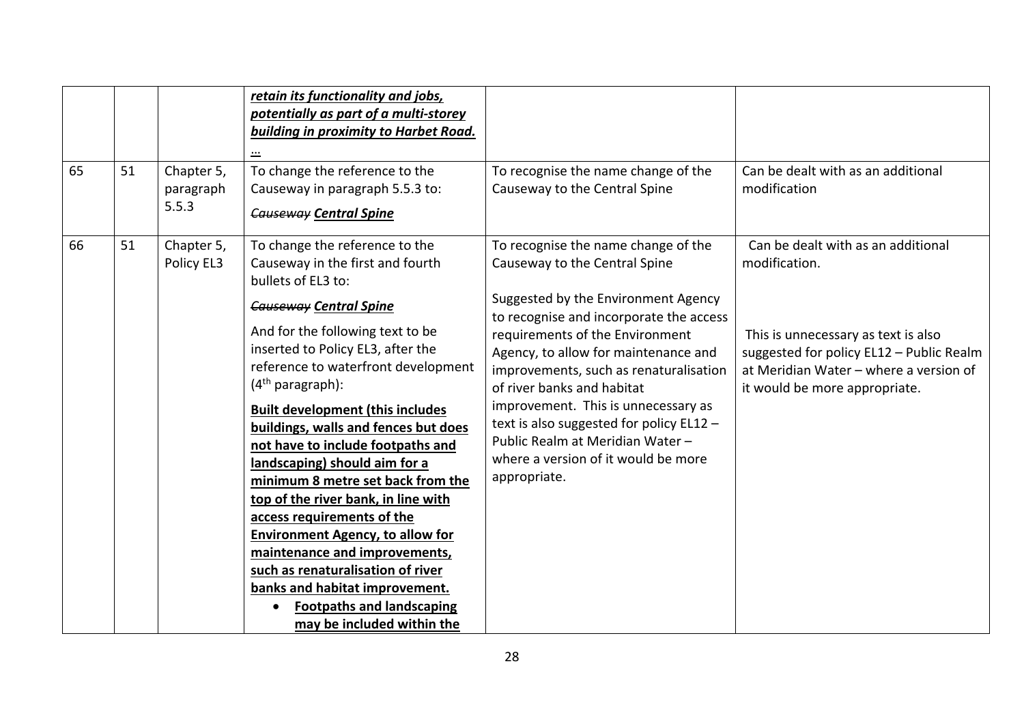| 65 | 51 | Chapter 5,<br>paragraph<br>5.5.3 | retain its functionality and jobs,<br>potentially as part of a multi-storey<br>building in proximity to Harbet Road.<br>$\cdots$<br>To change the reference to the<br>Causeway in paragraph 5.5.3 to:<br><b>Causeway Central Spine</b>                                                                                                                                                                                                                                                                     | To recognise the name change of the<br>Causeway to the Central Spine                                                                                                                                                                                                        | Can be dealt with as an additional<br>modification                                                                                                                               |
|----|----|----------------------------------|------------------------------------------------------------------------------------------------------------------------------------------------------------------------------------------------------------------------------------------------------------------------------------------------------------------------------------------------------------------------------------------------------------------------------------------------------------------------------------------------------------|-----------------------------------------------------------------------------------------------------------------------------------------------------------------------------------------------------------------------------------------------------------------------------|----------------------------------------------------------------------------------------------------------------------------------------------------------------------------------|
| 66 | 51 | Chapter 5,<br>Policy EL3         | To change the reference to the<br>Causeway in the first and fourth<br>bullets of EL3 to:<br><b>Causeway Central Spine</b><br>And for the following text to be<br>inserted to Policy EL3, after the<br>reference to waterfront development                                                                                                                                                                                                                                                                  | To recognise the name change of the<br>Causeway to the Central Spine<br>Suggested by the Environment Agency<br>to recognise and incorporate the access<br>requirements of the Environment<br>Agency, to allow for maintenance and<br>improvements, such as renaturalisation | Can be dealt with as an additional<br>modification.<br>This is unnecessary as text is also<br>suggested for policy EL12 - Public Realm<br>at Meridian Water - where a version of |
|    |    |                                  | $(4th$ paragraph):<br><b>Built development (this includes</b><br>buildings, walls and fences but does<br>not have to include footpaths and<br>landscaping) should aim for a<br>minimum 8 metre set back from the<br>top of the river bank, in line with<br>access requirements of the<br><b>Environment Agency, to allow for</b><br>maintenance and improvements,<br>such as renaturalisation of river<br>banks and habitat improvement.<br><b>Footpaths and landscaping</b><br>may be included within the | of river banks and habitat<br>improvement. This is unnecessary as<br>text is also suggested for policy EL12 -<br>Public Realm at Meridian Water -<br>where a version of it would be more<br>appropriate.                                                                    | it would be more appropriate.                                                                                                                                                    |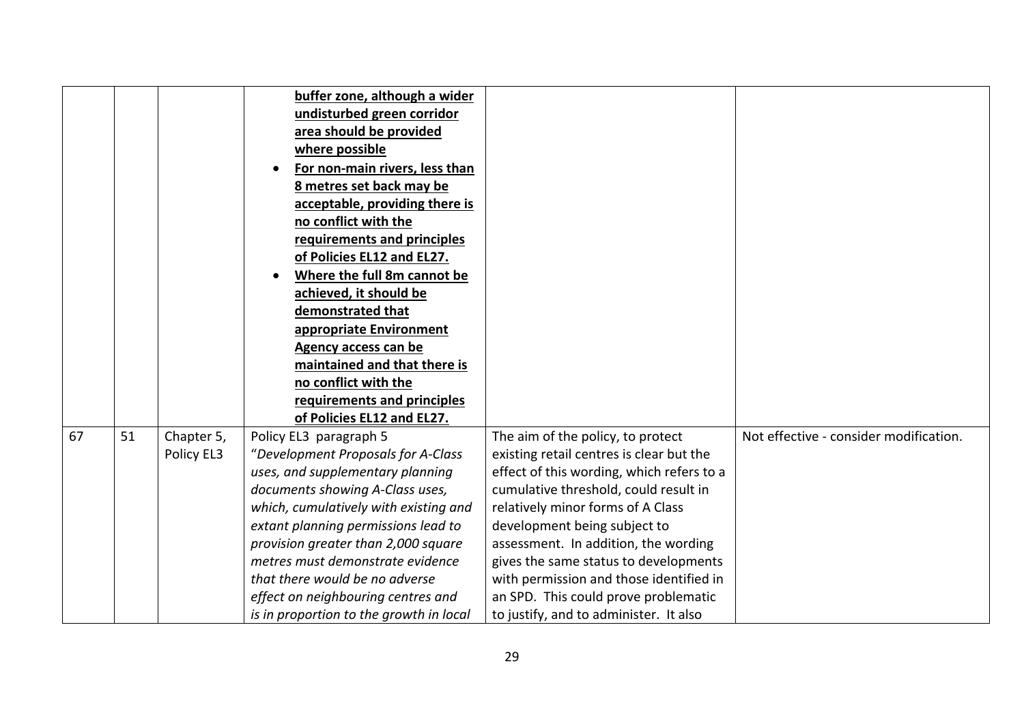|    |    |            | buffer zone, although a wider           |                                           |                                        |
|----|----|------------|-----------------------------------------|-------------------------------------------|----------------------------------------|
|    |    |            | undisturbed green corridor              |                                           |                                        |
|    |    |            | area should be provided                 |                                           |                                        |
|    |    |            | where possible                          |                                           |                                        |
|    |    |            | For non-main rivers, less than          |                                           |                                        |
|    |    |            | 8 metres set back may be                |                                           |                                        |
|    |    |            | acceptable, providing there is          |                                           |                                        |
|    |    |            | no conflict with the                    |                                           |                                        |
|    |    |            | requirements and principles             |                                           |                                        |
|    |    |            | of Policies EL12 and EL27.              |                                           |                                        |
|    |    |            | Where the full 8m cannot be             |                                           |                                        |
|    |    |            | achieved, it should be                  |                                           |                                        |
|    |    |            | demonstrated that                       |                                           |                                        |
|    |    |            | appropriate Environment                 |                                           |                                        |
|    |    |            | <b>Agency access can be</b>             |                                           |                                        |
|    |    |            | maintained and that there is            |                                           |                                        |
|    |    |            | no conflict with the                    |                                           |                                        |
|    |    |            | requirements and principles             |                                           |                                        |
|    |    |            | of Policies EL12 and EL27.              |                                           |                                        |
| 67 | 51 | Chapter 5, | Policy EL3 paragraph 5                  | The aim of the policy, to protect         | Not effective - consider modification. |
|    |    | Policy EL3 | "Development Proposals for A-Class      | existing retail centres is clear but the  |                                        |
|    |    |            | uses, and supplementary planning        | effect of this wording, which refers to a |                                        |
|    |    |            | documents showing A-Class uses,         | cumulative threshold, could result in     |                                        |
|    |    |            | which, cumulatively with existing and   | relatively minor forms of A Class         |                                        |
|    |    |            | extant planning permissions lead to     | development being subject to              |                                        |
|    |    |            | provision greater than 2,000 square     | assessment. In addition, the wording      |                                        |
|    |    |            | metres must demonstrate evidence        | gives the same status to developments     |                                        |
|    |    |            | that there would be no adverse          | with permission and those identified in   |                                        |
|    |    |            | effect on neighbouring centres and      | an SPD. This could prove problematic      |                                        |
|    |    |            | is in proportion to the growth in local | to justify, and to administer. It also    |                                        |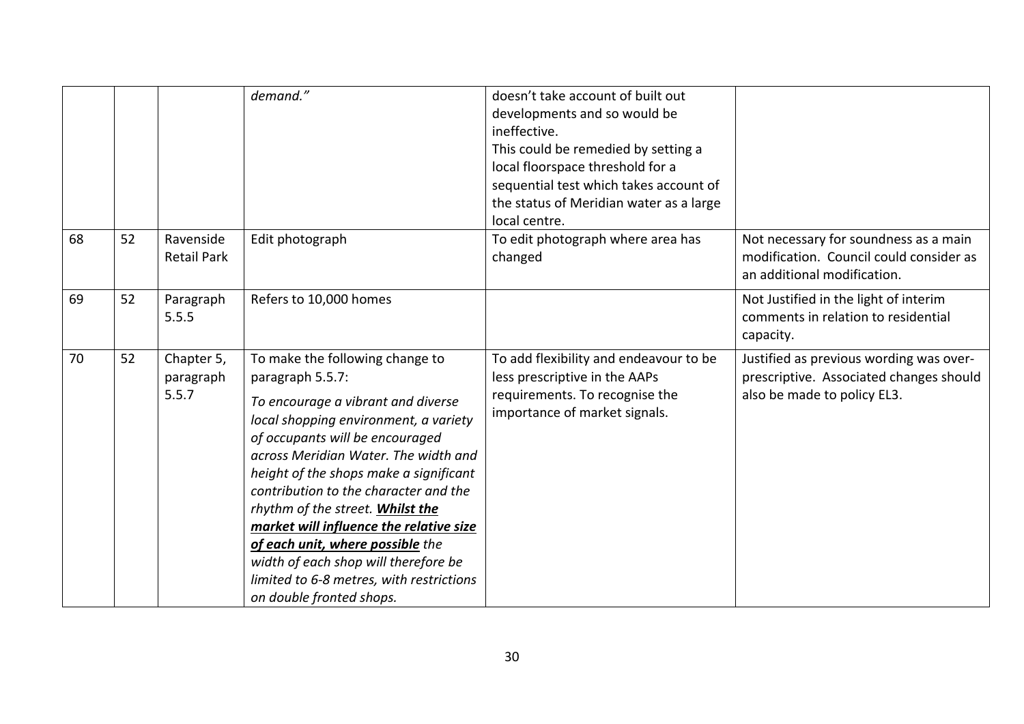|    |    |                                  | demand."                                                                                                                                                                                                                                                                                                                                                                                                                                                                                                                            | doesn't take account of built out<br>developments and so would be<br>ineffective.<br>This could be remedied by setting a<br>local floorspace threshold for a<br>sequential test which takes account of<br>the status of Meridian water as a large<br>local centre. |                                                                                                                   |
|----|----|----------------------------------|-------------------------------------------------------------------------------------------------------------------------------------------------------------------------------------------------------------------------------------------------------------------------------------------------------------------------------------------------------------------------------------------------------------------------------------------------------------------------------------------------------------------------------------|--------------------------------------------------------------------------------------------------------------------------------------------------------------------------------------------------------------------------------------------------------------------|-------------------------------------------------------------------------------------------------------------------|
| 68 | 52 | Ravenside<br><b>Retail Park</b>  | Edit photograph                                                                                                                                                                                                                                                                                                                                                                                                                                                                                                                     | To edit photograph where area has<br>changed                                                                                                                                                                                                                       | Not necessary for soundness as a main<br>modification. Council could consider as<br>an additional modification.   |
| 69 | 52 | Paragraph<br>5.5.5               | Refers to 10,000 homes                                                                                                                                                                                                                                                                                                                                                                                                                                                                                                              |                                                                                                                                                                                                                                                                    | Not Justified in the light of interim<br>comments in relation to residential<br>capacity.                         |
| 70 | 52 | Chapter 5,<br>paragraph<br>5.5.7 | To make the following change to<br>paragraph 5.5.7:<br>To encourage a vibrant and diverse<br>local shopping environment, a variety<br>of occupants will be encouraged<br>across Meridian Water. The width and<br>height of the shops make a significant<br>contribution to the character and the<br>rhythm of the street. Whilst the<br>market will influence the relative size<br>of each unit, where possible the<br>width of each shop will therefore be<br>limited to 6-8 metres, with restrictions<br>on double fronted shops. | To add flexibility and endeavour to be<br>less prescriptive in the AAPs<br>requirements. To recognise the<br>importance of market signals.                                                                                                                         | Justified as previous wording was over-<br>prescriptive. Associated changes should<br>also be made to policy EL3. |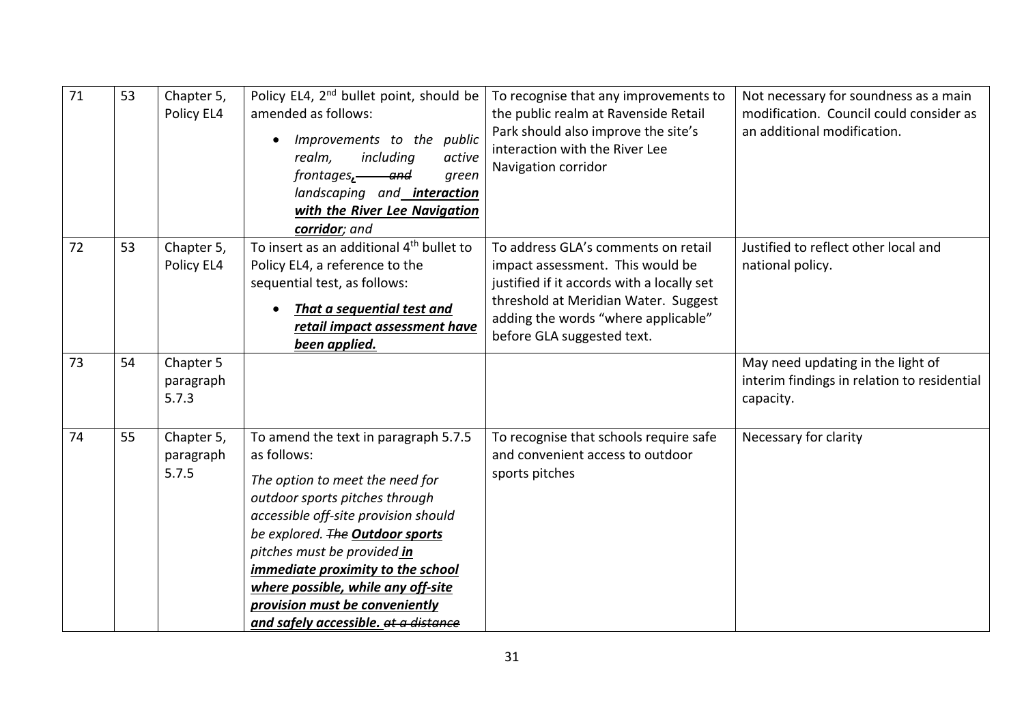| 71 | 53 | Chapter 5,<br>Policy EL4         | Policy EL4, 2 <sup>nd</sup> bullet point, should be<br>amended as follows:<br>Improvements to the public<br>including<br>realm,<br>active<br>frontages, and<br>green<br>landscaping and <b>interaction</b><br>with the River Lee Navigation<br>corridor; and                                                                                                                            | To recognise that any improvements to<br>the public realm at Ravenside Retail<br>Park should also improve the site's<br>interaction with the River Lee<br>Navigation corridor                                                      | Not necessary for soundness as a main<br>modification. Council could consider as<br>an additional modification. |
|----|----|----------------------------------|-----------------------------------------------------------------------------------------------------------------------------------------------------------------------------------------------------------------------------------------------------------------------------------------------------------------------------------------------------------------------------------------|------------------------------------------------------------------------------------------------------------------------------------------------------------------------------------------------------------------------------------|-----------------------------------------------------------------------------------------------------------------|
| 72 | 53 | Chapter 5,<br>Policy EL4         | To insert as an additional 4 <sup>th</sup> bullet to<br>Policy EL4, a reference to the<br>sequential test, as follows:<br>That a sequential test and<br>retail impact assessment have<br>been applied.                                                                                                                                                                                  | To address GLA's comments on retail<br>impact assessment. This would be<br>justified if it accords with a locally set<br>threshold at Meridian Water. Suggest<br>adding the words "where applicable"<br>before GLA suggested text. | Justified to reflect other local and<br>national policy.                                                        |
| 73 | 54 | Chapter 5<br>paragraph<br>5.7.3  |                                                                                                                                                                                                                                                                                                                                                                                         |                                                                                                                                                                                                                                    | May need updating in the light of<br>interim findings in relation to residential<br>capacity.                   |
| 74 | 55 | Chapter 5,<br>paragraph<br>5.7.5 | To amend the text in paragraph 5.7.5<br>as follows:<br>The option to meet the need for<br>outdoor sports pitches through<br>accessible off-site provision should<br>be explored. The Outdoor sports<br>pitches must be provided in<br>immediate proximity to the school<br>where possible, while any off-site<br>provision must be conveniently<br>and safely accessible. at a distance | To recognise that schools require safe<br>and convenient access to outdoor<br>sports pitches                                                                                                                                       | Necessary for clarity                                                                                           |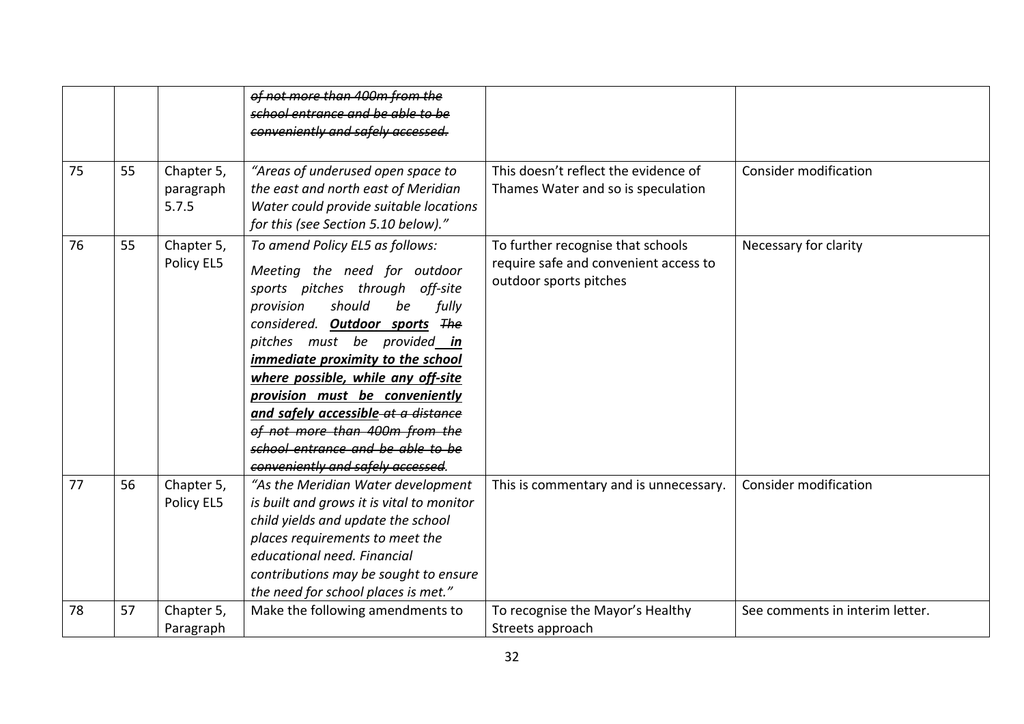| 75 | 55 | Chapter 5,<br>paragraph<br>5.7.5 | of not more than 400m from the<br>school entrance and be able to be<br>conveniently and safely accessed.<br>"Areas of underused open space to<br>the east and north east of Meridian<br>Water could provide suitable locations<br>for this (see Section 5.10 below)."                                                                                                                                                                                                     | This doesn't reflect the evidence of<br>Thames Water and so is speculation                           | <b>Consider modification</b>    |
|----|----|----------------------------------|---------------------------------------------------------------------------------------------------------------------------------------------------------------------------------------------------------------------------------------------------------------------------------------------------------------------------------------------------------------------------------------------------------------------------------------------------------------------------|------------------------------------------------------------------------------------------------------|---------------------------------|
| 76 | 55 | Chapter 5,<br>Policy EL5         | To amend Policy EL5 as follows:<br>Meeting the need for outdoor<br>sports pitches through off-site<br>should<br>fully<br>provision<br>be<br>considered. Outdoor sports The<br>pitches must be provided in<br>immediate proximity to the school<br>where possible, while any off-site<br>provision must be conveniently<br>and safely accessible-at a distance<br>of not more than 400m from the<br>school entrance and be able to be<br>conveniently and safely accessed. | To further recognise that schools<br>require safe and convenient access to<br>outdoor sports pitches | Necessary for clarity           |
| 77 | 56 | Chapter 5,<br>Policy EL5         | "As the Meridian Water development<br>is built and grows it is vital to monitor<br>child yields and update the school<br>places requirements to meet the<br>educational need. Financial<br>contributions may be sought to ensure<br>the need for school places is met."                                                                                                                                                                                                   | This is commentary and is unnecessary.                                                               | Consider modification           |
| 78 | 57 | Chapter 5,<br>Paragraph          | Make the following amendments to                                                                                                                                                                                                                                                                                                                                                                                                                                          | To recognise the Mayor's Healthy<br>Streets approach                                                 | See comments in interim letter. |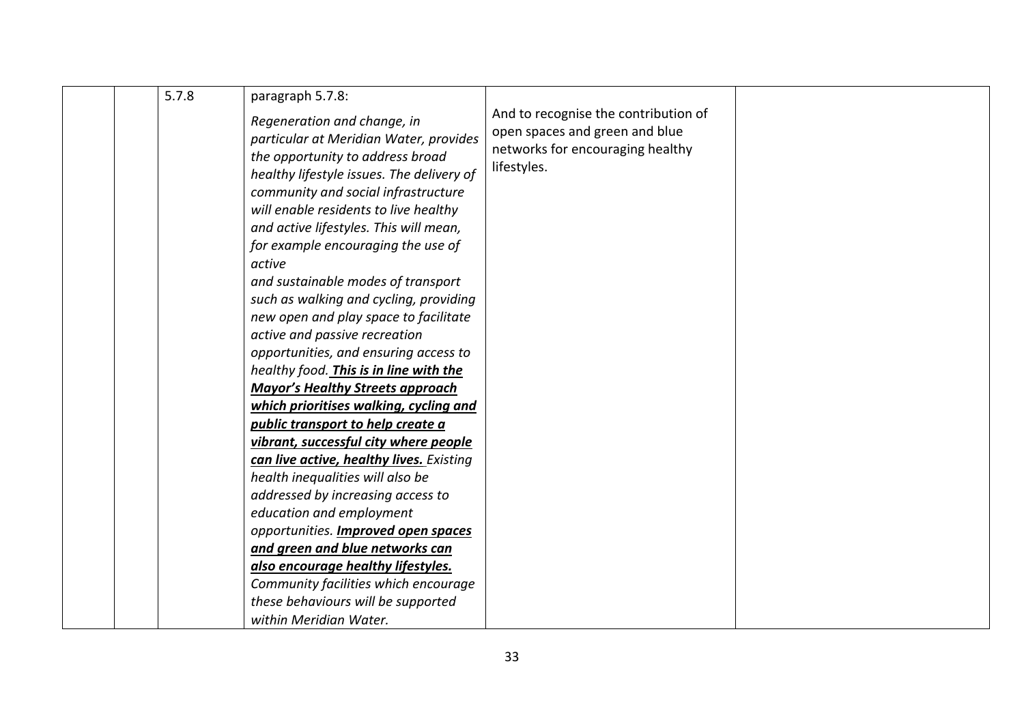|  | 5.7.8 | paragraph 5.7.8:<br>Regeneration and change, in<br>particular at Meridian Water, provides<br>the opportunity to address broad<br>healthy lifestyle issues. The delivery of<br>community and social infrastructure<br>will enable residents to live healthy<br>and active lifestyles. This will mean,<br>for example encouraging the use of<br>active<br>and sustainable modes of transport<br>such as walking and cycling, providing<br>new open and play space to facilitate<br>active and passive recreation<br>opportunities, and ensuring access to<br>healthy food. This is in line with the<br><b>Mayor's Healthy Streets approach</b> | And to recognise the contribution of<br>open spaces and green and blue<br>networks for encouraging healthy<br>lifestyles. |  |
|--|-------|----------------------------------------------------------------------------------------------------------------------------------------------------------------------------------------------------------------------------------------------------------------------------------------------------------------------------------------------------------------------------------------------------------------------------------------------------------------------------------------------------------------------------------------------------------------------------------------------------------------------------------------------|---------------------------------------------------------------------------------------------------------------------------|--|
|  |       | which prioritises walking, cycling and                                                                                                                                                                                                                                                                                                                                                                                                                                                                                                                                                                                                       |                                                                                                                           |  |
|  |       | public transport to help create a                                                                                                                                                                                                                                                                                                                                                                                                                                                                                                                                                                                                            |                                                                                                                           |  |
|  |       | vibrant, successful city where people                                                                                                                                                                                                                                                                                                                                                                                                                                                                                                                                                                                                        |                                                                                                                           |  |
|  |       | can live active, healthy lives. Existing                                                                                                                                                                                                                                                                                                                                                                                                                                                                                                                                                                                                     |                                                                                                                           |  |
|  |       | health inequalities will also be                                                                                                                                                                                                                                                                                                                                                                                                                                                                                                                                                                                                             |                                                                                                                           |  |
|  |       | addressed by increasing access to                                                                                                                                                                                                                                                                                                                                                                                                                                                                                                                                                                                                            |                                                                                                                           |  |
|  |       | education and employment                                                                                                                                                                                                                                                                                                                                                                                                                                                                                                                                                                                                                     |                                                                                                                           |  |
|  |       | opportunities. Improved open spaces                                                                                                                                                                                                                                                                                                                                                                                                                                                                                                                                                                                                          |                                                                                                                           |  |
|  |       | and green and blue networks can                                                                                                                                                                                                                                                                                                                                                                                                                                                                                                                                                                                                              |                                                                                                                           |  |
|  |       | also encourage healthy lifestyles.                                                                                                                                                                                                                                                                                                                                                                                                                                                                                                                                                                                                           |                                                                                                                           |  |
|  |       | Community facilities which encourage                                                                                                                                                                                                                                                                                                                                                                                                                                                                                                                                                                                                         |                                                                                                                           |  |
|  |       | these behaviours will be supported                                                                                                                                                                                                                                                                                                                                                                                                                                                                                                                                                                                                           |                                                                                                                           |  |
|  |       | within Meridian Water.                                                                                                                                                                                                                                                                                                                                                                                                                                                                                                                                                                                                                       |                                                                                                                           |  |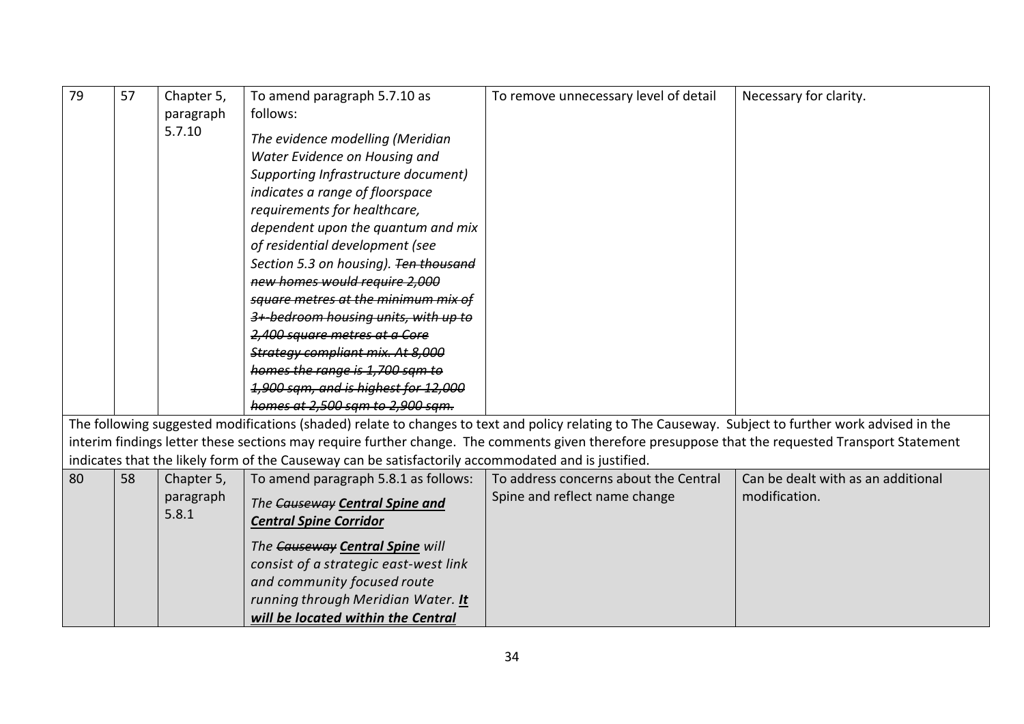| 79 | 57 | Chapter 5,<br>paragraph | To amend paragraph 5.7.10 as<br>follows:                                                                                                                                                                                                                                                                                                                                                                                                       | To remove unnecessary level of detail                                                                                                                | Necessary for clarity.             |
|----|----|-------------------------|------------------------------------------------------------------------------------------------------------------------------------------------------------------------------------------------------------------------------------------------------------------------------------------------------------------------------------------------------------------------------------------------------------------------------------------------|------------------------------------------------------------------------------------------------------------------------------------------------------|------------------------------------|
|    |    | 5.7.10                  | The evidence modelling (Meridian<br>Water Evidence on Housing and<br>Supporting Infrastructure document)<br>indicates a range of floorspace<br>requirements for healthcare,<br>dependent upon the quantum and mix<br>of residential development (see<br>Section 5.3 on housing). Ten thousand<br>new homes would require 2,000<br>square metres at the minimum mix of<br>3+ bedroom housing units, with up to<br>2,400 square metres at a Core |                                                                                                                                                      |                                    |
|    |    |                         | Strategy compliant mix. At 8,000                                                                                                                                                                                                                                                                                                                                                                                                               |                                                                                                                                                      |                                    |
|    |    |                         | homes the range is 1,700 sam to                                                                                                                                                                                                                                                                                                                                                                                                                |                                                                                                                                                      |                                    |
|    |    |                         | 1.900 sam, and is highest for 12.000                                                                                                                                                                                                                                                                                                                                                                                                           |                                                                                                                                                      |                                    |
|    |    |                         | homes at 2,500 sam to 2,900 sam.                                                                                                                                                                                                                                                                                                                                                                                                               |                                                                                                                                                      |                                    |
|    |    |                         |                                                                                                                                                                                                                                                                                                                                                                                                                                                | The following suggested modifications (shaded) relate to changes to text and policy relating to The Causeway. Subject to further work advised in the |                                    |
|    |    |                         |                                                                                                                                                                                                                                                                                                                                                                                                                                                | interim findings letter these sections may require further change. The comments given therefore presuppose that the requested Transport Statement    |                                    |
|    |    |                         | indicates that the likely form of the Causeway can be satisfactorily accommodated and is justified.                                                                                                                                                                                                                                                                                                                                            |                                                                                                                                                      |                                    |
| 80 | 58 | Chapter 5,              | To amend paragraph 5.8.1 as follows:                                                                                                                                                                                                                                                                                                                                                                                                           | To address concerns about the Central                                                                                                                | Can be dealt with as an additional |
|    |    | paragraph               | The Causeway Central Spine and                                                                                                                                                                                                                                                                                                                                                                                                                 | Spine and reflect name change                                                                                                                        | modification.                      |
|    |    | 5.8.1                   | <b>Central Spine Corridor</b>                                                                                                                                                                                                                                                                                                                                                                                                                  |                                                                                                                                                      |                                    |
|    |    |                         | The Causeway Central Spine will<br>consist of a strategic east-west link<br>and community focused route<br>running through Meridian Water. It<br>will be located within the Central                                                                                                                                                                                                                                                            |                                                                                                                                                      |                                    |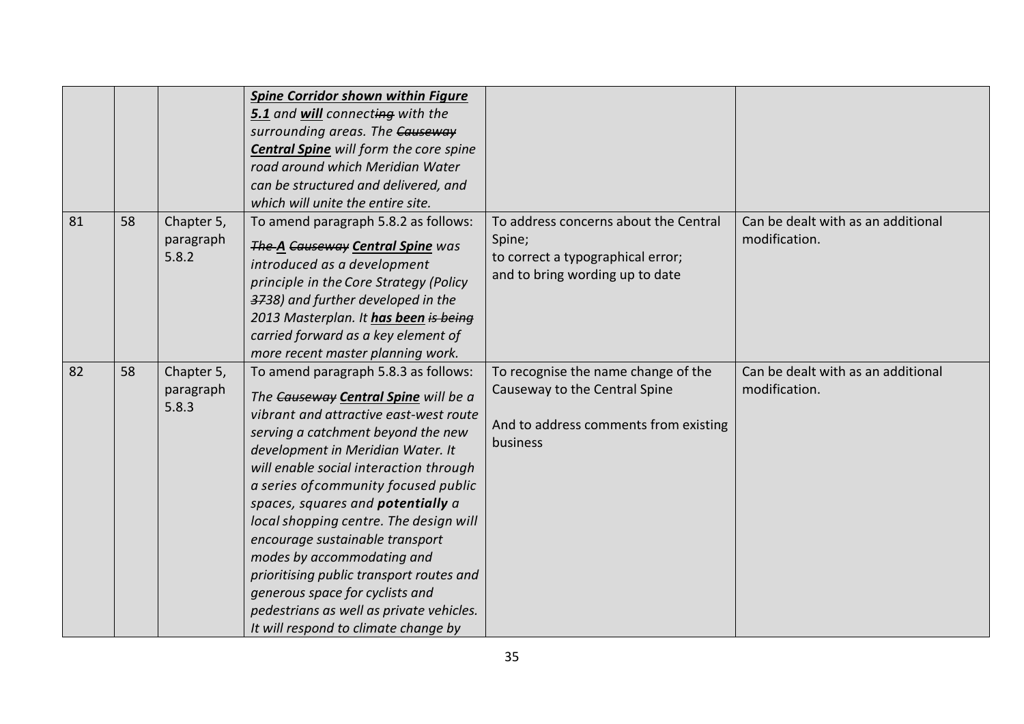|    |    |                                  | <b>Spine Corridor shown within Figure</b><br>5.1 and will connecting with the<br>surrounding areas. The Causeway<br><b>Central Spine</b> will form the core spine<br>road around which Meridian Water<br>can be structured and delivered, and<br>which will unite the entire site.                                                                                                                                                                                                                                                                                                                            |                                                                                                                           |                                                     |
|----|----|----------------------------------|---------------------------------------------------------------------------------------------------------------------------------------------------------------------------------------------------------------------------------------------------------------------------------------------------------------------------------------------------------------------------------------------------------------------------------------------------------------------------------------------------------------------------------------------------------------------------------------------------------------|---------------------------------------------------------------------------------------------------------------------------|-----------------------------------------------------|
| 81 | 58 | Chapter 5,<br>paragraph<br>5.8.2 | To amend paragraph 5.8.2 as follows:<br>The A Causeway Central Spine was<br>introduced as a development<br>principle in the Core Strategy (Policy<br>3738) and further developed in the<br>2013 Masterplan. It has been is being<br>carried forward as a key element of<br>more recent master planning work.                                                                                                                                                                                                                                                                                                  | To address concerns about the Central<br>Spine;<br>to correct a typographical error;<br>and to bring wording up to date   | Can be dealt with as an additional<br>modification. |
| 82 | 58 | Chapter 5,<br>paragraph<br>5.8.3 | To amend paragraph 5.8.3 as follows:<br>The Causeway Central Spine will be a<br>vibrant and attractive east-west route<br>serving a catchment beyond the new<br>development in Meridian Water. It<br>will enable social interaction through<br>a series of community focused public<br>spaces, squares and <b>potentially</b> a<br>local shopping centre. The design will<br>encourage sustainable transport<br>modes by accommodating and<br>prioritising public transport routes and<br>generous space for cyclists and<br>pedestrians as well as private vehicles.<br>It will respond to climate change by | To recognise the name change of the<br>Causeway to the Central Spine<br>And to address comments from existing<br>business | Can be dealt with as an additional<br>modification. |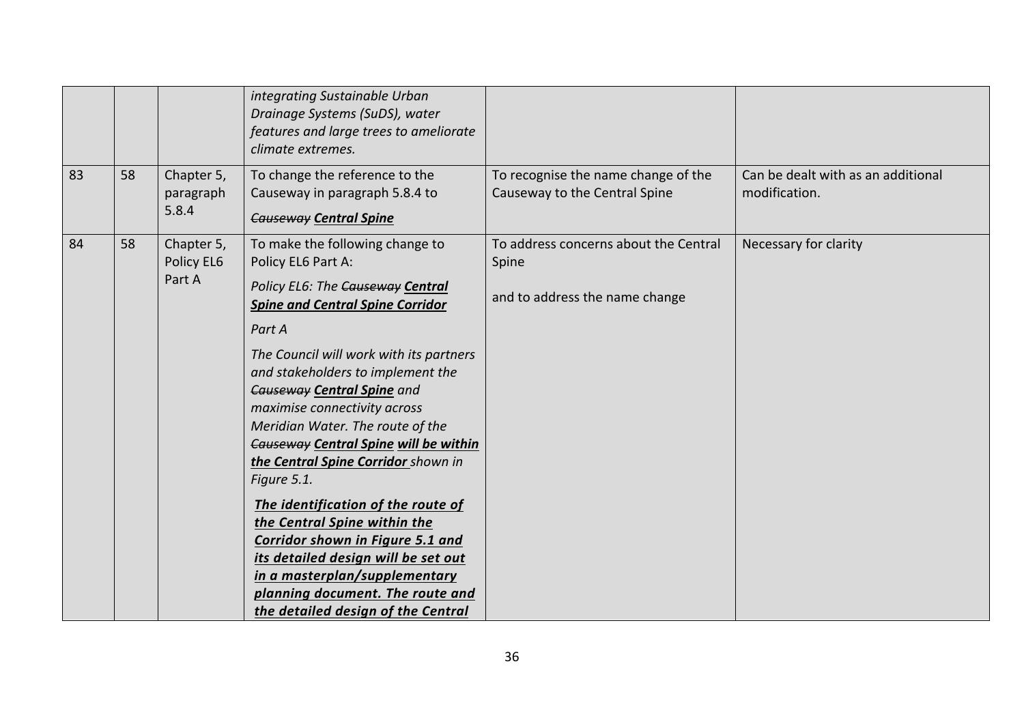|    |    |                                    | integrating Sustainable Urban<br>Drainage Systems (SuDS), water<br>features and large trees to ameliorate<br>climate extremes.                                                                                                                                                                                                                                                                                                                                                                                                                                                                                                                                                                     |                                                                                  |                                                     |
|----|----|------------------------------------|----------------------------------------------------------------------------------------------------------------------------------------------------------------------------------------------------------------------------------------------------------------------------------------------------------------------------------------------------------------------------------------------------------------------------------------------------------------------------------------------------------------------------------------------------------------------------------------------------------------------------------------------------------------------------------------------------|----------------------------------------------------------------------------------|-----------------------------------------------------|
| 83 | 58 | Chapter 5,<br>paragraph<br>5.8.4   | To change the reference to the<br>Causeway in paragraph 5.8.4 to<br><b>Causeway Central Spine</b>                                                                                                                                                                                                                                                                                                                                                                                                                                                                                                                                                                                                  | To recognise the name change of the<br>Causeway to the Central Spine             | Can be dealt with as an additional<br>modification. |
| 84 | 58 | Chapter 5,<br>Policy EL6<br>Part A | To make the following change to<br>Policy EL6 Part A:<br>Policy EL6: The Causeway Central<br><b>Spine and Central Spine Corridor</b><br>Part A<br>The Council will work with its partners<br>and stakeholders to implement the<br><b>Causeway Central Spine and</b><br>maximise connectivity across<br>Meridian Water. The route of the<br>Causeway Central Spine will be within<br>the Central Spine Corridor shown in<br>Figure 5.1.<br>The identification of the route of<br>the Central Spine within the<br>Corridor shown in Figure 5.1 and<br>its detailed design will be set out<br>in a masterplan/supplementary<br>planning document. The route and<br>the detailed design of the Central | To address concerns about the Central<br>Spine<br>and to address the name change | Necessary for clarity                               |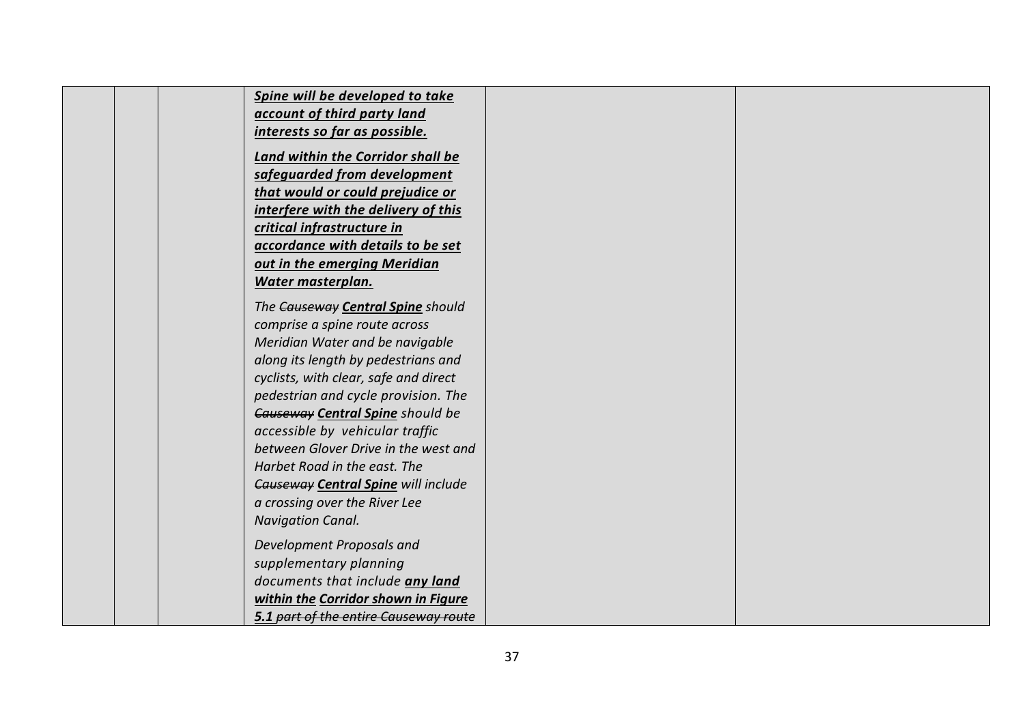| Spine will be developed to take            |  |
|--------------------------------------------|--|
| account of third party land                |  |
| interests so far as possible.              |  |
| <b>Land within the Corridor shall be</b>   |  |
| safeguarded from development               |  |
| that would or could prejudice or           |  |
| interfere with the delivery of this        |  |
| critical infrastructure in                 |  |
| accordance with details to be set          |  |
| out in the emerging Meridian               |  |
| Water masterplan.                          |  |
|                                            |  |
| The Causeway Central Spine should          |  |
| comprise a spine route across              |  |
| Meridian Water and be navigable            |  |
| along its length by pedestrians and        |  |
| cyclists, with clear, safe and direct      |  |
| pedestrian and cycle provision. The        |  |
| Causeway Central Spine should be           |  |
| accessible by vehicular traffic            |  |
| between Glover Drive in the west and       |  |
| Harbet Road in the east. The               |  |
| <b>Causeway Central Spine will include</b> |  |
| a crossing over the River Lee              |  |
| <b>Navigation Canal.</b>                   |  |
| Development Proposals and                  |  |
| supplementary planning                     |  |
| documents that include any land            |  |
| within the Corridor shown in Figure        |  |
| 5.1 part of the entire Causeway route      |  |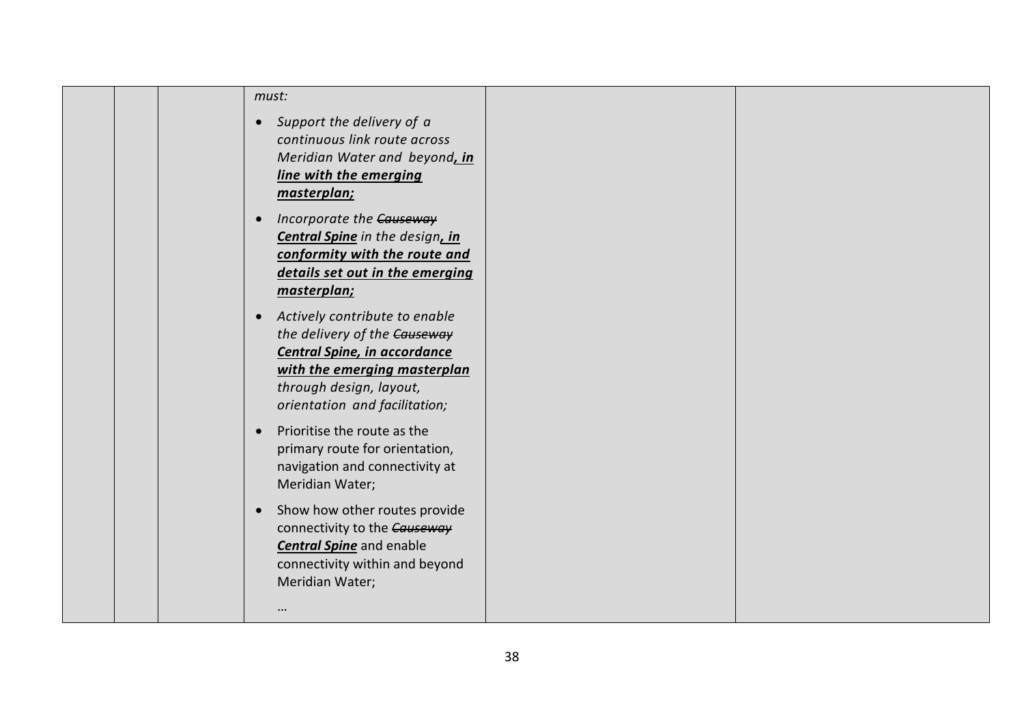|  | must:                                                                                                                                                                                                  |  |
|--|--------------------------------------------------------------------------------------------------------------------------------------------------------------------------------------------------------|--|
|  | Support the delivery of a<br>$\bullet$<br>continuous link route across<br>Meridian Water and beyond, in<br>line with the emerging<br>masterplan;                                                       |  |
|  | Incorporate the Causeway<br><b>Central Spine</b> in the design, in<br>conformity with the route and<br>details set out in the emerging<br>masterplan;                                                  |  |
|  | Actively contribute to enable<br>$\bullet$<br>the delivery of the Causeway<br>Central Spine, in accordance<br>with the emerging masterplan<br>through design, layout,<br>orientation and facilitation; |  |
|  | Prioritise the route as the<br>$\bullet$<br>primary route for orientation,<br>navigation and connectivity at<br>Meridian Water;                                                                        |  |
|  | Show how other routes provide<br>$\bullet$<br>connectivity to the Causeway<br><b>Central Spine</b> and enable<br>connectivity within and beyond<br>Meridian Water;                                     |  |
|  |                                                                                                                                                                                                        |  |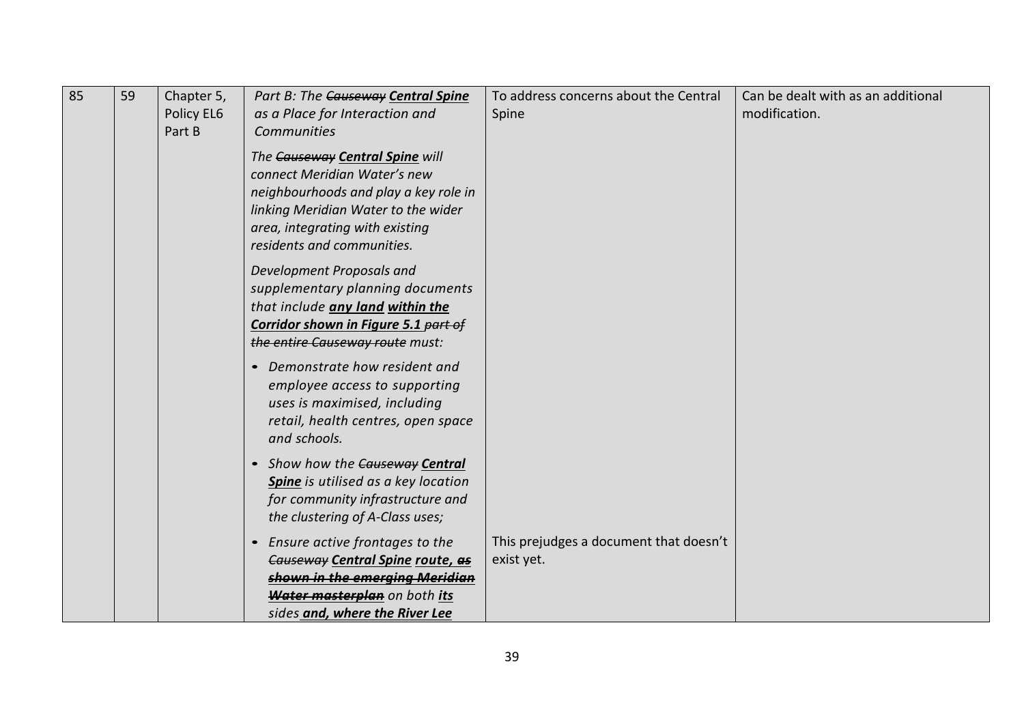| 85 | 59 | Chapter 5,<br>Policy EL6<br>Part B | Part B: The Causeway Central Spine<br>as a Place for Interaction and<br>Communities                                                                                                                              | To address concerns about the Central<br>Spine       | Can be dealt with as an additional<br>modification. |
|----|----|------------------------------------|------------------------------------------------------------------------------------------------------------------------------------------------------------------------------------------------------------------|------------------------------------------------------|-----------------------------------------------------|
|    |    |                                    | The Causeway Central Spine will<br>connect Meridian Water's new<br>neighbourhoods and play a key role in<br>linking Meridian Water to the wider<br>area, integrating with existing<br>residents and communities. |                                                      |                                                     |
|    |    |                                    | Development Proposals and<br>supplementary planning documents<br>that include any land within the<br>Corridor shown in Figure 5.1 part of<br>the entire Causeway route must:                                     |                                                      |                                                     |
|    |    |                                    | Demonstrate how resident and<br>$\bullet$<br>employee access to supporting<br>uses is maximised, including<br>retail, health centres, open space<br>and schools.                                                 |                                                      |                                                     |
|    |    |                                    | • Show how the Causeway Central<br>Spine is utilised as a key location<br>for community infrastructure and<br>the clustering of A-Class uses;                                                                    |                                                      |                                                     |
|    |    |                                    | Ensure active frontages to the<br>$\bullet$<br>Causeway Central Spine route, as<br>shown in the emerging Meridian<br>Water masterplan on both its<br>sides and, where the River Lee                              | This prejudges a document that doesn't<br>exist yet. |                                                     |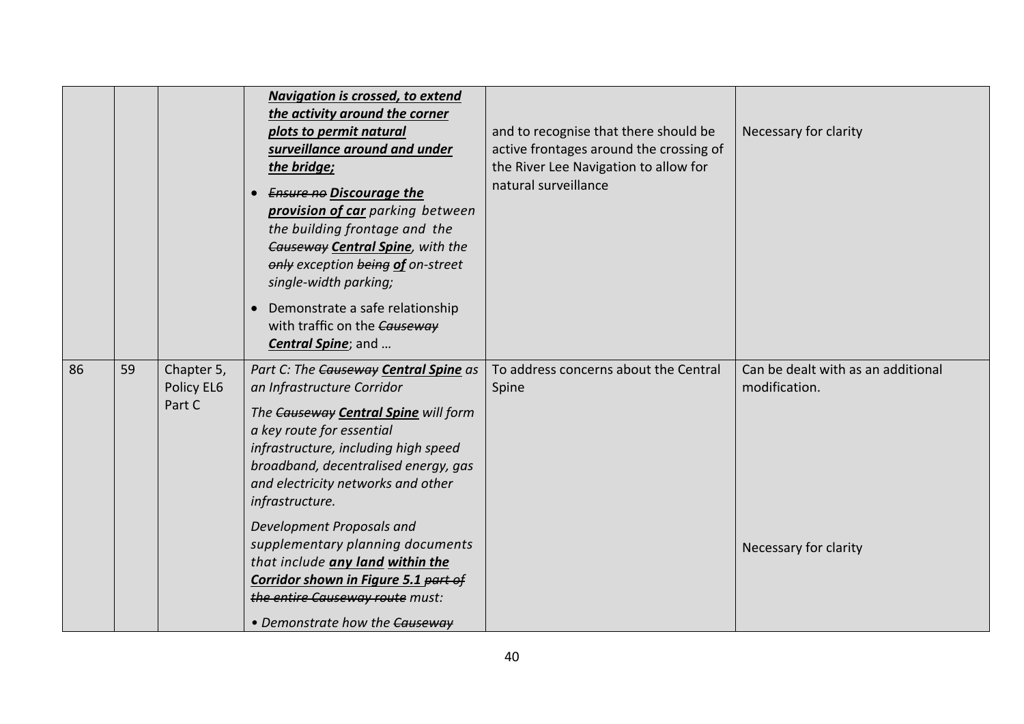|    |    |                                    | <b>Navigation is crossed, to extend</b><br>the activity around the corner<br>plots to permit natural<br>surveillance around and under<br>the bridge;<br><b>Ensure no Discourage the</b><br>provision of car parking between<br>the building frontage and the<br>Causeway Central Spine, with the<br>only exception being of on-street<br>single-width parking;<br>Demonstrate a safe relationship<br>$\bullet$<br>with traffic on the Causeway<br>Central Spine; and                                | and to recognise that there should be<br>active frontages around the crossing of<br>the River Lee Navigation to allow for<br>natural surveillance | Necessary for clarity                                                        |
|----|----|------------------------------------|-----------------------------------------------------------------------------------------------------------------------------------------------------------------------------------------------------------------------------------------------------------------------------------------------------------------------------------------------------------------------------------------------------------------------------------------------------------------------------------------------------|---------------------------------------------------------------------------------------------------------------------------------------------------|------------------------------------------------------------------------------|
| 86 | 59 | Chapter 5,<br>Policy EL6<br>Part C | Part C: The Causeway Central Spine as<br>an Infrastructure Corridor<br>The Causeway Central Spine will form<br>a key route for essential<br>infrastructure, including high speed<br>broadband, decentralised energy, gas<br>and electricity networks and other<br>infrastructure.<br>Development Proposals and<br>supplementary planning documents<br>that include any land within the<br>Corridor shown in Figure 5.1 part of<br>the entire Causeway route must:<br>• Demonstrate how the Causeway | To address concerns about the Central<br>Spine                                                                                                    | Can be dealt with as an additional<br>modification.<br>Necessary for clarity |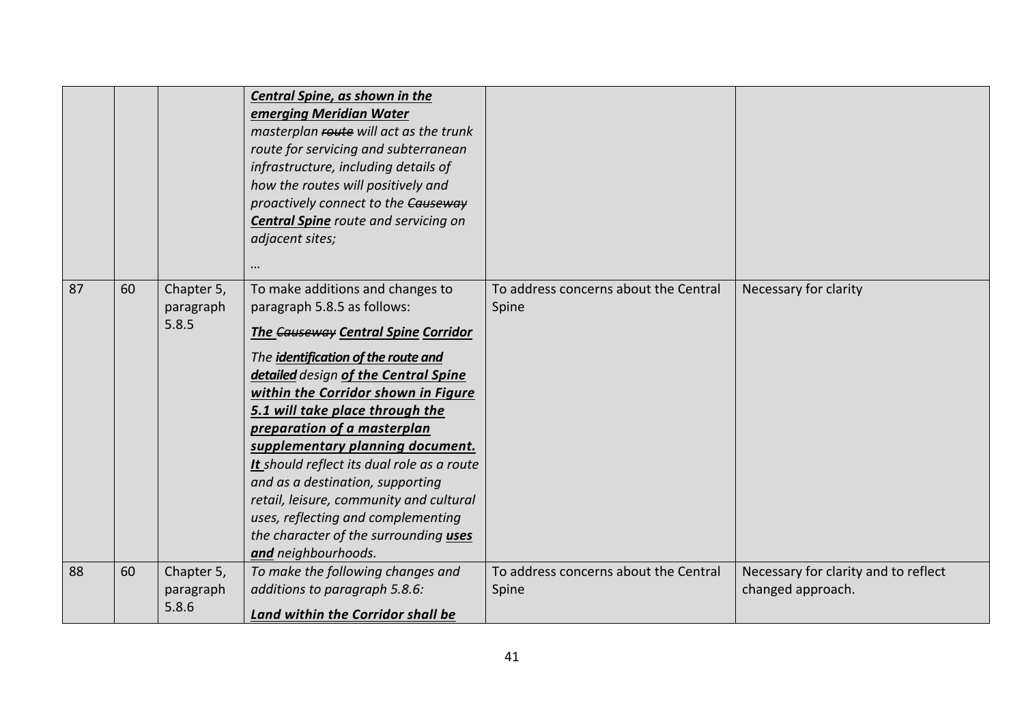|    |    |                                  | Central Spine, as shown in the<br>emerging Meridian Water<br>masterplan route will act as the trunk<br>route for servicing and subterranean<br>infrastructure, including details of<br>how the routes will positively and<br>proactively connect to the Causeway<br><b>Central Spine</b> route and servicing on<br>adjacent sites;<br>$\cdots$                                                                                                                                                                                                                               |                                                |                                                           |
|----|----|----------------------------------|------------------------------------------------------------------------------------------------------------------------------------------------------------------------------------------------------------------------------------------------------------------------------------------------------------------------------------------------------------------------------------------------------------------------------------------------------------------------------------------------------------------------------------------------------------------------------|------------------------------------------------|-----------------------------------------------------------|
| 87 | 60 | Chapter 5,<br>paragraph<br>5.8.5 | To make additions and changes to<br>paragraph 5.8.5 as follows:<br><b>The Causeway Central Spine Corridor</b><br>The identification of the route and<br>detailed design of the Central Spine<br>within the Corridor shown in Figure<br>5.1 will take place through the<br>preparation of a masterplan<br>supplementary planning document.<br>It should reflect its dual role as a route<br>and as a destination, supporting<br>retail, leisure, community and cultural<br>uses, reflecting and complementing<br>the character of the surrounding uses<br>and neighbourhoods. | To address concerns about the Central<br>Spine | Necessary for clarity                                     |
| 88 | 60 | Chapter 5,<br>paragraph<br>5.8.6 | To make the following changes and<br>additions to paragraph 5.8.6:<br>Land within the Corridor shall be                                                                                                                                                                                                                                                                                                                                                                                                                                                                      | To address concerns about the Central<br>Spine | Necessary for clarity and to reflect<br>changed approach. |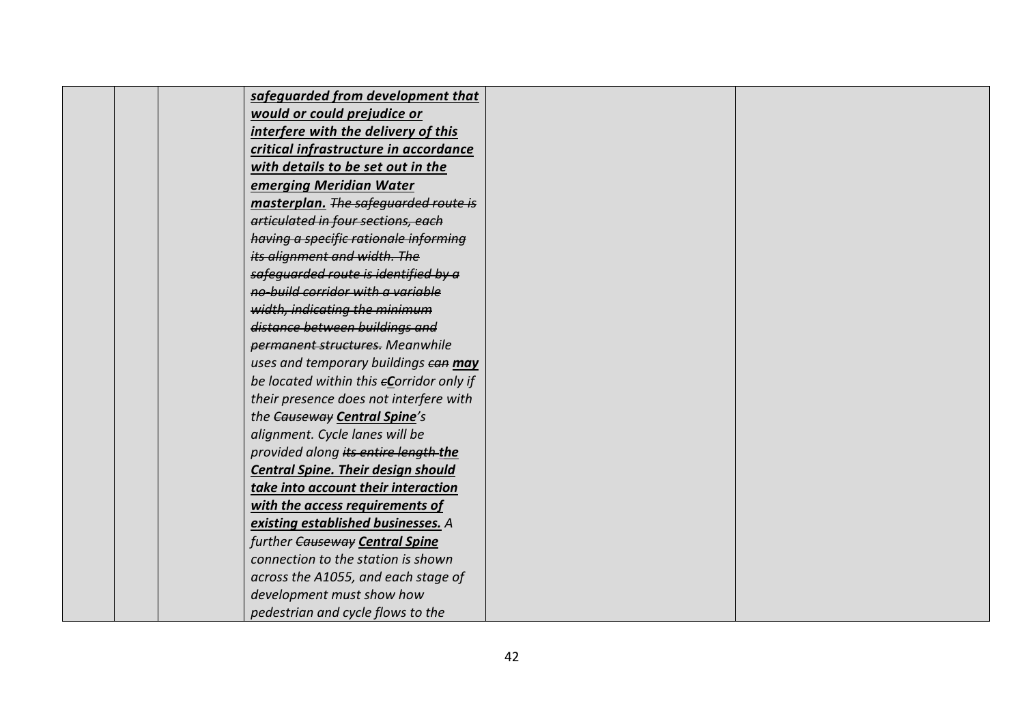|  | safeguarded from development that         |  |
|--|-------------------------------------------|--|
|  | would or could prejudice or               |  |
|  | interfere with the delivery of this       |  |
|  | critical infrastructure in accordance     |  |
|  | with details to be set out in the         |  |
|  | emerging Meridian Water                   |  |
|  | masterplan. The safequarded route is      |  |
|  | articulated in four sections, each        |  |
|  | having a specific rationale informing     |  |
|  | its alignment and width. The              |  |
|  | safeguarded route is identified by a      |  |
|  | no build corridor with a variable         |  |
|  | width, indicating the minimum             |  |
|  | distance between buildings and            |  |
|  | permanent structures. Meanwhile           |  |
|  | uses and temporary buildings ean may      |  |
|  | be located within this eCorridor only if  |  |
|  | their presence does not interfere with    |  |
|  | the Causeway Central Spine's              |  |
|  | alignment. Cycle lanes will be            |  |
|  | provided along its entire length-the      |  |
|  | <b>Central Spine. Their design should</b> |  |
|  | take into account their interaction       |  |
|  | with the access requirements of           |  |
|  | existing established businesses. A        |  |
|  | further Causeway Central Spine            |  |
|  | connection to the station is shown        |  |
|  | across the A1055, and each stage of       |  |
|  | development must show how                 |  |
|  | pedestrian and cycle flows to the         |  |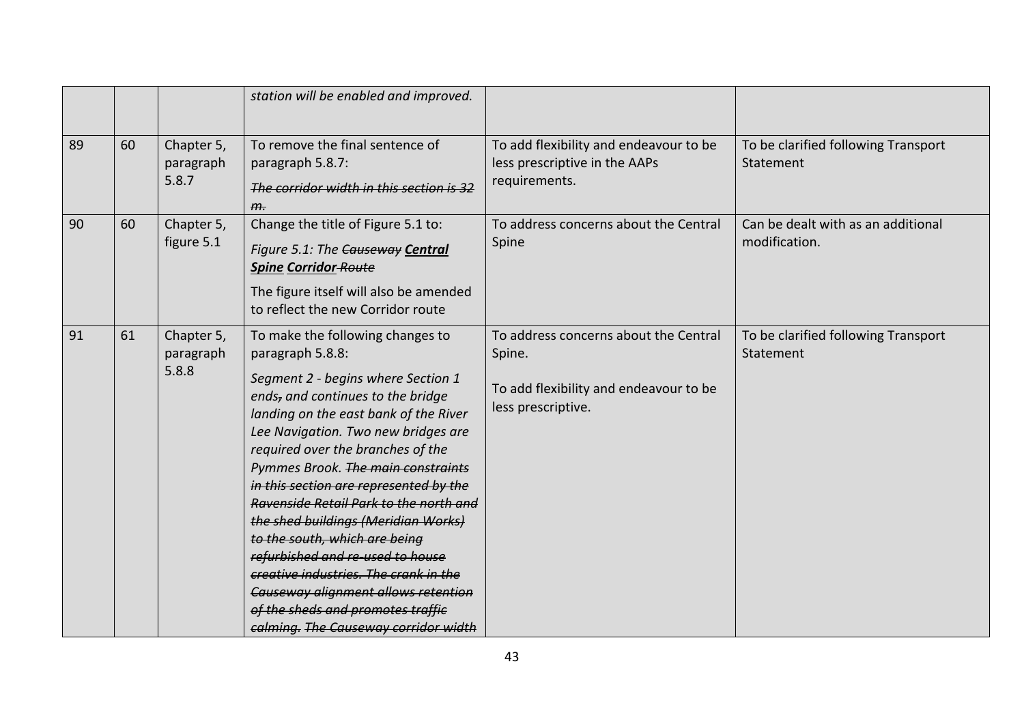|    |    |                                  | station will be enabled and improved.                                                                                                                                                                                                                                                                                                                                                                                                                                                                                                                                                                                                                          |                                                                                                                 |                                                     |
|----|----|----------------------------------|----------------------------------------------------------------------------------------------------------------------------------------------------------------------------------------------------------------------------------------------------------------------------------------------------------------------------------------------------------------------------------------------------------------------------------------------------------------------------------------------------------------------------------------------------------------------------------------------------------------------------------------------------------------|-----------------------------------------------------------------------------------------------------------------|-----------------------------------------------------|
| 89 | 60 | Chapter 5,<br>paragraph<br>5.8.7 | To remove the final sentence of<br>paragraph 5.8.7:<br>The corridor width in this section is 32<br>H <sub>1</sub>                                                                                                                                                                                                                                                                                                                                                                                                                                                                                                                                              | To add flexibility and endeavour to be<br>less prescriptive in the AAPs<br>requirements.                        | To be clarified following Transport<br>Statement    |
| 90 | 60 | Chapter 5,<br>figure 5.1         | Change the title of Figure 5.1 to:<br>Figure 5.1: The Causeway Central<br><b>Spine Corridor-Route</b><br>The figure itself will also be amended<br>to reflect the new Corridor route                                                                                                                                                                                                                                                                                                                                                                                                                                                                           | To address concerns about the Central<br>Spine                                                                  | Can be dealt with as an additional<br>modification. |
| 91 | 61 | Chapter 5,<br>paragraph<br>5.8.8 | To make the following changes to<br>paragraph 5.8.8:<br>Segment 2 - begins where Section 1<br>ends, and continues to the bridge<br>landing on the east bank of the River<br>Lee Navigation. Two new bridges are<br>required over the branches of the<br>Pymmes Brook. The main constraints<br>in this section are represented by the<br>Ravenside Retail Park to the north and<br>the shed buildings (Meridian Works)<br>to the south, which are being<br>refurbished and re-used to house<br>creative industries. The crank in the<br><b>Causeway alignment allows retention</b><br>of the sheds and promotes traffic<br>calming. The Causeway corridor width | To address concerns about the Central<br>Spine.<br>To add flexibility and endeavour to be<br>less prescriptive. | To be clarified following Transport<br>Statement    |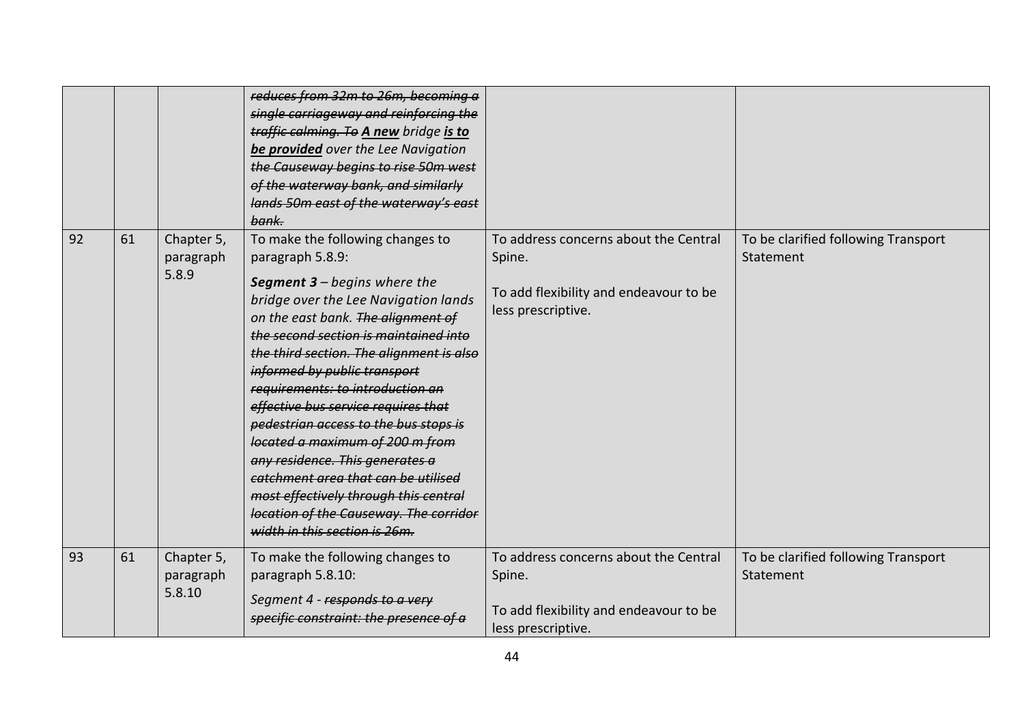|    |    |                                   | reduces from 32m to 26m, becoming a<br>single carriageway and reinforcing the<br>traffic calming. To A new bridge is to<br>be provided over the Lee Navigation<br>the Causeway begins to rise 50m west<br>of the waterway bank, and similarly<br>lands 50m east of the waterway's east<br>bank.                                                                                                                                                                                                                                                                                                                                                     |                                                                                                                 |                                                  |
|----|----|-----------------------------------|-----------------------------------------------------------------------------------------------------------------------------------------------------------------------------------------------------------------------------------------------------------------------------------------------------------------------------------------------------------------------------------------------------------------------------------------------------------------------------------------------------------------------------------------------------------------------------------------------------------------------------------------------------|-----------------------------------------------------------------------------------------------------------------|--------------------------------------------------|
| 92 | 61 | Chapter 5,<br>paragraph<br>5.8.9  | To make the following changes to<br>paragraph 5.8.9:<br><b>Segment 3</b> – begins where the<br>bridge over the Lee Navigation lands<br>on the east bank. The alignment of<br>the second section is maintained into<br>the third section. The alignment is also<br>informed by public transport<br>requirements: to introduction an<br>effective bus service requires that<br>pedestrian access to the bus stops is<br>located a maximum of 200 m from<br>any residence. This generates a<br>catchment area that can be utilised<br>most effectively through this central<br>location of the Causeway. The corridor<br>width in this section is 26m. | To address concerns about the Central<br>Spine.<br>To add flexibility and endeavour to be<br>less prescriptive. | To be clarified following Transport<br>Statement |
| 93 | 61 | Chapter 5,<br>paragraph<br>5.8.10 | To make the following changes to<br>paragraph 5.8.10:<br>Segment 4 - responds to a very<br>specific constraint: the presence of a                                                                                                                                                                                                                                                                                                                                                                                                                                                                                                                   | To address concerns about the Central<br>Spine.<br>To add flexibility and endeavour to be<br>less prescriptive. | To be clarified following Transport<br>Statement |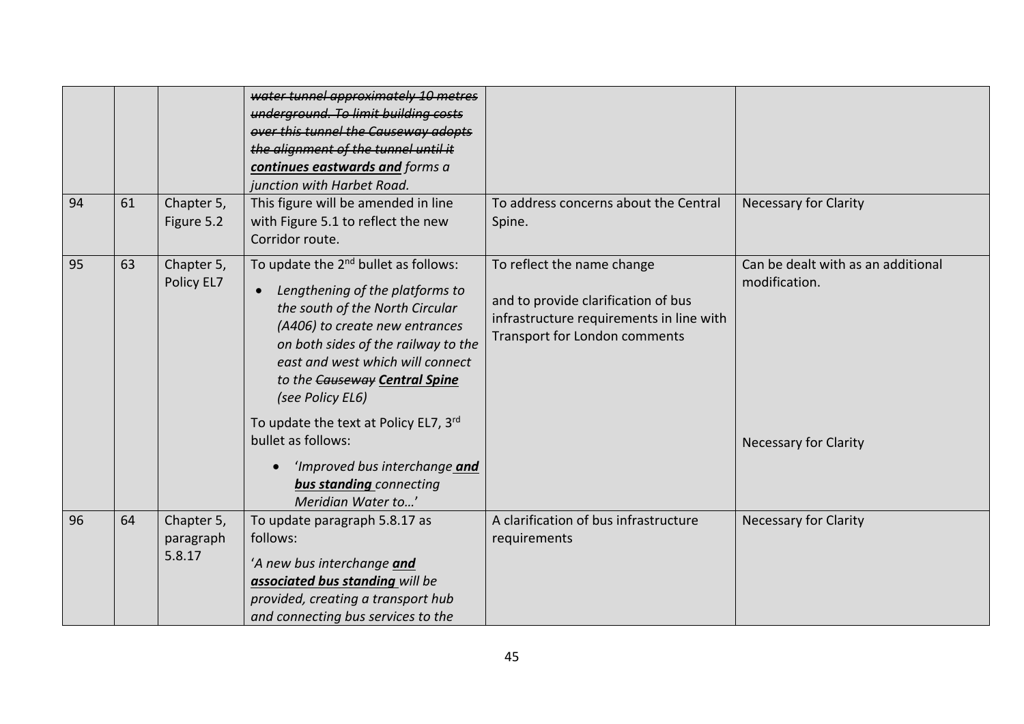| 94 | 61 | Chapter 5,<br>Figure 5.2          | water tunnel approximately 10 metres<br>underground. To limit building costs<br>over this tunnel the Causeway adopts<br>the alignment of the tunnel until it<br>continues eastwards and forms a<br>junction with Harbet Road.<br>This figure will be amended in line<br>with Figure 5.1 to reflect the new<br>Corridor route.                                                                                                             | To address concerns about the Central<br>Spine.                                                                                                | <b>Necessary for Clarity</b>                                                        |
|----|----|-----------------------------------|-------------------------------------------------------------------------------------------------------------------------------------------------------------------------------------------------------------------------------------------------------------------------------------------------------------------------------------------------------------------------------------------------------------------------------------------|------------------------------------------------------------------------------------------------------------------------------------------------|-------------------------------------------------------------------------------------|
| 95 | 63 | Chapter 5,<br>Policy EL7          | To update the 2 <sup>nd</sup> bullet as follows:<br>Lengthening of the platforms to<br>the south of the North Circular<br>(A406) to create new entrances<br>on both sides of the railway to the<br>east and west which will connect<br>to the Causeway Central Spine<br>(see Policy EL6)<br>To update the text at Policy EL7, 3rd<br>bullet as follows:<br>'Improved bus interchange and<br>bus standing connecting<br>Meridian Water to' | To reflect the name change<br>and to provide clarification of bus<br>infrastructure requirements in line with<br>Transport for London comments | Can be dealt with as an additional<br>modification.<br><b>Necessary for Clarity</b> |
| 96 | 64 | Chapter 5,<br>paragraph<br>5.8.17 | To update paragraph 5.8.17 as<br>follows:<br>'A new bus interchange and<br>associated bus standing will be<br>provided, creating a transport hub<br>and connecting bus services to the                                                                                                                                                                                                                                                    | A clarification of bus infrastructure<br>requirements                                                                                          | <b>Necessary for Clarity</b>                                                        |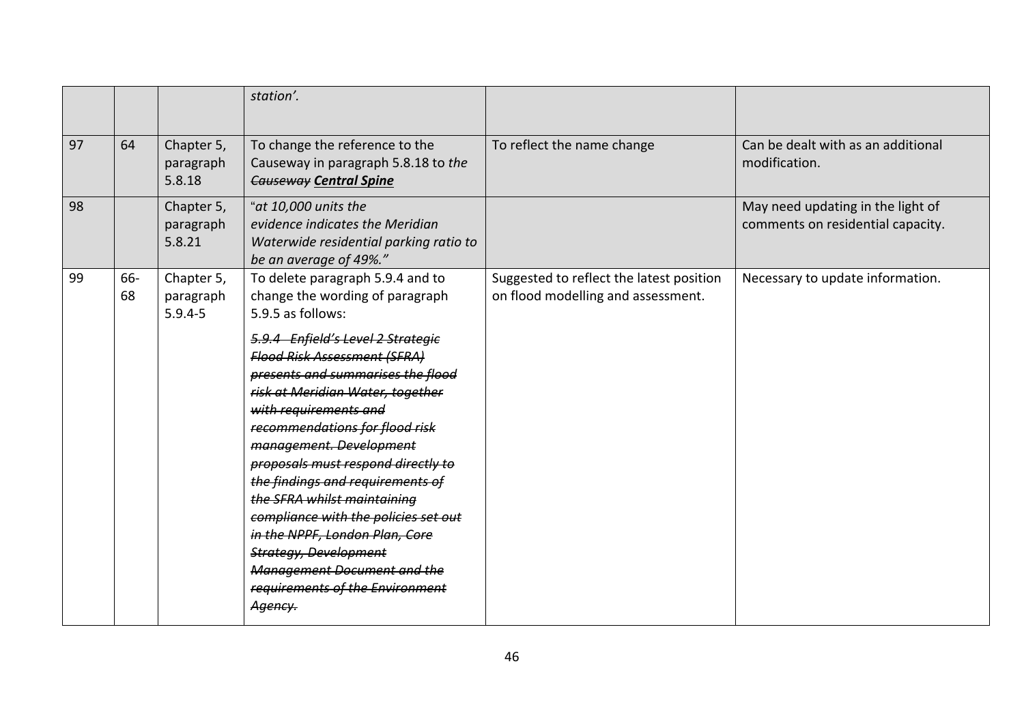|    |           |                                        | station'.                                                                                                                                                                                                                                                                                                                                                                                                                                                                                                                                                                                                                                  |                                                                                |                                                                        |
|----|-----------|----------------------------------------|--------------------------------------------------------------------------------------------------------------------------------------------------------------------------------------------------------------------------------------------------------------------------------------------------------------------------------------------------------------------------------------------------------------------------------------------------------------------------------------------------------------------------------------------------------------------------------------------------------------------------------------------|--------------------------------------------------------------------------------|------------------------------------------------------------------------|
| 97 | 64        | Chapter 5,<br>paragraph<br>5.8.18      | To change the reference to the<br>Causeway in paragraph 5.8.18 to the<br><b>Causeway Central Spine</b>                                                                                                                                                                                                                                                                                                                                                                                                                                                                                                                                     | To reflect the name change                                                     | Can be dealt with as an additional<br>modification.                    |
| 98 |           | Chapter 5,<br>paragraph<br>5.8.21      | "at 10,000 units the<br>evidence indicates the Meridian<br>Waterwide residential parking ratio to<br>be an average of 49%."                                                                                                                                                                                                                                                                                                                                                                                                                                                                                                                |                                                                                | May need updating in the light of<br>comments on residential capacity. |
| 99 | 66-<br>68 | Chapter 5,<br>paragraph<br>$5.9.4 - 5$ | To delete paragraph 5.9.4 and to<br>change the wording of paragraph<br>5.9.5 as follows:<br>5.9.4 Enfield's Level 2 Strategie<br><b>Flood Risk Assessment (SFRA)</b><br>presents and summarises the flood<br>risk at Meridian Water, together<br>with requirements and<br>recommendations for flood risk<br>management. Development<br>proposals must respond directly to<br>the findings and requirements of<br>the SFRA whilst maintaining<br>compliance with the policies set out<br>in the NPPF, London Plan, Core<br><b>Strategy, Development</b><br><b>Management Document and the</b><br>requirements of the Environment<br>Agency. | Suggested to reflect the latest position<br>on flood modelling and assessment. | Necessary to update information.                                       |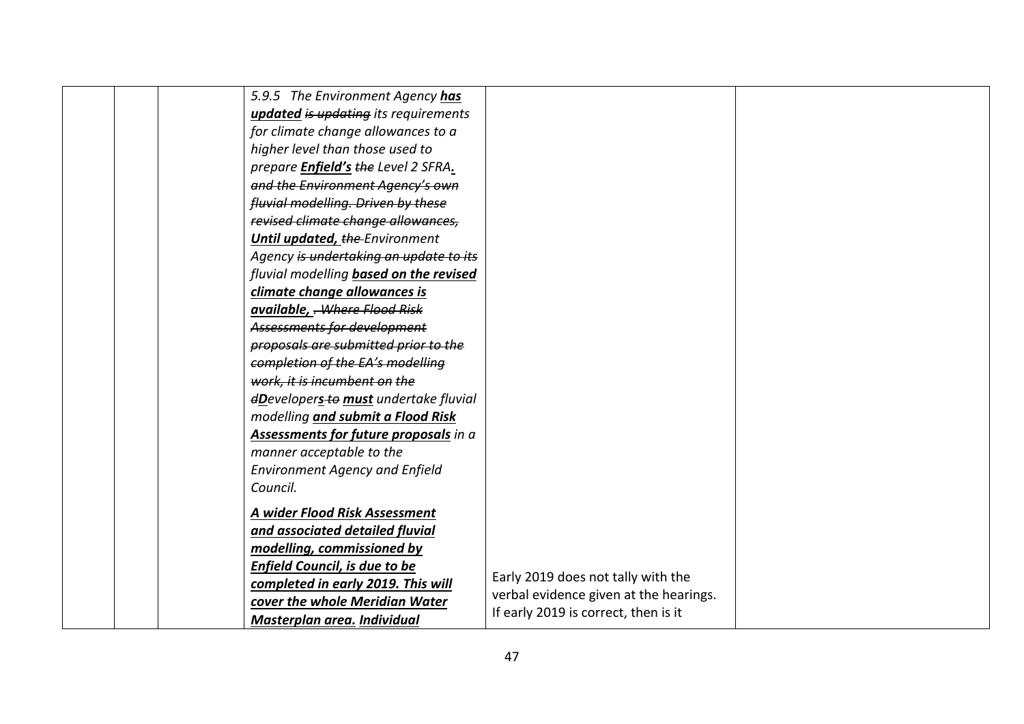|                                      | 5.9.5 The Environment Agency has              |                                        |  |
|--------------------------------------|-----------------------------------------------|----------------------------------------|--|
|                                      | <b>updated is updating its requirements</b>   |                                        |  |
|                                      | for climate change allowances to a            |                                        |  |
| higher level than those used to      |                                               |                                        |  |
|                                      | prepare <b>Enfield's</b> the Level 2 SFRA.    |                                        |  |
|                                      | and the Environment Agency's own              |                                        |  |
|                                      | fluvial modelling. Driven by these            |                                        |  |
|                                      | revised climate change allowances,            |                                        |  |
|                                      | Until updated, the Environment                |                                        |  |
|                                      | Agency is undertaking an update to its        |                                        |  |
|                                      | fluvial modelling <b>based on the revised</b> |                                        |  |
| climate change allowances is         |                                               |                                        |  |
| available, - Where Flood Risk        |                                               |                                        |  |
| Assessments for development          |                                               |                                        |  |
|                                      | proposals are submitted prior to the          |                                        |  |
|                                      | completion of the EA's modelling              |                                        |  |
| work, it is incumbent on the         |                                               |                                        |  |
|                                      | dDevelopers-to must undertake fluvial         |                                        |  |
|                                      | modelling and submit a Flood Risk             |                                        |  |
|                                      | Assessments for future proposals in a         |                                        |  |
| manner acceptable to the             |                                               |                                        |  |
|                                      | <b>Environment Agency and Enfield</b>         |                                        |  |
| Council.                             |                                               |                                        |  |
| A wider Flood Risk Assessment        |                                               |                                        |  |
| and associated detailed fluvial      |                                               |                                        |  |
| modelling, commissioned by           |                                               |                                        |  |
| <b>Enfield Council, is due to be</b> |                                               |                                        |  |
|                                      | completed in early 2019. This will            | Early 2019 does not tally with the     |  |
|                                      | cover the whole Meridian Water                | verbal evidence given at the hearings. |  |
| Masterplan area. Individual          |                                               | If early 2019 is correct, then is it   |  |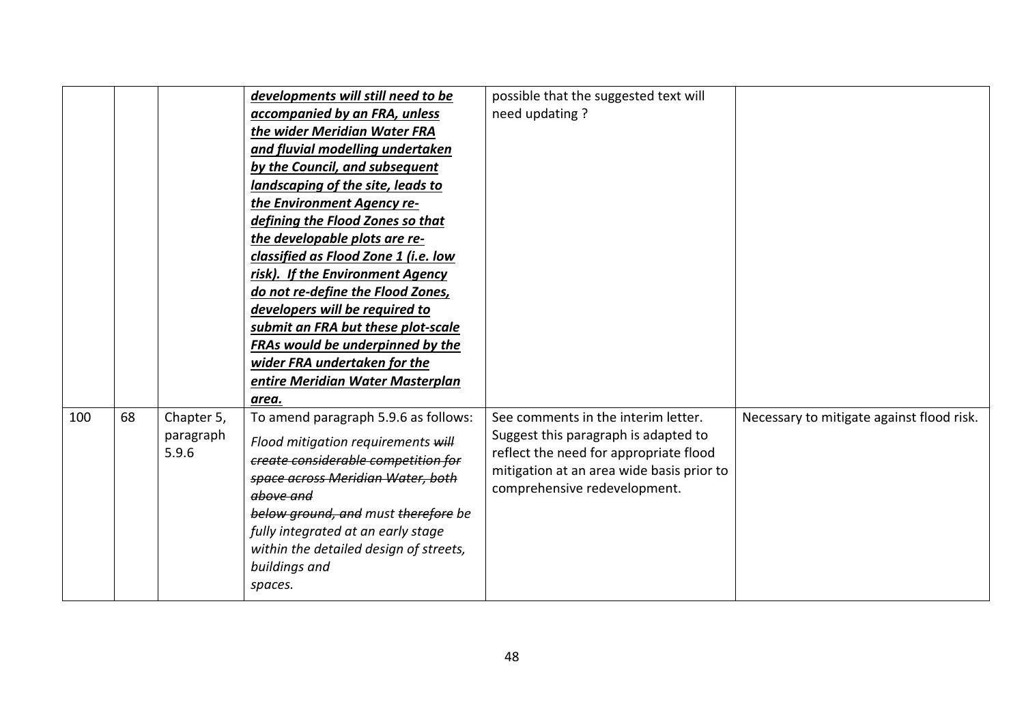|     |    |            | developments will still need to be     | possible that the suggested text will     |                                           |
|-----|----|------------|----------------------------------------|-------------------------------------------|-------------------------------------------|
|     |    |            | accompanied by an FRA, unless          | need updating?                            |                                           |
|     |    |            | the wider Meridian Water FRA           |                                           |                                           |
|     |    |            | and fluvial modelling undertaken       |                                           |                                           |
|     |    |            | by the Council, and subsequent         |                                           |                                           |
|     |    |            | landscaping of the site, leads to      |                                           |                                           |
|     |    |            | the Environment Agency re-             |                                           |                                           |
|     |    |            | defining the Flood Zones so that       |                                           |                                           |
|     |    |            | the developable plots are re-          |                                           |                                           |
|     |    |            | classified as Flood Zone 1 (i.e. low   |                                           |                                           |
|     |    |            | risk). If the Environment Agency       |                                           |                                           |
|     |    |            | do not re-define the Flood Zones,      |                                           |                                           |
|     |    |            | developers will be required to         |                                           |                                           |
|     |    |            | submit an FRA but these plot-scale     |                                           |                                           |
|     |    |            | FRAs would be underpinned by the       |                                           |                                           |
|     |    |            | wider FRA undertaken for the           |                                           |                                           |
|     |    |            | entire Meridian Water Masterplan       |                                           |                                           |
|     |    |            | area.                                  |                                           |                                           |
| 100 | 68 | Chapter 5, | To amend paragraph 5.9.6 as follows:   | See comments in the interim letter.       | Necessary to mitigate against flood risk. |
|     |    | paragraph  | Flood mitigation requirements will     | Suggest this paragraph is adapted to      |                                           |
|     |    | 5.9.6      | create considerable competition for    | reflect the need for appropriate flood    |                                           |
|     |    |            | space across Meridian Water, both      | mitigation at an area wide basis prior to |                                           |
|     |    |            | above and                              | comprehensive redevelopment.              |                                           |
|     |    |            | below ground, and must therefore be    |                                           |                                           |
|     |    |            | fully integrated at an early stage     |                                           |                                           |
|     |    |            | within the detailed design of streets, |                                           |                                           |
|     |    |            | buildings and                          |                                           |                                           |
|     |    |            | spaces.                                |                                           |                                           |
|     |    |            |                                        |                                           |                                           |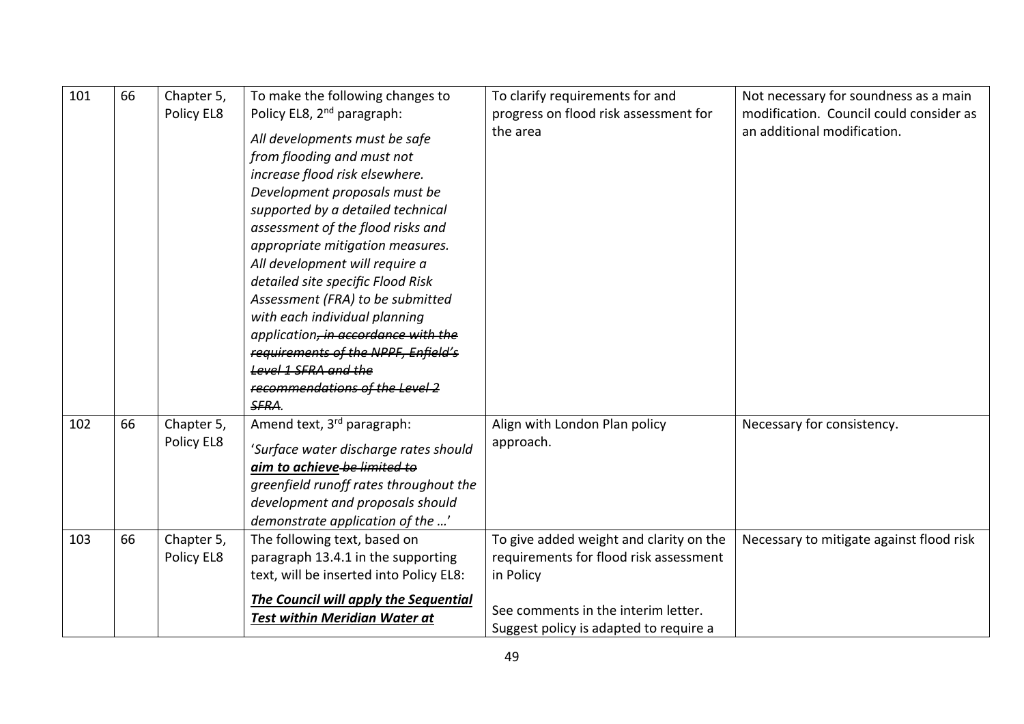| 101 | 66 | Chapter 5,<br>Policy EL8 | To make the following changes to<br>Policy EL8, 2 <sup>nd</sup> paragraph:<br>All developments must be safe<br>from flooding and must not<br>increase flood risk elsewhere.<br>Development proposals must be<br>supported by a detailed technical<br>assessment of the flood risks and<br>appropriate mitigation measures.<br>All development will require a<br>detailed site specific Flood Risk<br>Assessment (FRA) to be submitted<br>with each individual planning<br>application, in accordance with the<br>requirements of the NPPF, Enfield's<br>Level 1 SFRA and the<br>recommendations of the Level 2 | To clarify requirements for and<br>progress on flood risk assessment for<br>the area                                                                                            | Not necessary for soundness as a main<br>modification. Council could consider as<br>an additional modification. |
|-----|----|--------------------------|----------------------------------------------------------------------------------------------------------------------------------------------------------------------------------------------------------------------------------------------------------------------------------------------------------------------------------------------------------------------------------------------------------------------------------------------------------------------------------------------------------------------------------------------------------------------------------------------------------------|---------------------------------------------------------------------------------------------------------------------------------------------------------------------------------|-----------------------------------------------------------------------------------------------------------------|
| 102 | 66 | Chapter 5,<br>Policy EL8 | SFRA.<br>Amend text, 3 <sup>rd</sup> paragraph:<br>'Surface water discharge rates should<br>aim to achieve-be-limited to<br>greenfield runoff rates throughout the<br>development and proposals should<br>demonstrate application of the '                                                                                                                                                                                                                                                                                                                                                                     | Align with London Plan policy<br>approach.                                                                                                                                      | Necessary for consistency.                                                                                      |
| 103 | 66 | Chapter 5,<br>Policy EL8 | The following text, based on<br>paragraph 13.4.1 in the supporting<br>text, will be inserted into Policy EL8:<br>The Council will apply the Sequential<br><b>Test within Meridian Water at</b>                                                                                                                                                                                                                                                                                                                                                                                                                 | To give added weight and clarity on the<br>requirements for flood risk assessment<br>in Policy<br>See comments in the interim letter.<br>Suggest policy is adapted to require a | Necessary to mitigate against flood risk                                                                        |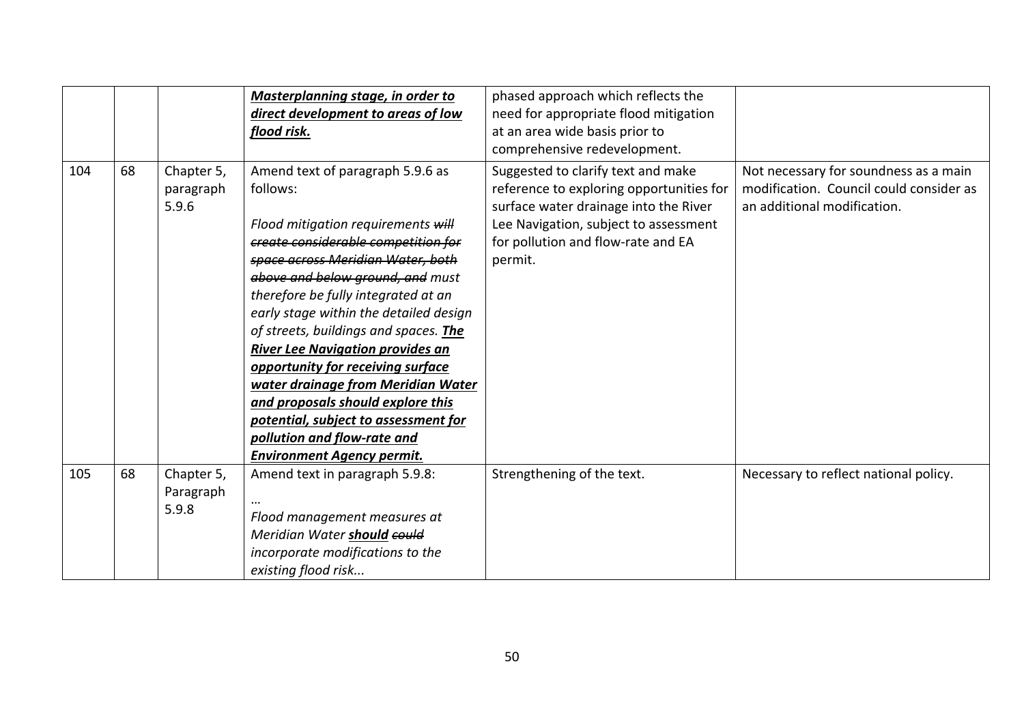|     |    |                                  | Masterplanning stage, in order to                                                                                                                                                                                                                                                                                                                                                                                                                                                                                                                                                                   | phased approach which reflects the                                                                                                                                                                                |                                                                                                                 |
|-----|----|----------------------------------|-----------------------------------------------------------------------------------------------------------------------------------------------------------------------------------------------------------------------------------------------------------------------------------------------------------------------------------------------------------------------------------------------------------------------------------------------------------------------------------------------------------------------------------------------------------------------------------------------------|-------------------------------------------------------------------------------------------------------------------------------------------------------------------------------------------------------------------|-----------------------------------------------------------------------------------------------------------------|
|     |    |                                  | direct development to areas of low                                                                                                                                                                                                                                                                                                                                                                                                                                                                                                                                                                  | need for appropriate flood mitigation                                                                                                                                                                             |                                                                                                                 |
|     |    |                                  | flood risk.                                                                                                                                                                                                                                                                                                                                                                                                                                                                                                                                                                                         | at an area wide basis prior to                                                                                                                                                                                    |                                                                                                                 |
|     |    |                                  |                                                                                                                                                                                                                                                                                                                                                                                                                                                                                                                                                                                                     | comprehensive redevelopment.                                                                                                                                                                                      |                                                                                                                 |
| 104 | 68 | Chapter 5,<br>paragraph<br>5.9.6 | Amend text of paragraph 5.9.6 as<br>follows:<br>Flood mitigation requirements will<br>create considerable competition for<br>space across Meridian Water, both<br>above and below ground, and must<br>therefore be fully integrated at an<br>early stage within the detailed design<br>of streets, buildings and spaces. The<br><b>River Lee Navigation provides an</b><br>opportunity for receiving surface<br>water drainage from Meridian Water<br>and proposals should explore this<br>potential, subject to assessment for<br>pollution and flow-rate and<br><b>Environment Agency permit.</b> | Suggested to clarify text and make<br>reference to exploring opportunities for<br>surface water drainage into the River<br>Lee Navigation, subject to assessment<br>for pollution and flow-rate and EA<br>permit. | Not necessary for soundness as a main<br>modification. Council could consider as<br>an additional modification. |
| 105 | 68 | Chapter 5,<br>Paragraph<br>5.9.8 | Amend text in paragraph 5.9.8:<br>Flood management measures at<br>Meridian Water should could<br>incorporate modifications to the<br>existing flood risk                                                                                                                                                                                                                                                                                                                                                                                                                                            | Strengthening of the text.                                                                                                                                                                                        | Necessary to reflect national policy.                                                                           |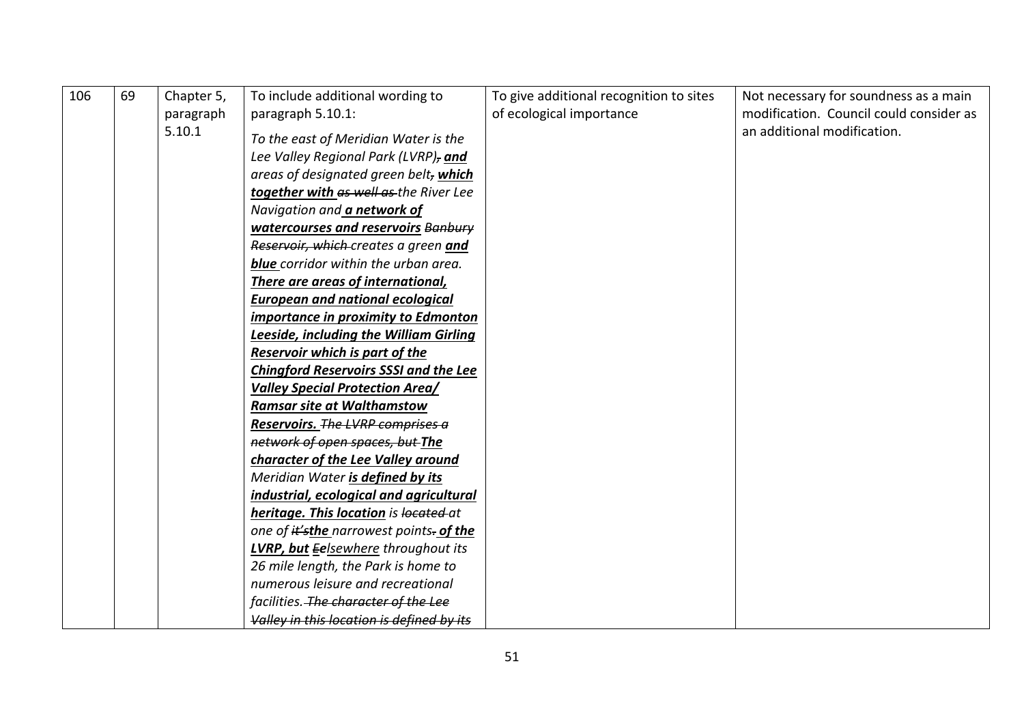| 106 | 69 | Chapter 5,<br>paragraph | To include additional wording to<br>paragraph 5.10.1:                                                                 | To give additional recognition to sites<br>of ecological importance | Not necessary for soundness as a main<br>modification. Council could consider as |
|-----|----|-------------------------|-----------------------------------------------------------------------------------------------------------------------|---------------------------------------------------------------------|----------------------------------------------------------------------------------|
|     |    | 5.10.1                  | To the east of Meridian Water is the<br>Lee Valley Regional Park (LVRP), and<br>areas of designated green belt, which |                                                                     | an additional modification.                                                      |
|     |    |                         | together with as well as the River Lee                                                                                |                                                                     |                                                                                  |
|     |    |                         | Navigation and a network of                                                                                           |                                                                     |                                                                                  |
|     |    |                         | watercourses and reservoirs Banbury                                                                                   |                                                                     |                                                                                  |
|     |    |                         | Reservoir, which creates a green and                                                                                  |                                                                     |                                                                                  |
|     |    |                         | <b>blue</b> corridor within the urban area.                                                                           |                                                                     |                                                                                  |
|     |    |                         | There are areas of international,                                                                                     |                                                                     |                                                                                  |
|     |    |                         | <b>European and national ecological</b>                                                                               |                                                                     |                                                                                  |
|     |    |                         | importance in proximity to Edmonton                                                                                   |                                                                     |                                                                                  |
|     |    |                         | Leeside, including the William Girling                                                                                |                                                                     |                                                                                  |
|     |    |                         | Reservoir which is part of the                                                                                        |                                                                     |                                                                                  |
|     |    |                         | <b>Chingford Reservoirs SSSI and the Lee</b>                                                                          |                                                                     |                                                                                  |
|     |    |                         | <b>Valley Special Protection Area/</b>                                                                                |                                                                     |                                                                                  |
|     |    |                         | <b>Ramsar site at Walthamstow</b>                                                                                     |                                                                     |                                                                                  |
|     |    |                         | Reservoirs. The LVRP comprises a                                                                                      |                                                                     |                                                                                  |
|     |    |                         | network of open spaces, but The                                                                                       |                                                                     |                                                                                  |
|     |    |                         | character of the Lee Valley around                                                                                    |                                                                     |                                                                                  |
|     |    |                         | Meridian Water is defined by its                                                                                      |                                                                     |                                                                                  |
|     |    |                         | industrial, ecological and agricultural                                                                               |                                                                     |                                                                                  |
|     |    |                         | heritage. This location is located at                                                                                 |                                                                     |                                                                                  |
|     |    |                         | one of it'sthe narrowest points- of the                                                                               |                                                                     |                                                                                  |
|     |    |                         | LVRP, but Eelsewhere throughout its                                                                                   |                                                                     |                                                                                  |
|     |    |                         | 26 mile length, the Park is home to                                                                                   |                                                                     |                                                                                  |
|     |    |                         | numerous leisure and recreational                                                                                     |                                                                     |                                                                                  |
|     |    |                         | facilities. The character of the Lee                                                                                  |                                                                     |                                                                                  |
|     |    |                         | Valley in this location is defined by its                                                                             |                                                                     |                                                                                  |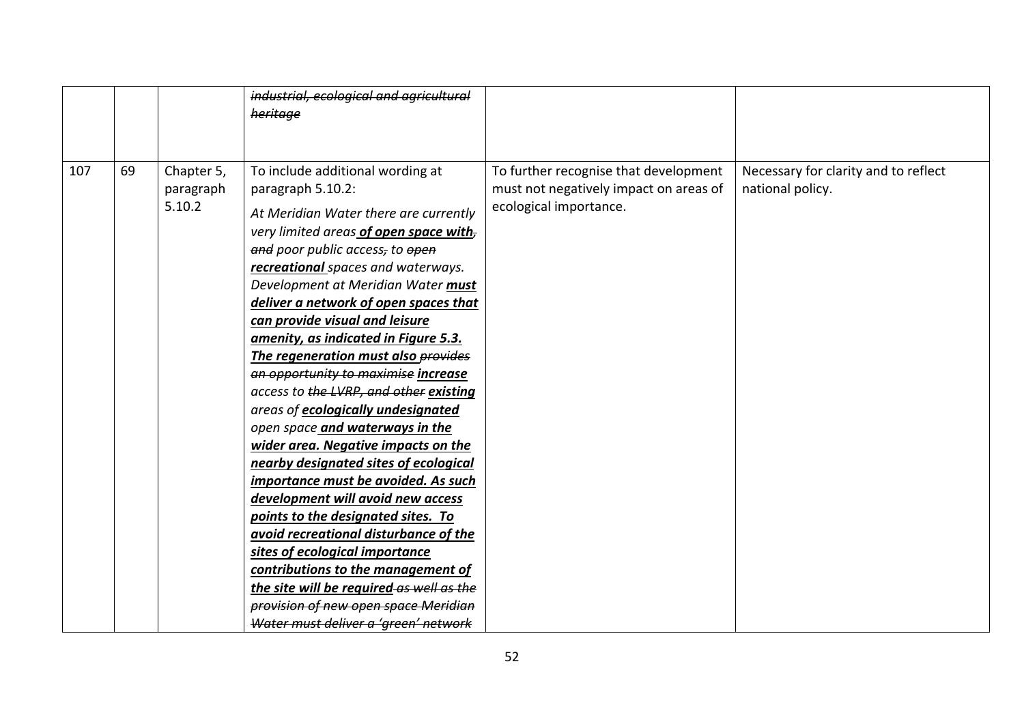|     |    |                                   | industrial, ecological and agricultural<br>heritage                                                                                                                                                                                                                                                                                                                                                                                                                                                                                                                                                                                                                                                                                                                                                                                                                                                                                                                                                                        |                                                                                                           |                                                          |
|-----|----|-----------------------------------|----------------------------------------------------------------------------------------------------------------------------------------------------------------------------------------------------------------------------------------------------------------------------------------------------------------------------------------------------------------------------------------------------------------------------------------------------------------------------------------------------------------------------------------------------------------------------------------------------------------------------------------------------------------------------------------------------------------------------------------------------------------------------------------------------------------------------------------------------------------------------------------------------------------------------------------------------------------------------------------------------------------------------|-----------------------------------------------------------------------------------------------------------|----------------------------------------------------------|
| 107 | 69 | Chapter 5,<br>paragraph<br>5.10.2 | To include additional wording at<br>paragraph 5.10.2:<br>At Meridian Water there are currently<br>very limited areas of open space with-<br>and poor public access, to open<br>recreational spaces and waterways.<br>Development at Meridian Water must<br>deliver a network of open spaces that<br>can provide visual and leisure<br>amenity, as indicated in Figure 5.3.<br>The regeneration must also provides<br>an opportunity to maximise increase<br>access to the LVRP, and other existing<br>areas of ecologically undesignated<br>open space and waterways in the<br>wider area. Negative impacts on the<br>nearby designated sites of ecological<br>importance must be avoided. As such<br>development will avoid new access<br>points to the designated sites. To<br>avoid recreational disturbance of the<br>sites of ecological importance<br>contributions to the management of<br>the site will be required as well as the<br>provision of new open space Meridian<br>Water must deliver a 'green' network | To further recognise that development<br>must not negatively impact on areas of<br>ecological importance. | Necessary for clarity and to reflect<br>national policy. |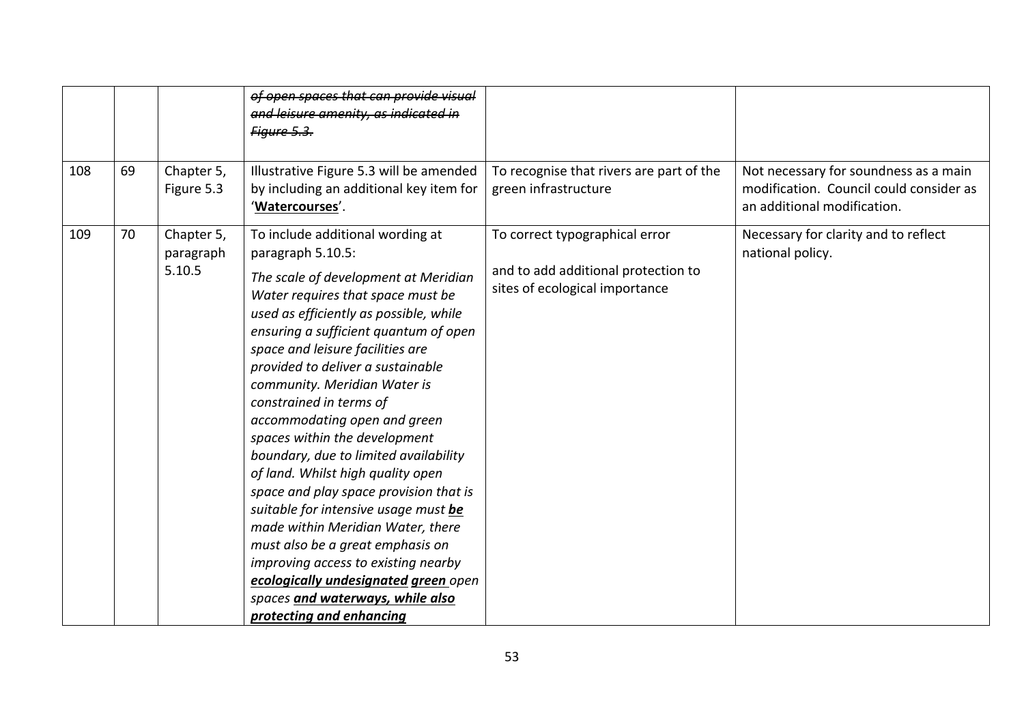| 108 | 69 | Chapter 5,<br>Figure 5.3          | of open spaces that can provide visual<br>and leisure amenity, as indicated in<br>Figure 5.3.<br>Illustrative Figure 5.3 will be amended<br>by including an additional key item for                                                                                                                                                                                                                                                                                                                                                                                                                                                                                                                                                                                                    | To recognise that rivers are part of the<br>green infrastructure                                        | Not necessary for soundness as a main<br>modification. Council could consider as |
|-----|----|-----------------------------------|----------------------------------------------------------------------------------------------------------------------------------------------------------------------------------------------------------------------------------------------------------------------------------------------------------------------------------------------------------------------------------------------------------------------------------------------------------------------------------------------------------------------------------------------------------------------------------------------------------------------------------------------------------------------------------------------------------------------------------------------------------------------------------------|---------------------------------------------------------------------------------------------------------|----------------------------------------------------------------------------------|
|     |    |                                   | 'Watercourses'.                                                                                                                                                                                                                                                                                                                                                                                                                                                                                                                                                                                                                                                                                                                                                                        |                                                                                                         | an additional modification.                                                      |
| 109 | 70 | Chapter 5,<br>paragraph<br>5.10.5 | To include additional wording at<br>paragraph 5.10.5:<br>The scale of development at Meridian<br>Water requires that space must be<br>used as efficiently as possible, while<br>ensuring a sufficient quantum of open<br>space and leisure facilities are<br>provided to deliver a sustainable<br>community. Meridian Water is<br>constrained in terms of<br>accommodating open and green<br>spaces within the development<br>boundary, due to limited availability<br>of land. Whilst high quality open<br>space and play space provision that is<br>suitable for intensive usage must be<br>made within Meridian Water, there<br>must also be a great emphasis on<br>improving access to existing nearby<br>ecologically undesignated green open<br>spaces and waterways, while also | To correct typographical error<br>and to add additional protection to<br>sites of ecological importance | Necessary for clarity and to reflect<br>national policy.                         |
|     |    |                                   | protecting and enhancing                                                                                                                                                                                                                                                                                                                                                                                                                                                                                                                                                                                                                                                                                                                                                               |                                                                                                         |                                                                                  |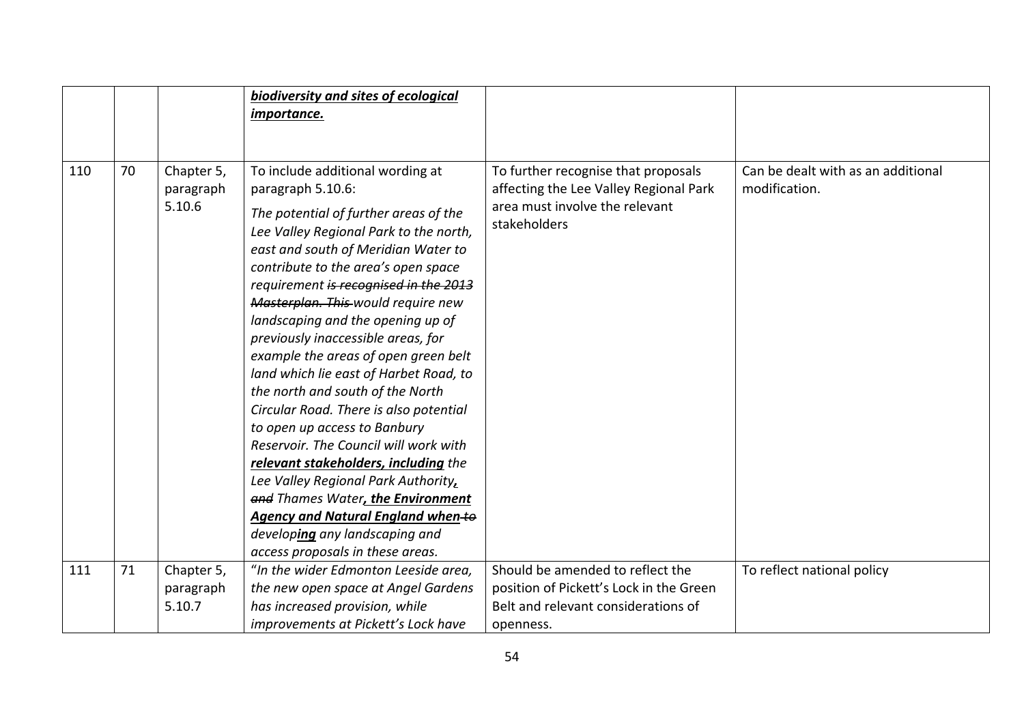|     |    |                                   | biodiversity and sites of ecological                                                                                                                                                                                                                                                                                                                                                                                                                                                                                                                                                                                                                                                                                                                                                                                                                      |                                                                                                                                 |                                                     |
|-----|----|-----------------------------------|-----------------------------------------------------------------------------------------------------------------------------------------------------------------------------------------------------------------------------------------------------------------------------------------------------------------------------------------------------------------------------------------------------------------------------------------------------------------------------------------------------------------------------------------------------------------------------------------------------------------------------------------------------------------------------------------------------------------------------------------------------------------------------------------------------------------------------------------------------------|---------------------------------------------------------------------------------------------------------------------------------|-----------------------------------------------------|
|     |    |                                   | <i>importance.</i>                                                                                                                                                                                                                                                                                                                                                                                                                                                                                                                                                                                                                                                                                                                                                                                                                                        |                                                                                                                                 |                                                     |
|     |    |                                   |                                                                                                                                                                                                                                                                                                                                                                                                                                                                                                                                                                                                                                                                                                                                                                                                                                                           |                                                                                                                                 |                                                     |
| 110 | 70 | Chapter 5,<br>paragraph<br>5.10.6 | To include additional wording at<br>paragraph 5.10.6:<br>The potential of further areas of the<br>Lee Valley Regional Park to the north,<br>east and south of Meridian Water to<br>contribute to the area's open space<br>requirement is recognised in the 2013<br>Masterplan. This would require new<br>landscaping and the opening up of<br>previously inaccessible areas, for<br>example the areas of open green belt<br>land which lie east of Harbet Road, to<br>the north and south of the North<br>Circular Road. There is also potential<br>to open up access to Banbury<br>Reservoir. The Council will work with<br>relevant stakeholders, including the<br>Lee Valley Regional Park Authority,<br>and Thames Water, the Environment<br>Agency and Natural England when-to<br>developing any landscaping and<br>access proposals in these areas. | To further recognise that proposals<br>affecting the Lee Valley Regional Park<br>area must involve the relevant<br>stakeholders | Can be dealt with as an additional<br>modification. |
| 111 | 71 | Chapter 5,                        | "In the wider Edmonton Leeside area,                                                                                                                                                                                                                                                                                                                                                                                                                                                                                                                                                                                                                                                                                                                                                                                                                      | Should be amended to reflect the                                                                                                | To reflect national policy                          |
|     |    | paragraph                         | the new open space at Angel Gardens                                                                                                                                                                                                                                                                                                                                                                                                                                                                                                                                                                                                                                                                                                                                                                                                                       | position of Pickett's Lock in the Green                                                                                         |                                                     |
|     |    | 5.10.7                            | has increased provision, while                                                                                                                                                                                                                                                                                                                                                                                                                                                                                                                                                                                                                                                                                                                                                                                                                            | Belt and relevant considerations of                                                                                             |                                                     |
|     |    |                                   | improvements at Pickett's Lock have                                                                                                                                                                                                                                                                                                                                                                                                                                                                                                                                                                                                                                                                                                                                                                                                                       | openness.                                                                                                                       |                                                     |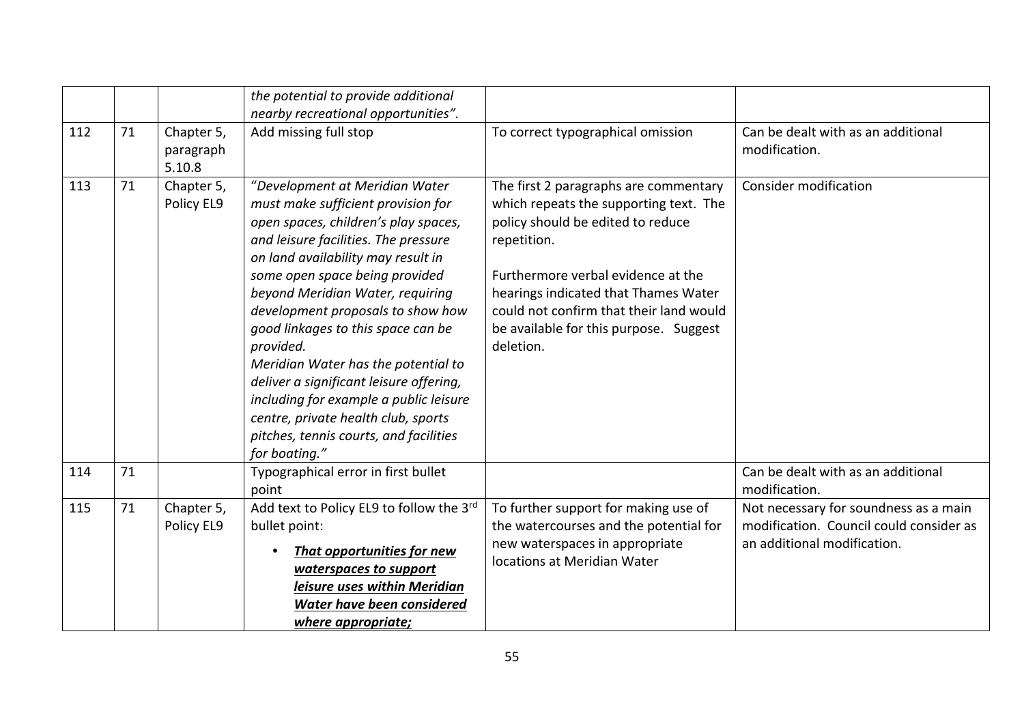|     |    |                                   | the potential to provide additional<br>nearby recreational opportunities".                                                                                                                                                                                                                                                                                                                                                                                                                                                                                                             |                                                                                                                                                                                                                                                                                                                     |                                                                                                                 |
|-----|----|-----------------------------------|----------------------------------------------------------------------------------------------------------------------------------------------------------------------------------------------------------------------------------------------------------------------------------------------------------------------------------------------------------------------------------------------------------------------------------------------------------------------------------------------------------------------------------------------------------------------------------------|---------------------------------------------------------------------------------------------------------------------------------------------------------------------------------------------------------------------------------------------------------------------------------------------------------------------|-----------------------------------------------------------------------------------------------------------------|
| 112 | 71 | Chapter 5,<br>paragraph<br>5.10.8 | Add missing full stop                                                                                                                                                                                                                                                                                                                                                                                                                                                                                                                                                                  | To correct typographical omission                                                                                                                                                                                                                                                                                   | Can be dealt with as an additional<br>modification.                                                             |
| 113 | 71 | Chapter 5,<br>Policy EL9          | "Development at Meridian Water<br>must make sufficient provision for<br>open spaces, children's play spaces,<br>and leisure facilities. The pressure<br>on land availability may result in<br>some open space being provided<br>beyond Meridian Water, requiring<br>development proposals to show how<br>good linkages to this space can be<br>provided.<br>Meridian Water has the potential to<br>deliver a significant leisure offering,<br>including for example a public leisure<br>centre, private health club, sports<br>pitches, tennis courts, and facilities<br>for boating." | The first 2 paragraphs are commentary<br>which repeats the supporting text. The<br>policy should be edited to reduce<br>repetition.<br>Furthermore verbal evidence at the<br>hearings indicated that Thames Water<br>could not confirm that their land would<br>be available for this purpose. Suggest<br>deletion. | <b>Consider modification</b>                                                                                    |
| 114 | 71 |                                   | Typographical error in first bullet<br>point                                                                                                                                                                                                                                                                                                                                                                                                                                                                                                                                           |                                                                                                                                                                                                                                                                                                                     | Can be dealt with as an additional<br>modification.                                                             |
| 115 | 71 | Chapter 5,<br>Policy EL9          | Add text to Policy EL9 to follow the 3rd<br>bullet point:<br><b>That opportunities for new</b><br>waterspaces to support<br>leisure uses within Meridian<br>Water have been considered<br>where appropriate;                                                                                                                                                                                                                                                                                                                                                                           | To further support for making use of<br>the watercourses and the potential for<br>new waterspaces in appropriate<br>locations at Meridian Water                                                                                                                                                                     | Not necessary for soundness as a main<br>modification. Council could consider as<br>an additional modification. |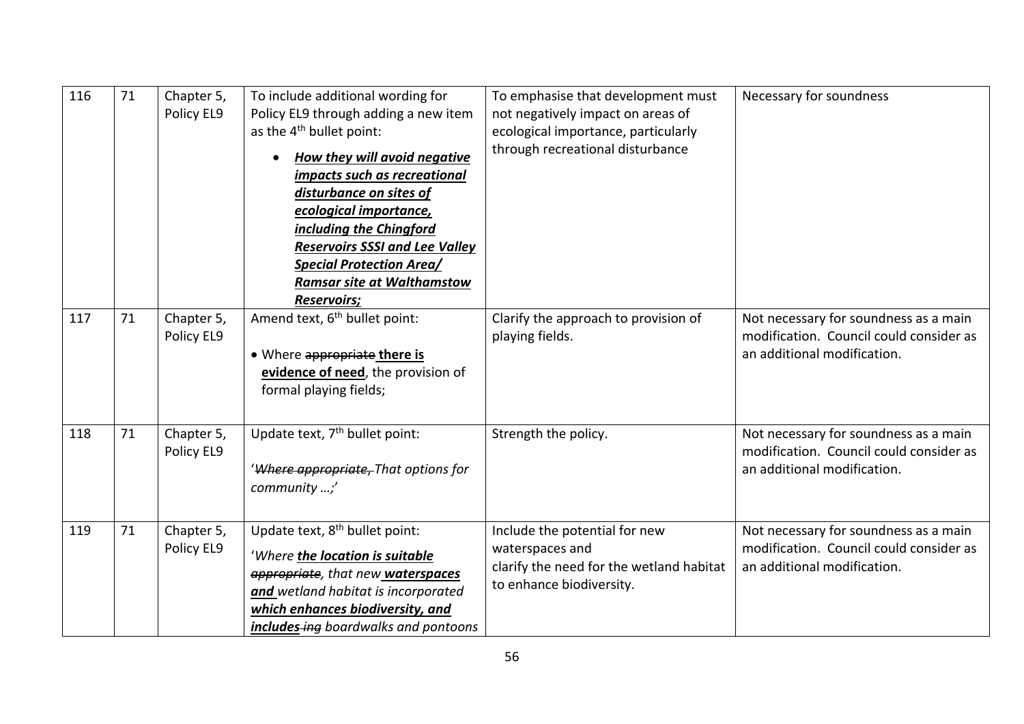| 116 | 71 | Chapter 5,<br>Policy EL9 | To include additional wording for<br>Policy EL9 through adding a new item<br>as the 4 <sup>th</sup> bullet point:<br><b>How they will avoid negative</b><br>impacts such as recreational<br>disturbance on sites of<br>ecological importance,<br>including the Chingford<br><b>Reservoirs SSSI and Lee Valley</b><br><b>Special Protection Area/</b><br><b>Ramsar site at Walthamstow</b><br><b>Reservoirs;</b> | To emphasise that development must<br>not negatively impact on areas of<br>ecological importance, particularly<br>through recreational disturbance | Necessary for soundness                                                                                         |
|-----|----|--------------------------|-----------------------------------------------------------------------------------------------------------------------------------------------------------------------------------------------------------------------------------------------------------------------------------------------------------------------------------------------------------------------------------------------------------------|----------------------------------------------------------------------------------------------------------------------------------------------------|-----------------------------------------------------------------------------------------------------------------|
| 117 | 71 | Chapter 5,<br>Policy EL9 | Amend text, 6 <sup>th</sup> bullet point:<br>. Where appropriate there is<br>evidence of need, the provision of<br>formal playing fields;                                                                                                                                                                                                                                                                       | Clarify the approach to provision of<br>playing fields.                                                                                            | Not necessary for soundness as a main<br>modification. Council could consider as<br>an additional modification. |
| 118 | 71 | Chapter 5,<br>Policy EL9 | Update text, 7 <sup>th</sup> bullet point:<br>'Where appropriate, That options for<br>community ;'                                                                                                                                                                                                                                                                                                              | Strength the policy.                                                                                                                               | Not necessary for soundness as a main<br>modification. Council could consider as<br>an additional modification. |
| 119 | 71 | Chapter 5,<br>Policy EL9 | Update text, 8 <sup>th</sup> bullet point:<br>'Where the location is suitable<br>appropriate, that new waterspaces<br>and wetland habitat is incorporated<br>which enhances biodiversity, and<br>includes-ing boardwalks and pontoons                                                                                                                                                                           | Include the potential for new<br>waterspaces and<br>clarify the need for the wetland habitat<br>to enhance biodiversity.                           | Not necessary for soundness as a main<br>modification. Council could consider as<br>an additional modification. |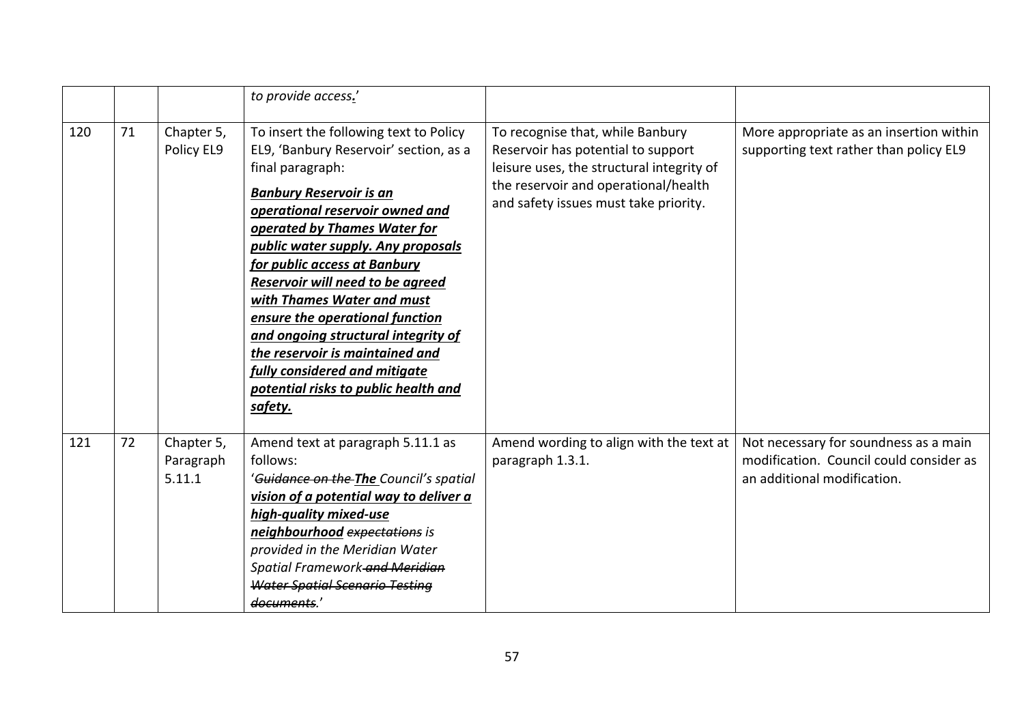|     |    |                                   | to provide access.'                                                                                                                                                                                                                                                                                                                                                                                                                                                                                                                                |                                                                                                                                                                                                      |                                                                                                                 |
|-----|----|-----------------------------------|----------------------------------------------------------------------------------------------------------------------------------------------------------------------------------------------------------------------------------------------------------------------------------------------------------------------------------------------------------------------------------------------------------------------------------------------------------------------------------------------------------------------------------------------------|------------------------------------------------------------------------------------------------------------------------------------------------------------------------------------------------------|-----------------------------------------------------------------------------------------------------------------|
| 120 | 71 | Chapter 5,<br>Policy EL9          | To insert the following text to Policy<br>EL9, 'Banbury Reservoir' section, as a<br>final paragraph:<br><b>Banbury Reservoir is an</b><br>operational reservoir owned and<br>operated by Thames Water for<br>public water supply. Any proposals<br>for public access at Banbury<br>Reservoir will need to be agreed<br>with Thames Water and must<br>ensure the operational function<br>and ongoing structural integrity of<br>the reservoir is maintained and<br>fully considered and mitigate<br>potential risks to public health and<br>safety. | To recognise that, while Banbury<br>Reservoir has potential to support<br>leisure uses, the structural integrity of<br>the reservoir and operational/health<br>and safety issues must take priority. | More appropriate as an insertion within<br>supporting text rather than policy EL9                               |
| 121 | 72 | Chapter 5,<br>Paragraph<br>5.11.1 | Amend text at paragraph 5.11.1 as<br>follows:<br>' <del>Guidance on the The</del> Council's spatial<br>vision of a potential way to deliver a<br>high-quality mixed-use<br>neighbourhood expectations is<br>provided in the Meridian Water<br>Spatial Framework and Meridian<br><b>Water Spatial Scenario Testing</b><br>documents.'                                                                                                                                                                                                               | Amend wording to align with the text at<br>paragraph 1.3.1.                                                                                                                                          | Not necessary for soundness as a main<br>modification. Council could consider as<br>an additional modification. |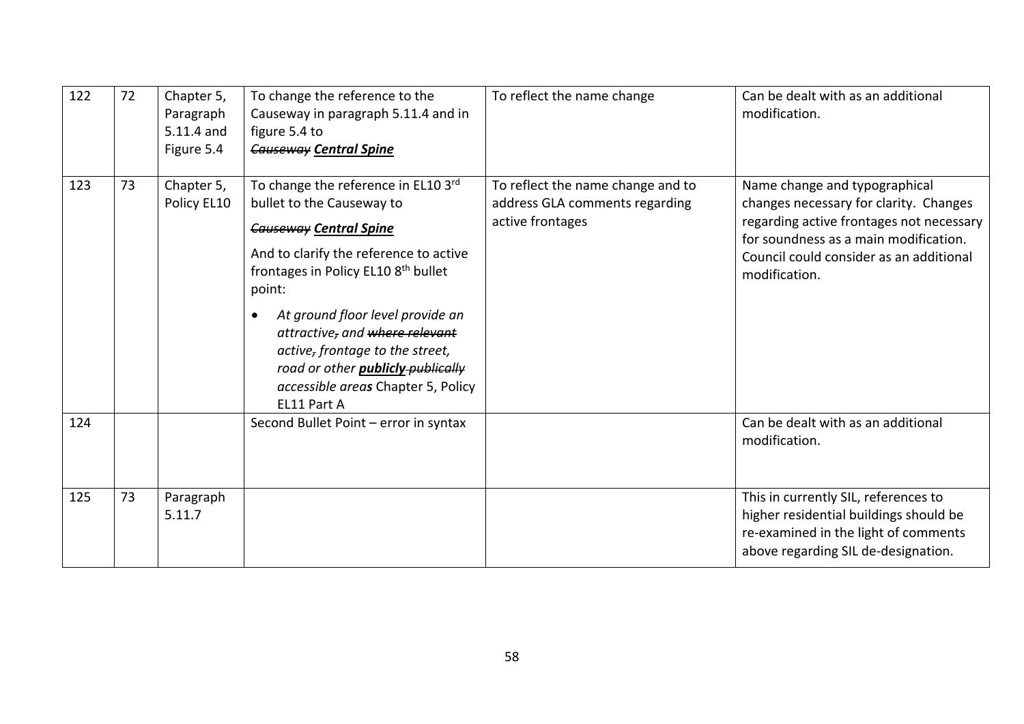| 122 | 72 | Chapter 5,<br>Paragraph<br>5.11.4 and<br>Figure 5.4 | To change the reference to the<br>Causeway in paragraph 5.11.4 and in<br>figure 5.4 to<br><b>Causeway Central Spine</b>                                                                                                                                                                                                                                                                                                         | To reflect the name change                                                              | Can be dealt with as an additional<br>modification.                                                                                                                                                                      |
|-----|----|-----------------------------------------------------|---------------------------------------------------------------------------------------------------------------------------------------------------------------------------------------------------------------------------------------------------------------------------------------------------------------------------------------------------------------------------------------------------------------------------------|-----------------------------------------------------------------------------------------|--------------------------------------------------------------------------------------------------------------------------------------------------------------------------------------------------------------------------|
| 123 | 73 | Chapter 5,<br>Policy EL10                           | To change the reference in EL10 3rd<br>bullet to the Causeway to<br><b>Causeway Central Spine</b><br>And to clarify the reference to active<br>frontages in Policy EL10 8 <sup>th</sup> bullet<br>point:<br>At ground floor level provide an<br>$\bullet$<br>attractive, and where relevant<br>active, frontage to the street,<br>road or other <b>publicly-publically</b><br>accessible areas Chapter 5, Policy<br>EL11 Part A | To reflect the name change and to<br>address GLA comments regarding<br>active frontages | Name change and typographical<br>changes necessary for clarity. Changes<br>regarding active frontages not necessary<br>for soundness as a main modification.<br>Council could consider as an additional<br>modification. |
| 124 |    |                                                     | Second Bullet Point - error in syntax                                                                                                                                                                                                                                                                                                                                                                                           |                                                                                         | Can be dealt with as an additional<br>modification.                                                                                                                                                                      |
| 125 | 73 | Paragraph<br>5.11.7                                 |                                                                                                                                                                                                                                                                                                                                                                                                                                 |                                                                                         | This in currently SIL, references to<br>higher residential buildings should be<br>re-examined in the light of comments<br>above regarding SIL de-designation.                                                            |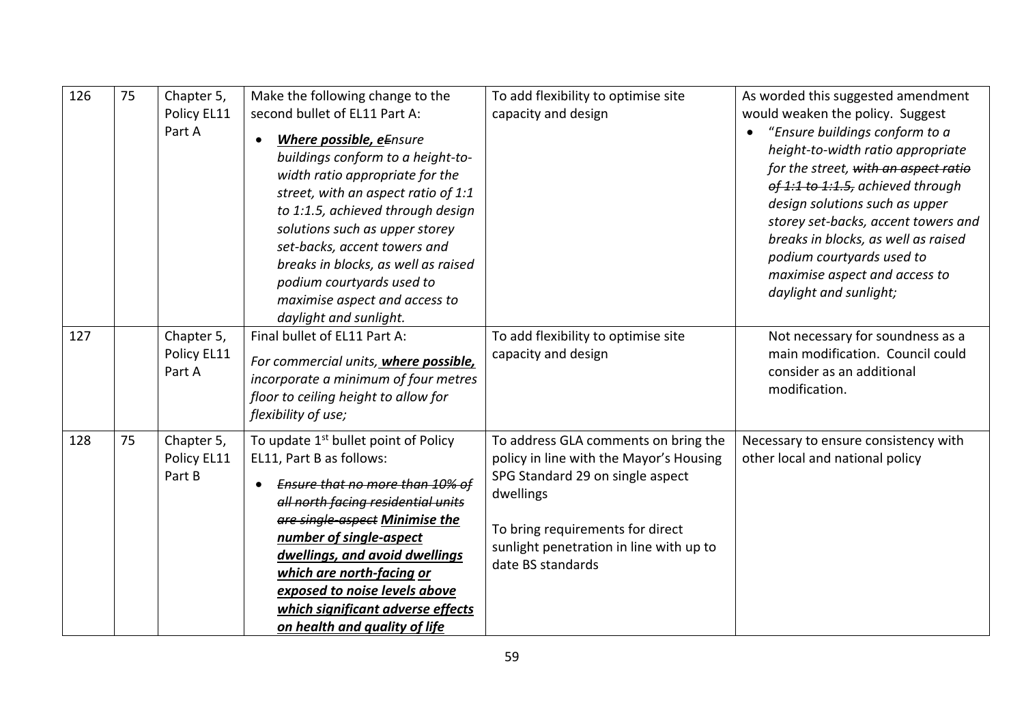| 126 | 75 | Chapter 5,<br>Policy EL11<br>Part A | Make the following change to the<br>second bullet of EL11 Part A:<br>Where possible, eEnsure<br>buildings conform to a height-to-<br>width ratio appropriate for the<br>street, with an aspect ratio of 1:1<br>to 1:1.5, achieved through design<br>solutions such as upper storey<br>set-backs, accent towers and<br>breaks in blocks, as well as raised<br>podium courtyards used to<br>maximise aspect and access to<br>daylight and sunlight. | To add flexibility to optimise site<br>capacity and design                                                                                                                                                                           | As worded this suggested amendment<br>would weaken the policy. Suggest<br>"Ensure buildings conform to a<br>height-to-width ratio appropriate<br>for the street, with an aspect ratio<br>of 1:1 to 1:1.5, achieved through<br>design solutions such as upper<br>storey set-backs, accent towers and<br>breaks in blocks, as well as raised<br>podium courtyards used to<br>maximise aspect and access to<br>daylight and sunlight; |
|-----|----|-------------------------------------|---------------------------------------------------------------------------------------------------------------------------------------------------------------------------------------------------------------------------------------------------------------------------------------------------------------------------------------------------------------------------------------------------------------------------------------------------|--------------------------------------------------------------------------------------------------------------------------------------------------------------------------------------------------------------------------------------|------------------------------------------------------------------------------------------------------------------------------------------------------------------------------------------------------------------------------------------------------------------------------------------------------------------------------------------------------------------------------------------------------------------------------------|
| 127 |    | Chapter 5,<br>Policy EL11<br>Part A | Final bullet of EL11 Part A:<br>For commercial units, where possible,<br>incorporate a minimum of four metres<br>floor to ceiling height to allow for<br>flexibility of use;                                                                                                                                                                                                                                                                      | To add flexibility to optimise site<br>capacity and design                                                                                                                                                                           | Not necessary for soundness as a<br>main modification. Council could<br>consider as an additional<br>modification.                                                                                                                                                                                                                                                                                                                 |
| 128 | 75 | Chapter 5,<br>Policy EL11<br>Part B | To update 1 <sup>st</sup> bullet point of Policy<br>EL11, Part B as follows:<br>Ensure that no more than 10% of<br>all north facing residential units<br>are single aspect Minimise the<br>number of single-aspect<br>dwellings, and avoid dwellings<br>which are north-facing or<br>exposed to noise levels above<br>which significant adverse effects<br>on health and quality of life                                                          | To address GLA comments on bring the<br>policy in line with the Mayor's Housing<br>SPG Standard 29 on single aspect<br>dwellings<br>To bring requirements for direct<br>sunlight penetration in line with up to<br>date BS standards | Necessary to ensure consistency with<br>other local and national policy                                                                                                                                                                                                                                                                                                                                                            |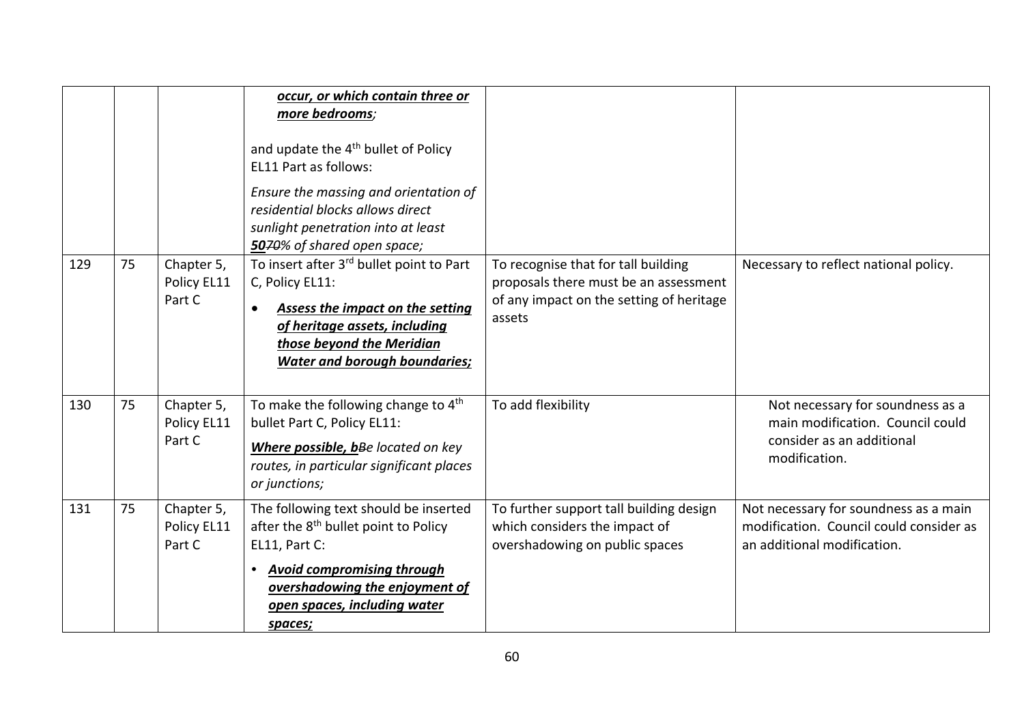|     |    |                                     | occur, or which contain three or<br>more bedrooms;<br>and update the 4 <sup>th</sup> bullet of Policy<br>EL11 Part as follows:<br>Ensure the massing and orientation of<br>residential blocks allows direct<br>sunlight penetration into at least<br>5070% of shared open space; |                                                                                                                                    |                                                                                                                    |
|-----|----|-------------------------------------|----------------------------------------------------------------------------------------------------------------------------------------------------------------------------------------------------------------------------------------------------------------------------------|------------------------------------------------------------------------------------------------------------------------------------|--------------------------------------------------------------------------------------------------------------------|
| 129 | 75 | Chapter 5,<br>Policy EL11<br>Part C | To insert after 3rd bullet point to Part<br>C, Policy EL11:<br>Assess the impact on the setting<br>$\bullet$<br>of heritage assets, including<br>those beyond the Meridian<br><b>Water and borough boundaries;</b>                                                               | To recognise that for tall building<br>proposals there must be an assessment<br>of any impact on the setting of heritage<br>assets | Necessary to reflect national policy.                                                                              |
| 130 | 75 | Chapter 5,<br>Policy EL11<br>Part C | To make the following change to $4th$<br>bullet Part C, Policy EL11:<br>Where possible, bBe located on key<br>routes, in particular significant places<br>or junctions;                                                                                                          | To add flexibility                                                                                                                 | Not necessary for soundness as a<br>main modification. Council could<br>consider as an additional<br>modification. |
| 131 | 75 | Chapter 5,<br>Policy EL11<br>Part C | The following text should be inserted<br>after the 8 <sup>th</sup> bullet point to Policy<br>EL11, Part C:<br><b>Avoid compromising through</b><br>$\bullet$<br>overshadowing the enjoyment of<br>open spaces, including water<br>spaces;                                        | To further support tall building design<br>which considers the impact of<br>overshadowing on public spaces                         | Not necessary for soundness as a main<br>modification. Council could consider as<br>an additional modification.    |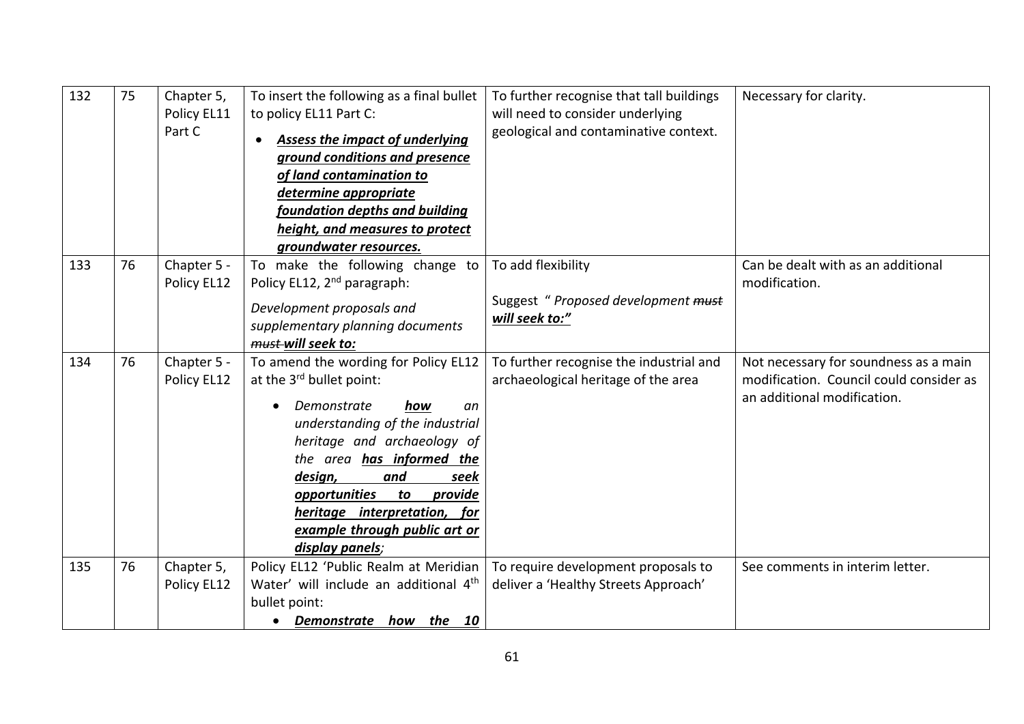| 132 | 75 | Chapter 5,<br>Policy EL11<br>Part C | To insert the following as a final bullet<br>to policy EL11 Part C:<br><b>Assess the impact of underlying</b><br>ground conditions and presence<br>of land contamination to<br>determine appropriate<br>foundation depths and building<br>height, and measures to protect<br>groundwater resources.                                         | To further recognise that tall buildings<br>will need to consider underlying<br>geological and contaminative context. | Necessary for clarity.                                                                                          |
|-----|----|-------------------------------------|---------------------------------------------------------------------------------------------------------------------------------------------------------------------------------------------------------------------------------------------------------------------------------------------------------------------------------------------|-----------------------------------------------------------------------------------------------------------------------|-----------------------------------------------------------------------------------------------------------------|
| 133 | 76 | Chapter 5 -<br>Policy EL12          | To make the following change to<br>Policy EL12, 2 <sup>nd</sup> paragraph:<br>Development proposals and<br>supplementary planning documents<br>must-will seek to:                                                                                                                                                                           | To add flexibility<br>Suggest " Proposed development must<br>will seek to:"                                           | Can be dealt with as an additional<br>modification.                                                             |
| 134 | 76 | Chapter 5 -<br>Policy EL12          | To amend the wording for Policy EL12<br>at the 3rd bullet point:<br>Demonstrate<br>how<br>an<br>understanding of the industrial<br>heritage and archaeology of<br>the area has informed the<br>design,<br>and<br>seek<br>opportunities<br>to<br>provide<br>heritage interpretation, for<br>example through public art or<br>display panels; | To further recognise the industrial and<br>archaeological heritage of the area                                        | Not necessary for soundness as a main<br>modification. Council could consider as<br>an additional modification. |
| 135 | 76 | Chapter 5,<br>Policy EL12           | Policy EL12 'Public Realm at Meridian<br>Water' will include an additional 4 <sup>th</sup><br>bullet point:<br>Demonstrate how the 10<br>$\bullet$                                                                                                                                                                                          | To require development proposals to<br>deliver a 'Healthy Streets Approach'                                           | See comments in interim letter.                                                                                 |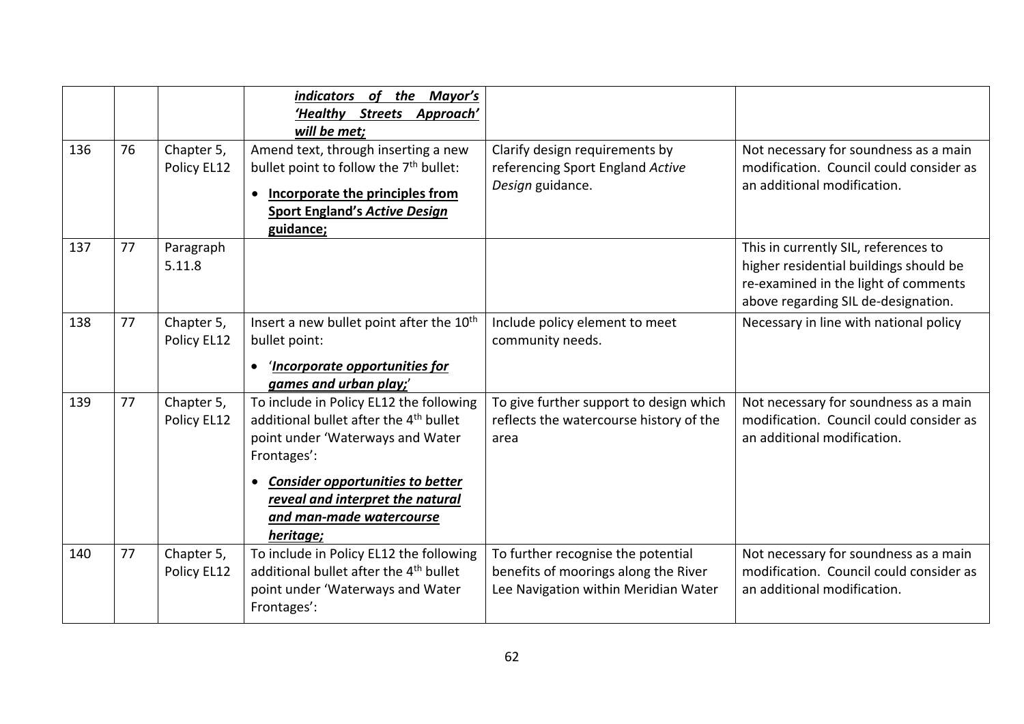| 136 | 76 | Chapter 5,<br>Policy EL12 | the Mayor's<br>indicators of<br>'Healthy Streets Approach'<br>will be met;<br>Amend text, through inserting a new<br>bullet point to follow the 7 <sup>th</sup> bullet:<br>Incorporate the principles from<br>$\bullet$                                                               | Clarify design requirements by<br>referencing Sport England Active<br>Design guidance.                             | Not necessary for soundness as a main<br>modification. Council could consider as<br>an additional modification.                                               |
|-----|----|---------------------------|---------------------------------------------------------------------------------------------------------------------------------------------------------------------------------------------------------------------------------------------------------------------------------------|--------------------------------------------------------------------------------------------------------------------|---------------------------------------------------------------------------------------------------------------------------------------------------------------|
|     |    |                           | <b>Sport England's Active Design</b><br>guidance;                                                                                                                                                                                                                                     |                                                                                                                    |                                                                                                                                                               |
| 137 | 77 | Paragraph<br>5.11.8       |                                                                                                                                                                                                                                                                                       |                                                                                                                    | This in currently SIL, references to<br>higher residential buildings should be<br>re-examined in the light of comments<br>above regarding SIL de-designation. |
| 138 | 77 | Chapter 5,<br>Policy EL12 | Insert a new bullet point after the 10 <sup>th</sup><br>bullet point:<br>'Incorporate opportunities for<br>$\bullet$<br>games and urban play;'                                                                                                                                        | Include policy element to meet<br>community needs.                                                                 | Necessary in line with national policy                                                                                                                        |
| 139 | 77 | Chapter 5,<br>Policy EL12 | To include in Policy EL12 the following<br>additional bullet after the 4 <sup>th</sup> bullet<br>point under 'Waterways and Water<br>Frontages':<br><b>Consider opportunities to better</b><br>$\bullet$<br>reveal and interpret the natural<br>and man-made watercourse<br>heritage; | To give further support to design which<br>reflects the watercourse history of the<br>area                         | Not necessary for soundness as a main<br>modification. Council could consider as<br>an additional modification.                                               |
| 140 | 77 | Chapter 5,<br>Policy EL12 | To include in Policy EL12 the following<br>additional bullet after the 4 <sup>th</sup> bullet<br>point under 'Waterways and Water<br>Frontages':                                                                                                                                      | To further recognise the potential<br>benefits of moorings along the River<br>Lee Navigation within Meridian Water | Not necessary for soundness as a main<br>modification. Council could consider as<br>an additional modification.                                               |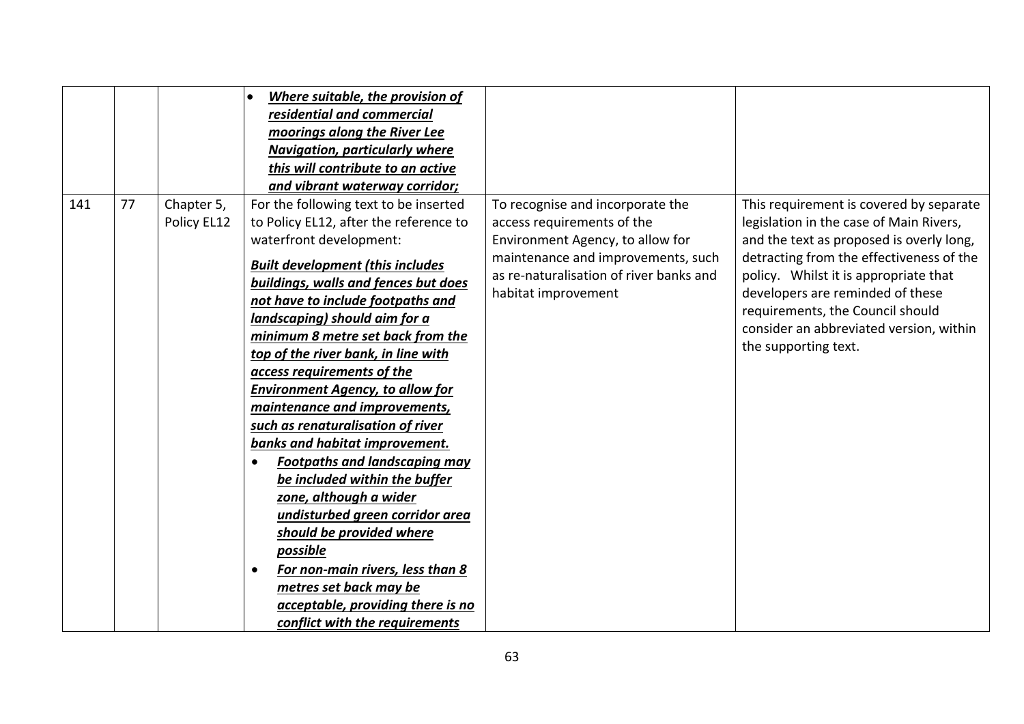|     |    |                           | Where suitable, the provision of<br>residential and commercial<br>moorings along the River Lee<br>Navigation, particularly where<br>this will contribute to an active<br>and vibrant waterway corridor;                                                                                                                                                                                                                                                                                                                                                                                                                                                                                                                                                                                                                                                                        |                                                                                                                                                                                                            |                                                                                                                                                                                                                                                                                                                                                                |
|-----|----|---------------------------|--------------------------------------------------------------------------------------------------------------------------------------------------------------------------------------------------------------------------------------------------------------------------------------------------------------------------------------------------------------------------------------------------------------------------------------------------------------------------------------------------------------------------------------------------------------------------------------------------------------------------------------------------------------------------------------------------------------------------------------------------------------------------------------------------------------------------------------------------------------------------------|------------------------------------------------------------------------------------------------------------------------------------------------------------------------------------------------------------|----------------------------------------------------------------------------------------------------------------------------------------------------------------------------------------------------------------------------------------------------------------------------------------------------------------------------------------------------------------|
| 141 | 77 | Chapter 5,<br>Policy EL12 | For the following text to be inserted<br>to Policy EL12, after the reference to<br>waterfront development:<br><b>Built development (this includes)</b><br>buildings, walls and fences but does<br>not have to include footpaths and<br>landscaping) should aim for a<br>minimum 8 metre set back from the<br>top of the river bank, in line with<br>access requirements of the<br><b>Environment Agency, to allow for</b><br>maintenance and improvements,<br>such as renaturalisation of river<br>banks and habitat improvement.<br><b>Footpaths and landscaping may</b><br>$\bullet$<br>be included within the buffer<br>zone, although a wider<br>undisturbed green corridor area<br>should be provided where<br>possible<br>For non-main rivers, less than 8<br>$\bullet$<br>metres set back may be<br>acceptable, providing there is no<br>conflict with the requirements | To recognise and incorporate the<br>access requirements of the<br>Environment Agency, to allow for<br>maintenance and improvements, such<br>as re-naturalisation of river banks and<br>habitat improvement | This requirement is covered by separate<br>legislation in the case of Main Rivers,<br>and the text as proposed is overly long,<br>detracting from the effectiveness of the<br>policy. Whilst it is appropriate that<br>developers are reminded of these<br>requirements, the Council should<br>consider an abbreviated version, within<br>the supporting text. |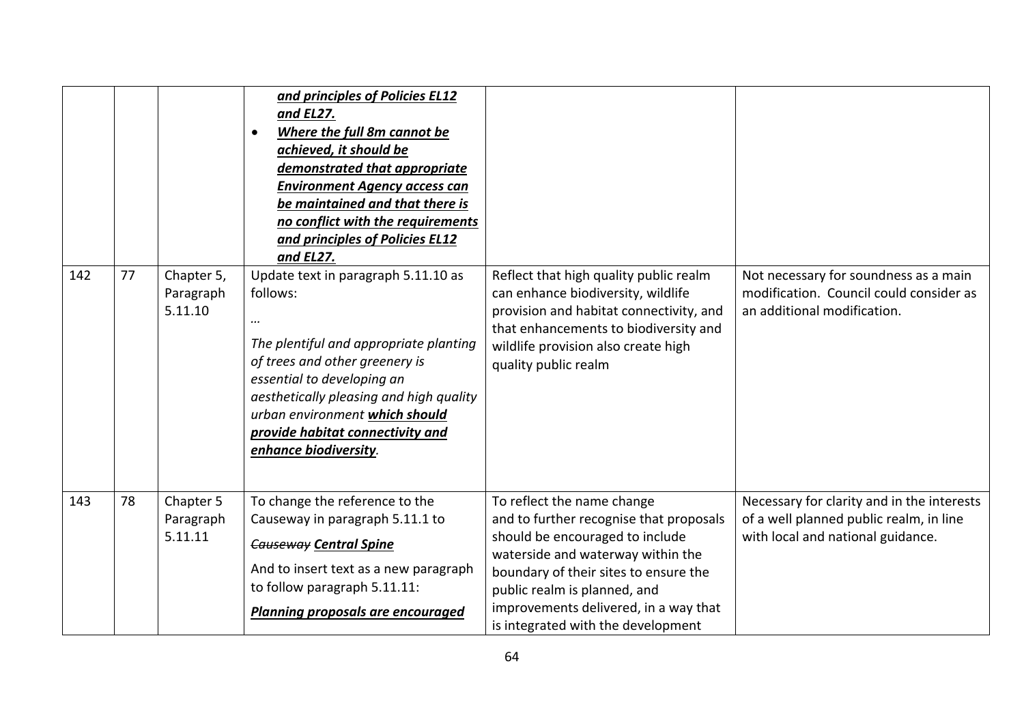| 142 | 77 | Chapter 5,<br>Paragraph<br>5.11.10 | and principles of Policies EL12<br>and EL27.<br>Where the full 8m cannot be<br>$\bullet$<br>achieved, it should be<br>demonstrated that appropriate<br><b>Environment Agency access can</b><br>be maintained and that there is<br>no conflict with the requirements<br>and principles of Policies EL12<br>and EL27.<br>Update text in paragraph 5.11.10 as<br>follows:<br><br>The plentiful and appropriate planting<br>of trees and other greenery is | Reflect that high quality public realm<br>can enhance biodiversity, wildlife<br>provision and habitat connectivity, and<br>that enhancements to biodiversity and<br>wildlife provision also create high<br>quality public realm | Not necessary for soundness as a main<br>modification. Council could consider as<br>an additional modification.            |
|-----|----|------------------------------------|--------------------------------------------------------------------------------------------------------------------------------------------------------------------------------------------------------------------------------------------------------------------------------------------------------------------------------------------------------------------------------------------------------------------------------------------------------|---------------------------------------------------------------------------------------------------------------------------------------------------------------------------------------------------------------------------------|----------------------------------------------------------------------------------------------------------------------------|
|     |    |                                    | essential to developing an<br>aesthetically pleasing and high quality<br>urban environment which should<br>provide habitat connectivity and<br>enhance biodiversity.                                                                                                                                                                                                                                                                                   |                                                                                                                                                                                                                                 |                                                                                                                            |
|     |    |                                    |                                                                                                                                                                                                                                                                                                                                                                                                                                                        |                                                                                                                                                                                                                                 |                                                                                                                            |
| 143 | 78 | Chapter 5<br>Paragraph<br>5.11.11  | To change the reference to the<br>Causeway in paragraph 5.11.1 to<br><b>Causeway Central Spine</b><br>And to insert text as a new paragraph<br>to follow paragraph 5.11.11:                                                                                                                                                                                                                                                                            | To reflect the name change<br>and to further recognise that proposals<br>should be encouraged to include<br>waterside and waterway within the<br>boundary of their sites to ensure the<br>public realm is planned, and          | Necessary for clarity and in the interests<br>of a well planned public realm, in line<br>with local and national guidance. |
|     |    |                                    | <b>Planning proposals are encouraged</b>                                                                                                                                                                                                                                                                                                                                                                                                               | improvements delivered, in a way that<br>is integrated with the development                                                                                                                                                     |                                                                                                                            |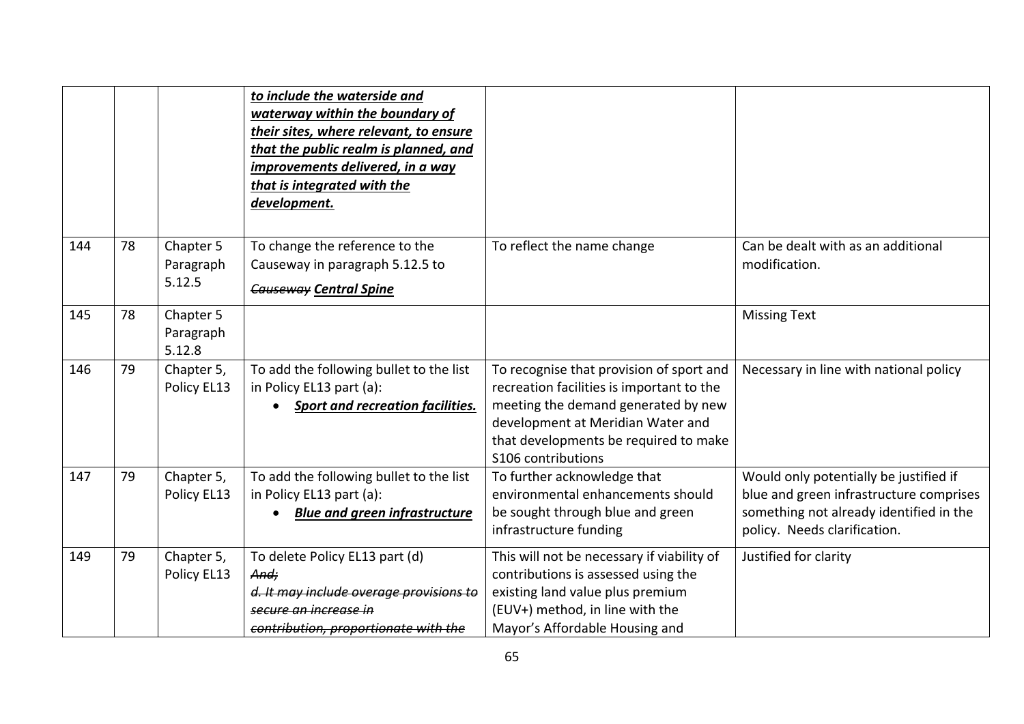|     |    |                                  | to include the waterside and<br>waterway within the boundary of<br>their sites, where relevant, to ensure<br>that the public realm is planned, and<br>improvements delivered, in a way<br>that is integrated with the<br>development. |                                                                                                                                                                                                                                  |                                                                                                                                                              |
|-----|----|----------------------------------|---------------------------------------------------------------------------------------------------------------------------------------------------------------------------------------------------------------------------------------|----------------------------------------------------------------------------------------------------------------------------------------------------------------------------------------------------------------------------------|--------------------------------------------------------------------------------------------------------------------------------------------------------------|
| 144 | 78 | Chapter 5<br>Paragraph<br>5.12.5 | To change the reference to the<br>Causeway in paragraph 5.12.5 to<br><b>Causeway Central Spine</b>                                                                                                                                    | To reflect the name change                                                                                                                                                                                                       | Can be dealt with as an additional<br>modification.                                                                                                          |
| 145 | 78 | Chapter 5<br>Paragraph<br>5.12.8 |                                                                                                                                                                                                                                       |                                                                                                                                                                                                                                  | <b>Missing Text</b>                                                                                                                                          |
| 146 | 79 | Chapter 5,<br>Policy EL13        | To add the following bullet to the list<br>in Policy EL13 part (a):<br><b>Sport and recreation facilities.</b>                                                                                                                        | To recognise that provision of sport and<br>recreation facilities is important to the<br>meeting the demand generated by new<br>development at Meridian Water and<br>that developments be required to make<br>S106 contributions | Necessary in line with national policy                                                                                                                       |
| 147 | 79 | Chapter 5,<br>Policy EL13        | To add the following bullet to the list<br>in Policy EL13 part (a):<br><b>Blue and green infrastructure</b>                                                                                                                           | To further acknowledge that<br>environmental enhancements should<br>be sought through blue and green<br>infrastructure funding                                                                                                   | Would only potentially be justified if<br>blue and green infrastructure comprises<br>something not already identified in the<br>policy. Needs clarification. |
| 149 | 79 | Chapter 5,<br>Policy EL13        | To delete Policy EL13 part (d)<br>And:<br>d. It may include overage provisions to<br>secure an increase in<br>contribution, proportionate with the                                                                                    | This will not be necessary if viability of<br>contributions is assessed using the<br>existing land value plus premium<br>(EUV+) method, in line with the<br>Mayor's Affordable Housing and                                       | Justified for clarity                                                                                                                                        |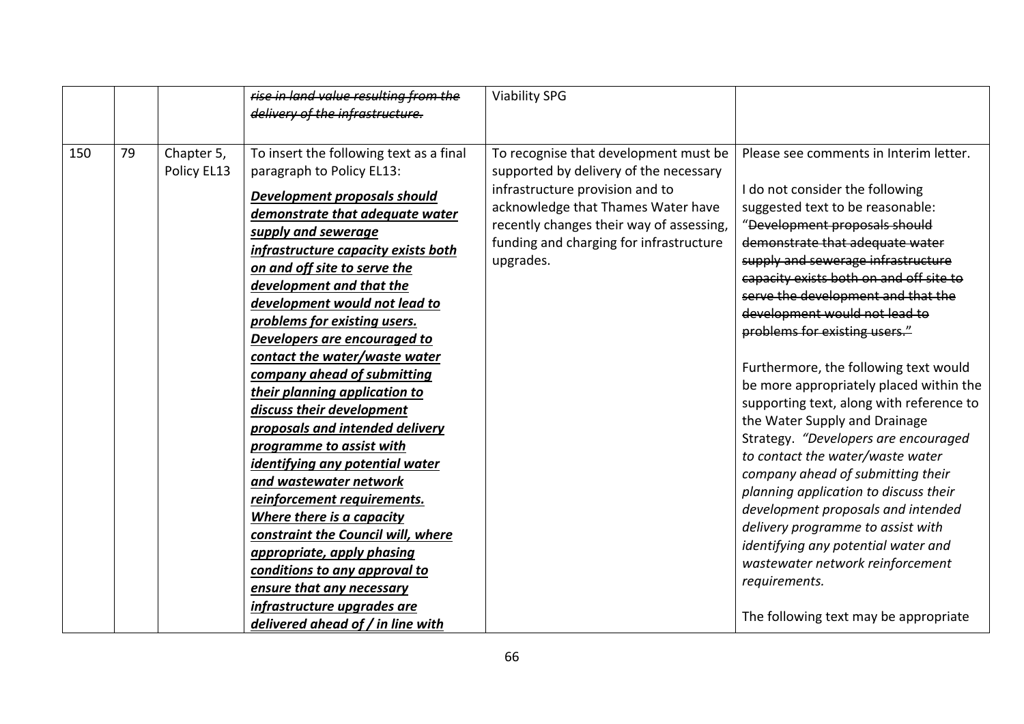|     |    |                           | rise in land value resulting from the<br>delivery of the infrastructure.                                                                                                                                                                                                                                                                                                                                                                                                                                                                                                                                                                                                                                                                                                                                                                                                                       | <b>Viability SPG</b>                                                                                                                                                                                                                                         |                                                                                                                                                                                                                                                                                                                                                                                                                                                                                                                                                                                                                                                                                                                                                                                                                                                                                                                       |
|-----|----|---------------------------|------------------------------------------------------------------------------------------------------------------------------------------------------------------------------------------------------------------------------------------------------------------------------------------------------------------------------------------------------------------------------------------------------------------------------------------------------------------------------------------------------------------------------------------------------------------------------------------------------------------------------------------------------------------------------------------------------------------------------------------------------------------------------------------------------------------------------------------------------------------------------------------------|--------------------------------------------------------------------------------------------------------------------------------------------------------------------------------------------------------------------------------------------------------------|-----------------------------------------------------------------------------------------------------------------------------------------------------------------------------------------------------------------------------------------------------------------------------------------------------------------------------------------------------------------------------------------------------------------------------------------------------------------------------------------------------------------------------------------------------------------------------------------------------------------------------------------------------------------------------------------------------------------------------------------------------------------------------------------------------------------------------------------------------------------------------------------------------------------------|
| 150 | 79 | Chapter 5,<br>Policy EL13 | To insert the following text as a final<br>paragraph to Policy EL13:<br>Development proposals should<br>demonstrate that adequate water<br>supply and sewerage<br>infrastructure capacity exists both<br>on and off site to serve the<br>development and that the<br>development would not lead to<br>problems for existing users.<br>Developers are encouraged to<br>contact the water/waste water<br>company ahead of submitting<br>their planning application to<br>discuss their development<br>proposals and intended delivery<br>programme to assist with<br>identifying any potential water<br>and wastewater network<br>reinforcement requirements.<br>Where there is a capacity<br>constraint the Council will, where<br>appropriate, apply phasing<br>conditions to any approval to<br>ensure that any necessary<br>infrastructure upgrades are<br>delivered ahead of / in line with | To recognise that development must be<br>supported by delivery of the necessary<br>infrastructure provision and to<br>acknowledge that Thames Water have<br>recently changes their way of assessing,<br>funding and charging for infrastructure<br>upgrades. | Please see comments in Interim letter.<br>I do not consider the following<br>suggested text to be reasonable:<br>"Development proposals should<br>demonstrate that adequate water<br>supply and sewerage infrastructure<br>capacity exists both on and off site to<br>serve the development and that the<br>development would not lead to<br>problems for existing users."<br>Furthermore, the following text would<br>be more appropriately placed within the<br>supporting text, along with reference to<br>the Water Supply and Drainage<br>Strategy. "Developers are encouraged<br>to contact the water/waste water<br>company ahead of submitting their<br>planning application to discuss their<br>development proposals and intended<br>delivery programme to assist with<br>identifying any potential water and<br>wastewater network reinforcement<br>requirements.<br>The following text may be appropriate |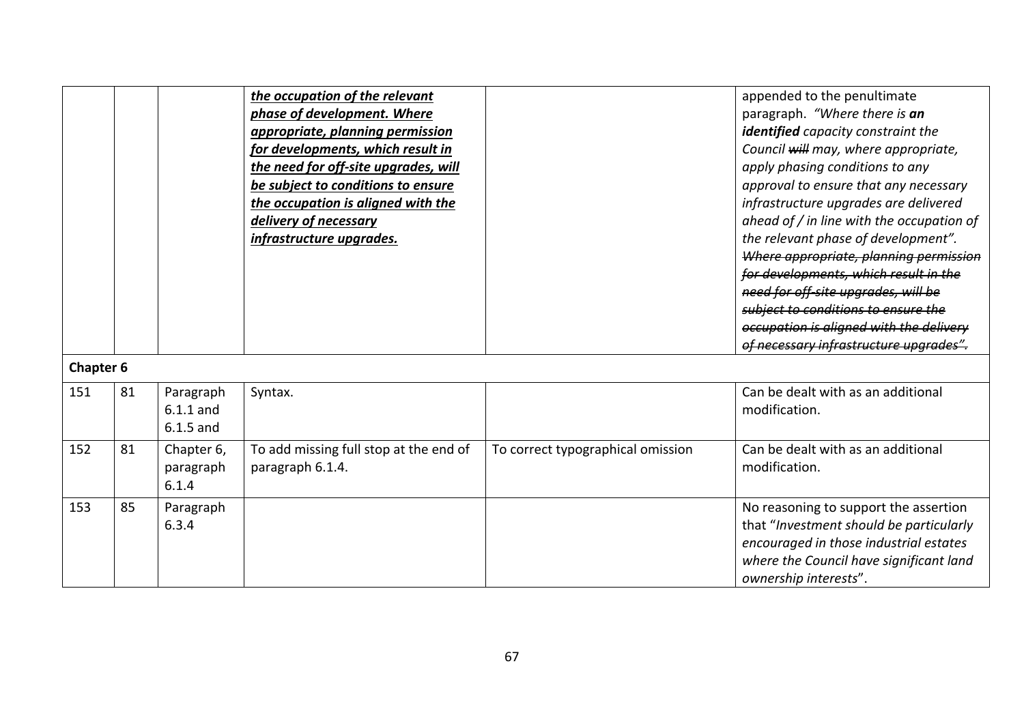|                         |    |                                  | the occupation of the relevant<br>phase of development. Where<br>appropriate, planning permission<br>for developments, which result in<br>the need for off-site upgrades, will<br>be subject to conditions to ensure<br>the occupation is aligned with the<br>delivery of necessary<br>infrastructure upgrades. |                                   | appended to the penultimate<br>paragraph. "Where there is an<br>identified capacity constraint the<br>Council will may, where appropriate,<br>apply phasing conditions to any<br>approval to ensure that any necessary<br>infrastructure upgrades are delivered<br>ahead of / in line with the occupation of<br>the relevant phase of development".<br>Where appropriate, planning permission<br>for developments, which result in the<br>need for off site upgrades, will be<br>subject to conditions to ensure the<br>occupation is aligned with the delivery<br>of necessary infrastructure upgrades". |
|-------------------------|----|----------------------------------|-----------------------------------------------------------------------------------------------------------------------------------------------------------------------------------------------------------------------------------------------------------------------------------------------------------------|-----------------------------------|-----------------------------------------------------------------------------------------------------------------------------------------------------------------------------------------------------------------------------------------------------------------------------------------------------------------------------------------------------------------------------------------------------------------------------------------------------------------------------------------------------------------------------------------------------------------------------------------------------------|
| <b>Chapter 6</b><br>151 | 81 | Paragraph                        | Syntax.                                                                                                                                                                                                                                                                                                         |                                   | Can be dealt with as an additional                                                                                                                                                                                                                                                                                                                                                                                                                                                                                                                                                                        |
|                         |    | $6.1.1$ and<br>$6.1.5$ and       |                                                                                                                                                                                                                                                                                                                 |                                   | modification.                                                                                                                                                                                                                                                                                                                                                                                                                                                                                                                                                                                             |
| 152                     | 81 | Chapter 6,<br>paragraph<br>6.1.4 | To add missing full stop at the end of<br>paragraph 6.1.4.                                                                                                                                                                                                                                                      | To correct typographical omission | Can be dealt with as an additional<br>modification.                                                                                                                                                                                                                                                                                                                                                                                                                                                                                                                                                       |
| 153                     | 85 | Paragraph<br>6.3.4               |                                                                                                                                                                                                                                                                                                                 |                                   | No reasoning to support the assertion<br>that "Investment should be particularly<br>encouraged in those industrial estates<br>where the Council have significant land<br>ownership interests".                                                                                                                                                                                                                                                                                                                                                                                                            |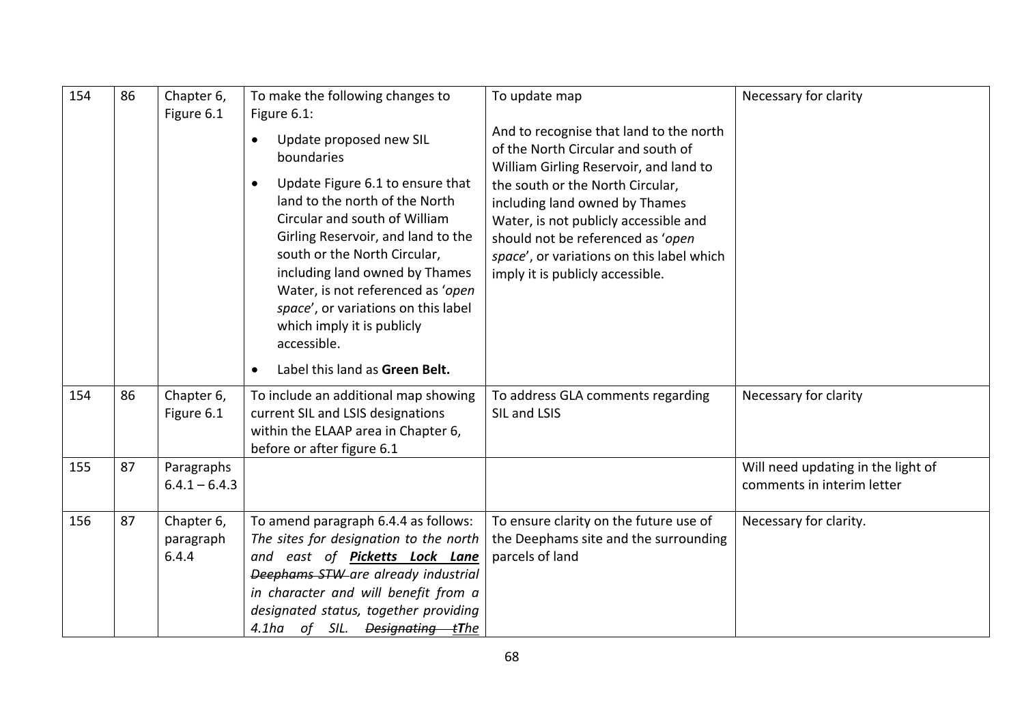| 86 | Chapter 6,<br>Figure 6.1         | To make the following changes to<br>Figure 6.1:                                                                                                                                                                                                                                                                                                   | To update map                                                                                                                                                                                                                     | Necessary for clarity                                            |
|----|----------------------------------|---------------------------------------------------------------------------------------------------------------------------------------------------------------------------------------------------------------------------------------------------------------------------------------------------------------------------------------------------|-----------------------------------------------------------------------------------------------------------------------------------------------------------------------------------------------------------------------------------|------------------------------------------------------------------|
|    |                                  | Update proposed new SIL<br>$\bullet$<br>boundaries                                                                                                                                                                                                                                                                                                | And to recognise that land to the north<br>of the North Circular and south of                                                                                                                                                     |                                                                  |
|    |                                  | Update Figure 6.1 to ensure that<br>$\bullet$<br>land to the north of the North<br>Circular and south of William<br>Girling Reservoir, and land to the<br>south or the North Circular,<br>including land owned by Thames<br>Water, is not referenced as 'open<br>space', or variations on this label<br>which imply it is publicly<br>accessible. | the south or the North Circular,<br>including land owned by Thames<br>Water, is not publicly accessible and<br>should not be referenced as 'open<br>space', or variations on this label which<br>imply it is publicly accessible. |                                                                  |
|    |                                  | Label this land as Green Belt.<br>$\bullet$                                                                                                                                                                                                                                                                                                       |                                                                                                                                                                                                                                   |                                                                  |
| 86 | Chapter 6,<br>Figure 6.1         | To include an additional map showing<br>current SIL and LSIS designations<br>within the ELAAP area in Chapter 6,<br>before or after figure 6.1                                                                                                                                                                                                    | To address GLA comments regarding<br>SIL and LSIS                                                                                                                                                                                 | Necessary for clarity                                            |
| 87 | Paragraphs<br>$6.4.1 - 6.4.3$    |                                                                                                                                                                                                                                                                                                                                                   |                                                                                                                                                                                                                                   | Will need updating in the light of<br>comments in interim letter |
| 87 | Chapter 6,<br>paragraph<br>6.4.4 | To amend paragraph 6.4.4 as follows:<br>The sites for designation to the north<br>and east of Picketts Lock Lane<br>Deephams STW are already industrial<br>in character and will benefit from a<br>designated status, together providing                                                                                                          | To ensure clarity on the future use of<br>the Deephams site and the surrounding<br>parcels of land                                                                                                                                | Necessary for clarity.                                           |
|    |                                  |                                                                                                                                                                                                                                                                                                                                                   | 4.1ha of SIL. <del>Designating t</del> The                                                                                                                                                                                        | William Girling Reservoir, and land to                           |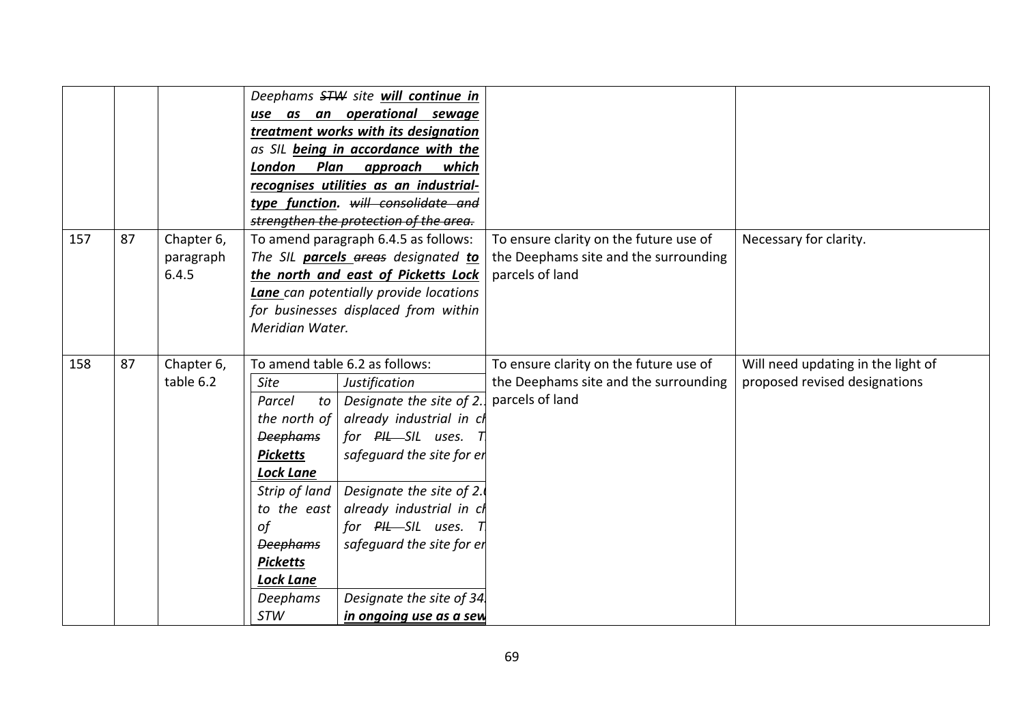|     |    |                                  | use as an<br>London<br>Plan                                                                                                                                                                                                     | Deephams STW site will continue in<br>operational sewage<br>treatment works with its designation<br>as SIL being in accordance with the<br>approach<br>which<br>recognises utilities as an industrial-<br>type function. will consolidate and<br>strengthen the protection of the area.                                         |                                                                                                    |                                                                     |
|-----|----|----------------------------------|---------------------------------------------------------------------------------------------------------------------------------------------------------------------------------------------------------------------------------|---------------------------------------------------------------------------------------------------------------------------------------------------------------------------------------------------------------------------------------------------------------------------------------------------------------------------------|----------------------------------------------------------------------------------------------------|---------------------------------------------------------------------|
| 157 | 87 | Chapter 6,<br>paragraph<br>6.4.5 | To amend paragraph 6.4.5 as follows:<br>The SIL parcels areas designated to<br>the north and east of Picketts Lock<br><b>Lane</b> can potentially provide locations<br>for businesses displaced from within<br>Meridian Water.  |                                                                                                                                                                                                                                                                                                                                 | To ensure clarity on the future use of<br>the Deephams site and the surrounding<br>parcels of land | Necessary for clarity.                                              |
| 158 | 87 | Chapter 6,<br>table 6.2          | <b>Site</b><br>Parcel<br>to<br>the north of<br><b>Deephams</b><br><b>Picketts</b><br><b>Lock Lane</b><br>Strip of land<br>to the east<br>of<br><b>Deephams</b><br><b>Picketts</b><br><b>Lock Lane</b><br>Deephams<br><b>STW</b> | To amend table 6.2 as follows:<br>Justification<br>Designate the site of 2.<br>already industrial in cl<br>for PHL-SIL uses. T<br>safequard the site for er<br>Designate the site of 2.<br>already industrial in cl<br>for PIL-SIL uses. T<br>safequard the site for er<br>Designate the site of 34.<br>in ongoing use as a sew | To ensure clarity on the future use of<br>the Deephams site and the surrounding<br>parcels of land | Will need updating in the light of<br>proposed revised designations |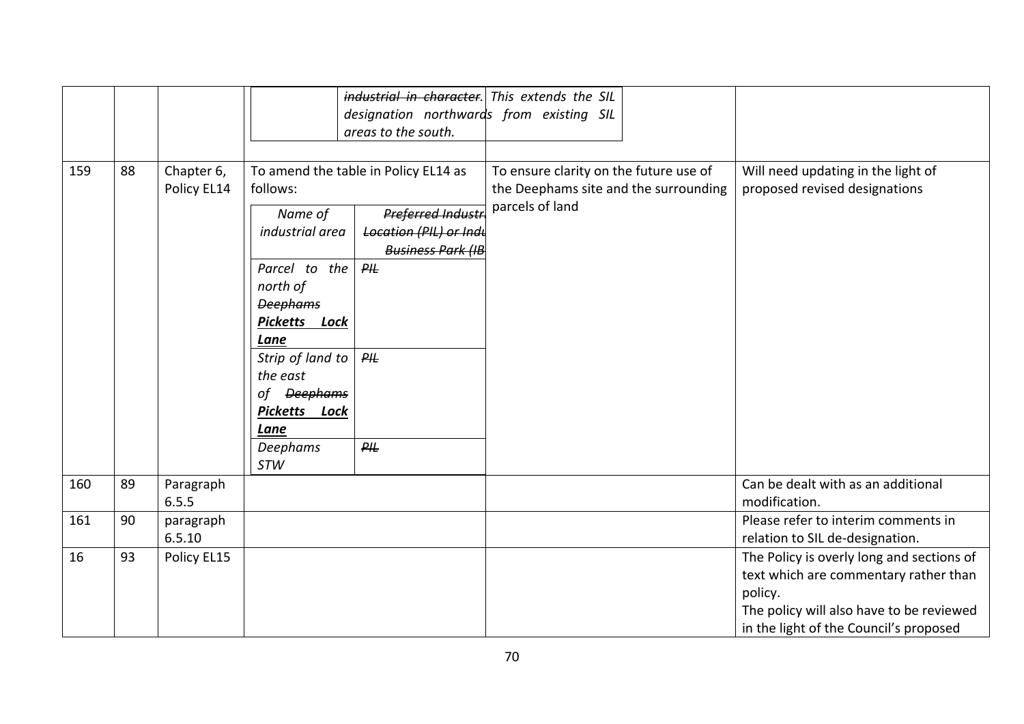|     |    |                           |                                                             | areas to the south.                                                                   | industrial in character. This extends the SIL<br>designation northwards from existing SIL |                                                                                                                                                                                     |
|-----|----|---------------------------|-------------------------------------------------------------|---------------------------------------------------------------------------------------|-------------------------------------------------------------------------------------------|-------------------------------------------------------------------------------------------------------------------------------------------------------------------------------------|
| 159 | 88 | Chapter 6,<br>Policy EL14 | follows:                                                    | To amend the table in Policy EL14 as                                                  | To ensure clarity on the future use of<br>the Deephams site and the surrounding           | Will need updating in the light of<br>proposed revised designations                                                                                                                 |
|     |    |                           | Name of<br>industrial area                                  | <b>Preferred Industr</b><br><b>Location (PIL) or Indu</b><br><b>Business Park (IB</b> | parcels of land                                                                           |                                                                                                                                                                                     |
|     |    |                           | Parcel to the<br>north of<br><b>Deephams</b>                | $P\#$                                                                                 |                                                                                           |                                                                                                                                                                                     |
|     |    |                           | Picketts Lock<br>Lane<br>Strip of land to                   | $P\#$                                                                                 |                                                                                           |                                                                                                                                                                                     |
|     |    |                           | the east<br>of <del>Deephams</del><br>Picketts Lock<br>Lane |                                                                                       |                                                                                           |                                                                                                                                                                                     |
|     |    |                           | Deephams<br>STW                                             | $P\#$                                                                                 |                                                                                           |                                                                                                                                                                                     |
| 160 | 89 | Paragraph<br>6.5.5        |                                                             |                                                                                       |                                                                                           | Can be dealt with as an additional<br>modification.                                                                                                                                 |
| 161 | 90 | paragraph<br>6.5.10       |                                                             |                                                                                       |                                                                                           | Please refer to interim comments in<br>relation to SIL de-designation.                                                                                                              |
| 16  | 93 | Policy EL15               |                                                             |                                                                                       |                                                                                           | The Policy is overly long and sections of<br>text which are commentary rather than<br>policy.<br>The policy will also have to be reviewed<br>in the light of the Council's proposed |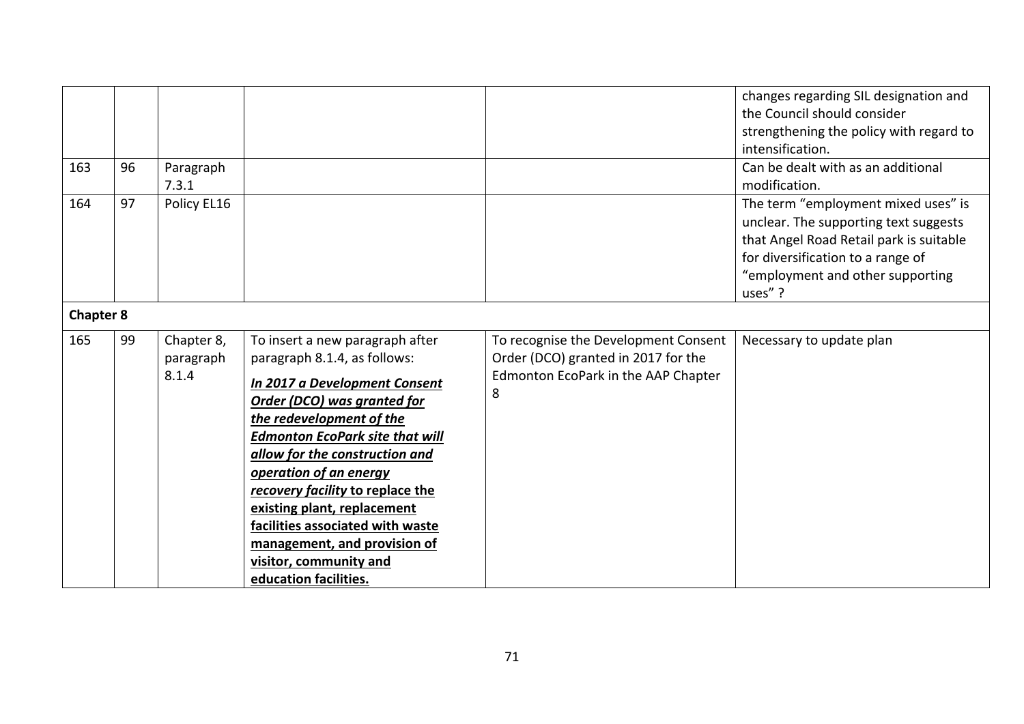| 163              | 96 | Paragraph<br>7.3.1               |                                                                                                                                                                                                                                                                                                                                                                                                                                                             |                                                                                                                         | changes regarding SIL designation and<br>the Council should consider<br>strengthening the policy with regard to<br>intensification.<br>Can be dealt with as an additional<br>modification.                 |
|------------------|----|----------------------------------|-------------------------------------------------------------------------------------------------------------------------------------------------------------------------------------------------------------------------------------------------------------------------------------------------------------------------------------------------------------------------------------------------------------------------------------------------------------|-------------------------------------------------------------------------------------------------------------------------|------------------------------------------------------------------------------------------------------------------------------------------------------------------------------------------------------------|
| 164              | 97 | Policy EL16                      |                                                                                                                                                                                                                                                                                                                                                                                                                                                             |                                                                                                                         | The term "employment mixed uses" is<br>unclear. The supporting text suggests<br>that Angel Road Retail park is suitable<br>for diversification to a range of<br>"employment and other supporting<br>uses"? |
| <b>Chapter 8</b> |    |                                  |                                                                                                                                                                                                                                                                                                                                                                                                                                                             |                                                                                                                         |                                                                                                                                                                                                            |
| 165              | 99 | Chapter 8,<br>paragraph<br>8.1.4 | To insert a new paragraph after<br>paragraph 8.1.4, as follows:<br>In 2017 a Development Consent<br>Order (DCO) was granted for<br>the redevelopment of the<br><b>Edmonton EcoPark site that will</b><br>allow for the construction and<br>operation of an energy<br>recovery facility to replace the<br>existing plant, replacement<br>facilities associated with waste<br>management, and provision of<br>visitor, community and<br>education facilities. | To recognise the Development Consent<br>Order (DCO) granted in 2017 for the<br>Edmonton EcoPark in the AAP Chapter<br>8 | Necessary to update plan                                                                                                                                                                                   |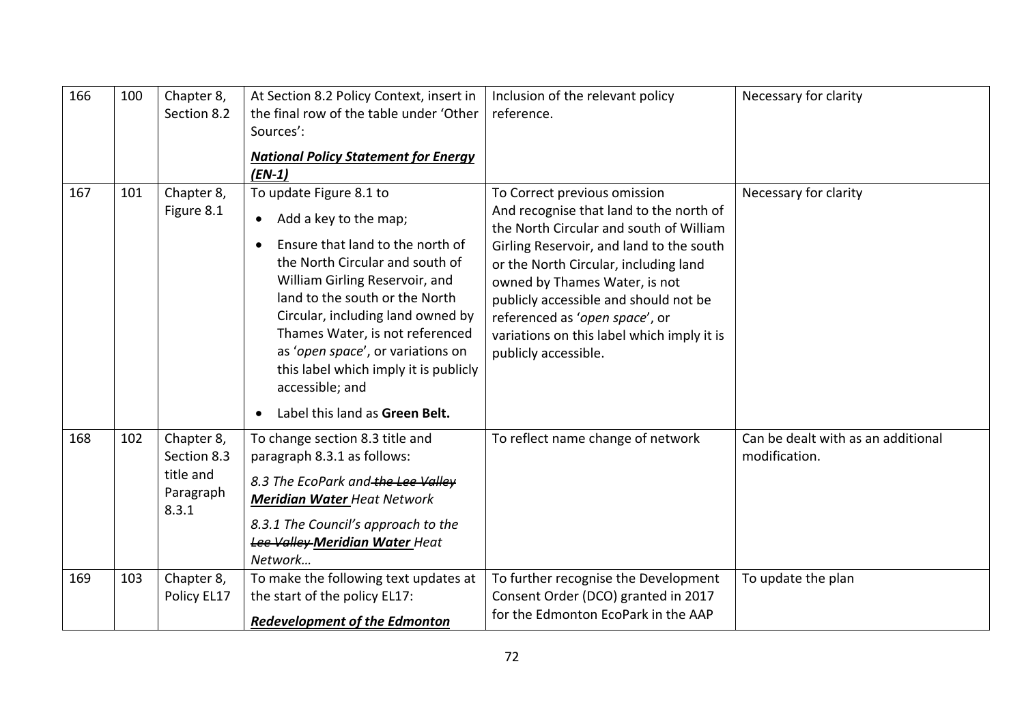| 166 | 100 | Chapter 8,<br>Section 8.2                                    | At Section 8.2 Policy Context, insert in<br>the final row of the table under 'Other<br>Sources':<br><b>National Policy Statement for Energy</b><br>$(EN-1)$                                                                                                                                                                                                                                                         | Inclusion of the relevant policy<br>reference.                                                                                                                                                                                                                                                                                                                                            | Necessary for clarity                               |
|-----|-----|--------------------------------------------------------------|---------------------------------------------------------------------------------------------------------------------------------------------------------------------------------------------------------------------------------------------------------------------------------------------------------------------------------------------------------------------------------------------------------------------|-------------------------------------------------------------------------------------------------------------------------------------------------------------------------------------------------------------------------------------------------------------------------------------------------------------------------------------------------------------------------------------------|-----------------------------------------------------|
| 167 | 101 | Chapter 8,<br>Figure 8.1                                     | To update Figure 8.1 to<br>Add a key to the map;<br>$\bullet$<br>Ensure that land to the north of<br>the North Circular and south of<br>William Girling Reservoir, and<br>land to the south or the North<br>Circular, including land owned by<br>Thames Water, is not referenced<br>as 'open space', or variations on<br>this label which imply it is publicly<br>accessible; and<br>Label this land as Green Belt. | To Correct previous omission<br>And recognise that land to the north of<br>the North Circular and south of William<br>Girling Reservoir, and land to the south<br>or the North Circular, including land<br>owned by Thames Water, is not<br>publicly accessible and should not be<br>referenced as 'open space', or<br>variations on this label which imply it is<br>publicly accessible. | Necessary for clarity                               |
| 168 | 102 | Chapter 8,<br>Section 8.3<br>title and<br>Paragraph<br>8.3.1 | To change section 8.3 title and<br>paragraph 8.3.1 as follows:<br>8.3 The EcoPark and the Lee Valley<br><b>Meridian Water Heat Network</b><br>8.3.1 The Council's approach to the<br>Lee Valley Meridian Water Heat<br>Network                                                                                                                                                                                      | To reflect name change of network                                                                                                                                                                                                                                                                                                                                                         | Can be dealt with as an additional<br>modification. |
| 169 | 103 | Chapter 8,<br>Policy EL17                                    | To make the following text updates at<br>the start of the policy EL17:<br><b>Redevelopment of the Edmonton</b>                                                                                                                                                                                                                                                                                                      | To further recognise the Development<br>Consent Order (DCO) granted in 2017<br>for the Edmonton EcoPark in the AAP                                                                                                                                                                                                                                                                        | To update the plan                                  |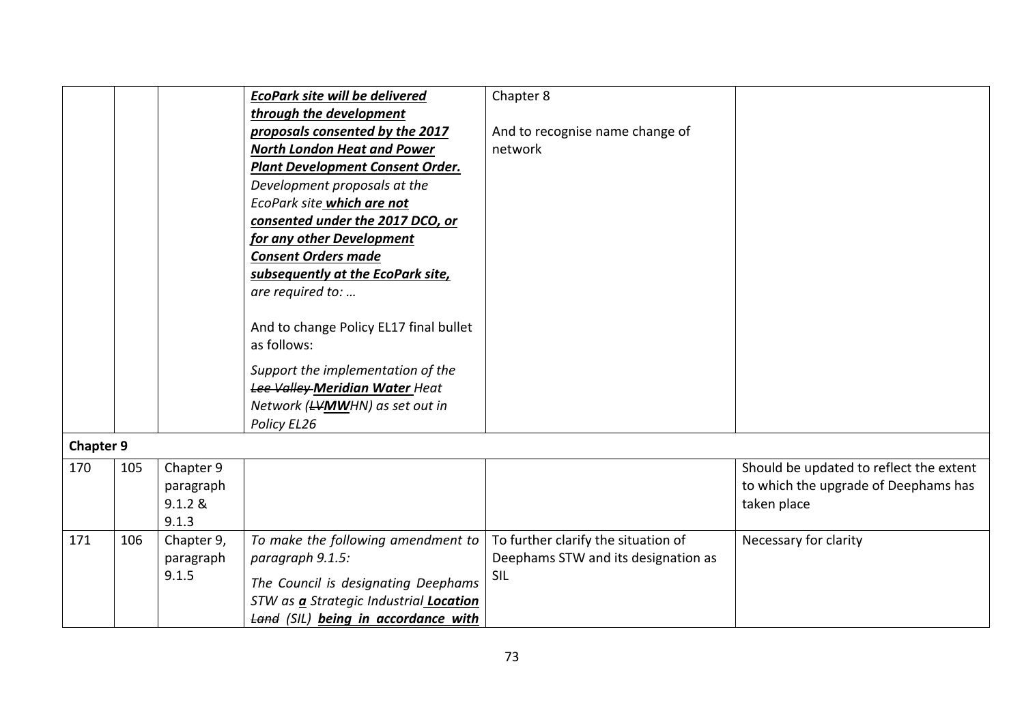|                  |     |            | <b>EcoPark site will be delivered</b>   | Chapter 8                           |                                         |
|------------------|-----|------------|-----------------------------------------|-------------------------------------|-----------------------------------------|
|                  |     |            | through the development                 |                                     |                                         |
|                  |     |            | proposals consented by the 2017         | And to recognise name change of     |                                         |
|                  |     |            | <b>North London Heat and Power</b>      | network                             |                                         |
|                  |     |            | <b>Plant Development Consent Order.</b> |                                     |                                         |
|                  |     |            | Development proposals at the            |                                     |                                         |
|                  |     |            | EcoPark site which are not              |                                     |                                         |
|                  |     |            | consented under the 2017 DCO, or        |                                     |                                         |
|                  |     |            | for any other Development               |                                     |                                         |
|                  |     |            | <b>Consent Orders made</b>              |                                     |                                         |
|                  |     |            | subsequently at the EcoPark site,       |                                     |                                         |
|                  |     |            | are required to:                        |                                     |                                         |
|                  |     |            |                                         |                                     |                                         |
|                  |     |            | And to change Policy EL17 final bullet  |                                     |                                         |
|                  |     |            | as follows:                             |                                     |                                         |
|                  |     |            | Support the implementation of the       |                                     |                                         |
|                  |     |            | Lee Valley-Meridian Water Heat          |                                     |                                         |
|                  |     |            | Network (LVMWHN) as set out in          |                                     |                                         |
|                  |     |            | Policy EL26                             |                                     |                                         |
|                  |     |            |                                         |                                     |                                         |
| <b>Chapter 9</b> |     |            |                                         |                                     |                                         |
| 170              | 105 | Chapter 9  |                                         |                                     | Should be updated to reflect the extent |
|                  |     | paragraph  |                                         |                                     | to which the upgrade of Deephams has    |
|                  |     | 9.1.2 &    |                                         |                                     | taken place                             |
|                  |     | 9.1.3      |                                         |                                     |                                         |
| 171              | 106 | Chapter 9, | To make the following amendment to      | To further clarify the situation of | Necessary for clarity                   |
|                  |     | paragraph  | paragraph 9.1.5:                        | Deephams STW and its designation as |                                         |
|                  |     | 9.1.5      | The Council is designating Deephams     | SIL                                 |                                         |
|                  |     |            | STW as a Strategic Industrial Location  |                                     |                                         |
|                  |     |            |                                         |                                     |                                         |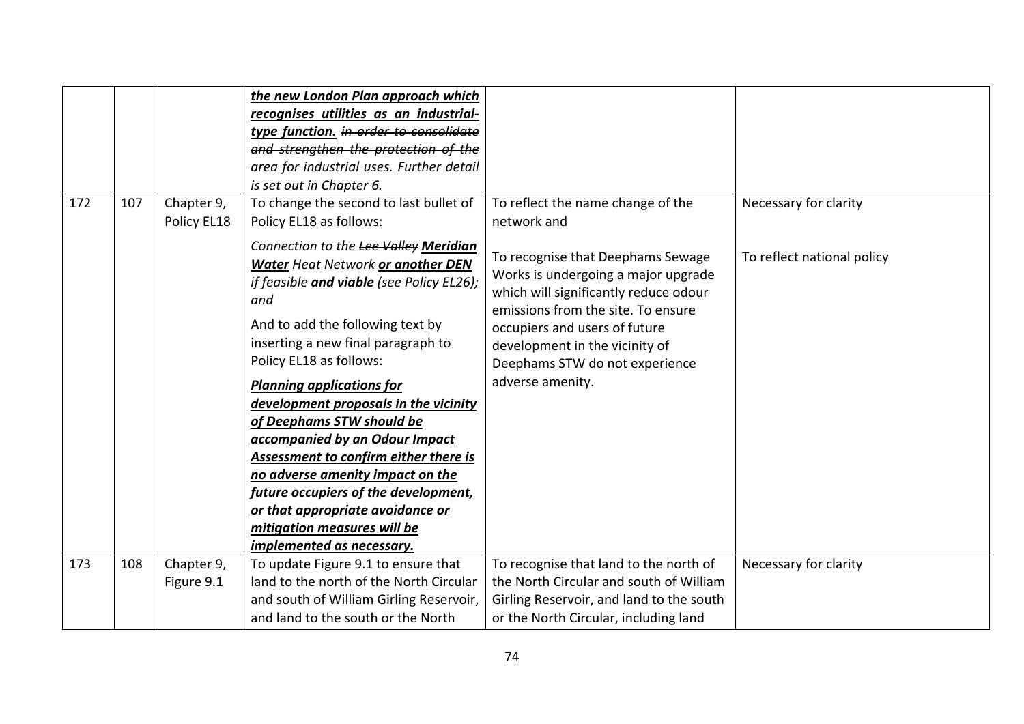| 172 | 107 | Chapter 9,<br>Policy EL18 | the new London Plan approach which<br>recognises utilities as an industrial-<br>type function. in order to consolidate<br>and strengthen the protection of the<br>area for industrial uses. Further detail<br>is set out in Chapter 6.<br>To change the second to last bullet of<br>Policy EL18 as follows:                                                                                                                                                                                                                                                                                          | To reflect the name change of the<br>network and                                                                                                                                                                                                                                 | Necessary for clarity      |
|-----|-----|---------------------------|------------------------------------------------------------------------------------------------------------------------------------------------------------------------------------------------------------------------------------------------------------------------------------------------------------------------------------------------------------------------------------------------------------------------------------------------------------------------------------------------------------------------------------------------------------------------------------------------------|----------------------------------------------------------------------------------------------------------------------------------------------------------------------------------------------------------------------------------------------------------------------------------|----------------------------|
|     |     |                           | Connection to the Lee Valley Meridian<br>Water Heat Network or another DEN<br>if feasible and viable (see Policy EL26);<br>and<br>And to add the following text by<br>inserting a new final paragraph to<br>Policy EL18 as follows:<br><b>Planning applications for</b><br>development proposals in the vicinity<br>of Deephams STW should be<br>accompanied by an Odour Impact<br>Assessment to confirm either there is<br>no adverse amenity impact on the<br>future occupiers of the development,<br>or that appropriate avoidance or<br>mitigation measures will be<br>implemented as necessary. | To recognise that Deephams Sewage<br>Works is undergoing a major upgrade<br>which will significantly reduce odour<br>emissions from the site. To ensure<br>occupiers and users of future<br>development in the vicinity of<br>Deephams STW do not experience<br>adverse amenity. | To reflect national policy |
| 173 | 108 | Chapter 9,                | To update Figure 9.1 to ensure that                                                                                                                                                                                                                                                                                                                                                                                                                                                                                                                                                                  | To recognise that land to the north of                                                                                                                                                                                                                                           | Necessary for clarity      |
|     |     | Figure 9.1                | land to the north of the North Circular                                                                                                                                                                                                                                                                                                                                                                                                                                                                                                                                                              | the North Circular and south of William                                                                                                                                                                                                                                          |                            |
|     |     |                           | and south of William Girling Reservoir,                                                                                                                                                                                                                                                                                                                                                                                                                                                                                                                                                              | Girling Reservoir, and land to the south                                                                                                                                                                                                                                         |                            |
|     |     |                           | and land to the south or the North                                                                                                                                                                                                                                                                                                                                                                                                                                                                                                                                                                   | or the North Circular, including land                                                                                                                                                                                                                                            |                            |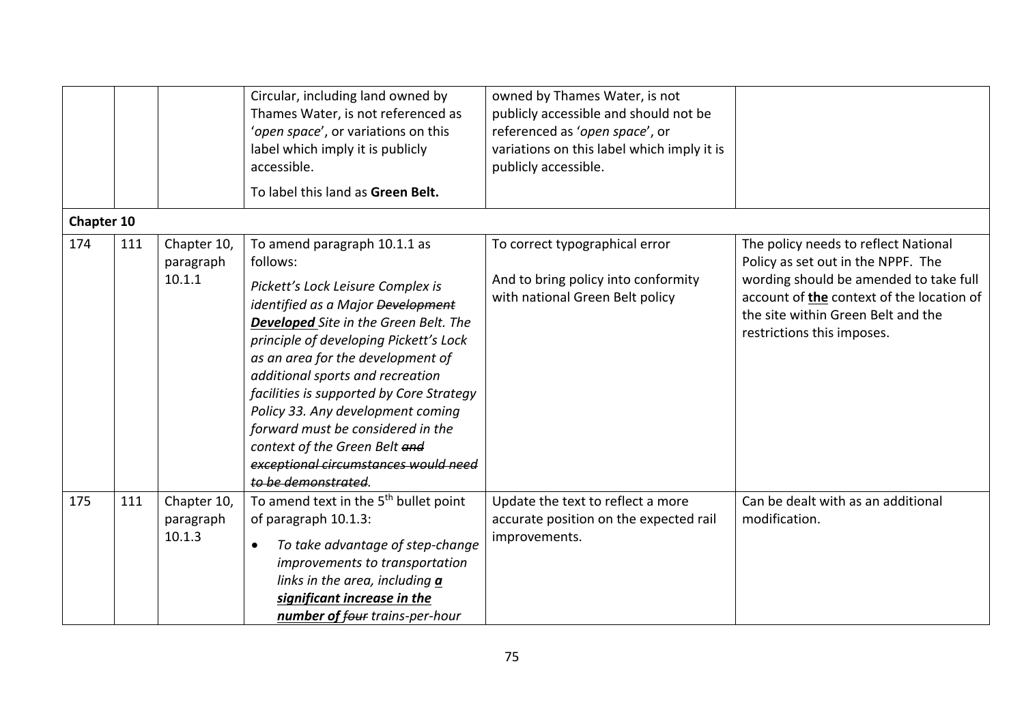|            |     |                                    | Circular, including land owned by<br>Thames Water, is not referenced as<br>'open space', or variations on this<br>label which imply it is publicly<br>accessible.<br>To label this land as Green Belt.                                                                                                                                                                                                                                                                                               | owned by Thames Water, is not<br>publicly accessible and should not be<br>referenced as 'open space', or<br>variations on this label which imply it is<br>publicly accessible. |                                                                                                                                                                                                                                       |
|------------|-----|------------------------------------|------------------------------------------------------------------------------------------------------------------------------------------------------------------------------------------------------------------------------------------------------------------------------------------------------------------------------------------------------------------------------------------------------------------------------------------------------------------------------------------------------|--------------------------------------------------------------------------------------------------------------------------------------------------------------------------------|---------------------------------------------------------------------------------------------------------------------------------------------------------------------------------------------------------------------------------------|
| Chapter 10 |     |                                    |                                                                                                                                                                                                                                                                                                                                                                                                                                                                                                      |                                                                                                                                                                                |                                                                                                                                                                                                                                       |
| 174        | 111 | Chapter 10,<br>paragraph<br>10.1.1 | To amend paragraph 10.1.1 as<br>follows:<br>Pickett's Lock Leisure Complex is<br>identified as a Major Development<br>Developed Site in the Green Belt. The<br>principle of developing Pickett's Lock<br>as an area for the development of<br>additional sports and recreation<br>facilities is supported by Core Strategy<br>Policy 33. Any development coming<br>forward must be considered in the<br>context of the Green Belt and<br>exceptional circumstances would need<br>to be demonstrated. | To correct typographical error<br>And to bring policy into conformity<br>with national Green Belt policy                                                                       | The policy needs to reflect National<br>Policy as set out in the NPPF. The<br>wording should be amended to take full<br>account of the context of the location of<br>the site within Green Belt and the<br>restrictions this imposes. |
| 175        | 111 | Chapter 10,<br>paragraph<br>10.1.3 | To amend text in the 5 <sup>th</sup> bullet point<br>of paragraph 10.1.3:<br>To take advantage of step-change<br>$\bullet$<br>improvements to transportation<br>links in the area, including a<br>significant increase in the<br>number of four trains-per-hour                                                                                                                                                                                                                                      | Update the text to reflect a more<br>accurate position on the expected rail<br>improvements.                                                                                   | Can be dealt with as an additional<br>modification.                                                                                                                                                                                   |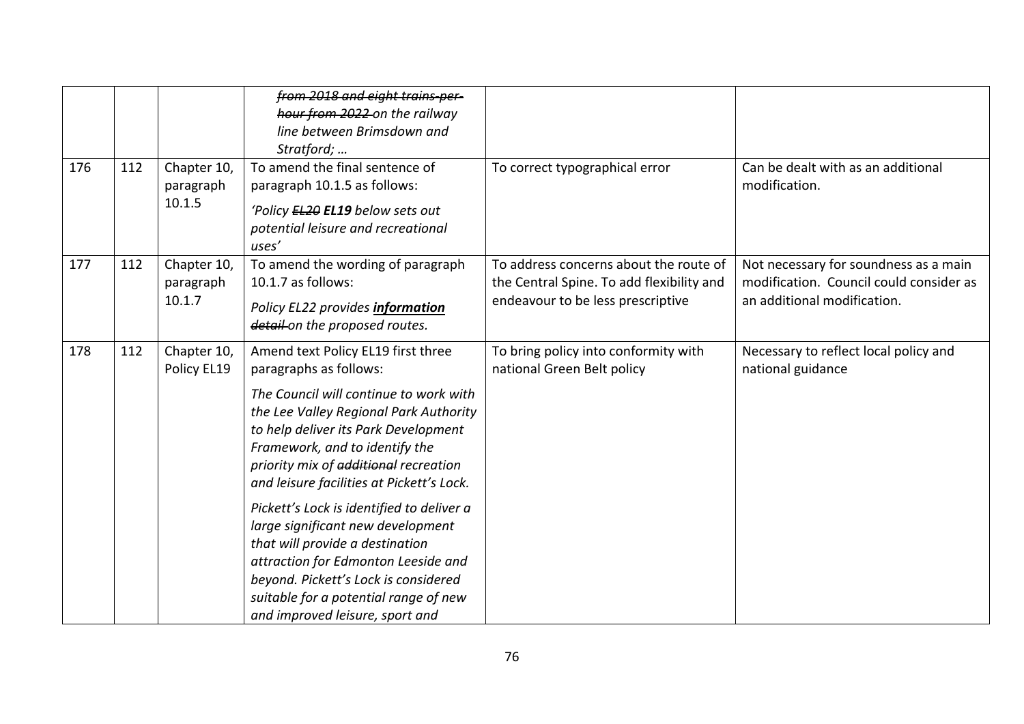| 176 | 112 | Chapter 10,<br>paragraph<br>10.1.5 | from 2018 and eight trains per-<br>hour from 2022 on the railway<br>line between Brimsdown and<br>Stratford;<br>To amend the final sentence of<br>paragraph 10.1.5 as follows:                                                                                                                                                                                                                                                                                                                                                                                                                   | To correct typographical error                                                                                           | Can be dealt with as an additional<br>modification.                                                             |
|-----|-----|------------------------------------|--------------------------------------------------------------------------------------------------------------------------------------------------------------------------------------------------------------------------------------------------------------------------------------------------------------------------------------------------------------------------------------------------------------------------------------------------------------------------------------------------------------------------------------------------------------------------------------------------|--------------------------------------------------------------------------------------------------------------------------|-----------------------------------------------------------------------------------------------------------------|
|     |     |                                    | 'Policy EL20 EL19 below sets out<br>potential leisure and recreational<br>uses'                                                                                                                                                                                                                                                                                                                                                                                                                                                                                                                  |                                                                                                                          |                                                                                                                 |
| 177 | 112 | Chapter 10,<br>paragraph<br>10.1.7 | To amend the wording of paragraph<br>10.1.7 as follows:<br>Policy EL22 provides information<br>detail on the proposed routes.                                                                                                                                                                                                                                                                                                                                                                                                                                                                    | To address concerns about the route of<br>the Central Spine. To add flexibility and<br>endeavour to be less prescriptive | Not necessary for soundness as a main<br>modification. Council could consider as<br>an additional modification. |
| 178 | 112 | Chapter 10,<br>Policy EL19         | Amend text Policy EL19 first three<br>paragraphs as follows:<br>The Council will continue to work with<br>the Lee Valley Regional Park Authority<br>to help deliver its Park Development<br>Framework, and to identify the<br>priority mix of additional recreation<br>and leisure facilities at Pickett's Lock.<br>Pickett's Lock is identified to deliver a<br>large significant new development<br>that will provide a destination<br>attraction for Edmonton Leeside and<br>beyond. Pickett's Lock is considered<br>suitable for a potential range of new<br>and improved leisure, sport and | To bring policy into conformity with<br>national Green Belt policy                                                       | Necessary to reflect local policy and<br>national guidance                                                      |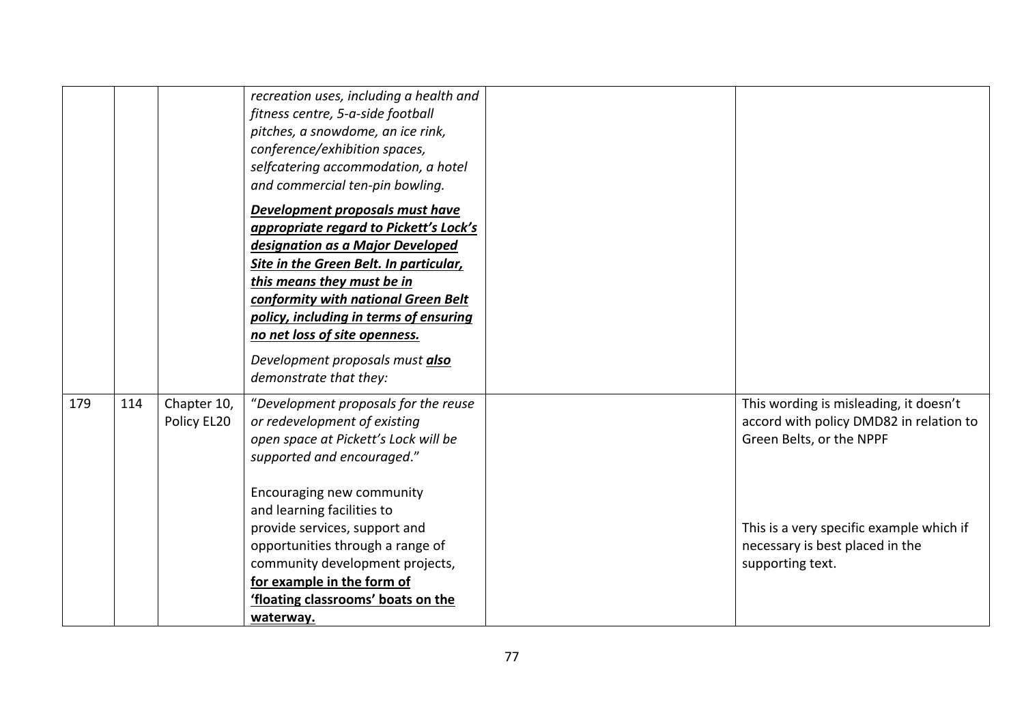|     |     |                            | recreation uses, including a health and<br>fitness centre, 5-a-side football<br>pitches, a snowdome, an ice rink,<br>conference/exhibition spaces,<br>selfcatering accommodation, a hotel<br>and commercial ten-pin bowling.<br>Development proposals must have<br>appropriate regard to Pickett's Lock's<br>designation as a Major Developed<br>Site in the Green Belt. In particular,<br>this means they must be in<br>conformity with national Green Belt<br>policy, including in terms of ensuring<br>no net loss of site openness.<br>Development proposals must also<br>demonstrate that they: |                                                                                                                                                                                                                  |
|-----|-----|----------------------------|------------------------------------------------------------------------------------------------------------------------------------------------------------------------------------------------------------------------------------------------------------------------------------------------------------------------------------------------------------------------------------------------------------------------------------------------------------------------------------------------------------------------------------------------------------------------------------------------------|------------------------------------------------------------------------------------------------------------------------------------------------------------------------------------------------------------------|
| 179 | 114 | Chapter 10,<br>Policy EL20 | "Development proposals for the reuse<br>or redevelopment of existing<br>open space at Pickett's Lock will be<br>supported and encouraged."<br>Encouraging new community<br>and learning facilities to<br>provide services, support and<br>opportunities through a range of<br>community development projects,<br>for example in the form of<br>'floating classrooms' boats on the<br>waterway.                                                                                                                                                                                                       | This wording is misleading, it doesn't<br>accord with policy DMD82 in relation to<br>Green Belts, or the NPPF<br>This is a very specific example which if<br>necessary is best placed in the<br>supporting text. |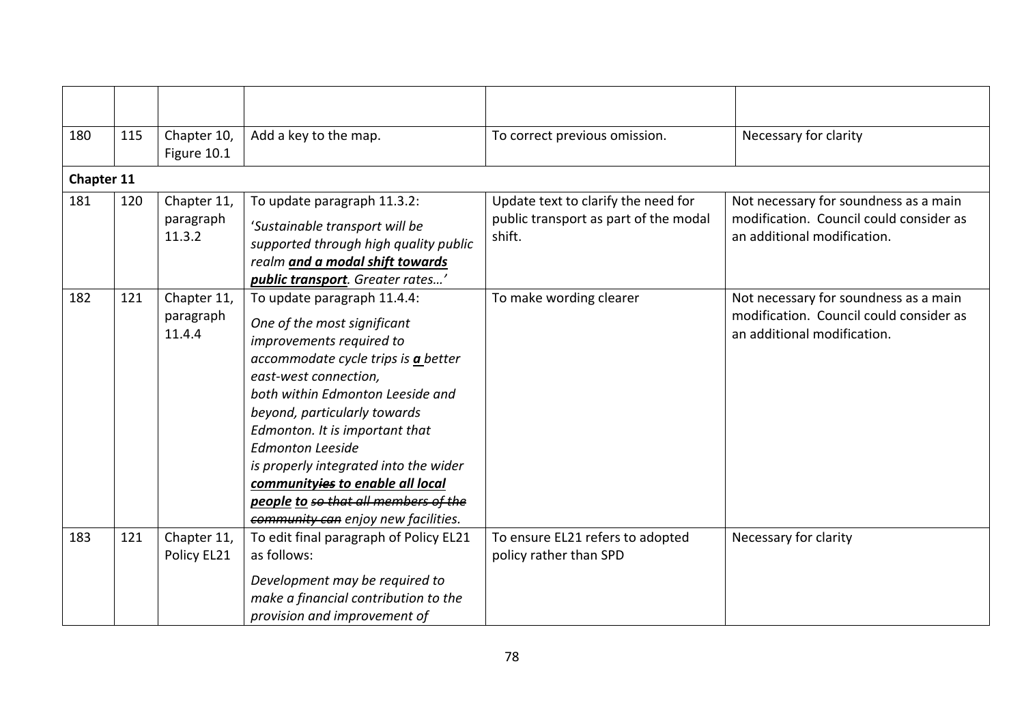| 180        | 115 | Chapter 10,<br>Figure 10.1         | Add a key to the map.                                                                                                                                                                                                                                                                                                                                                                                                                               | To correct previous omission.                                                          | Necessary for clarity                                                                                           |
|------------|-----|------------------------------------|-----------------------------------------------------------------------------------------------------------------------------------------------------------------------------------------------------------------------------------------------------------------------------------------------------------------------------------------------------------------------------------------------------------------------------------------------------|----------------------------------------------------------------------------------------|-----------------------------------------------------------------------------------------------------------------|
| Chapter 11 |     |                                    |                                                                                                                                                                                                                                                                                                                                                                                                                                                     |                                                                                        |                                                                                                                 |
| 181        | 120 | Chapter 11,<br>paragraph<br>11.3.2 | To update paragraph 11.3.2:<br>'Sustainable transport will be<br>supported through high quality public<br>realm and a modal shift towards<br>public transport. Greater rates'                                                                                                                                                                                                                                                                       | Update text to clarify the need for<br>public transport as part of the modal<br>shift. | Not necessary for soundness as a main<br>modification. Council could consider as<br>an additional modification. |
| 182        | 121 | Chapter 11,<br>paragraph<br>11.4.4 | To update paragraph 11.4.4:<br>One of the most significant<br>improvements required to<br>accommodate cycle trips is a better<br>east-west connection,<br>both within Edmonton Leeside and<br>beyond, particularly towards<br>Edmonton. It is important that<br><b>Edmonton Leeside</b><br>is properly integrated into the wider<br>communityies to enable all local<br>people to so that all members of the<br>community can enjoy new facilities. | To make wording clearer                                                                | Not necessary for soundness as a main<br>modification. Council could consider as<br>an additional modification. |
| 183        | 121 | Chapter 11,<br>Policy EL21         | To edit final paragraph of Policy EL21<br>as follows:<br>Development may be required to<br>make a financial contribution to the<br>provision and improvement of                                                                                                                                                                                                                                                                                     | To ensure EL21 refers to adopted<br>policy rather than SPD                             | Necessary for clarity                                                                                           |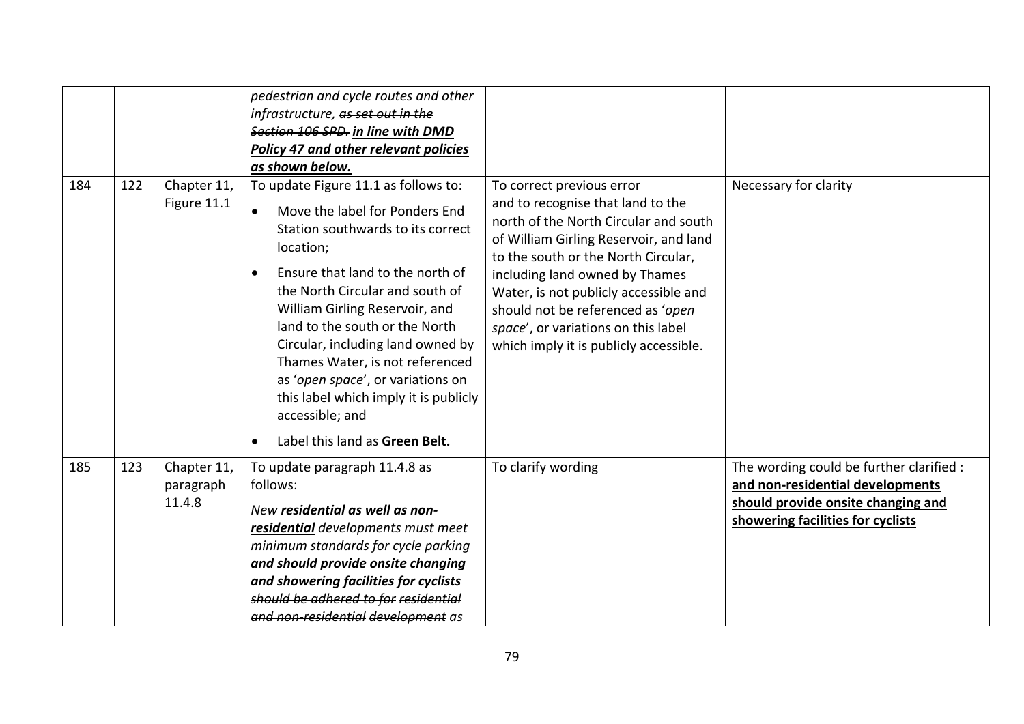|     |     |                                    | pedestrian and cycle routes and other<br>infrastructure, as set out in the<br>Section 106 SPD. in line with DMD<br><b>Policy 47 and other relevant policies</b><br>as shown below.                                                                                                                                                                                                                                                                                     |                                                                                                                                                                                                                                                                                                                                                                                           |                                                                                                                                                         |
|-----|-----|------------------------------------|------------------------------------------------------------------------------------------------------------------------------------------------------------------------------------------------------------------------------------------------------------------------------------------------------------------------------------------------------------------------------------------------------------------------------------------------------------------------|-------------------------------------------------------------------------------------------------------------------------------------------------------------------------------------------------------------------------------------------------------------------------------------------------------------------------------------------------------------------------------------------|---------------------------------------------------------------------------------------------------------------------------------------------------------|
| 184 | 122 | Chapter 11,<br>Figure 11.1         | To update Figure 11.1 as follows to:<br>Move the label for Ponders End<br>$\bullet$<br>Station southwards to its correct<br>location;<br>Ensure that land to the north of<br>$\bullet$<br>the North Circular and south of<br>William Girling Reservoir, and<br>land to the south or the North<br>Circular, including land owned by<br>Thames Water, is not referenced<br>as 'open space', or variations on<br>this label which imply it is publicly<br>accessible; and | To correct previous error<br>and to recognise that land to the<br>north of the North Circular and south<br>of William Girling Reservoir, and land<br>to the south or the North Circular,<br>including land owned by Thames<br>Water, is not publicly accessible and<br>should not be referenced as 'open<br>space', or variations on this label<br>which imply it is publicly accessible. | Necessary for clarity                                                                                                                                   |
|     |     |                                    | Label this land as Green Belt.<br>$\bullet$                                                                                                                                                                                                                                                                                                                                                                                                                            |                                                                                                                                                                                                                                                                                                                                                                                           |                                                                                                                                                         |
| 185 | 123 | Chapter 11,<br>paragraph<br>11.4.8 | To update paragraph 11.4.8 as<br>follows:<br>New residential as well as non-<br>residential developments must meet<br>minimum standards for cycle parking<br>and should provide onsite changing<br>and showering facilities for cyclists<br>should be adhered to for residential<br>and non-residential development as                                                                                                                                                 | To clarify wording                                                                                                                                                                                                                                                                                                                                                                        | The wording could be further clarified :<br>and non-residential developments<br>should provide onsite changing and<br>showering facilities for cyclists |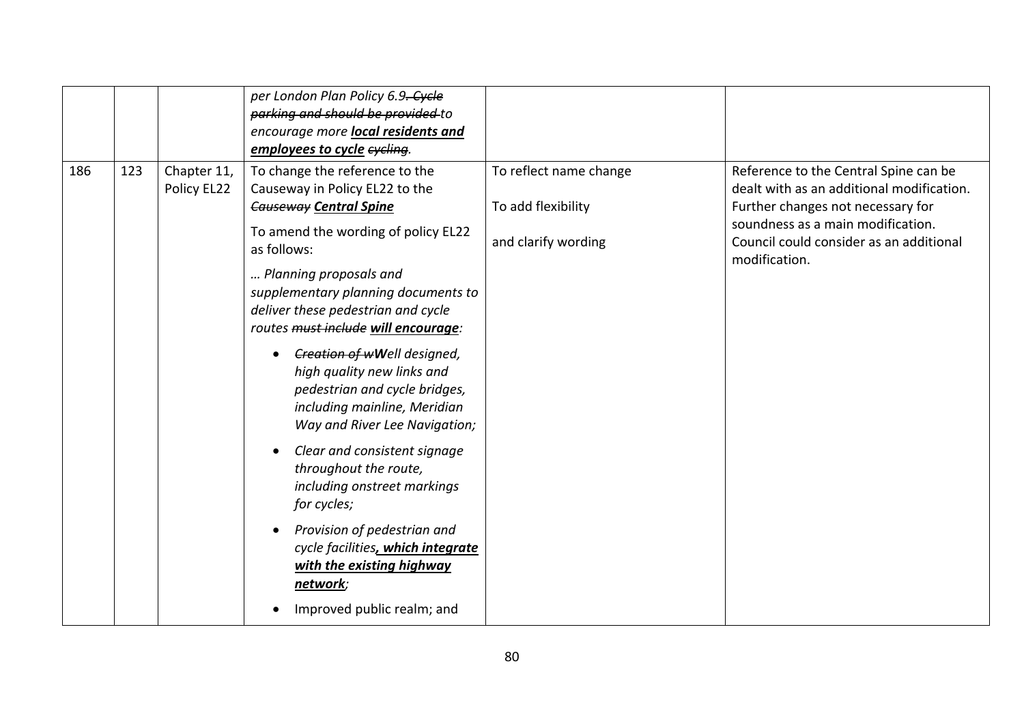|     |     |                            | per London Plan Policy 6.9. Cycle<br>parking and should be provided to<br>encourage more local residents and<br>employees to cycle eyeling.                                                                                                                                                                                                                                                                                                                                                                                                                                                                                                                                                                            |                                                                     |                                                                                                                                                                                                                          |
|-----|-----|----------------------------|------------------------------------------------------------------------------------------------------------------------------------------------------------------------------------------------------------------------------------------------------------------------------------------------------------------------------------------------------------------------------------------------------------------------------------------------------------------------------------------------------------------------------------------------------------------------------------------------------------------------------------------------------------------------------------------------------------------------|---------------------------------------------------------------------|--------------------------------------------------------------------------------------------------------------------------------------------------------------------------------------------------------------------------|
| 186 | 123 | Chapter 11,<br>Policy EL22 | To change the reference to the<br>Causeway in Policy EL22 to the<br><b>Causeway Central Spine</b><br>To amend the wording of policy EL22<br>as follows:<br>Planning proposals and<br>supplementary planning documents to<br>deliver these pedestrian and cycle<br>routes must include will encourage:<br>Creation of wWell designed,<br>high quality new links and<br>pedestrian and cycle bridges,<br>including mainline, Meridian<br>Way and River Lee Navigation;<br>Clear and consistent signage<br>throughout the route,<br>including onstreet markings<br>for cycles;<br>Provision of pedestrian and<br>cycle facilities, which integrate<br>with the existing highway<br>network;<br>Improved public realm; and | To reflect name change<br>To add flexibility<br>and clarify wording | Reference to the Central Spine can be<br>dealt with as an additional modification.<br>Further changes not necessary for<br>soundness as a main modification.<br>Council could consider as an additional<br>modification. |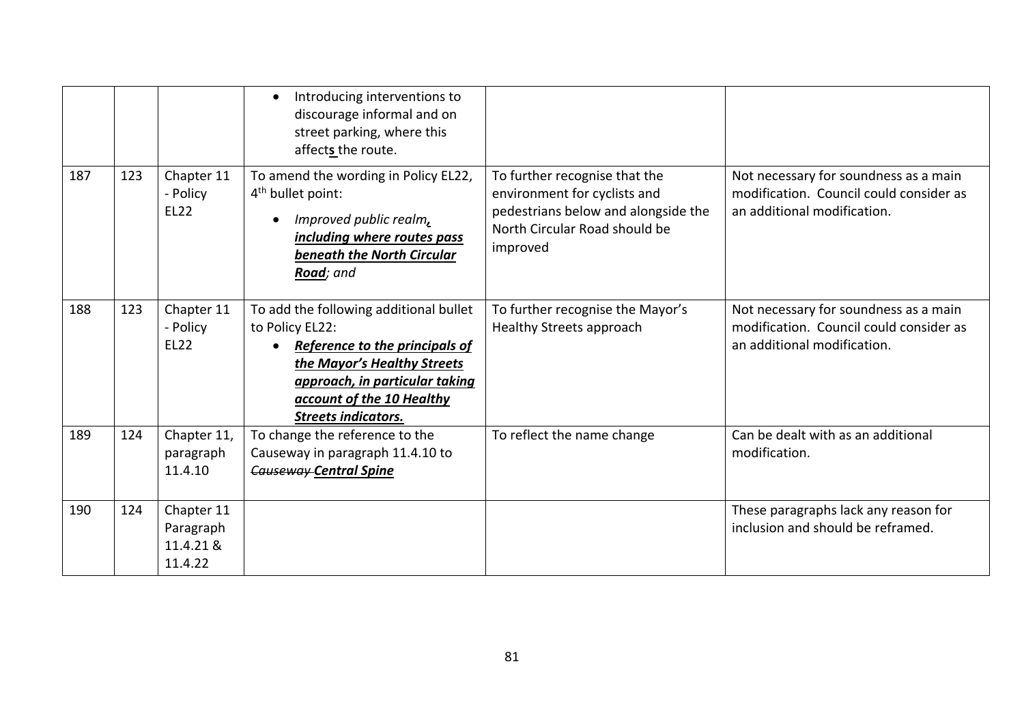|     |     |                                                 | Introducing interventions to<br>$\bullet$<br>discourage informal and on<br>street parking, where this<br>affects the route.                                                                                             |                                                                                                                                                   |                                                                                                                 |
|-----|-----|-------------------------------------------------|-------------------------------------------------------------------------------------------------------------------------------------------------------------------------------------------------------------------------|---------------------------------------------------------------------------------------------------------------------------------------------------|-----------------------------------------------------------------------------------------------------------------|
| 187 | 123 | Chapter 11<br>- Policy<br><b>EL22</b>           | To amend the wording in Policy EL22,<br>4 <sup>th</sup> bullet point:<br>Improved public realm,<br>including where routes pass<br>beneath the North Circular<br>Road; and                                               | To further recognise that the<br>environment for cyclists and<br>pedestrians below and alongside the<br>North Circular Road should be<br>improved | Not necessary for soundness as a main<br>modification. Council could consider as<br>an additional modification. |
| 188 | 123 | Chapter 11<br>- Policy<br><b>EL22</b>           | To add the following additional bullet<br>to Policy EL22:<br>Reference to the principals of<br>the Mayor's Healthy Streets<br>approach, in particular taking<br>account of the 10 Healthy<br><b>Streets indicators.</b> | To further recognise the Mayor's<br>Healthy Streets approach                                                                                      | Not necessary for soundness as a main<br>modification. Council could consider as<br>an additional modification. |
| 189 | 124 | Chapter 11,<br>paragraph<br>11.4.10             | To change the reference to the<br>Causeway in paragraph 11.4.10 to<br><b>Causeway Central Spine</b>                                                                                                                     | To reflect the name change                                                                                                                        | Can be dealt with as an additional<br>modification.                                                             |
| 190 | 124 | Chapter 11<br>Paragraph<br>11.4.21 &<br>11.4.22 |                                                                                                                                                                                                                         |                                                                                                                                                   | These paragraphs lack any reason for<br>inclusion and should be reframed.                                       |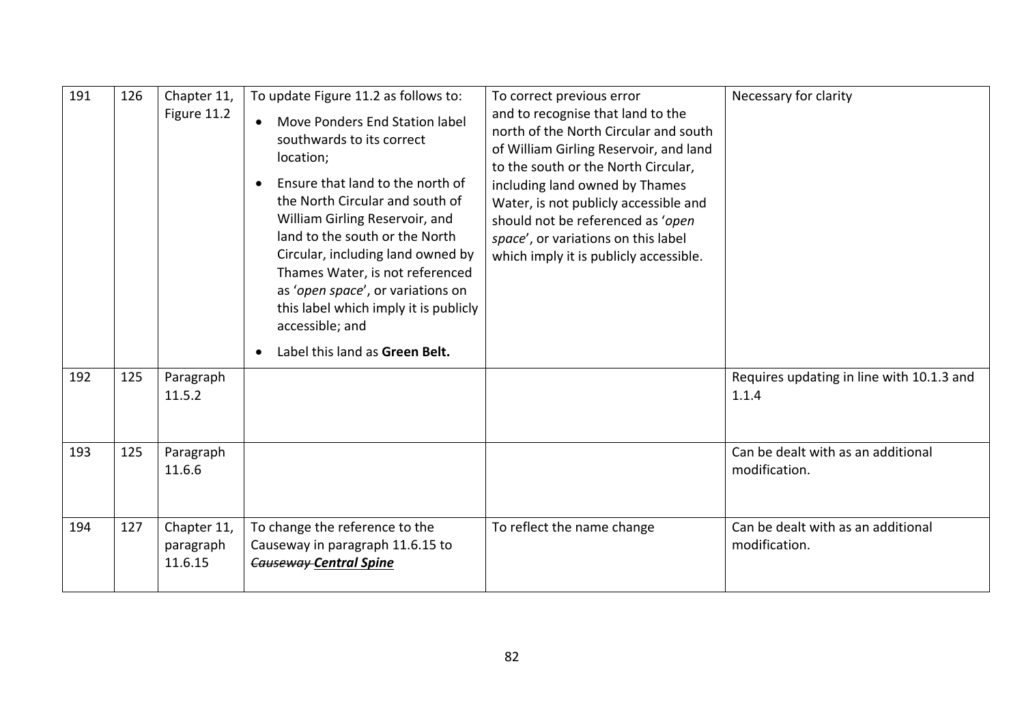| 191 | 126 | Chapter 11,<br>Figure 11.2          | To update Figure 11.2 as follows to:<br>Move Ponders End Station label<br>$\bullet$<br>southwards to its correct<br>location;<br>Ensure that land to the north of<br>$\bullet$<br>the North Circular and south of<br>William Girling Reservoir, and<br>land to the south or the North<br>Circular, including land owned by<br>Thames Water, is not referenced<br>as 'open space', or variations on<br>this label which imply it is publicly<br>accessible; and<br>Label this land as Green Belt.<br>$\bullet$ | To correct previous error<br>and to recognise that land to the<br>north of the North Circular and south<br>of William Girling Reservoir, and land<br>to the south or the North Circular,<br>including land owned by Thames<br>Water, is not publicly accessible and<br>should not be referenced as 'open<br>space', or variations on this label<br>which imply it is publicly accessible. | Necessary for clarity                               |
|-----|-----|-------------------------------------|---------------------------------------------------------------------------------------------------------------------------------------------------------------------------------------------------------------------------------------------------------------------------------------------------------------------------------------------------------------------------------------------------------------------------------------------------------------------------------------------------------------|-------------------------------------------------------------------------------------------------------------------------------------------------------------------------------------------------------------------------------------------------------------------------------------------------------------------------------------------------------------------------------------------|-----------------------------------------------------|
| 192 | 125 | Paragraph<br>11.5.2                 |                                                                                                                                                                                                                                                                                                                                                                                                                                                                                                               |                                                                                                                                                                                                                                                                                                                                                                                           | Requires updating in line with 10.1.3 and<br>1.1.4  |
| 193 | 125 | Paragraph<br>11.6.6                 |                                                                                                                                                                                                                                                                                                                                                                                                                                                                                                               |                                                                                                                                                                                                                                                                                                                                                                                           | Can be dealt with as an additional<br>modification. |
| 194 | 127 | Chapter 11,<br>paragraph<br>11.6.15 | To change the reference to the<br>Causeway in paragraph 11.6.15 to<br><b>Causeway-Central Spine</b>                                                                                                                                                                                                                                                                                                                                                                                                           | To reflect the name change                                                                                                                                                                                                                                                                                                                                                                | Can be dealt with as an additional<br>modification. |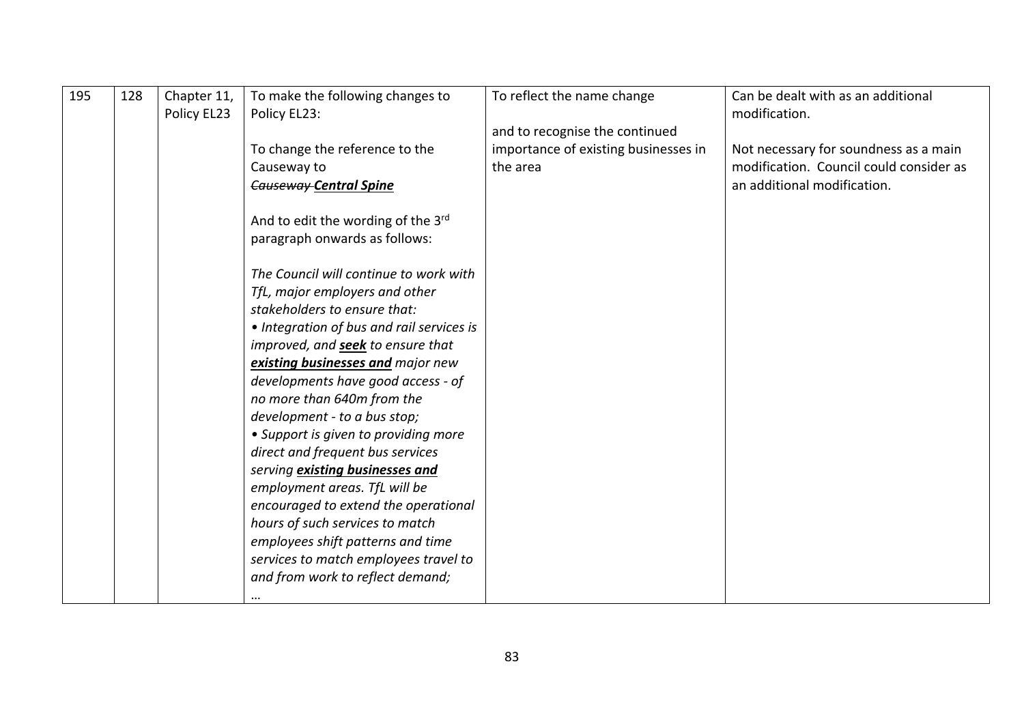| 195 |     |             |                                                                                                                                                                                                                                                                                                                                                                                                                                                                                                                                                                                                                                                                |                                      | Can be dealt with as an additional      |
|-----|-----|-------------|----------------------------------------------------------------------------------------------------------------------------------------------------------------------------------------------------------------------------------------------------------------------------------------------------------------------------------------------------------------------------------------------------------------------------------------------------------------------------------------------------------------------------------------------------------------------------------------------------------------------------------------------------------------|--------------------------------------|-----------------------------------------|
|     | 128 | Chapter 11, | To make the following changes to                                                                                                                                                                                                                                                                                                                                                                                                                                                                                                                                                                                                                               | To reflect the name change           |                                         |
|     |     | Policy EL23 | Policy EL23:                                                                                                                                                                                                                                                                                                                                                                                                                                                                                                                                                                                                                                                   |                                      | modification.                           |
|     |     |             |                                                                                                                                                                                                                                                                                                                                                                                                                                                                                                                                                                                                                                                                | and to recognise the continued       |                                         |
|     |     |             | To change the reference to the                                                                                                                                                                                                                                                                                                                                                                                                                                                                                                                                                                                                                                 | importance of existing businesses in | Not necessary for soundness as a main   |
|     |     |             | Causeway to                                                                                                                                                                                                                                                                                                                                                                                                                                                                                                                                                                                                                                                    | the area                             | modification. Council could consider as |
|     |     |             | <b>Causeway-Central Spine</b>                                                                                                                                                                                                                                                                                                                                                                                                                                                                                                                                                                                                                                  |                                      | an additional modification.             |
|     |     |             |                                                                                                                                                                                                                                                                                                                                                                                                                                                                                                                                                                                                                                                                |                                      |                                         |
|     |     |             |                                                                                                                                                                                                                                                                                                                                                                                                                                                                                                                                                                                                                                                                |                                      |                                         |
|     |     |             |                                                                                                                                                                                                                                                                                                                                                                                                                                                                                                                                                                                                                                                                |                                      |                                         |
|     |     |             |                                                                                                                                                                                                                                                                                                                                                                                                                                                                                                                                                                                                                                                                |                                      |                                         |
|     |     |             |                                                                                                                                                                                                                                                                                                                                                                                                                                                                                                                                                                                                                                                                |                                      |                                         |
|     |     |             |                                                                                                                                                                                                                                                                                                                                                                                                                                                                                                                                                                                                                                                                |                                      |                                         |
|     |     |             |                                                                                                                                                                                                                                                                                                                                                                                                                                                                                                                                                                                                                                                                |                                      |                                         |
|     |     |             |                                                                                                                                                                                                                                                                                                                                                                                                                                                                                                                                                                                                                                                                |                                      |                                         |
|     |     |             |                                                                                                                                                                                                                                                                                                                                                                                                                                                                                                                                                                                                                                                                |                                      |                                         |
|     |     |             |                                                                                                                                                                                                                                                                                                                                                                                                                                                                                                                                                                                                                                                                |                                      |                                         |
|     |     |             |                                                                                                                                                                                                                                                                                                                                                                                                                                                                                                                                                                                                                                                                |                                      |                                         |
|     |     |             |                                                                                                                                                                                                                                                                                                                                                                                                                                                                                                                                                                                                                                                                |                                      |                                         |
|     |     |             |                                                                                                                                                                                                                                                                                                                                                                                                                                                                                                                                                                                                                                                                |                                      |                                         |
|     |     |             |                                                                                                                                                                                                                                                                                                                                                                                                                                                                                                                                                                                                                                                                |                                      |                                         |
|     |     |             |                                                                                                                                                                                                                                                                                                                                                                                                                                                                                                                                                                                                                                                                |                                      |                                         |
|     |     |             | serving existing businesses and                                                                                                                                                                                                                                                                                                                                                                                                                                                                                                                                                                                                                                |                                      |                                         |
|     |     |             | employment areas. TfL will be                                                                                                                                                                                                                                                                                                                                                                                                                                                                                                                                                                                                                                  |                                      |                                         |
|     |     |             | encouraged to extend the operational                                                                                                                                                                                                                                                                                                                                                                                                                                                                                                                                                                                                                           |                                      |                                         |
|     |     |             |                                                                                                                                                                                                                                                                                                                                                                                                                                                                                                                                                                                                                                                                |                                      |                                         |
|     |     |             |                                                                                                                                                                                                                                                                                                                                                                                                                                                                                                                                                                                                                                                                |                                      |                                         |
|     |     |             |                                                                                                                                                                                                                                                                                                                                                                                                                                                                                                                                                                                                                                                                |                                      |                                         |
|     |     |             |                                                                                                                                                                                                                                                                                                                                                                                                                                                                                                                                                                                                                                                                |                                      |                                         |
|     |     |             |                                                                                                                                                                                                                                                                                                                                                                                                                                                                                                                                                                                                                                                                |                                      |                                         |
|     |     |             | And to edit the wording of the 3rd<br>paragraph onwards as follows:<br>The Council will continue to work with<br>TfL, major employers and other<br>stakeholders to ensure that:<br>• Integration of bus and rail services is<br>improved, and <b>seek</b> to ensure that<br>existing businesses and major new<br>developments have good access - of<br>no more than 640m from the<br>development - to a bus stop;<br>• Support is given to providing more<br>direct and frequent bus services<br>hours of such services to match<br>employees shift patterns and time<br>services to match employees travel to<br>and from work to reflect demand;<br>$\cdots$ |                                      |                                         |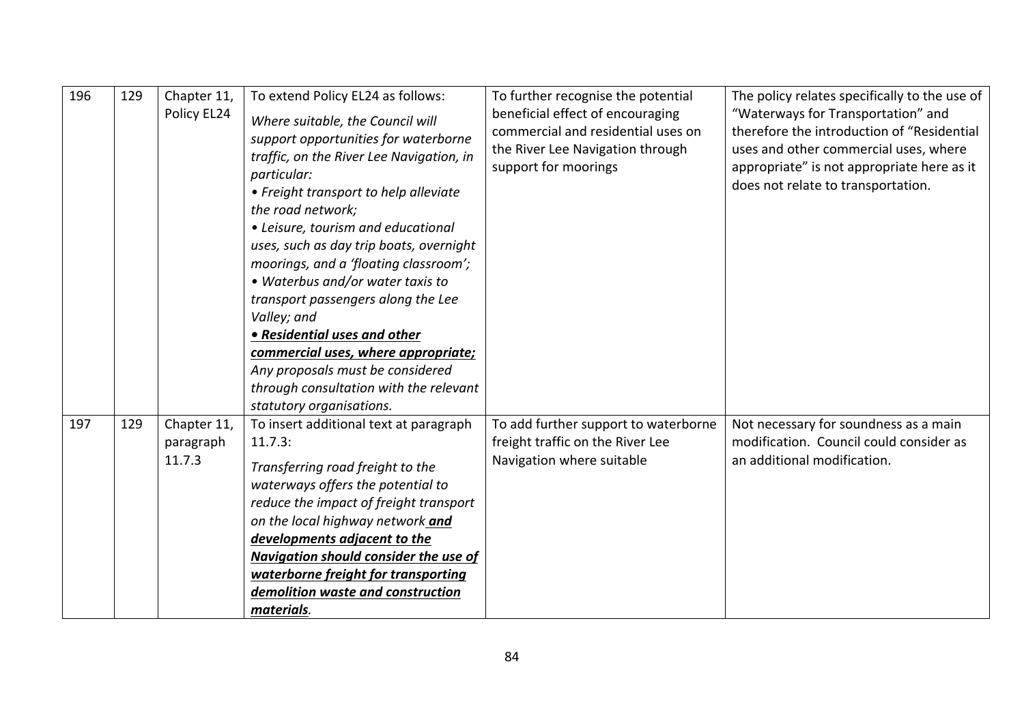| 196 | 129 | Chapter 11,<br>Policy EL24         | To extend Policy EL24 as follows:<br>Where suitable, the Council will<br>support opportunities for waterborne<br>traffic, on the River Lee Navigation, in<br>particular:<br>• Freight transport to help alleviate<br>the road network;<br>• Leisure, tourism and educational<br>uses, such as day trip boats, overnight<br>moorings, and a 'floating classroom';                   | To further recognise the potential<br>beneficial effect of encouraging<br>commercial and residential uses on<br>the River Lee Navigation through<br>support for moorings | The policy relates specifically to the use of<br>"Waterways for Transportation" and<br>therefore the introduction of "Residential<br>uses and other commercial uses, where<br>appropriate" is not appropriate here as it<br>does not relate to transportation. |
|-----|-----|------------------------------------|------------------------------------------------------------------------------------------------------------------------------------------------------------------------------------------------------------------------------------------------------------------------------------------------------------------------------------------------------------------------------------|--------------------------------------------------------------------------------------------------------------------------------------------------------------------------|----------------------------------------------------------------------------------------------------------------------------------------------------------------------------------------------------------------------------------------------------------------|
|     |     |                                    | • Waterbus and/or water taxis to<br>transport passengers along the Lee<br>Valley; and<br>• Residential uses and other<br>commercial uses, where appropriate;<br>Any proposals must be considered<br>through consultation with the relevant<br>statutory organisations.                                                                                                             |                                                                                                                                                                          |                                                                                                                                                                                                                                                                |
| 197 | 129 | Chapter 11,<br>paragraph<br>11.7.3 | To insert additional text at paragraph<br>11.7.3:<br>Transferring road freight to the<br>waterways offers the potential to<br>reduce the impact of freight transport<br>on the local highway network and<br>developments adjacent to the<br><b>Navigation should consider the use of</b><br>waterborne freight for transporting<br>demolition waste and construction<br>materials. | To add further support to waterborne<br>freight traffic on the River Lee<br>Navigation where suitable                                                                    | Not necessary for soundness as a main<br>modification. Council could consider as<br>an additional modification.                                                                                                                                                |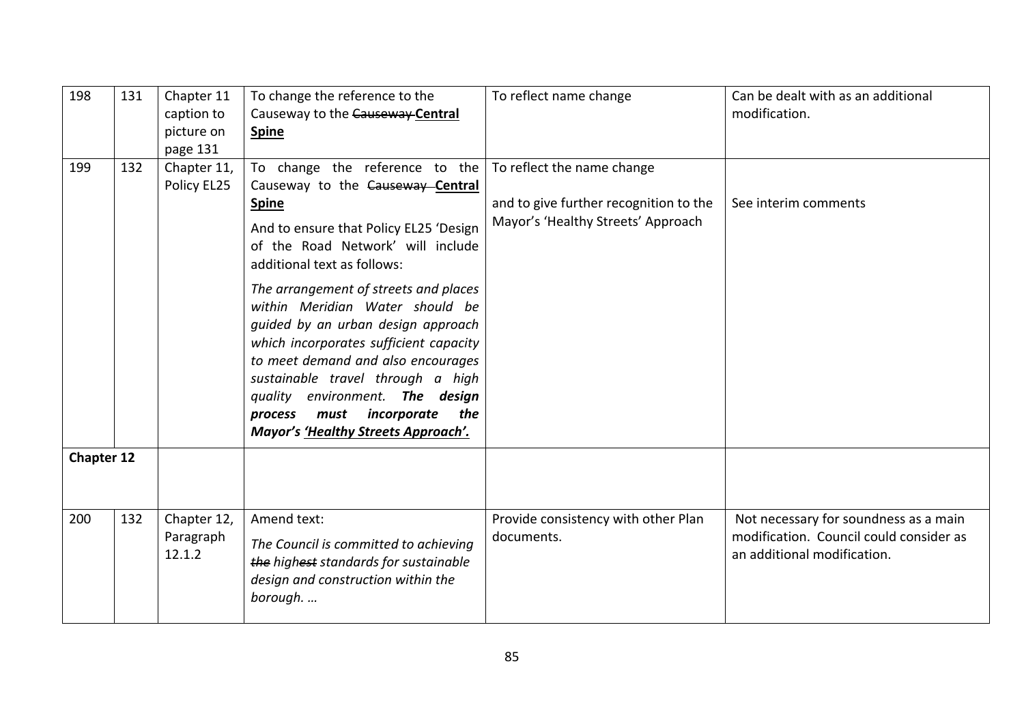| 198               | 131 | Chapter 11<br>caption to           | To change the reference to the<br>Causeway to the Causeway-Central                                                                                                                                                                                                                                                                                                                                                                                                                                                                                      | To reflect name change                                                                                     | Can be dealt with as an additional<br>modification.                                                             |
|-------------------|-----|------------------------------------|---------------------------------------------------------------------------------------------------------------------------------------------------------------------------------------------------------------------------------------------------------------------------------------------------------------------------------------------------------------------------------------------------------------------------------------------------------------------------------------------------------------------------------------------------------|------------------------------------------------------------------------------------------------------------|-----------------------------------------------------------------------------------------------------------------|
|                   |     | picture on                         | <b>Spine</b>                                                                                                                                                                                                                                                                                                                                                                                                                                                                                                                                            |                                                                                                            |                                                                                                                 |
|                   |     | page 131                           |                                                                                                                                                                                                                                                                                                                                                                                                                                                                                                                                                         |                                                                                                            |                                                                                                                 |
| 199               | 132 | Chapter 11,<br>Policy EL25         | To change the reference to the<br>Causeway to the Causeway Central<br><b>Spine</b><br>And to ensure that Policy EL25 'Design<br>of the Road Network' will include<br>additional text as follows:<br>The arrangement of streets and places<br>within Meridian Water should be<br>guided by an urban design approach<br>which incorporates sufficient capacity<br>to meet demand and also encourages<br>sustainable travel through a high<br>quality environment. The design<br>must incorporate<br>the<br>process<br>Mayor's 'Healthy Streets Approach'. | To reflect the name change<br>and to give further recognition to the<br>Mayor's 'Healthy Streets' Approach | See interim comments                                                                                            |
| <b>Chapter 12</b> |     |                                    |                                                                                                                                                                                                                                                                                                                                                                                                                                                                                                                                                         |                                                                                                            |                                                                                                                 |
| 200               | 132 | Chapter 12,<br>Paragraph<br>12.1.2 | Amend text:<br>The Council is committed to achieving<br>the highest standards for sustainable<br>design and construction within the<br>borough                                                                                                                                                                                                                                                                                                                                                                                                          | Provide consistency with other Plan<br>documents.                                                          | Not necessary for soundness as a main<br>modification. Council could consider as<br>an additional modification. |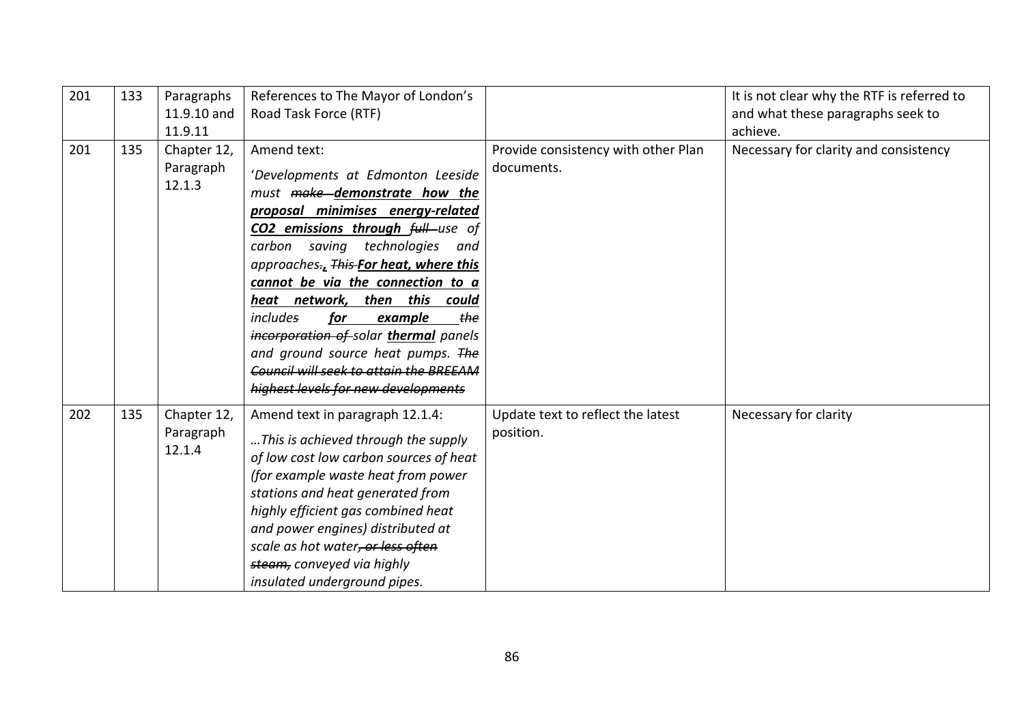| 201 | 133 | Paragraphs<br>11.9.10 and<br>11.9.11 | References to The Mayor of London's<br>Road Task Force (RTF)                                                                                                                                                                                                                                                                                                                                                                                                                                                                              |                                                   | It is not clear why the RTF is referred to<br>and what these paragraphs seek to<br>achieve. |
|-----|-----|--------------------------------------|-------------------------------------------------------------------------------------------------------------------------------------------------------------------------------------------------------------------------------------------------------------------------------------------------------------------------------------------------------------------------------------------------------------------------------------------------------------------------------------------------------------------------------------------|---------------------------------------------------|---------------------------------------------------------------------------------------------|
| 201 | 135 | Chapter 12,<br>Paragraph<br>12.1.3   | Amend text:<br>'Developments at Edmonton Leeside<br>must make demonstrate how the<br>proposal minimises energy-related<br><b>CO2 emissions through full</b> -use of<br>carbon saving technologies<br>and<br>approaches., This For heat, where this<br>cannot be via the connection to a<br>then this<br>heat network,<br>could<br><i>includes</i><br>for<br>example<br>the<br>incorporation of solar thermal panels<br>and ground source heat pumps. The<br>Council will seek to attain the BREEAM<br>highest levels for new developments | Provide consistency with other Plan<br>documents. | Necessary for clarity and consistency                                                       |
| 202 | 135 | Chapter 12,<br>Paragraph<br>12.1.4   | Amend text in paragraph 12.1.4:<br>This is achieved through the supply<br>of low cost low carbon sources of heat<br>(for example waste heat from power<br>stations and heat generated from<br>highly efficient gas combined heat<br>and power engines) distributed at<br>scale as hot water, or less often<br>steam, conveyed via highly<br>insulated underground pipes.                                                                                                                                                                  | Update text to reflect the latest<br>position.    | Necessary for clarity                                                                       |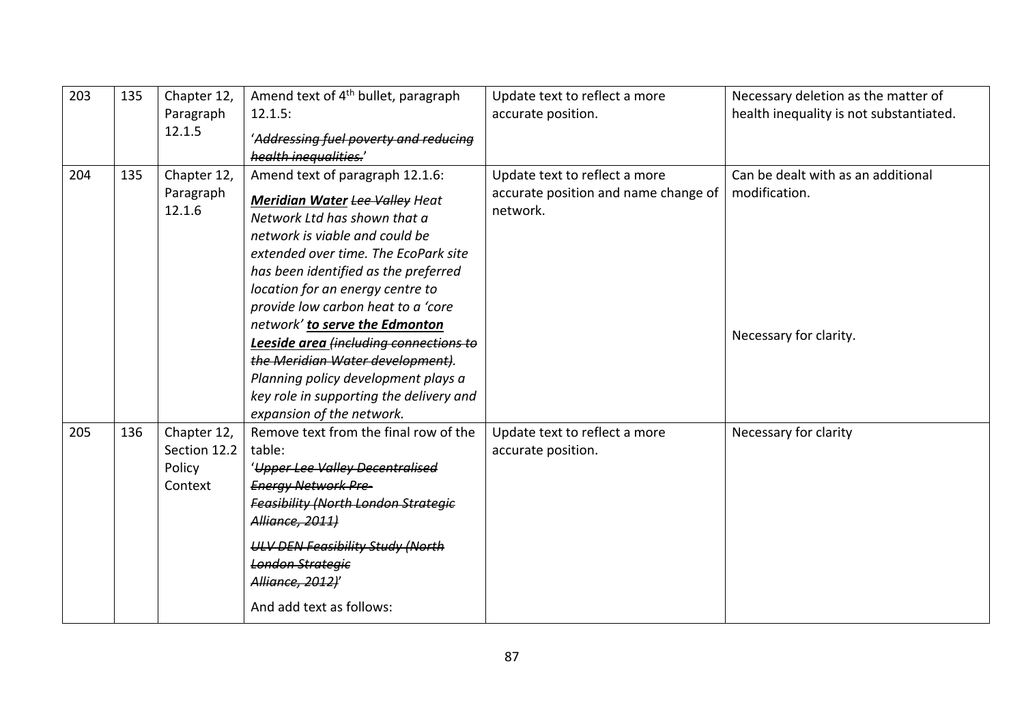| 203 | 135 | Chapter 12,<br>Paragraph | Amend text of 4 <sup>th</sup> bullet, paragraph<br>12.1.5:            | Update text to reflect a more<br>accurate position. | Necessary deletion as the matter of<br>health inequality is not substantiated. |
|-----|-----|--------------------------|-----------------------------------------------------------------------|-----------------------------------------------------|--------------------------------------------------------------------------------|
|     |     | 12.1.5                   | 'Addressing fuel poverty and reducing                                 |                                                     |                                                                                |
|     |     |                          | health inequalities.'                                                 |                                                     |                                                                                |
| 204 | 135 | Chapter 12,              | Amend text of paragraph 12.1.6:                                       | Update text to reflect a more                       | Can be dealt with as an additional                                             |
|     |     | Paragraph<br>12.1.6      | <b>Meridian Water Lee Valley Heat</b><br>Network Ltd has shown that a | accurate position and name change of<br>network.    | modification.                                                                  |
|     |     |                          | network is viable and could be                                        |                                                     |                                                                                |
|     |     |                          | extended over time. The EcoPark site                                  |                                                     |                                                                                |
|     |     |                          | has been identified as the preferred                                  |                                                     |                                                                                |
|     |     |                          | location for an energy centre to                                      |                                                     |                                                                                |
|     |     |                          | provide low carbon heat to a 'core                                    |                                                     |                                                                                |
|     |     |                          | network' to serve the Edmonton                                        |                                                     | Necessary for clarity.                                                         |
|     |     |                          | Leeside area (including connections to                                |                                                     |                                                                                |
|     |     |                          | the Meridian Water development).                                      |                                                     |                                                                                |
|     |     |                          | Planning policy development plays a                                   |                                                     |                                                                                |
|     |     |                          | key role in supporting the delivery and                               |                                                     |                                                                                |
|     |     |                          | expansion of the network.                                             |                                                     |                                                                                |
| 205 | 136 | Chapter 12,              | Remove text from the final row of the                                 | Update text to reflect a more                       | Necessary for clarity                                                          |
|     |     | Section 12.2             | table:                                                                | accurate position.                                  |                                                                                |
|     |     | Policy                   | 'Upper Lee Valley Decentralised                                       |                                                     |                                                                                |
|     |     | Context                  | <b>Energy Network Pre-</b>                                            |                                                     |                                                                                |
|     |     |                          | <b>Feasibility (North London Strategic</b>                            |                                                     |                                                                                |
|     |     |                          | Alliance, 2011)                                                       |                                                     |                                                                                |
|     |     |                          | <b>ULV DEN Feasibility Study (North</b>                               |                                                     |                                                                                |
|     |     |                          | <b>London Strategic</b>                                               |                                                     |                                                                                |
|     |     |                          | Alliance, 2012)'                                                      |                                                     |                                                                                |
|     |     |                          | And add text as follows:                                              |                                                     |                                                                                |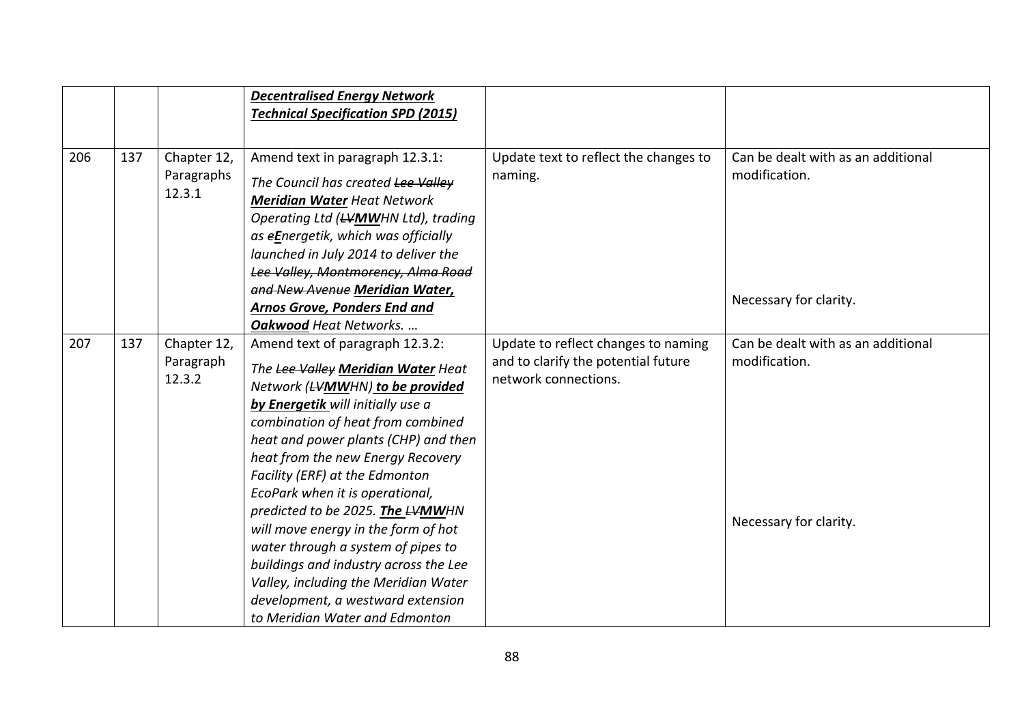|     |     |                                     | <b>Decentralised Energy Network</b><br><b>Technical Specification SPD (2015)</b>                                                                                                                                                                                                                                                                                                                                                                                                                                                                                                                              |                                                                                                    |                                                                               |
|-----|-----|-------------------------------------|---------------------------------------------------------------------------------------------------------------------------------------------------------------------------------------------------------------------------------------------------------------------------------------------------------------------------------------------------------------------------------------------------------------------------------------------------------------------------------------------------------------------------------------------------------------------------------------------------------------|----------------------------------------------------------------------------------------------------|-------------------------------------------------------------------------------|
| 206 | 137 | Chapter 12,<br>Paragraphs<br>12.3.1 | Amend text in paragraph 12.3.1:<br>The Council has created Lee Valley<br><b>Meridian Water Heat Network</b><br>Operating Ltd (LVMWHN Ltd), trading<br>as eEnergetik, which was officially<br>launched in July 2014 to deliver the<br>Lee Valley, Montmorency, Alma Road<br>and New Avenue Meridian Water,<br>Arnos Grove, Ponders End and<br>Oakwood Heat Networks.                                                                                                                                                                                                                                           | Update text to reflect the changes to<br>naming.                                                   | Can be dealt with as an additional<br>modification.<br>Necessary for clarity. |
| 207 | 137 | Chapter 12,<br>Paragraph<br>12.3.2  | Amend text of paragraph 12.3.2:<br>The Lee Valley Meridian Water Heat<br>Network (LVMWHN) to be provided<br>by Energetik will initially use a<br>combination of heat from combined<br>heat and power plants (CHP) and then<br>heat from the new Energy Recovery<br>Facility (ERF) at the Edmonton<br>EcoPark when it is operational,<br>predicted to be 2025. The LVMWHN<br>will move energy in the form of hot<br>water through a system of pipes to<br>buildings and industry across the Lee<br>Valley, including the Meridian Water<br>development, a westward extension<br>to Meridian Water and Edmonton | Update to reflect changes to naming<br>and to clarify the potential future<br>network connections. | Can be dealt with as an additional<br>modification.<br>Necessary for clarity. |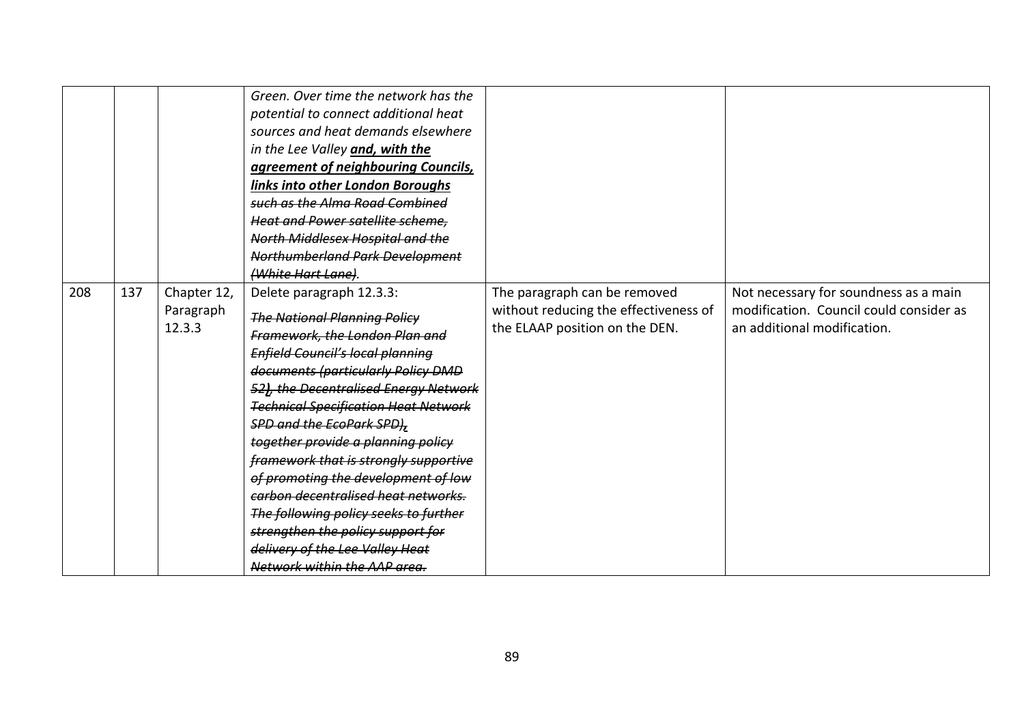|     |     |                                    | Green. Over time the network has the<br>potential to connect additional heat<br>sources and heat demands elsewhere<br>in the Lee Valley and, with the<br>agreement of neighbouring Councils,<br>links into other London Boroughs<br>such as the Alma Road Combined<br><b>Heat and Power satellite scheme.</b><br>North Middlesex Hospital and the<br>Northumberland Park Development<br>(White Hart Lane).                                                                                                                                                                                                                   |                                                                                                         |                                                                                                                 |
|-----|-----|------------------------------------|------------------------------------------------------------------------------------------------------------------------------------------------------------------------------------------------------------------------------------------------------------------------------------------------------------------------------------------------------------------------------------------------------------------------------------------------------------------------------------------------------------------------------------------------------------------------------------------------------------------------------|---------------------------------------------------------------------------------------------------------|-----------------------------------------------------------------------------------------------------------------|
| 208 | 137 | Chapter 12,<br>Paragraph<br>12.3.3 | Delete paragraph 12.3.3:<br><b>The National Planning Policy</b><br>Framework, the London Plan and<br><b>Enfield Council's local planning</b><br>documents (particularly Policy DMD<br>52), the Decentralised Energy Network<br><b>Technical Specification Heat Network</b><br><b>SPD and the EcoPark SPD),</b><br>together provide a planning policy<br>framework that is strongly supportive<br>of promoting the development of low<br>carbon decentralised heat networks.<br>The following policy seeks to further<br>strengthen the policy support for<br>delivery of the Lee Valley Heat<br>Network within the AAP area. | The paragraph can be removed<br>without reducing the effectiveness of<br>the ELAAP position on the DEN. | Not necessary for soundness as a main<br>modification. Council could consider as<br>an additional modification. |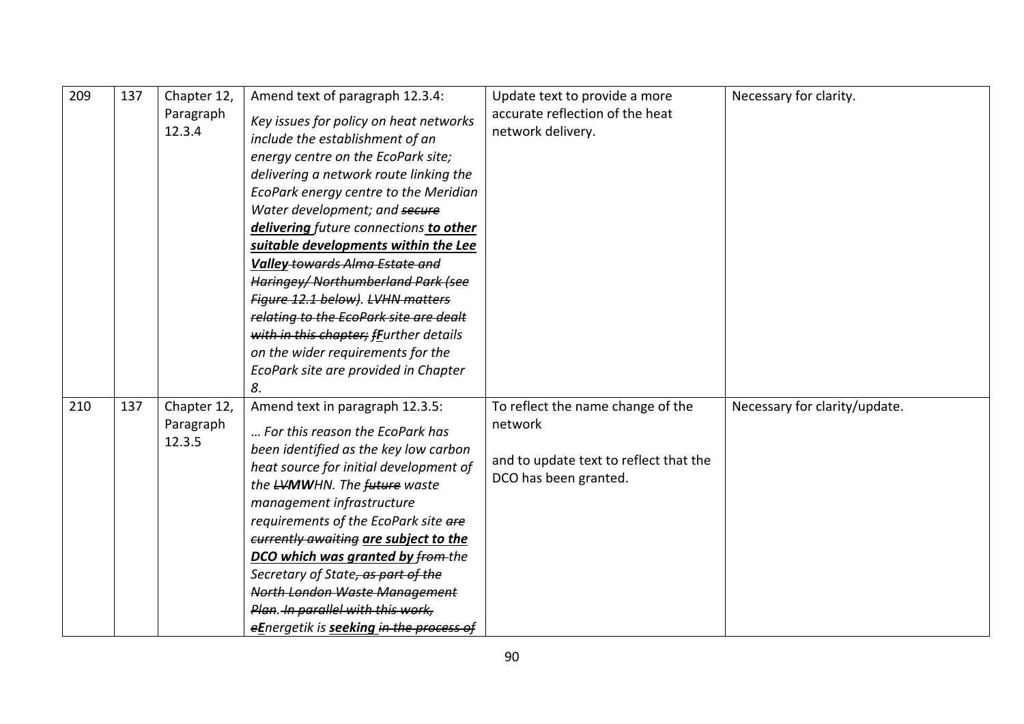| 209 | 137 | Chapter 12,<br>Paragraph<br>12.3.4 | Amend text of paragraph 12.3.4:<br>Key issues for policy on heat networks<br>include the establishment of an<br>energy centre on the EcoPark site;<br>delivering a network route linking the<br>EcoPark energy centre to the Meridian<br>Water development; and secure<br>delivering future connections to other<br>suitable developments within the Lee<br><b>Valley-towards Alma Estate and</b><br>Haringey/Northumberland Park (see<br>Figure 12.1 below). LVHN matters<br>relating to the EcoPark site are dealt<br>with in this chapter; frurther details<br>on the wider requirements for the<br>EcoPark site are provided in Chapter | Update text to provide a more<br>accurate reflection of the heat<br>network delivery.                           | Necessary for clarity.        |
|-----|-----|------------------------------------|---------------------------------------------------------------------------------------------------------------------------------------------------------------------------------------------------------------------------------------------------------------------------------------------------------------------------------------------------------------------------------------------------------------------------------------------------------------------------------------------------------------------------------------------------------------------------------------------------------------------------------------------|-----------------------------------------------------------------------------------------------------------------|-------------------------------|
| 210 | 137 | Chapter 12,<br>Paragraph<br>12.3.5 | 8.<br>Amend text in paragraph 12.3.5:<br>For this reason the EcoPark has<br>been identified as the key low carbon<br>heat source for initial development of<br>the <del>LV</del> MWHN. The future waste<br>management infrastructure<br>requirements of the EcoPark site are<br>currently awaiting are subject to the<br><b>DCO which was granted by from the</b><br>Secretary of State, as part of the<br>North London Waste Management<br>Plan. In parallel with this work,<br>eEnergetik is seeking in the process of                                                                                                                    | To reflect the name change of the<br>network<br>and to update text to reflect that the<br>DCO has been granted. | Necessary for clarity/update. |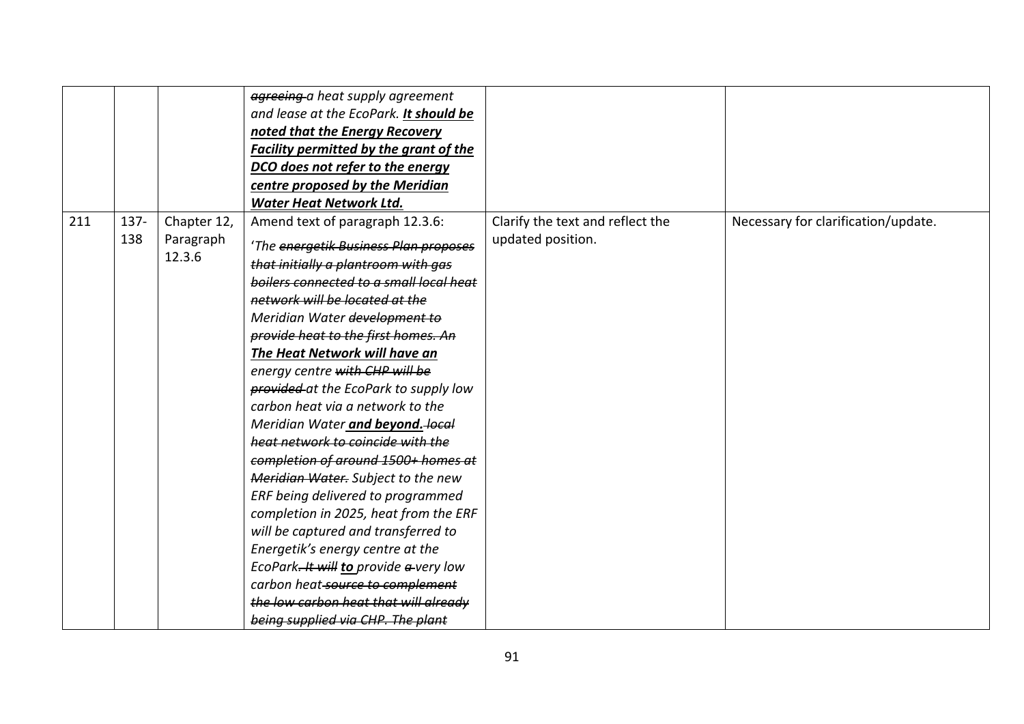|     |                |                          | agreeing a heat supply agreement<br>and lease at the EcoPark. It should be<br>noted that the Energy Recovery<br><b>Facility permitted by the grant of the</b><br>DCO does not refer to the energy |                                                       |                                     |
|-----|----------------|--------------------------|---------------------------------------------------------------------------------------------------------------------------------------------------------------------------------------------------|-------------------------------------------------------|-------------------------------------|
|     |                |                          | centre proposed by the Meridian<br><b>Water Heat Network Ltd.</b>                                                                                                                                 |                                                       |                                     |
| 211 | $137 -$<br>138 | Chapter 12,<br>Paragraph | Amend text of paragraph 12.3.6:                                                                                                                                                                   | Clarify the text and reflect the<br>updated position. | Necessary for clarification/update. |
|     |                | 12.3.6                   | 'The energetik Business Plan proposes<br>that initially a plantroom with gas                                                                                                                      |                                                       |                                     |
|     |                |                          | boilers connected to a small local heat<br>network will be located at the                                                                                                                         |                                                       |                                     |
|     |                |                          | Meridian Water development to<br>provide heat to the first homes. An                                                                                                                              |                                                       |                                     |
|     |                |                          | The Heat Network will have an<br>energy centre with CHP will be                                                                                                                                   |                                                       |                                     |
|     |                |                          | provided at the EcoPark to supply low                                                                                                                                                             |                                                       |                                     |
|     |                |                          | carbon heat via a network to the<br>Meridian Water and beyond. local                                                                                                                              |                                                       |                                     |
|     |                |                          | heat network to coincide with the<br>completion of around 1500+ homes at                                                                                                                          |                                                       |                                     |
|     |                |                          | Meridian Water. Subject to the new<br>ERF being delivered to programmed                                                                                                                           |                                                       |                                     |
|     |                |                          | completion in 2025, heat from the ERF<br>will be captured and transferred to                                                                                                                      |                                                       |                                     |
|     |                |                          | Energetik's energy centre at the                                                                                                                                                                  |                                                       |                                     |
|     |                |                          | EcoPark. It will to provide a very low<br>carbon heat-source to complement                                                                                                                        |                                                       |                                     |
|     |                |                          | the low carbon heat that will already<br>being supplied via CHP. The plant                                                                                                                        |                                                       |                                     |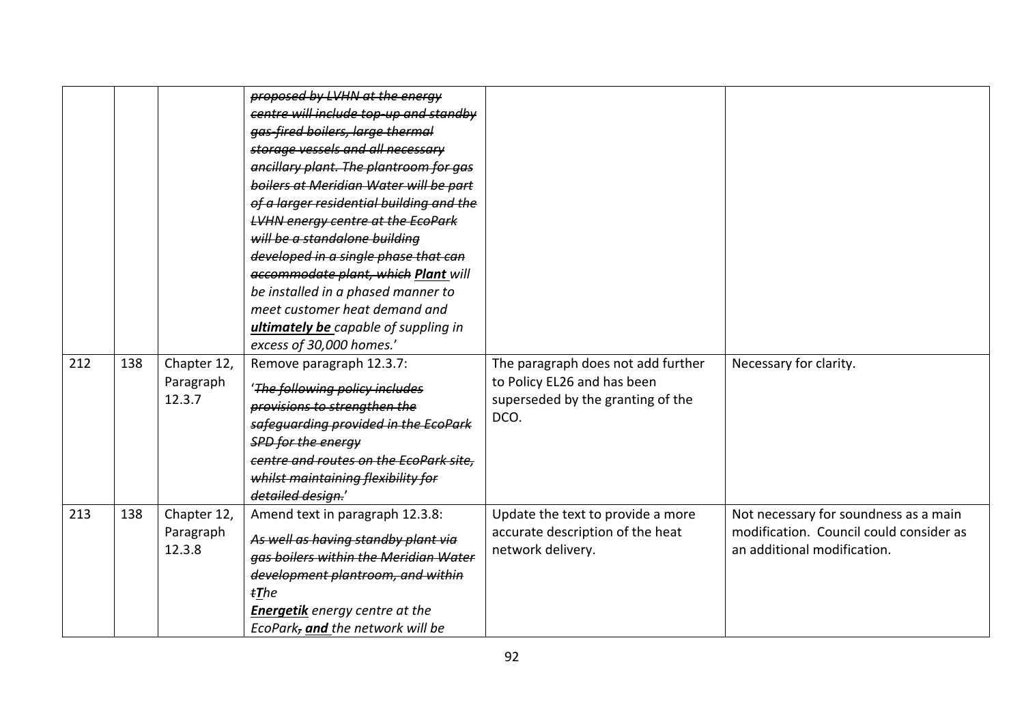|     |     |                                    | proposed by LVHN at the energy<br>centre will include top up and standby<br>gas-fired boilers, large thermal<br>storage vessels and all necessary<br>ancillary plant. The plantroom for gas<br>boilers at Meridian Water will be part<br>of a larger residential building and the<br><b>LVHN energy centre at the EcoPark</b><br>will be a standalone building<br>developed in a single phase that can<br>accommodate plant, which Plant will<br>be installed in a phased manner to<br>meet customer heat demand and<br>ultimately be capable of suppling in<br>excess of 30,000 homes.' |                                                                                                                |                                                                                                                 |
|-----|-----|------------------------------------|------------------------------------------------------------------------------------------------------------------------------------------------------------------------------------------------------------------------------------------------------------------------------------------------------------------------------------------------------------------------------------------------------------------------------------------------------------------------------------------------------------------------------------------------------------------------------------------|----------------------------------------------------------------------------------------------------------------|-----------------------------------------------------------------------------------------------------------------|
| 212 | 138 | Chapter 12,<br>Paragraph<br>12.3.7 | Remove paragraph 12.3.7:<br>'The following policy includes<br>provisions to strengthen the<br>safeguarding provided in the EcoPark<br><b>SPD for the energy</b><br>centre and routes on the EcoPark site.<br>whilst maintaining flexibility for<br>detailed design.'                                                                                                                                                                                                                                                                                                                     | The paragraph does not add further<br>to Policy EL26 and has been<br>superseded by the granting of the<br>DCO. | Necessary for clarity.                                                                                          |
| 213 | 138 | Chapter 12,<br>Paragraph<br>12.3.8 | Amend text in paragraph 12.3.8:<br>As well as having standby plant via<br>gas boilers within the Meridian Water<br>development plantroom, and within<br>$t$ The<br><b>Energetik</b> energy centre at the<br>EcoPark, and the network will be                                                                                                                                                                                                                                                                                                                                             | Update the text to provide a more<br>accurate description of the heat<br>network delivery.                     | Not necessary for soundness as a main<br>modification. Council could consider as<br>an additional modification. |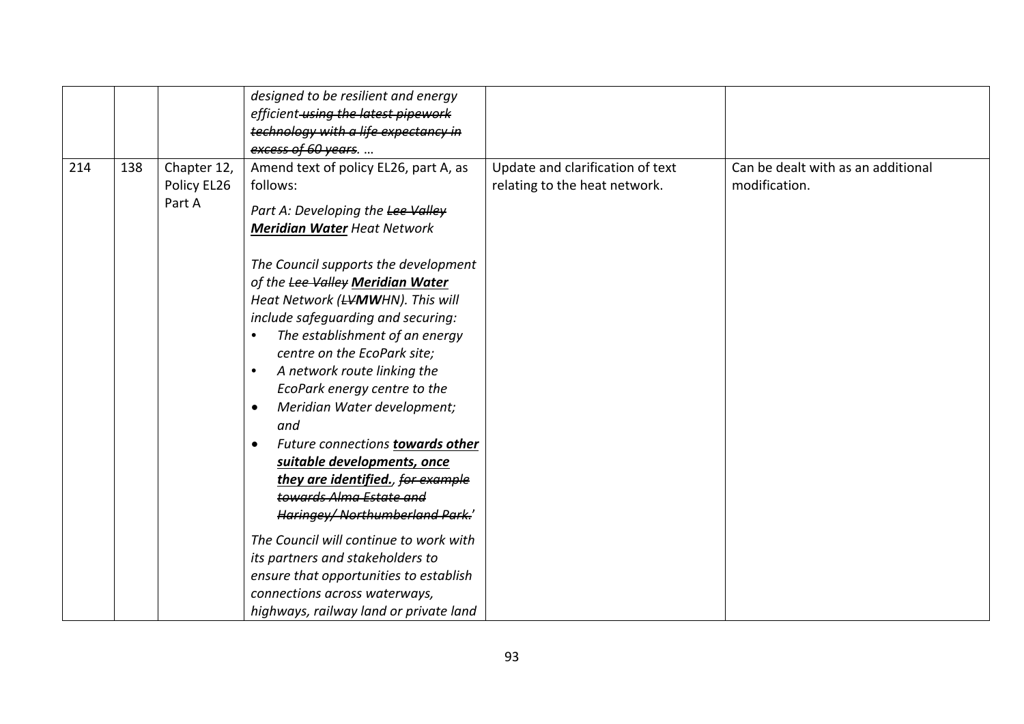|     |     |                       | designed to be resilient and energy             |                                  |                                    |
|-----|-----|-----------------------|-------------------------------------------------|----------------------------------|------------------------------------|
|     |     |                       | efficient using the latest pipework             |                                  |                                    |
|     |     |                       | technology with a life expectancy in            |                                  |                                    |
|     |     |                       | excess of 60 years.                             |                                  |                                    |
| 214 | 138 | Chapter 12,           | Amend text of policy EL26, part A, as           | Update and clarification of text | Can be dealt with as an additional |
|     |     | Policy EL26<br>Part A | follows:                                        | relating to the heat network.    | modification.                      |
|     |     |                       | Part A: Developing the Lee Valley               |                                  |                                    |
|     |     |                       | <b>Meridian Water Heat Network</b>              |                                  |                                    |
|     |     |                       | The Council supports the development            |                                  |                                    |
|     |     |                       | of the Lee Valley Meridian Water                |                                  |                                    |
|     |     |                       | Heat Network (LVMWHN). This will                |                                  |                                    |
|     |     |                       | include safeguarding and securing:              |                                  |                                    |
|     |     |                       | The establishment of an energy<br>$\bullet$     |                                  |                                    |
|     |     |                       | centre on the EcoPark site;                     |                                  |                                    |
|     |     |                       | A network route linking the<br>$\bullet$        |                                  |                                    |
|     |     |                       | EcoPark energy centre to the                    |                                  |                                    |
|     |     |                       | Meridian Water development;<br>$\bullet$<br>and |                                  |                                    |
|     |     |                       | Future connections towards other<br>$\bullet$   |                                  |                                    |
|     |     |                       | suitable developments, once                     |                                  |                                    |
|     |     |                       | they are identified., for example               |                                  |                                    |
|     |     |                       | towards Alma Estate and                         |                                  |                                    |
|     |     |                       | Haringey/ Northumberland Park.'                 |                                  |                                    |
|     |     |                       | The Council will continue to work with          |                                  |                                    |
|     |     |                       | its partners and stakeholders to                |                                  |                                    |
|     |     |                       | ensure that opportunities to establish          |                                  |                                    |
|     |     |                       | connections across waterways,                   |                                  |                                    |
|     |     |                       | highways, railway land or private land          |                                  |                                    |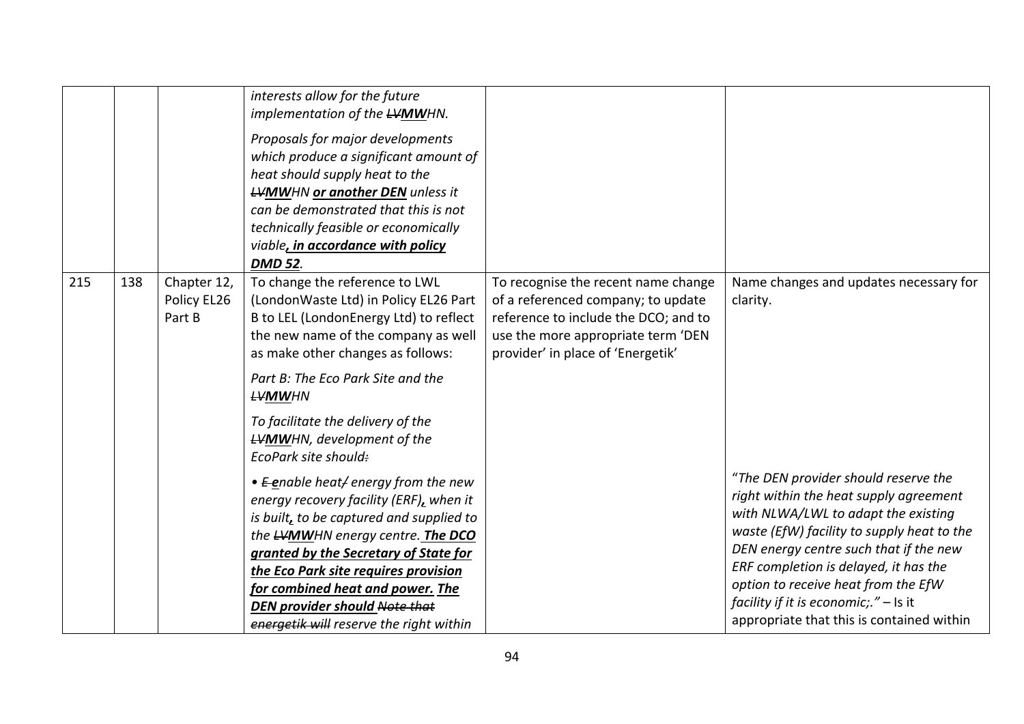|     |     |                                      | interests allow for the future<br>implementation of the <b>LVMW</b> HN.<br>Proposals for major developments<br>which produce a significant amount of<br>heat should supply heat to the<br><b>LVMWHN or another DEN</b> unless it<br>can be demonstrated that this is not<br>technically feasible or economically<br>viable, in accordance with policy<br><b>DMD 52.</b> |                                                                                                                                                                                              |                                                                                                                                                                                                                                                                                                                                                                                       |
|-----|-----|--------------------------------------|-------------------------------------------------------------------------------------------------------------------------------------------------------------------------------------------------------------------------------------------------------------------------------------------------------------------------------------------------------------------------|----------------------------------------------------------------------------------------------------------------------------------------------------------------------------------------------|---------------------------------------------------------------------------------------------------------------------------------------------------------------------------------------------------------------------------------------------------------------------------------------------------------------------------------------------------------------------------------------|
| 215 | 138 | Chapter 12,<br>Policy EL26<br>Part B | To change the reference to LWL<br>(LondonWaste Ltd) in Policy EL26 Part<br>B to LEL (LondonEnergy Ltd) to reflect<br>the new name of the company as well<br>as make other changes as follows:<br>Part B: The Eco Park Site and the<br><b>LVMWHN</b><br>To facilitate the delivery of the<br><b>LVMWHN</b> , development of the<br>EcoPark site should:                  | To recognise the recent name change<br>of a referenced company; to update<br>reference to include the DCO; and to<br>use the more appropriate term 'DEN<br>provider' in place of 'Energetik' | Name changes and updates necessary for<br>clarity.                                                                                                                                                                                                                                                                                                                                    |
|     |     |                                      | • E-enable heat/energy from the new<br>energy recovery facility (ERF), when it<br>is built, to be captured and supplied to<br>the LVMWHN energy centre. The DCO<br>granted by the Secretary of State for<br>the Eco Park site requires provision<br>for combined heat and power. The<br><b>DEN provider should Note that</b><br>energetik will reserve the right within |                                                                                                                                                                                              | "The DEN provider should reserve the<br>right within the heat supply agreement<br>with NLWA/LWL to adapt the existing<br>waste (EfW) facility to supply heat to the<br>DEN energy centre such that if the new<br>ERF completion is delayed, it has the<br>option to receive heat from the EfW<br>facility if it is economic;." $-$ Is it<br>appropriate that this is contained within |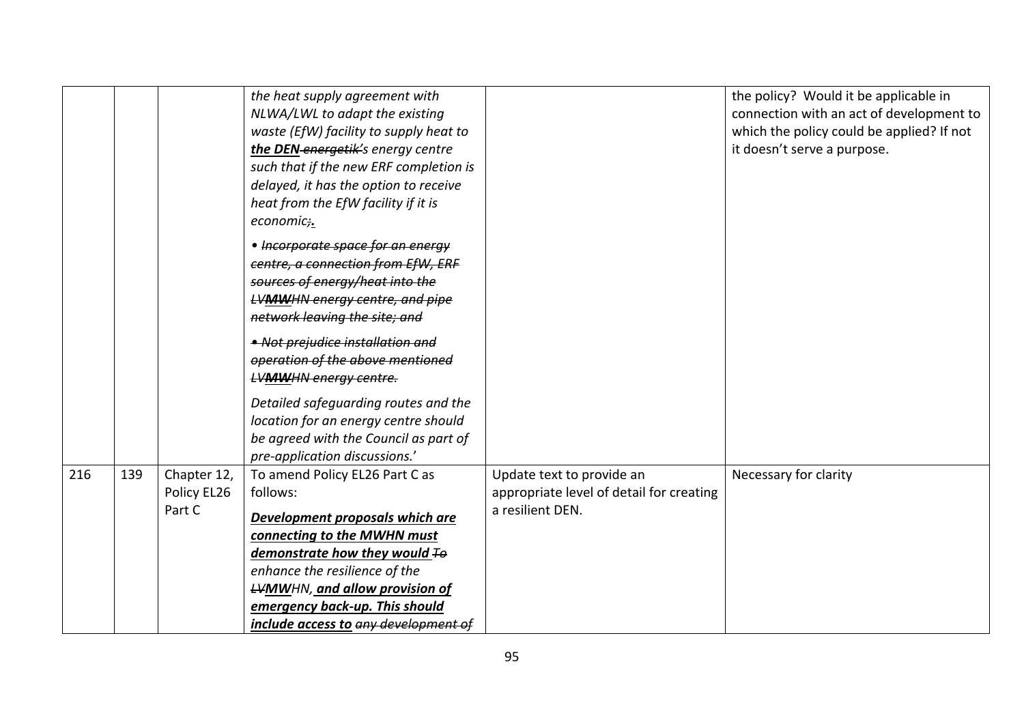|     |     |                                      | the heat supply agreement with<br>NLWA/LWL to adapt the existing<br>waste (EfW) facility to supply heat to<br>the DEN-energetik's energy centre<br>such that if the new ERF completion is<br>delayed, it has the option to receive<br>heat from the EfW facility if it is<br>economic;. |                                                                                           | the policy? Would it be applicable in<br>connection with an act of development to<br>which the policy could be applied? If not<br>it doesn't serve a purpose. |
|-----|-----|--------------------------------------|-----------------------------------------------------------------------------------------------------------------------------------------------------------------------------------------------------------------------------------------------------------------------------------------|-------------------------------------------------------------------------------------------|---------------------------------------------------------------------------------------------------------------------------------------------------------------|
|     |     |                                      | • Incorporate space for an energy<br>centre, a connection from EfW, ERF<br>sources of energy/heat into the<br><b>LVMWHN energy centre, and pipe</b><br>network leaving the site; and                                                                                                    |                                                                                           |                                                                                                                                                               |
|     |     |                                      | • Not prejudice installation and<br>operation of the above mentioned<br><b>LVMWHN energy centre.</b>                                                                                                                                                                                    |                                                                                           |                                                                                                                                                               |
|     |     |                                      | Detailed safeguarding routes and the<br>location for an energy centre should<br>be agreed with the Council as part of<br>pre-application discussions.'                                                                                                                                  |                                                                                           |                                                                                                                                                               |
| 216 | 139 | Chapter 12,<br>Policy EL26<br>Part C | To amend Policy EL26 Part C as<br>follows:                                                                                                                                                                                                                                              | Update text to provide an<br>appropriate level of detail for creating<br>a resilient DEN. | Necessary for clarity                                                                                                                                         |
|     |     |                                      | Development proposals which are<br>connecting to the MWHN must<br>demonstrate how they would $F\Theta$<br>enhance the resilience of the                                                                                                                                                 |                                                                                           |                                                                                                                                                               |
|     |     |                                      | <b>LVMWHN, and allow provision of</b><br>emergency back-up. This should<br>include access to any development of                                                                                                                                                                         |                                                                                           |                                                                                                                                                               |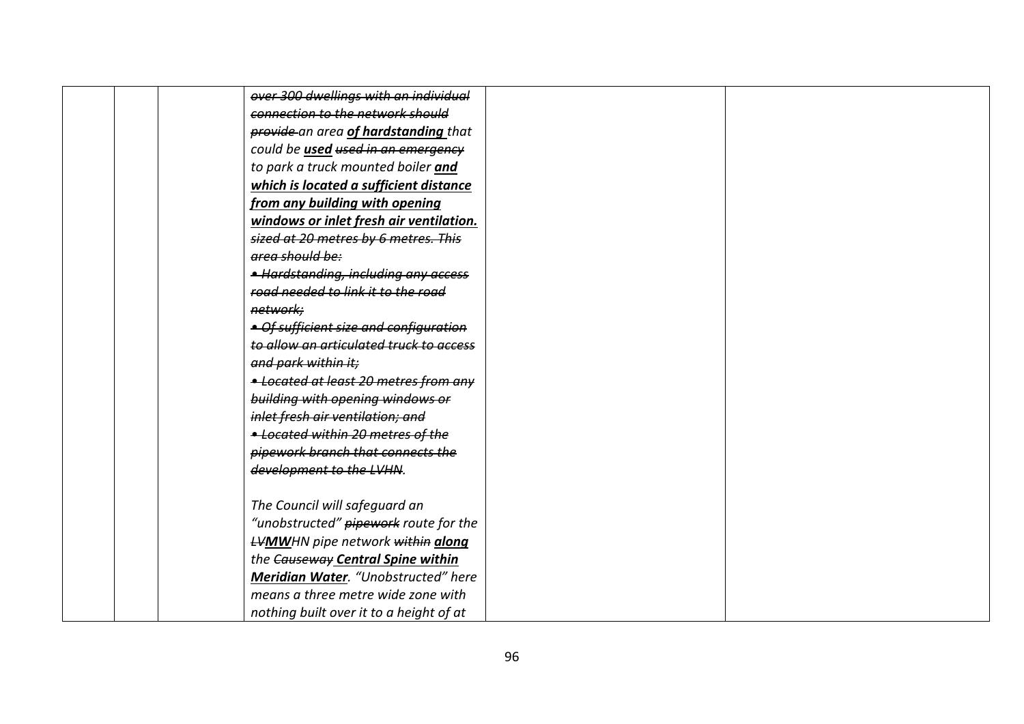|  | over 300 dwellings with an individual    |
|--|------------------------------------------|
|  | connection to the network should         |
|  | provide an area of hardstanding that     |
|  | could be used used in an emergency       |
|  | to park a truck mounted boiler and       |
|  | which is located a sufficient distance   |
|  | from any building with opening           |
|  | windows or inlet fresh air ventilation.  |
|  | sized at 20 metres by 6 metres. This     |
|  | area should be:                          |
|  | • Hardstanding, including any access     |
|  | road needed to link it to the road       |
|  | network;                                 |
|  | • Of sufficient size and configuration   |
|  | to allow an articulated truck to access  |
|  | and park within it;                      |
|  | - Located at least 20 metres from any    |
|  | building with opening windows or         |
|  | inlet fresh air ventilation; and         |
|  | - Located within 20 metres of the        |
|  | pipework branch that connects the        |
|  | development to the LVHN.                 |
|  |                                          |
|  | The Council will safeguard an            |
|  | "unobstructed" pipework route for the    |
|  | <b>LVMW</b> HN pipe network within along |
|  | the Causeway Central Spine within        |
|  | Meridian Water. "Unobstructed" here      |
|  | means a three metre wide zone with       |
|  | nothing built over it to a height of at  |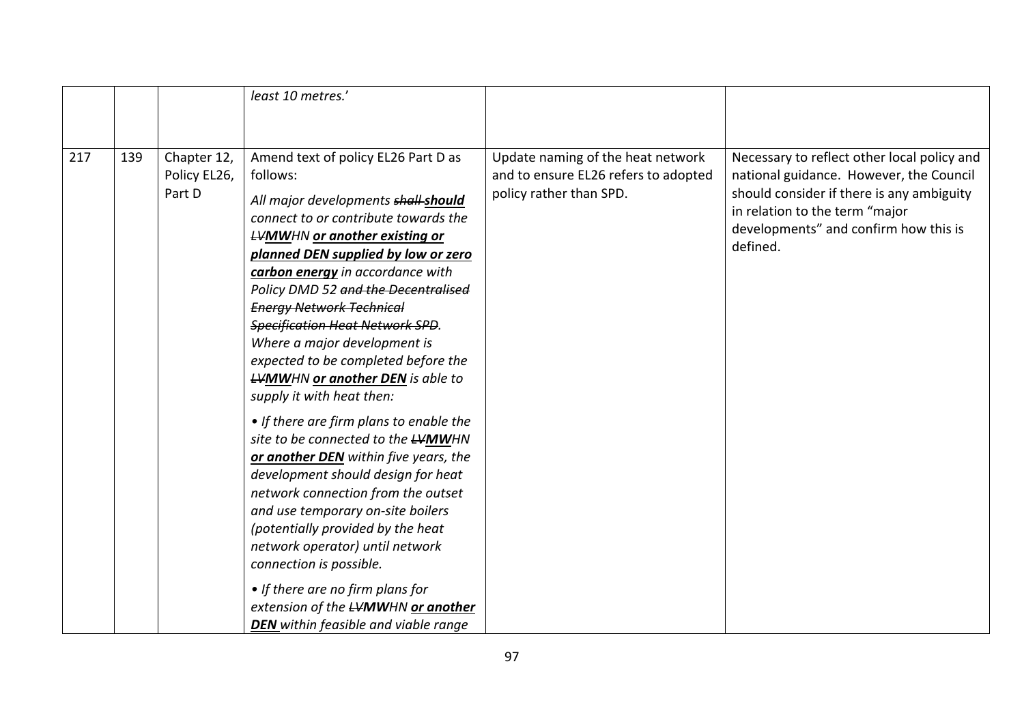|     |     |                                       | least 10 metres.'                                                                                                                                                                                                                                                                                                                                                                                                                                                                                                                                                                                                                                                                                                                                                                                                                                                                                                                                                                           |                                                                                                      |                                                                                                                                                                                                                            |
|-----|-----|---------------------------------------|---------------------------------------------------------------------------------------------------------------------------------------------------------------------------------------------------------------------------------------------------------------------------------------------------------------------------------------------------------------------------------------------------------------------------------------------------------------------------------------------------------------------------------------------------------------------------------------------------------------------------------------------------------------------------------------------------------------------------------------------------------------------------------------------------------------------------------------------------------------------------------------------------------------------------------------------------------------------------------------------|------------------------------------------------------------------------------------------------------|----------------------------------------------------------------------------------------------------------------------------------------------------------------------------------------------------------------------------|
|     |     |                                       |                                                                                                                                                                                                                                                                                                                                                                                                                                                                                                                                                                                                                                                                                                                                                                                                                                                                                                                                                                                             |                                                                                                      |                                                                                                                                                                                                                            |
| 217 | 139 | Chapter 12,<br>Policy EL26,<br>Part D | Amend text of policy EL26 Part D as<br>follows:<br>All major developments shall-should<br>connect to or contribute towards the<br><b>LVMWHN or another existing or</b><br>planned DEN supplied by low or zero<br>carbon energy in accordance with<br>Policy DMD 52 and the Decentralised<br><b>Energy Network Technical</b><br><b>Specification Heat Network SPD.</b><br>Where a major development is<br>expected to be completed before the<br><b>LVMWHN or another DEN</b> is able to<br>supply it with heat then:<br>• If there are firm plans to enable the<br>site to be connected to the LVMWHN<br>or another DEN within five years, the<br>development should design for heat<br>network connection from the outset<br>and use temporary on-site boilers<br>(potentially provided by the heat<br>network operator) until network<br>connection is possible.<br>• If there are no firm plans for<br>extension of the LVMWHN or another<br><b>DEN</b> within feasible and viable range | Update naming of the heat network<br>and to ensure EL26 refers to adopted<br>policy rather than SPD. | Necessary to reflect other local policy and<br>national guidance. However, the Council<br>should consider if there is any ambiguity<br>in relation to the term "major<br>developments" and confirm how this is<br>defined. |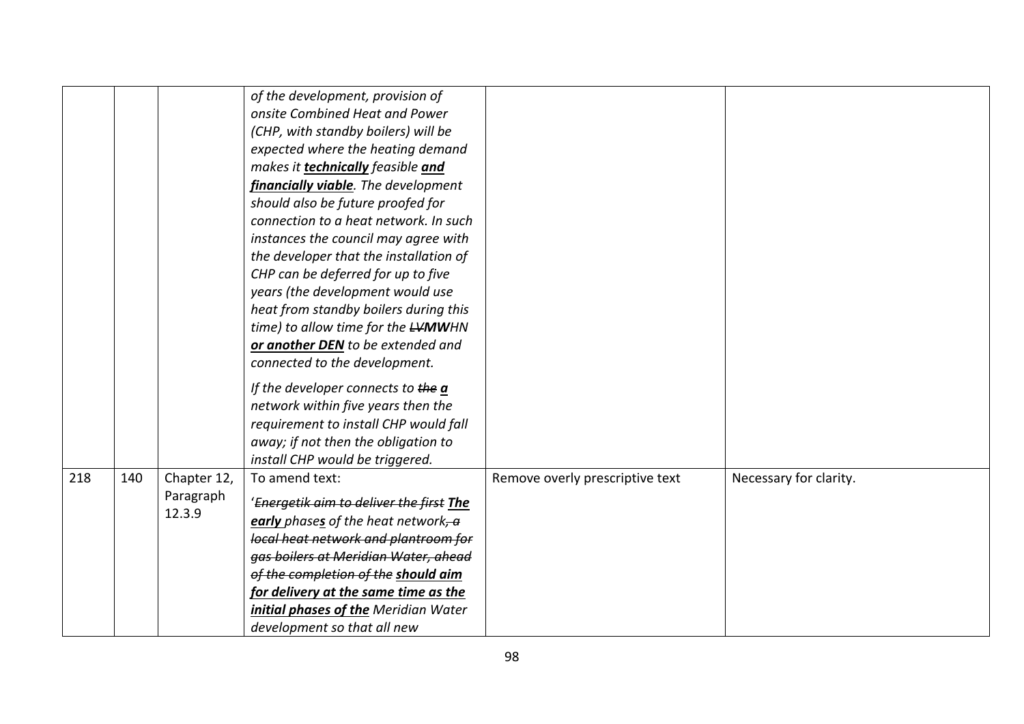|     |     |                                    | of the development, provision of<br>onsite Combined Heat and Power<br>(CHP, with standby boilers) will be<br>expected where the heating demand<br>makes it <b>technically</b> feasible and<br>financially viable. The development<br>should also be future proofed for<br>connection to a heat network. In such<br>instances the council may agree with<br>the developer that the installation of<br>CHP can be deferred for up to five<br>years (the development would use<br>heat from standby boilers during this<br>time) to allow time for the <b>LVMW</b> HN<br>or another DEN to be extended and<br>connected to the development.<br>If the developer connects to the a<br>network within five years then the<br>requirement to install CHP would fall<br>away; if not then the obligation to<br>install CHP would be triggered. |                                 |                        |
|-----|-----|------------------------------------|-----------------------------------------------------------------------------------------------------------------------------------------------------------------------------------------------------------------------------------------------------------------------------------------------------------------------------------------------------------------------------------------------------------------------------------------------------------------------------------------------------------------------------------------------------------------------------------------------------------------------------------------------------------------------------------------------------------------------------------------------------------------------------------------------------------------------------------------|---------------------------------|------------------------|
| 218 | 140 | Chapter 12,<br>Paragraph<br>12.3.9 | To amend text:<br>'Energetik aim to deliver the first The<br>early phases of the heat network, a<br>local heat network and plantroom for<br>gas boilers at Meridian Water, ahead<br>of the completion of the should aim<br>for delivery at the same time as the<br>initial phases of the Meridian Water<br>development so that all new                                                                                                                                                                                                                                                                                                                                                                                                                                                                                                  | Remove overly prescriptive text | Necessary for clarity. |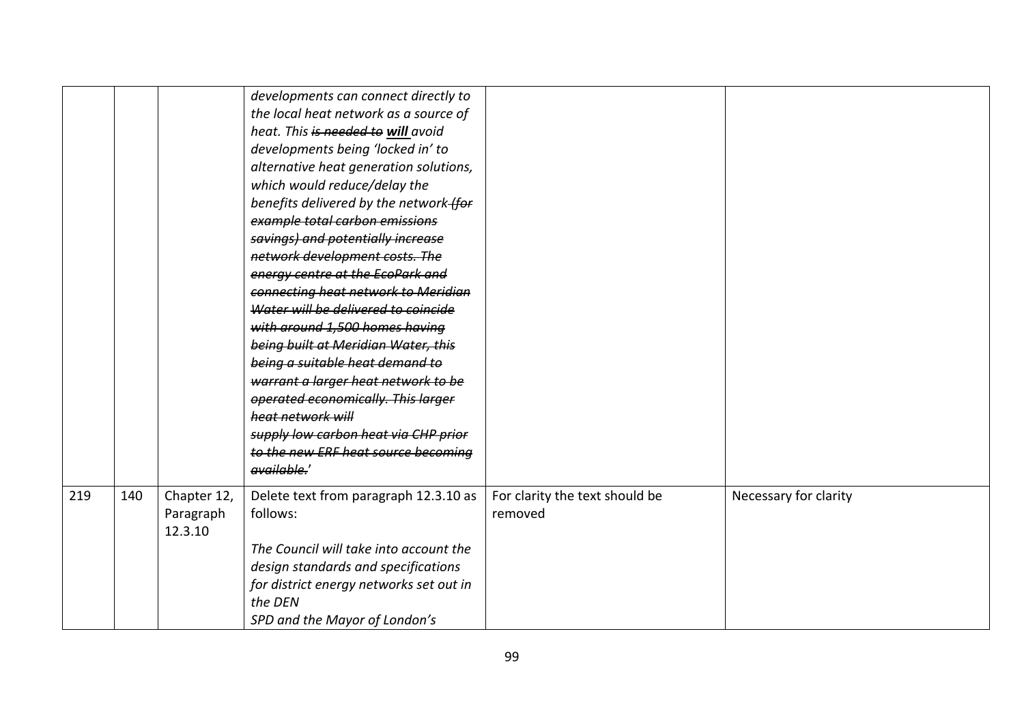|     |     |                                     | developments can connect directly to<br>the local heat network as a source of<br>heat. This is needed to will avoid<br>developments being 'locked in' to<br>alternative heat generation solutions,<br>which would reduce/delay the<br>benefits delivered by the network-for<br>example total carbon emissions<br>savings) and potentially increase<br>network development costs. The<br>energy centre at the EcoPark and<br>connecting heat network to Meridian<br>Water will be delivered to coincide<br>with around 1,500 homes having<br>being built at Meridian Water, this<br>being a suitable heat demand to<br>warrant a larger heat network to be<br>operated economically. This larger<br>heat network will<br>supply low carbon heat via CHP prior<br>to the new ERF heat source becoming<br>available.' |                                           |                       |
|-----|-----|-------------------------------------|--------------------------------------------------------------------------------------------------------------------------------------------------------------------------------------------------------------------------------------------------------------------------------------------------------------------------------------------------------------------------------------------------------------------------------------------------------------------------------------------------------------------------------------------------------------------------------------------------------------------------------------------------------------------------------------------------------------------------------------------------------------------------------------------------------------------|-------------------------------------------|-----------------------|
| 219 | 140 | Chapter 12,<br>Paragraph<br>12.3.10 | Delete text from paragraph 12.3.10 as<br>follows:<br>The Council will take into account the<br>design standards and specifications<br>for district energy networks set out in<br>the DEN<br>SPD and the Mayor of London's                                                                                                                                                                                                                                                                                                                                                                                                                                                                                                                                                                                          | For clarity the text should be<br>removed | Necessary for clarity |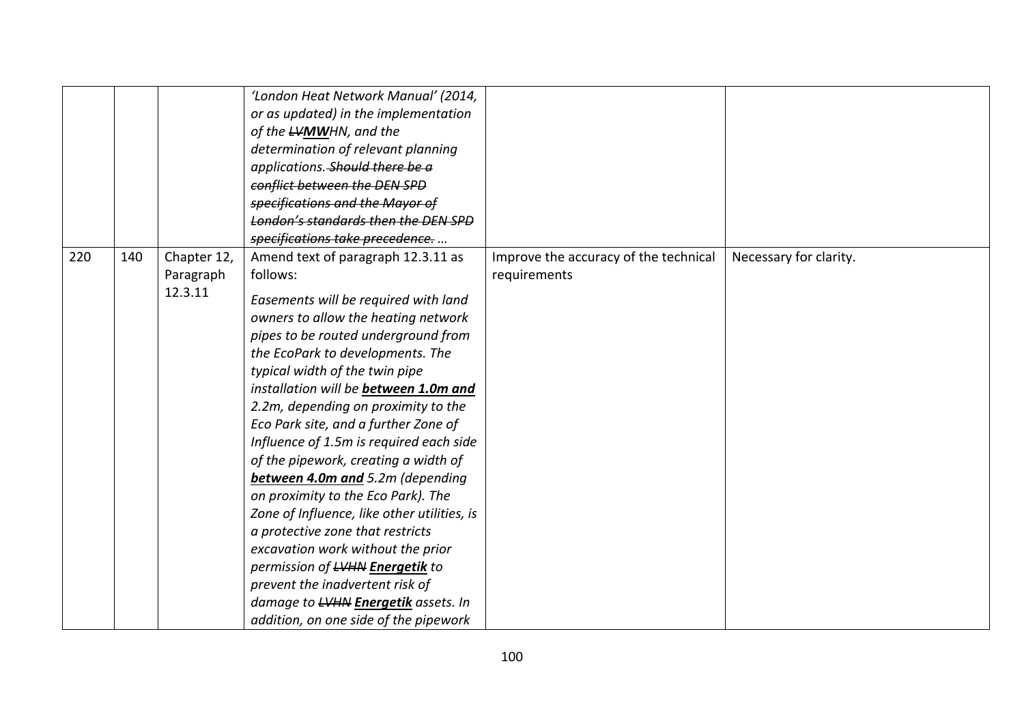|     |     |                                     | 'London Heat Network Manual' (2014,<br>or as updated) in the implementation<br>of the LVMWHN, and the<br>determination of relevant planning<br>applications. Should there be a<br>conflict between the DEN SPD<br>specifications and the Mayor of<br>London's standards then the DEN SPD<br>specifications take precedence                                                                                                                                                                                                                                                                                                                                                                                                                                                                                    |                                                       |                        |
|-----|-----|-------------------------------------|---------------------------------------------------------------------------------------------------------------------------------------------------------------------------------------------------------------------------------------------------------------------------------------------------------------------------------------------------------------------------------------------------------------------------------------------------------------------------------------------------------------------------------------------------------------------------------------------------------------------------------------------------------------------------------------------------------------------------------------------------------------------------------------------------------------|-------------------------------------------------------|------------------------|
| 220 | 140 | Chapter 12,<br>Paragraph<br>12.3.11 | Amend text of paragraph 12.3.11 as<br>follows:<br>Easements will be required with land<br>owners to allow the heating network<br>pipes to be routed underground from<br>the EcoPark to developments. The<br>typical width of the twin pipe<br>installation will be between 1.0m and<br>2.2m, depending on proximity to the<br>Eco Park site, and a further Zone of<br>Influence of 1.5m is required each side<br>of the pipework, creating a width of<br>between 4.0m and 5.2m (depending<br>on proximity to the Eco Park). The<br>Zone of Influence, like other utilities, is<br>a protective zone that restricts<br>excavation work without the prior<br>permission of LVHN Energetik to<br>prevent the inadvertent risk of<br>damage to LVHN Energetik assets. In<br>addition, on one side of the pipework | Improve the accuracy of the technical<br>requirements | Necessary for clarity. |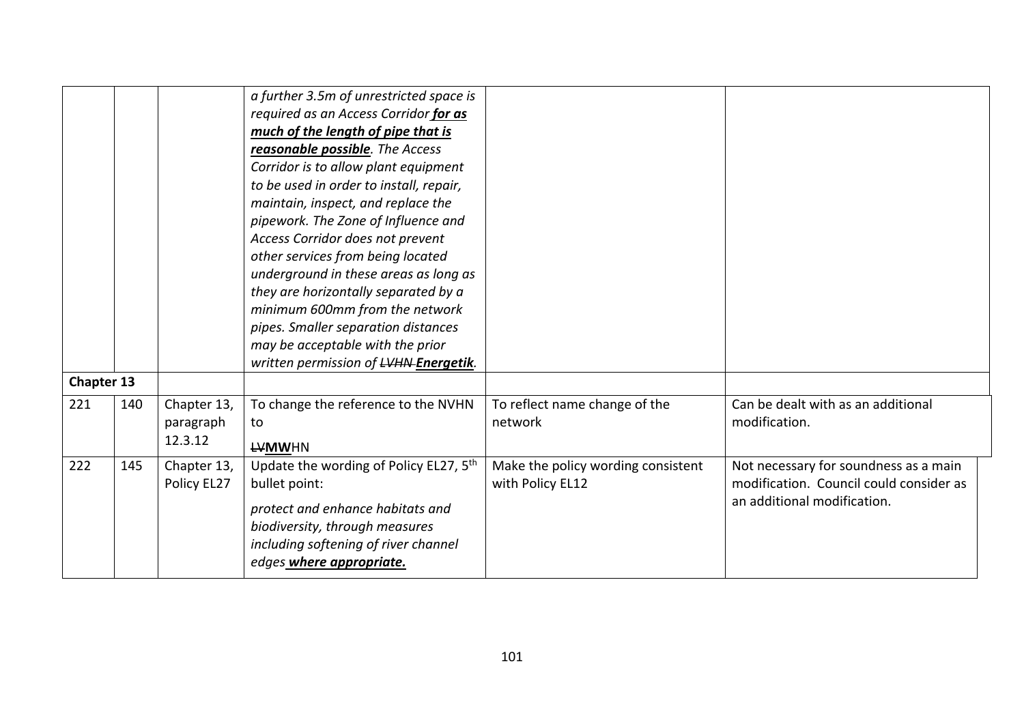|                   |     |             | a further 3.5m of unrestricted space is            |                                    |                                         |
|-------------------|-----|-------------|----------------------------------------------------|------------------------------------|-----------------------------------------|
|                   |     |             | required as an Access Corridor for as              |                                    |                                         |
|                   |     |             | much of the length of pipe that is                 |                                    |                                         |
|                   |     |             | reasonable possible. The Access                    |                                    |                                         |
|                   |     |             | Corridor is to allow plant equipment               |                                    |                                         |
|                   |     |             | to be used in order to install, repair,            |                                    |                                         |
|                   |     |             | maintain, inspect, and replace the                 |                                    |                                         |
|                   |     |             | pipework. The Zone of Influence and                |                                    |                                         |
|                   |     |             | Access Corridor does not prevent                   |                                    |                                         |
|                   |     |             | other services from being located                  |                                    |                                         |
|                   |     |             | underground in these areas as long as              |                                    |                                         |
|                   |     |             | they are horizontally separated by a               |                                    |                                         |
|                   |     |             | minimum 600mm from the network                     |                                    |                                         |
|                   |     |             | pipes. Smaller separation distances                |                                    |                                         |
|                   |     |             | may be acceptable with the prior                   |                                    |                                         |
|                   |     |             | written permission of LVHN-Energetik.              |                                    |                                         |
| <b>Chapter 13</b> |     |             |                                                    |                                    |                                         |
| 221               | 140 | Chapter 13, | To change the reference to the NVHN                | To reflect name change of the      | Can be dealt with as an additional      |
|                   |     | paragraph   | to                                                 | network                            | modification.                           |
|                   |     | 12.3.12     | <b>LVMWHN</b>                                      |                                    |                                         |
| 222               | 145 | Chapter 13, | Update the wording of Policy EL27, 5 <sup>th</sup> | Make the policy wording consistent | Not necessary for soundness as a main   |
|                   |     | Policy EL27 | bullet point:                                      | with Policy EL12                   | modification. Council could consider as |
|                   |     |             | protect and enhance habitats and                   |                                    | an additional modification.             |
|                   |     |             | biodiversity, through measures                     |                                    |                                         |
|                   |     |             | including softening of river channel               |                                    |                                         |
|                   |     |             | edges where appropriate.                           |                                    |                                         |
|                   |     |             |                                                    |                                    |                                         |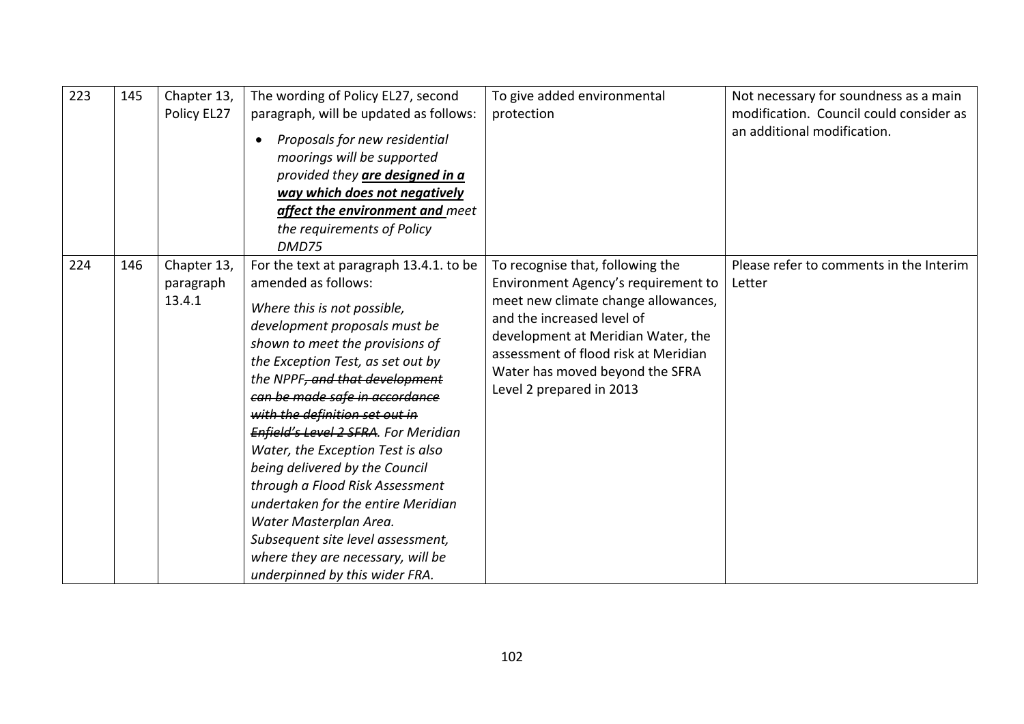| 223 | 145 | Chapter 13,<br>Policy EL27         | The wording of Policy EL27, second<br>paragraph, will be updated as follows:<br>Proposals for new residential<br>moorings will be supported<br>provided they are designed in a<br>way which does not negatively<br>affect the environment and meet<br>the requirements of Policy<br>DMD75                                                                                                                                                                                                                                                                                                                                                  | To give added environmental<br>protection                                                                                                                                                                                                                                                 | Not necessary for soundness as a main<br>modification. Council could consider as<br>an additional modification. |
|-----|-----|------------------------------------|--------------------------------------------------------------------------------------------------------------------------------------------------------------------------------------------------------------------------------------------------------------------------------------------------------------------------------------------------------------------------------------------------------------------------------------------------------------------------------------------------------------------------------------------------------------------------------------------------------------------------------------------|-------------------------------------------------------------------------------------------------------------------------------------------------------------------------------------------------------------------------------------------------------------------------------------------|-----------------------------------------------------------------------------------------------------------------|
| 224 | 146 | Chapter 13,<br>paragraph<br>13.4.1 | For the text at paragraph 13.4.1. to be<br>amended as follows:<br>Where this is not possible,<br>development proposals must be<br>shown to meet the provisions of<br>the Exception Test, as set out by<br>the NPPF, and that development<br>can be made safe in accordance<br>with the definition set out in<br>Enfield's Level 2 SFRA. For Meridian<br>Water, the Exception Test is also<br>being delivered by the Council<br>through a Flood Risk Assessment<br>undertaken for the entire Meridian<br>Water Masterplan Area.<br>Subsequent site level assessment,<br>where they are necessary, will be<br>underpinned by this wider FRA. | To recognise that, following the<br>Environment Agency's requirement to<br>meet new climate change allowances,<br>and the increased level of<br>development at Meridian Water, the<br>assessment of flood risk at Meridian<br>Water has moved beyond the SFRA<br>Level 2 prepared in 2013 | Please refer to comments in the Interim<br>Letter                                                               |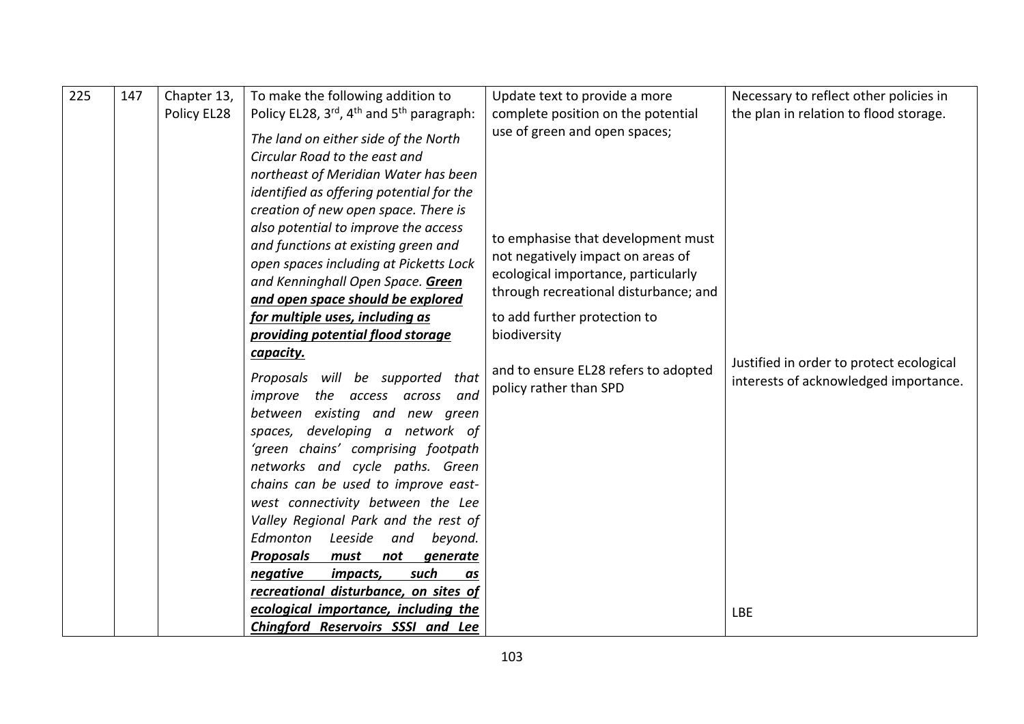| 225 | 147 | Chapter 13,<br>Policy EL28 | To make the following addition to<br>Policy EL28, 3rd, 4 <sup>th</sup> and 5 <sup>th</sup> paragraph:<br>The land on either side of the North<br>Circular Road to the east and<br>northeast of Meridian Water has been<br>identified as offering potential for the<br>creation of new open space. There is<br>also potential to improve the access<br>and functions at existing green and<br>open spaces including at Picketts Lock<br>and Kenninghall Open Space. Green<br>and open space should be explored<br>for multiple uses, including as<br>providing potential flood storage<br>capacity.<br>Proposals will be supported that<br>the access<br>improve<br>and<br>across<br>between existing and new green<br>spaces, developing a network of<br>'green chains' comprising footpath<br>networks and cycle paths. Green<br>chains can be used to improve east-<br>west connectivity between the Lee<br>Valley Regional Park and the rest of<br>Edmonton<br>Leeside<br>and<br>beyond.<br><b>Proposals</b><br>must<br>not<br>generate<br>negative<br>such<br>impacts,<br>as<br>recreational disturbance, on sites of | Update text to provide a more<br>complete position on the potential<br>use of green and open spaces;<br>to emphasise that development must<br>not negatively impact on areas of<br>ecological importance, particularly<br>through recreational disturbance; and<br>to add further protection to<br>biodiversity<br>and to ensure EL28 refers to adopted<br>policy rather than SPD | Necessary to reflect other policies in<br>the plan in relation to flood storage.<br>Justified in order to protect ecological<br>interests of acknowledged importance. |
|-----|-----|----------------------------|---------------------------------------------------------------------------------------------------------------------------------------------------------------------------------------------------------------------------------------------------------------------------------------------------------------------------------------------------------------------------------------------------------------------------------------------------------------------------------------------------------------------------------------------------------------------------------------------------------------------------------------------------------------------------------------------------------------------------------------------------------------------------------------------------------------------------------------------------------------------------------------------------------------------------------------------------------------------------------------------------------------------------------------------------------------------------------------------------------------------------|-----------------------------------------------------------------------------------------------------------------------------------------------------------------------------------------------------------------------------------------------------------------------------------------------------------------------------------------------------------------------------------|-----------------------------------------------------------------------------------------------------------------------------------------------------------------------|
|     |     |                            |                                                                                                                                                                                                                                                                                                                                                                                                                                                                                                                                                                                                                                                                                                                                                                                                                                                                                                                                                                                                                                                                                                                           |                                                                                                                                                                                                                                                                                                                                                                                   |                                                                                                                                                                       |
|     |     |                            | ecological importance, including the<br>Chingford Reservoirs SSSI and Lee                                                                                                                                                                                                                                                                                                                                                                                                                                                                                                                                                                                                                                                                                                                                                                                                                                                                                                                                                                                                                                                 |                                                                                                                                                                                                                                                                                                                                                                                   | <b>LBE</b>                                                                                                                                                            |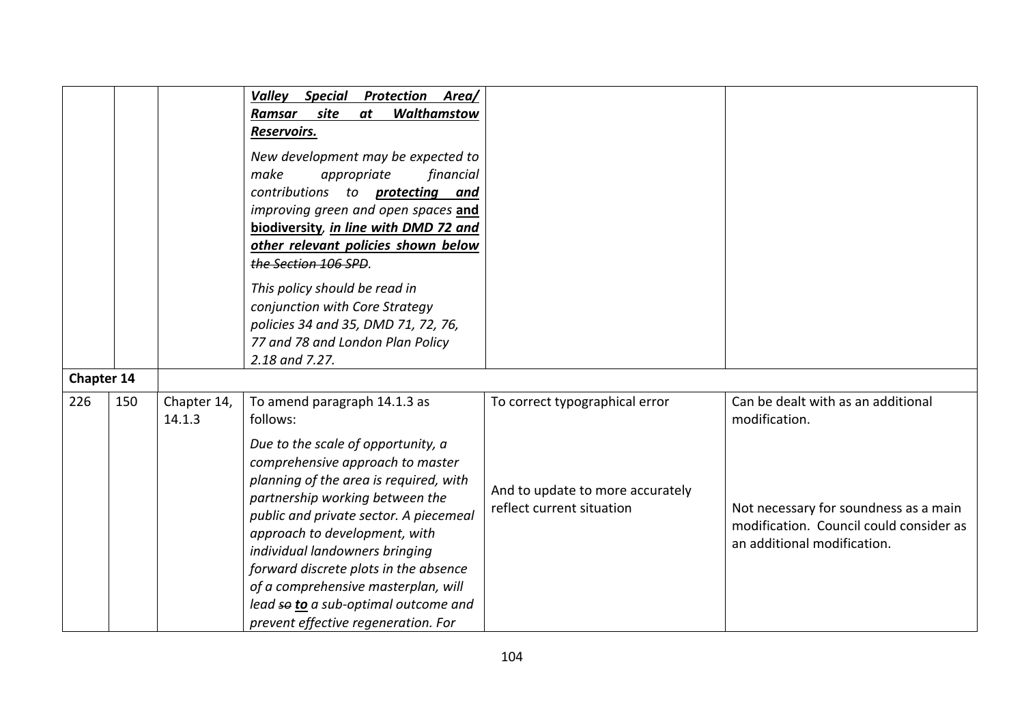|                   |     |                       | <b>Special</b><br><b>Protection Area/</b><br>Valley<br>Walthamstow<br>site<br>Ramsar<br>at<br>Reservoirs.<br>New development may be expected to<br>appropriate<br>financial<br>make<br>contributions to <b>protecting</b><br>and<br>improving green and open spaces and<br>biodiversity, in line with DMD 72 and<br>other relevant policies shown below<br>the Section 106 SPD.<br>This policy should be read in<br>conjunction with Core Strategy<br>policies 34 and 35, DMD 71, 72, 76,<br>77 and 78 and London Plan Policy<br>2.18 and 7.27. |                                                                                                 |                                                                                                                                                                        |
|-------------------|-----|-----------------------|-------------------------------------------------------------------------------------------------------------------------------------------------------------------------------------------------------------------------------------------------------------------------------------------------------------------------------------------------------------------------------------------------------------------------------------------------------------------------------------------------------------------------------------------------|-------------------------------------------------------------------------------------------------|------------------------------------------------------------------------------------------------------------------------------------------------------------------------|
| <b>Chapter 14</b> |     |                       |                                                                                                                                                                                                                                                                                                                                                                                                                                                                                                                                                 |                                                                                                 |                                                                                                                                                                        |
| 226               | 150 | Chapter 14,<br>14.1.3 | To amend paragraph 14.1.3 as<br>follows:<br>Due to the scale of opportunity, a<br>comprehensive approach to master<br>planning of the area is required, with<br>partnership working between the<br>public and private sector. A piecemeal<br>approach to development, with<br>individual landowners bringing<br>forward discrete plots in the absence<br>of a comprehensive masterplan, will<br>lead so to a sub-optimal outcome and<br>prevent effective regeneration. For                                                                     | To correct typographical error<br>And to update to more accurately<br>reflect current situation | Can be dealt with as an additional<br>modification.<br>Not necessary for soundness as a main<br>modification. Council could consider as<br>an additional modification. |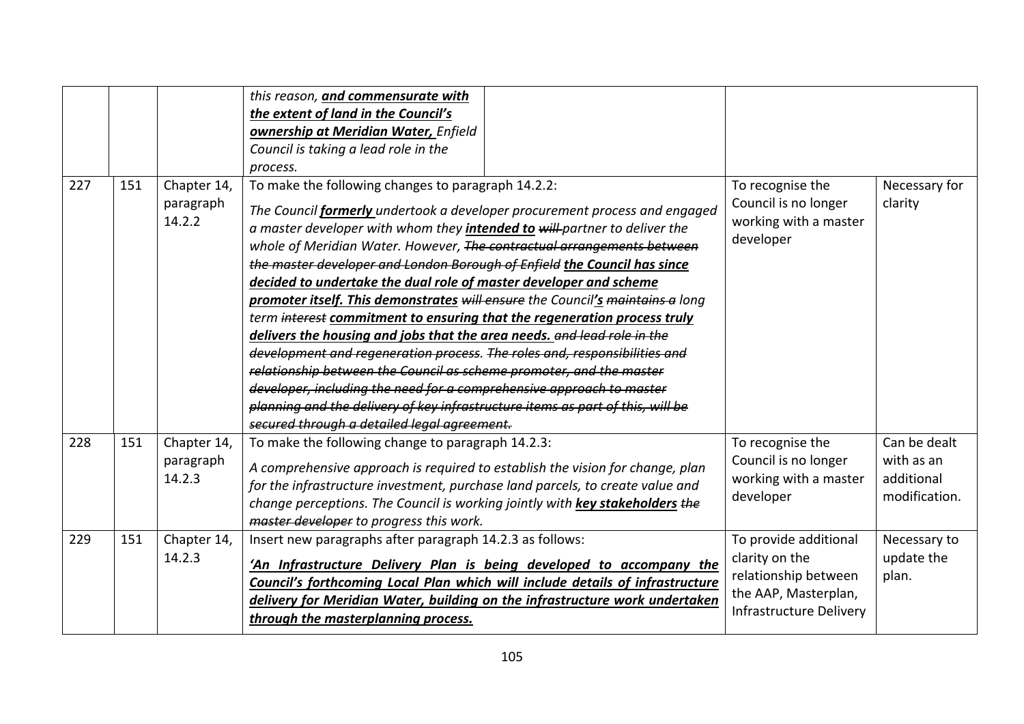|     |     |                                    | this reason, and commensurate with<br>the extent of land in the Council's<br>ownership at Meridian Water, Enfield<br>Council is taking a lead role in the<br>process.                                                                                                                                                                                                                                                                                                                                                                                                                                                                                                                                                                                                                                                                                                                                                                                                                                                                                |                                                                                                                    |                                                           |
|-----|-----|------------------------------------|------------------------------------------------------------------------------------------------------------------------------------------------------------------------------------------------------------------------------------------------------------------------------------------------------------------------------------------------------------------------------------------------------------------------------------------------------------------------------------------------------------------------------------------------------------------------------------------------------------------------------------------------------------------------------------------------------------------------------------------------------------------------------------------------------------------------------------------------------------------------------------------------------------------------------------------------------------------------------------------------------------------------------------------------------|--------------------------------------------------------------------------------------------------------------------|-----------------------------------------------------------|
| 227 | 151 | Chapter 14,<br>paragraph<br>14.2.2 | To make the following changes to paragraph 14.2.2:<br>The Council formerly undertook a developer procurement process and engaged<br>a master developer with whom they <i>intended to will-partner to deliver the</i><br>whole of Meridian Water. However, The contractual arrangements between<br>the master developer and London Borough of Enfield the Council has since<br>decided to undertake the dual role of master developer and scheme<br>promoter itself. This demonstrates will ensure the Council's maintains a long<br>term interest commitment to ensuring that the regeneration process truly<br>delivers the housing and jobs that the area needs. and lead role in the<br>development and regeneration process. The roles and, responsibilities and<br>relationship between the Council as scheme promoter, and the master<br>developer, including the need for a comprehensive approach to master<br>planning and the delivery of key infrastructure items as part of this, will be<br>secured through a detailed legal agreement. | To recognise the<br>Council is no longer<br>working with a master<br>developer                                     | Necessary for<br>clarity                                  |
| 228 | 151 | Chapter 14,<br>paragraph<br>14.2.3 | To make the following change to paragraph 14.2.3:<br>A comprehensive approach is required to establish the vision for change, plan<br>for the infrastructure investment, purchase land parcels, to create value and<br>change perceptions. The Council is working jointly with key stakeholders the<br>master developer to progress this work.                                                                                                                                                                                                                                                                                                                                                                                                                                                                                                                                                                                                                                                                                                       | To recognise the<br>Council is no longer<br>working with a master<br>developer                                     | Can be dealt<br>with as an<br>additional<br>modification. |
| 229 | 151 | Chapter 14,<br>14.2.3              | Insert new paragraphs after paragraph 14.2.3 as follows:<br>'An Infrastructure Delivery Plan is being developed to accompany the<br>Council's forthcoming Local Plan which will include details of infrastructure<br>delivery for Meridian Water, building on the infrastructure work undertaken<br>through the masterplanning process.                                                                                                                                                                                                                                                                                                                                                                                                                                                                                                                                                                                                                                                                                                              | To provide additional<br>clarity on the<br>relationship between<br>the AAP, Masterplan,<br>Infrastructure Delivery | Necessary to<br>update the<br>plan.                       |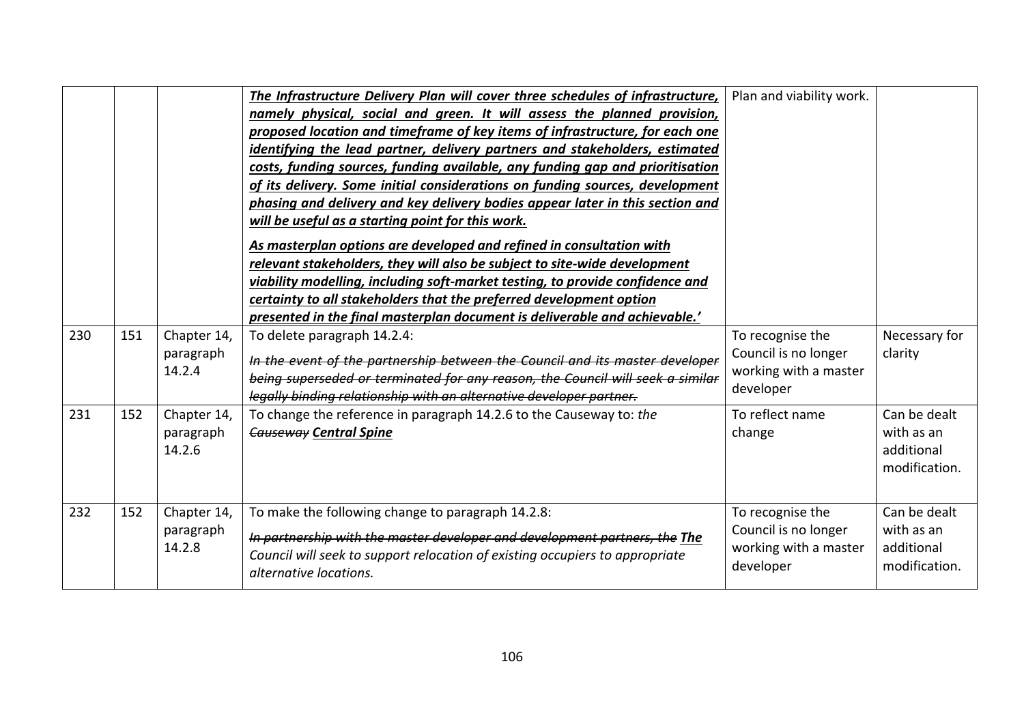|     |     |                                    | The Infrastructure Delivery Plan will cover three schedules of infrastructure,<br>namely physical, social and green. It will assess the planned provision,<br>proposed location and timeframe of key items of infrastructure, for each one<br>identifying the lead partner, delivery partners and stakeholders, estimated<br>costs, funding sources, funding available, any funding gap and prioritisation<br>of its delivery. Some initial considerations on funding sources, development<br>phasing and delivery and key delivery bodies appear later in this section and<br>will be useful as a starting point for this work.<br>As masterplan options are developed and refined in consultation with<br>relevant stakeholders, they will also be subject to site-wide development | Plan and viability work.                                                       |                                                           |
|-----|-----|------------------------------------|---------------------------------------------------------------------------------------------------------------------------------------------------------------------------------------------------------------------------------------------------------------------------------------------------------------------------------------------------------------------------------------------------------------------------------------------------------------------------------------------------------------------------------------------------------------------------------------------------------------------------------------------------------------------------------------------------------------------------------------------------------------------------------------|--------------------------------------------------------------------------------|-----------------------------------------------------------|
|     |     |                                    | viability modelling, including soft-market testing, to provide confidence and<br>certainty to all stakeholders that the preferred development option<br>presented in the final masterplan document is deliverable and achievable.'                                                                                                                                                                                                                                                                                                                                                                                                                                                                                                                                                    |                                                                                |                                                           |
| 230 | 151 | Chapter 14,<br>paragraph<br>14.2.4 | To delete paragraph 14.2.4:<br>In the event of the partnership between the Council and its master developer<br>being superseded or terminated for any reason, the Council will seek a similar<br>legally binding relationship with an alternative developer partner.                                                                                                                                                                                                                                                                                                                                                                                                                                                                                                                  | To recognise the<br>Council is no longer<br>working with a master<br>developer | Necessary for<br>clarity                                  |
| 231 | 152 | Chapter 14,<br>paragraph<br>14.2.6 | To change the reference in paragraph 14.2.6 to the Causeway to: the<br><b>Causeway Central Spine</b>                                                                                                                                                                                                                                                                                                                                                                                                                                                                                                                                                                                                                                                                                  | To reflect name<br>change                                                      | Can be dealt<br>with as an<br>additional<br>modification. |
| 232 | 152 | Chapter 14,<br>paragraph<br>14.2.8 | To make the following change to paragraph 14.2.8:<br>In partnership with the master developer and development partners, the The<br>Council will seek to support relocation of existing occupiers to appropriate<br>alternative locations.                                                                                                                                                                                                                                                                                                                                                                                                                                                                                                                                             | To recognise the<br>Council is no longer<br>working with a master<br>developer | Can be dealt<br>with as an<br>additional<br>modification. |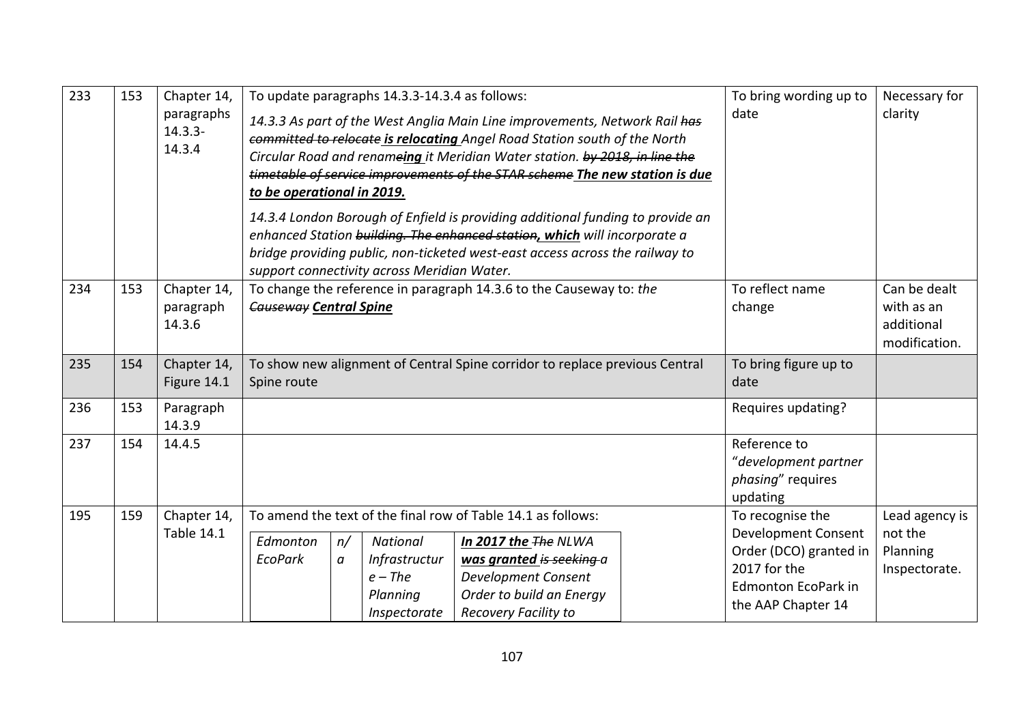| 233 | 153 | Chapter 14,<br>paragraphs<br>$14.3.3 -$<br>14.3.4 | to be operational in 2019. |                                                                                                      | To update paragraphs 14.3.3-14.3.4 as follows:<br>support connectivity across Meridian Water. | 14.3.3 As part of the West Anglia Main Line improvements, Network Rail has<br>committed to relocate is relocating Angel Road Station south of the North<br>Circular Road and renameing it Meridian Water station. by 2018, in line the<br>timetable of service improvements of the STAR scheme The new station is due<br>14.3.4 London Borough of Enfield is providing additional funding to provide an<br>enhanced Station building. The enhanced station, which will incorporate a<br>bridge providing public, non-ticketed west-east access across the railway to | To bring wording up to<br>date | Necessary for<br>clarity                                                                                                                     |                                                           |
|-----|-----|---------------------------------------------------|----------------------------|------------------------------------------------------------------------------------------------------|-----------------------------------------------------------------------------------------------|----------------------------------------------------------------------------------------------------------------------------------------------------------------------------------------------------------------------------------------------------------------------------------------------------------------------------------------------------------------------------------------------------------------------------------------------------------------------------------------------------------------------------------------------------------------------|--------------------------------|----------------------------------------------------------------------------------------------------------------------------------------------|-----------------------------------------------------------|
| 234 | 153 | Chapter 14,<br>paragraph<br>14.3.6                |                            | To change the reference in paragraph 14.3.6 to the Causeway to: the<br><b>Causeway Central Spine</b> |                                                                                               |                                                                                                                                                                                                                                                                                                                                                                                                                                                                                                                                                                      |                                |                                                                                                                                              | Can be dealt<br>with as an<br>additional<br>modification. |
| 235 | 154 | Chapter 14,<br>Figure 14.1                        | Spine route                | To show new alignment of Central Spine corridor to replace previous Central                          |                                                                                               |                                                                                                                                                                                                                                                                                                                                                                                                                                                                                                                                                                      |                                |                                                                                                                                              |                                                           |
| 236 | 153 | Paragraph<br>14.3.9                               |                            |                                                                                                      |                                                                                               |                                                                                                                                                                                                                                                                                                                                                                                                                                                                                                                                                                      |                                | Requires updating?                                                                                                                           |                                                           |
| 237 | 154 | 14.4.5                                            |                            |                                                                                                      |                                                                                               |                                                                                                                                                                                                                                                                                                                                                                                                                                                                                                                                                                      |                                | Reference to<br>"development partner<br>phasing" requires<br>updating                                                                        |                                                           |
| 195 | 159 | Chapter 14,<br><b>Table 14.1</b>                  | Edmonton<br>EcoPark        | n/<br>a                                                                                              | National<br>Infrastructur<br>$e$ – The<br>Planning<br>Inspectorate                            | To amend the text of the final row of Table 14.1 as follows:<br>In 2017 the The NLWA<br>was granted is seeking a<br><b>Development Consent</b><br>Order to build an Energy<br>Recovery Facility to                                                                                                                                                                                                                                                                                                                                                                   |                                | To recognise the<br><b>Development Consent</b><br>Order (DCO) granted in<br>2017 for the<br><b>Edmonton EcoPark in</b><br>the AAP Chapter 14 | Lead agency is<br>not the<br>Planning<br>Inspectorate.    |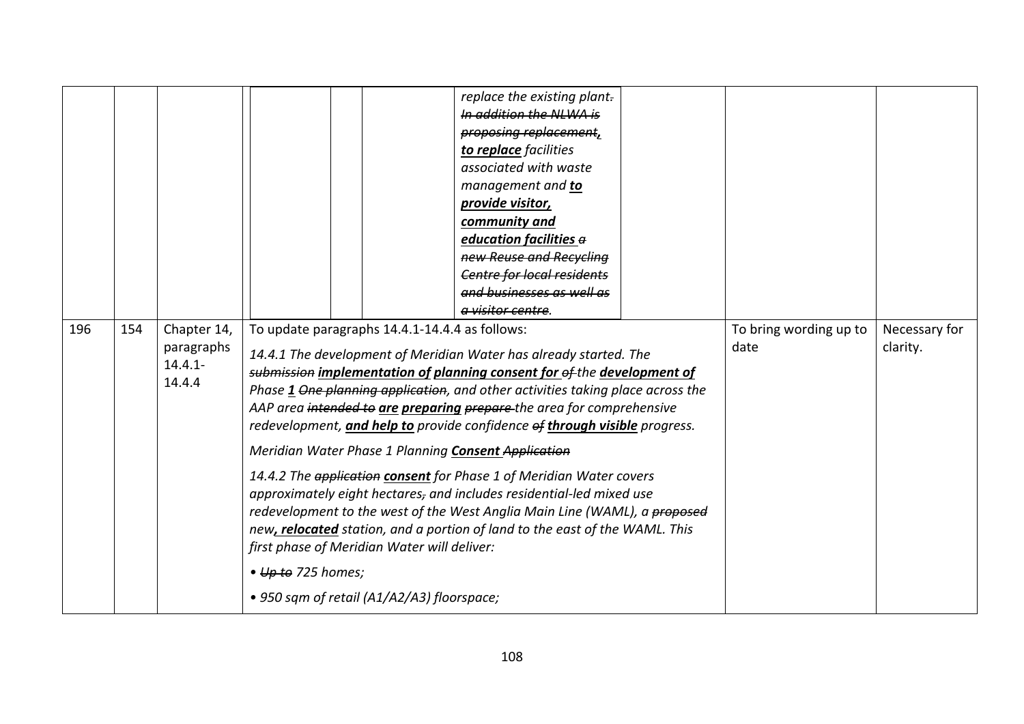|     |     |                                                   |                            |                                                                                                                                             | replace the existing plant.<br>In addition the NLWA is<br>proposing replacement,<br>to replace facilities<br>associated with waste<br>management and to<br>provide visitor,<br>community and<br>education facilities a<br>new Reuse and Recycling<br><b>Centre for local residents</b><br>and businesses as well as<br>a visitor centre.                                                                                                                                                                                                                                                                                                                                                                                                                |                                |                           |
|-----|-----|---------------------------------------------------|----------------------------|---------------------------------------------------------------------------------------------------------------------------------------------|---------------------------------------------------------------------------------------------------------------------------------------------------------------------------------------------------------------------------------------------------------------------------------------------------------------------------------------------------------------------------------------------------------------------------------------------------------------------------------------------------------------------------------------------------------------------------------------------------------------------------------------------------------------------------------------------------------------------------------------------------------|--------------------------------|---------------------------|
| 196 | 154 | Chapter 14,<br>paragraphs<br>$14.4.1 -$<br>14.4.4 | $\bullet$ Up to 725 homes; | To update paragraphs 14.4.1-14.4.4 as follows:<br>first phase of Meridian Water will deliver:<br>• 950 sqm of retail (A1/A2/A3) floorspace; | 14.4.1 The development of Meridian Water has already started. The<br>submission implementation of planning consent for of the development of<br>Phase 1 One planning application, and other activities taking place across the<br>AAP area intended to are preparing prepare-the area for comprehensive<br>redevelopment, and help to provide confidence of through visible progress.<br>Meridian Water Phase 1 Planning Consent Application<br>14.4.2 The application consent for Phase 1 of Meridian Water covers<br>approximately eight hectares, and includes residential-led mixed use<br>redevelopment to the west of the West Anglia Main Line (WAML), a proposed<br>new, relocated station, and a portion of land to the east of the WAML. This | To bring wording up to<br>date | Necessary for<br>clarity. |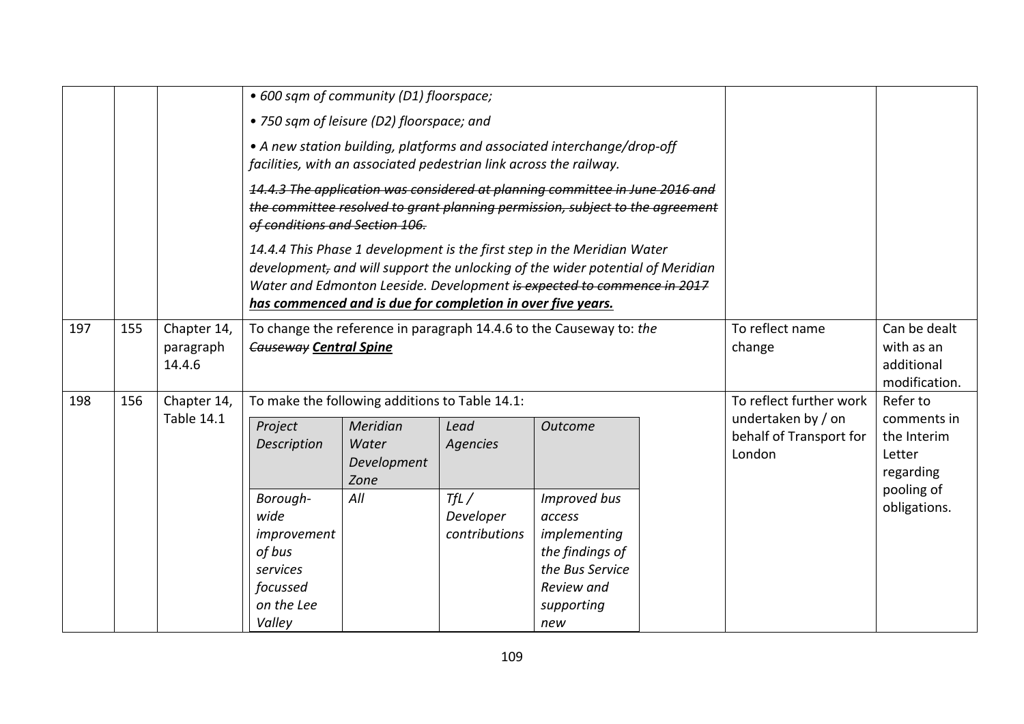|     |     |                                    | • 600 sqm of community (D1) floorspace;                                                                                                                                                         |                                                                                                                                                                                                                                                                                                     |                                    |                                                                                                                 |                                                           |                                                         |                                                                                 |
|-----|-----|------------------------------------|-------------------------------------------------------------------------------------------------------------------------------------------------------------------------------------------------|-----------------------------------------------------------------------------------------------------------------------------------------------------------------------------------------------------------------------------------------------------------------------------------------------------|------------------------------------|-----------------------------------------------------------------------------------------------------------------|-----------------------------------------------------------|---------------------------------------------------------|---------------------------------------------------------------------------------|
|     |     |                                    |                                                                                                                                                                                                 | • 750 sqm of leisure (D2) floorspace; and                                                                                                                                                                                                                                                           |                                    |                                                                                                                 |                                                           |                                                         |                                                                                 |
|     |     |                                    |                                                                                                                                                                                                 | • A new station building, platforms and associated interchange/drop-off<br>facilities, with an associated pedestrian link across the railway.                                                                                                                                                       |                                    |                                                                                                                 |                                                           |                                                         |                                                                                 |
|     |     |                                    | 14.4.3 The application was considered at planning committee in June 2016 and<br>the committee resolved to grant planning permission, subject to the agreement<br>of conditions and Section 106. |                                                                                                                                                                                                                                                                                                     |                                    |                                                                                                                 |                                                           |                                                         |                                                                                 |
|     |     |                                    |                                                                                                                                                                                                 | 14.4.4 This Phase 1 development is the first step in the Meridian Water<br>development, and will support the unlocking of the wider potential of Meridian<br>Water and Edmonton Leeside. Development is expected to commence in 2017<br>has commenced and is due for completion in over five years. |                                    |                                                                                                                 |                                                           |                                                         |                                                                                 |
| 197 | 155 | Chapter 14,<br>paragraph<br>14.4.6 | <b>Causeway Central Spine</b>                                                                                                                                                                   | To change the reference in paragraph 14.4.6 to the Causeway to: the                                                                                                                                                                                                                                 |                                    | To reflect name<br>change                                                                                       | Can be dealt<br>with as an<br>additional<br>modification. |                                                         |                                                                                 |
| 198 | 156 | Chapter 14,<br><b>Table 14.1</b>   |                                                                                                                                                                                                 | To make the following additions to Table 14.1:                                                                                                                                                                                                                                                      | To reflect further work            | Refer to                                                                                                        |                                                           |                                                         |                                                                                 |
|     |     |                                    | Project<br><b>Description</b>                                                                                                                                                                   | Meridian<br>Water<br>Development<br>Zone                                                                                                                                                                                                                                                            | Lead<br><b>Agencies</b>            | <b>Outcome</b>                                                                                                  |                                                           | undertaken by / on<br>behalf of Transport for<br>London | comments in<br>the Interim<br>Letter<br>regarding<br>pooling of<br>obligations. |
|     |     |                                    | Borough-<br>wide<br>improvement<br>of bus<br>services<br>focussed<br>on the Lee<br>Valley                                                                                                       | All                                                                                                                                                                                                                                                                                                 | TfL/<br>Developer<br>contributions | Improved bus<br>access<br>implementing<br>the findings of<br>the Bus Service<br>Review and<br>supporting<br>new |                                                           |                                                         |                                                                                 |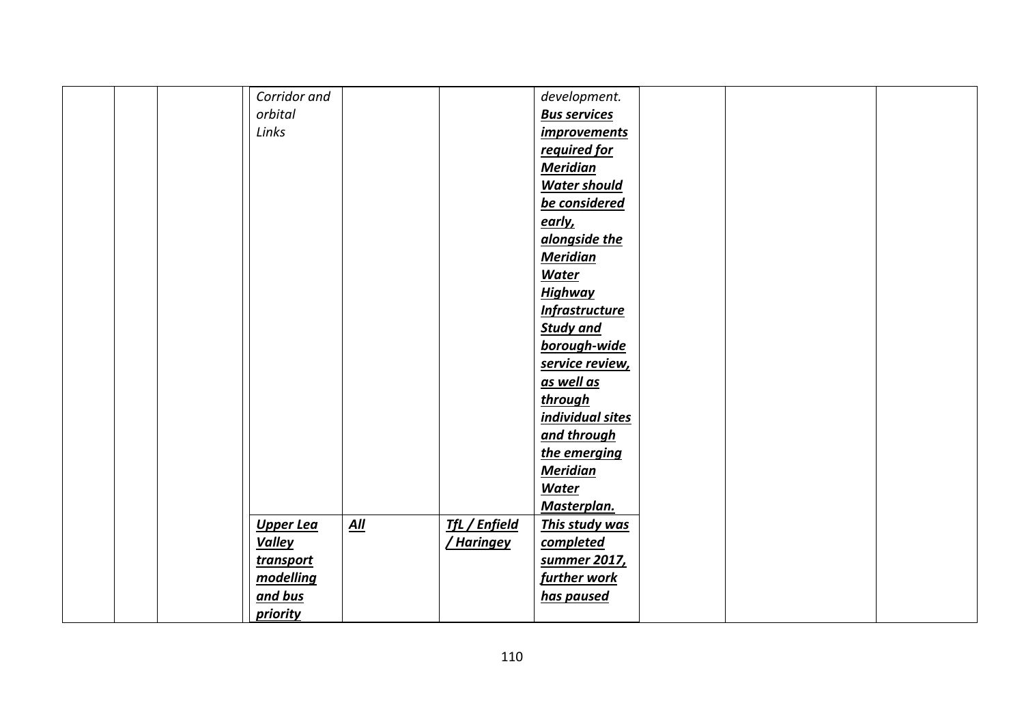| Corridor and     |                   |                      | development.          |  |  |
|------------------|-------------------|----------------------|-----------------------|--|--|
| orbital          |                   |                      | <b>Bus services</b>   |  |  |
| Links            |                   |                      | <i>improvements</i>   |  |  |
|                  |                   |                      | required for          |  |  |
|                  |                   |                      | <b>Meridian</b>       |  |  |
|                  |                   |                      | <b>Water should</b>   |  |  |
|                  |                   |                      | be considered         |  |  |
|                  |                   |                      | <u>early,</u>         |  |  |
|                  |                   |                      | alongside the         |  |  |
|                  |                   |                      | <b>Meridian</b>       |  |  |
|                  |                   |                      | Water                 |  |  |
|                  |                   |                      | <b>Highway</b>        |  |  |
|                  |                   |                      | <b>Infrastructure</b> |  |  |
|                  |                   |                      | <b>Study and</b>      |  |  |
|                  |                   |                      | borough-wide          |  |  |
|                  |                   |                      | service review,       |  |  |
|                  |                   |                      | as well as            |  |  |
|                  |                   |                      | through               |  |  |
|                  |                   |                      | individual sites      |  |  |
|                  |                   |                      | and through           |  |  |
|                  |                   |                      | the emerging          |  |  |
|                  |                   |                      | <b>Meridian</b>       |  |  |
|                  |                   |                      | <b>Water</b>          |  |  |
|                  |                   |                      | Masterplan.           |  |  |
| Upper Lea        | $\underline{All}$ | <b>TfL / Enfield</b> | This study was        |  |  |
| <b>Valley</b>    |                   | <u>/ Haringey</u>    | completed             |  |  |
| <b>transport</b> |                   |                      | summer 2017,          |  |  |
| modelling        |                   |                      | further work          |  |  |
| and bus          |                   |                      | has paused            |  |  |
| <i>priority</i>  |                   |                      |                       |  |  |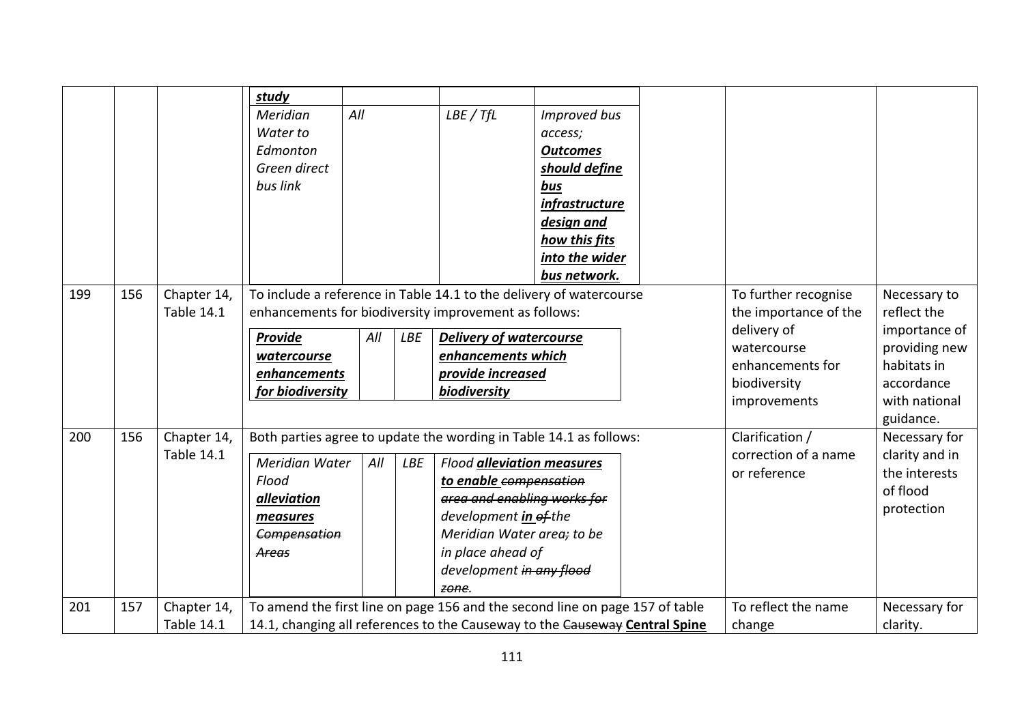|     |     |                                  | study                                                                        |     |            |                                                                                                              |                       |  |                                               |                             |
|-----|-----|----------------------------------|------------------------------------------------------------------------------|-----|------------|--------------------------------------------------------------------------------------------------------------|-----------------------|--|-----------------------------------------------|-----------------------------|
|     |     |                                  | Meridian                                                                     | All |            | LBE / TfL                                                                                                    | <b>Improved bus</b>   |  |                                               |                             |
|     |     |                                  | Water to                                                                     |     |            |                                                                                                              | access;               |  |                                               |                             |
|     |     |                                  | Edmonton                                                                     |     |            |                                                                                                              | <b>Outcomes</b>       |  |                                               |                             |
|     |     |                                  | Green direct                                                                 |     |            |                                                                                                              | should define         |  |                                               |                             |
|     |     |                                  | bus link                                                                     |     |            |                                                                                                              | bus                   |  |                                               |                             |
|     |     |                                  |                                                                              |     |            |                                                                                                              | <i>infrastructure</i> |  |                                               |                             |
|     |     |                                  |                                                                              |     |            |                                                                                                              | design and            |  |                                               |                             |
|     |     |                                  |                                                                              |     |            |                                                                                                              | how this fits         |  |                                               |                             |
|     |     |                                  |                                                                              |     |            |                                                                                                              | into the wider        |  |                                               |                             |
|     |     |                                  |                                                                              |     |            |                                                                                                              | bus network.          |  |                                               |                             |
| 199 | 156 | Chapter 14,<br><b>Table 14.1</b> | To include a reference in Table 14.1 to the delivery of watercourse          |     |            |                                                                                                              |                       |  | To further recognise<br>the importance of the | Necessary to<br>reflect the |
|     |     |                                  | enhancements for biodiversity improvement as follows:                        |     |            |                                                                                                              |                       |  |                                               |                             |
|     |     |                                  | Provide                                                                      | All | <b>LBE</b> |                                                                                                              |                       |  | delivery of                                   | importance of               |
|     |     |                                  | watercourse                                                                  |     |            | <b>Delivery of watercourse</b><br>enhancements which<br>provide increased<br>biodiversity                    |                       |  | watercourse                                   | providing new               |
|     |     |                                  | enhancements                                                                 |     |            |                                                                                                              |                       |  | enhancements for                              | habitats in                 |
|     |     |                                  | for biodiversity                                                             |     |            |                                                                                                              |                       |  | biodiversity                                  | accordance                  |
|     |     |                                  |                                                                              |     |            |                                                                                                              |                       |  | improvements                                  | with national               |
|     |     |                                  |                                                                              |     |            |                                                                                                              |                       |  |                                               | guidance.                   |
| 200 | 156 | Chapter 14,<br><b>Table 14.1</b> | Both parties agree to update the wording in Table 14.1 as follows:           |     |            |                                                                                                              |                       |  | Clarification /                               | Necessary for               |
|     |     |                                  | <b>Meridian Water</b><br>All<br>LBE                                          |     |            | <b>Flood alleviation measures</b>                                                                            |                       |  | correction of a name                          | clarity and in              |
|     |     |                                  | Flood                                                                        |     |            | to enable compensation<br>area and enabling works for<br>development in of the<br>Meridian Water area; to be |                       |  | or reference                                  | the interests<br>of flood   |
|     |     |                                  | alleviation                                                                  |     |            |                                                                                                              |                       |  |                                               |                             |
|     |     |                                  | measures                                                                     |     |            |                                                                                                              |                       |  |                                               | protection                  |
|     |     |                                  | Compensation                                                                 |     |            |                                                                                                              |                       |  |                                               |                             |
|     |     |                                  | Areas                                                                        |     |            | in place ahead of                                                                                            |                       |  |                                               |                             |
|     |     |                                  |                                                                              |     |            | development in any flood                                                                                     |                       |  |                                               |                             |
|     |     |                                  |                                                                              |     |            | zone.                                                                                                        |                       |  |                                               |                             |
| 201 | 157 | Chapter 14,                      | To amend the first line on page 156 and the second line on page 157 of table |     |            |                                                                                                              |                       |  | To reflect the name                           | Necessary for               |
|     |     | <b>Table 14.1</b>                | 14.1, changing all references to the Causeway to the Causeway Central Spine  |     |            |                                                                                                              |                       |  | change                                        | clarity.                    |